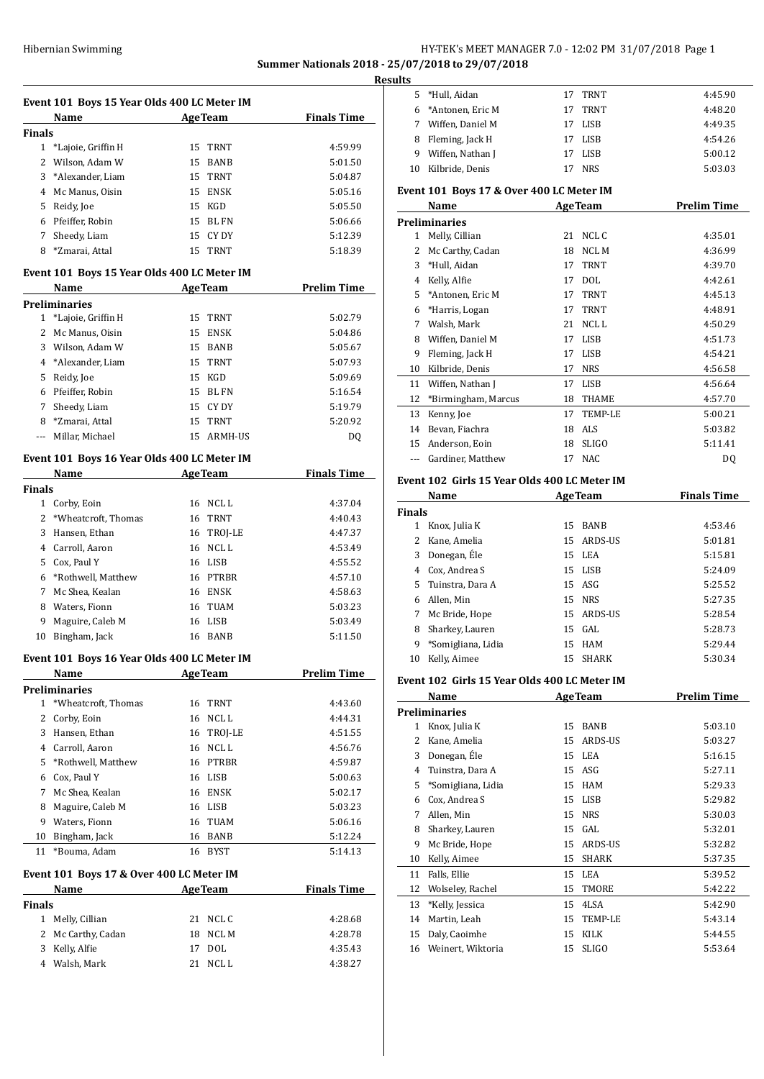## Hibernian Swimming **HY-TEK's MEET MANAGER 7.0 - 12:02 PM 31/07/2018** Page 1 **Summer Nationals 2018 - 25/07/2018 to 29/07/2018**

**Results**

|               | Event 101 Boys 15 Year Olds 400 LC Meter IM |    |                |                    |
|---------------|---------------------------------------------|----|----------------|--------------------|
|               | Name                                        |    | <b>AgeTeam</b> | <b>Finals Time</b> |
| <b>Finals</b> |                                             |    |                |                    |
|               | 1 *Lajoie, Griffin H                        |    | 15 TRNT        | 4:59.99            |
|               | 2 Wilson, Adam W                            |    | 15 BANB        | 5:01.50            |
|               | 3 *Alexander, Liam                          |    | 15 TRNT        | 5:04.87            |
|               | 4 Mc Manus, Oisin                           |    | 15 ENSK        | 5:05.16            |
|               | 5 Reidy, Joe                                |    | 15 KGD         | 5:05.50            |
|               | 6 Pfeiffer, Robin                           |    | 15 BL FN       | 5:06.66            |
|               | 7 Sheedy, Liam                              |    | 15 CY DY       | 5:12.39            |
|               | 8 *Zmarai, Attal                            |    | 15 TRNT        | 5:18.39            |
|               | Event 101 Boys 15 Year Olds 400 LC Meter IM |    |                |                    |
|               | Name AgeTeam                                |    |                | <b>Prelim Time</b> |
|               | <b>Preliminaries</b>                        |    |                |                    |
|               | 1 *Lajoie, Griffin H                        | 15 | TRNT           | 5:02.79            |
|               | 2 Mc Manus, Oisin                           |    | 15 ENSK        | 5:04.86            |
|               | 3 Wilson, Adam W                            |    | 15 BANB        | 5:05.67            |
|               | 4 *Alexander, Liam                          |    | 15 TRNT        | 5:07.93            |
|               | 5 Reidy, Joe                                |    | 15 KGD         | 5:09.69            |
|               | 6 Pfeiffer, Robin                           |    | 15 BL FN       | 5:16.54            |
|               | 7 Sheedy, Liam                              |    | 15 CY DY       | 5:19.79            |
|               | 8 *Zmarai, Attal                            |    | 15 TRNT        | 5:20.92            |
|               | --- Millar, Michael                         |    | 15 ARMH-US     | DQ                 |
|               | Event 101 Boys 16 Year Olds 400 LC Meter IM |    |                |                    |
|               | <b>Example 2</b> AgeTeam<br>Name            |    |                | <b>Finals Time</b> |
| <b>Finals</b> |                                             |    |                |                    |
|               | 1 Corby, Eoin                               |    | 16 NCL L       | 4:37.04            |
|               | 2 *Wheatcroft, Thomas                       |    | 16 TRNT        | 4:40.43            |
|               | 3 Hansen, Ethan                             |    | 16 TROJ-LE     | 4:47.37            |
|               | 4 Carroll, Aaron                            |    | 16 NCL L       | 4:53.49            |
|               | 5 Cox, Paul Y                               |    | 16 LISB        | 4:55.52            |
|               | 6 *Rothwell, Matthew                        |    | 16 PTRBR       | 4:57.10            |
|               | 7 Mc Shea, Kealan                           |    | 16 ENSK        | 4:58.63            |
|               | 8 Waters, Fionn                             |    | 16 TUAM        | 5:03.23            |
|               | 9 Maguire, Caleb M                          |    | 16 LISB        | 5:03.49            |
|               | 10 Bingham, Jack                            |    | 16 BANB        | 5:11.50            |
|               | Event 101 Boys 16 Year Olds 400 LC Meter IM |    |                |                    |
|               | Name                                        |    | <b>AgeTeam</b> | <b>Prelim Time</b> |
|               | <b>Preliminaries</b>                        |    |                |                    |
| $\mathbf{1}$  | *Wheatcroft, Thomas                         |    | 16 TRNT        | 4:43.60            |
| 2             | Corby, Eoin                                 | 16 | NCL L          | 4:44.31            |
|               | 3 Hansen, Ethan                             | 16 | TROJ-LE        | 4:51.55            |
|               | 4 Carroll, Aaron                            | 16 | NCL L          | 4:56.76            |
|               | 5 *Rothwell, Matthew                        | 16 | <b>PTRBR</b>   | 4:59.87            |
|               | 6 Cox, Paul Y                               |    | 16 LISB        | 5:00.63            |
|               | 7 Mc Shea, Kealan                           |    | 16 ENSK        | 5:02.17            |
|               | 8 Maguire, Caleb M                          |    | 16 LISB        | 5:03.23            |
|               | 9 Waters, Fionn                             | 16 | TUAM           | 5:06.16            |
| 10            | Bingham, Jack                               | 16 | BANB           | 5:12.24            |
| 11            | *Bouma, Adam                                |    | 16 BYST        | 5:14.13            |
|               | Event 101 Boys 17 & Over 400 LC Meter IM    |    |                |                    |
|               | Name                                        |    | <b>AgeTeam</b> | <b>Finals Time</b> |
| Finals        |                                             |    |                |                    |
|               | 1 Melly, Cillian                            |    | 21 NCL C       | 4:28.68            |
|               | 2 Mc Carthy, Cadan                          | 18 | NCL M          | 4:28.78            |
|               | 3 Kelly, Alfie                              | 17 | DOL            | 4:35.43            |
|               | 4 Walsh, Mark                               |    | 21 NCLL        | 4:38.27            |
|               |                                             |    |                |                    |

| uits           |                                              |    |                |                    |
|----------------|----------------------------------------------|----|----------------|--------------------|
|                | 5 *Hull, Aidan                               |    | 17 TRNT        | 4:45.90            |
|                | 6 *Antonen, Eric M                           | 17 | TRNT           | 4:48.20            |
|                | 7 Wiffen, Daniel M                           | 17 | <b>LISB</b>    | 4:49.35            |
|                | 8 Fleming, Jack H                            |    | 17 LISB        | 4:54.26            |
|                | 9 Wiffen, Nathan J                           | 17 | <b>LISB</b>    | 5:00.12            |
|                | 10 Kilbride, Denis                           |    | 17 NRS         | 5:03.03            |
|                |                                              |    |                |                    |
|                | Event 101 Boys 17 & Over 400 LC Meter IM     |    |                |                    |
|                | Name                                         |    | <b>AgeTeam</b> | <b>Prelim Time</b> |
|                | <b>Preliminaries</b>                         |    |                |                    |
|                | 1 Melly, Cillian                             | 21 | NCL C          | 4:35.01            |
|                | 2 Mc Carthy, Cadan                           |    | 18 NCL M       | 4:36.99            |
| 3              | *Hull. Aidan                                 | 17 | <b>TRNT</b>    | 4:39.70            |
|                | 4 Kelly, Alfie                               | 17 | <b>DOL</b>     | 4:42.61            |
|                | 5 *Antonen, Eric M                           |    | 17 TRNT        | 4:45.13            |
|                | 6 *Harris, Logan                             |    | 17 TRNT        | 4:48.91            |
|                | 7 Walsh, Mark                                | 21 | NCL L          | 4:50.29            |
|                | 8 Wiffen, Daniel M                           |    | 17 LISB        | 4:51.73            |
| 9              | Fleming, Jack H                              | 17 | LISB           | 4:54.21            |
|                | 10 Kilbride, Denis                           |    | 17 NRS         | 4:56.58            |
| 11             | Wiffen, Nathan J                             | 17 | <b>LISB</b>    | 4:56.64            |
|                | 12 *Birmingham, Marcus                       | 18 | THAME          | 4:57.70            |
| 13             | Kenny, Joe                                   | 17 | TEMP-LE        | 5:00.21            |
|                | 14 Bevan, Fiachra                            | 18 | ALS            | 5:03.82            |
|                | 15 Anderson, Eoin                            | 18 | <b>SLIGO</b>   | 5:11.41            |
|                | --- Gardiner, Matthew                        |    | 17 NAC         | DQ                 |
|                | Event 102 Girls 15 Year Olds 400 LC Meter IM |    |                |                    |
|                | Name                                         |    | <b>AgeTeam</b> | <b>Finals Time</b> |
| <b>Finals</b>  |                                              |    |                |                    |
| $\mathbf{1}$   | Knox, Julia K                                |    | 15 BANB        | 4:53.46            |
| 2              | Kane, Amelia                                 |    | 15 ARDS-US     | 5:01.81            |
|                | 3 Donegan, Éle                               |    | 15 LEA         | 5:15.81            |
|                | 4 Cox, Andrea S                              |    | 15 LISB        | 5:24.09            |
| 5              | Tuinstra, Dara A                             |    | 15 ASG         | 5:25.52            |
|                | 6 Allen, Min                                 |    | 15 NRS         | 5:27.35            |
| 7              | Mc Bride, Hope                               |    | 15 ARDS-US     | 5:28.54            |
| 8              | Sharkey, Lauren                              | 15 | GAL            | 5:28.73            |
| 9              | *Somigliana, Lidia                           |    | 15 HAM         | 5:29.44            |
| 10             | Kelly, Aimee                                 | 15 | SHARK          | 5:30.34            |
|                |                                              |    |                |                    |
|                | Event 102 Girls 15 Year Olds 400 LC Meter IM |    |                |                    |
|                | Name                                         |    | <b>AgeTeam</b> | <b>Prelim Time</b> |
|                | <b>Preliminaries</b>                         |    |                |                    |
|                | 1 Knox, Julia K                              |    | 15 BANB        | 5:03.10            |
| $\overline{2}$ | Kane, Amelia                                 |    | 15 ARDS-US     | 5:03.27            |
|                | 3 Donegan, Éle                               |    | 15 LEA         | 5:16.15            |
|                | 4 Tuinstra, Dara A                           |    | 15 ASG         | 5:27.11            |
| 5              | *Somigliana, Lidia                           |    | 15 HAM         | 5:29.33            |
|                | 6 Cox, Andrea S                              |    | 15 LISB        | 5:29.82            |
| 7              | Allen, Min                                   |    | 15 NRS         | 5:30.03            |
|                | 8 Sharkey, Lauren                            |    | 15 GAL         | 5:32.01            |
| 9              | Mc Bride, Hope                               |    | 15 ARDS-US     | 5:32.82            |
| 10             | Kelly, Aimee                                 | 15 | <b>SHARK</b>   | 5:37.35            |
| 11             | Falls, Ellie                                 |    | 15 LEA         | 5:39.52            |
| 12             | Wolseley, Rachel                             | 15 | TMORE          | 5:42.22            |
| 13             | *Kelly, Jessica                              |    | 15 4LSA        | 5:42.90            |
| 14             | Martin, Leah                                 |    | 15 TEMP-LE     | 5:43.14            |
| 15             | Daly, Caoimhe                                | 15 | KILK           | 5:44.55            |
| 16             | Weinert, Wiktoria                            | 15 | <b>SLIGO</b>   | 5:53.64            |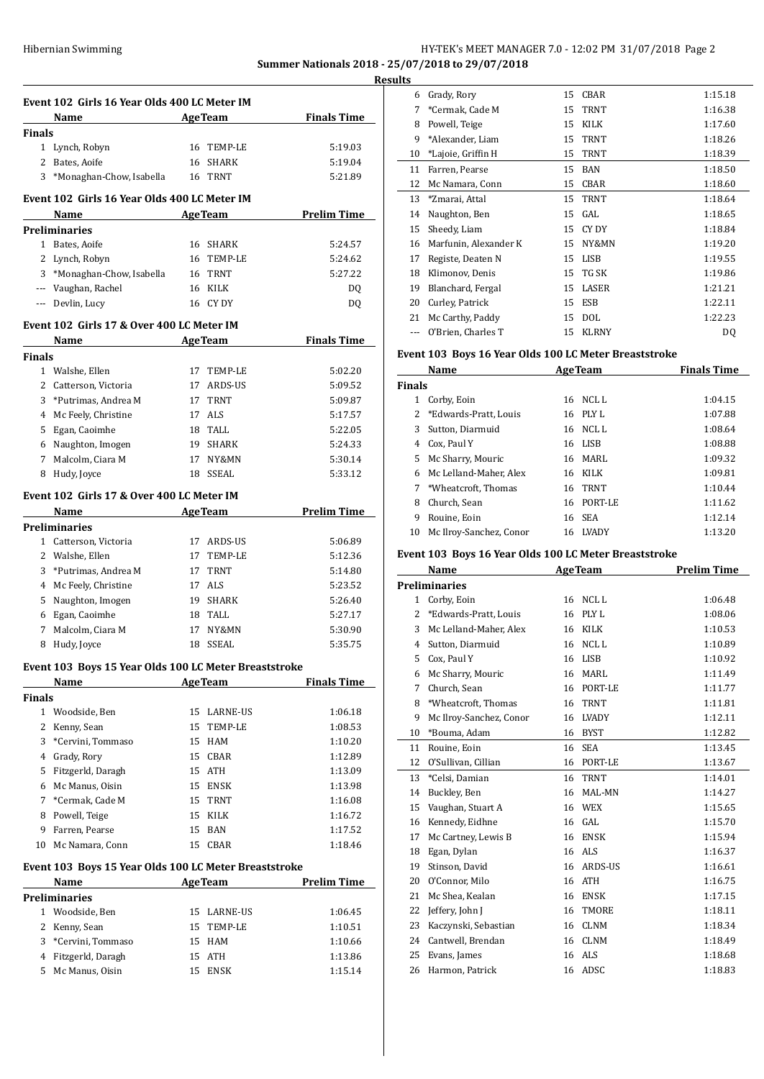## Hibernian Swimming **HY-TEK's MEET MANAGER 7.0 - 12:02 PM 31/07/2018** Page 2 **Summer Nationals 2018 - 25/07/2018 to 29/07/2018**

**Results Event 102 Girls 16 Year Olds 400 LC Meter IM Name Age Team Finals Time Finals** Lynch, Robyn 16 TEMP-LE 5:19.03 2 Bates, Aoife 16 SHARK 5:19.04  $\overline{a}$  \*Monaghan-Chow, Isabella 16 TRNT 5:21.89 **Event 102 Girls 16 Year Olds 400 LC Meter IM Name Age Team Prelim Time Preliminaries** Bates, Aoife 16 SHARK 5:24.57 Lynch, Robyn 16 TEMP-LE 5:24.62 \*Monaghan-Chow, Isabella 16 TRNT 5:27.22 --- Vaughan, Rachel 16 KILK DQ --- Devlin, Lucy 16 CY DY DQ **Event 102 Girls 17 & Over 400 LC Meter IM Name Age Team Finals Time Finals** Walshe, Ellen 17 TEMP-LE 5:02.20 2 Catterson, Victoria 17 ARDS-US 5:09.52 **Finals** 3 \*Putrimas, Andrea M 17 TRNT 5:09.87 4 Mc Feely, Christine 17 ALS 5:17.57 Egan, Caoimhe 18 TALL 5:22.05 Naughton, Imogen 19 SHARK 5:24.33 Malcolm, Ciara M 17 NY&MN 5:30.14 Hudy, Joyce 18 SSEAL 5:33.12 **Event 102 Girls 17 & Over 400 LC Meter IM Name Age Team Prelim Time Preliminaries** 1 Catterson, Victoria 17 ARDS-US 5:06.89 Walshe, Ellen 17 TEMP-LE 5:12.36 3 \*Putrimas, Andrea M 17 TRNT 5:14.80 4 Mc Feely, Christine 17 ALS 5:23.52 Naughton, Imogen 19 SHARK 5:26.40 Egan, Caoimhe 18 TALL 5:27.17 Malcolm, Ciara M 17 NY&MN 5:30.90 Hudy, Joyce 18 SSEAL 5:35.75 **Event 103 Boys 15 Year Olds 100 LC Meter Breaststroke Name Age Team Finals Time Finals** Woodside, Ben 15 LARNE-US 1:06.18 Kenny, Sean 15 TEMP-LE 1:08.53 3 \*Cervini, Tommaso 15 HAM 1:10.20 Grady, Rory 15 CBAR 1:12.89 Fitzgerld, Daragh 15 ATH 1:13.09 Mc Manus, Oisin 15 ENSK 1:13.98 7 \*Cermak, Cade M 15 TRNT 1:16.08 8 Powell, Teige 15 KILK 1:16.72 9 Farren, Pearse 15 BAN 1:17.52 10 Mc Namara, Conn 15 CBAR 1:18.46 **Event 103 Boys 15 Year Olds 100 LC Meter Breaststroke Name Age Team Prelim Time Preliminaries**

| 1 Woodside, Ben     | 15 LARNE-US | 1:06.45 |
|---------------------|-------------|---------|
| 2 Kenny, Sean       | 15 TEMP-LE  | 1:10.51 |
| 3 *Cervini, Tommaso | 15 HAM      | 1:10.66 |
| 4 Fitzgerld, Daragh | 15 ATH      | 1:13.86 |
| 5 Mc Manus, Oisin   | 15 ENSK     | 1:15.14 |
|                     |             |         |

| 6  | Grady, Rory           | 15 | <b>CBAR</b>  | 1:15.18 |
|----|-----------------------|----|--------------|---------|
| 7  | *Cermak, Cade M       | 15 | <b>TRNT</b>  | 1:16.38 |
| 8  | Powell, Teige         | 15 | <b>KILK</b>  | 1:17.60 |
| 9  | *Alexander, Liam      | 15 | <b>TRNT</b>  | 1:18.26 |
| 10 | *Lajoie, Griffin H    | 15 | <b>TRNT</b>  | 1:18.39 |
| 11 | Farren, Pearse        | 15 | <b>BAN</b>   | 1:18.50 |
| 12 | Mc Namara, Conn       | 15 | CBAR         | 1:18.60 |
| 13 | *Zmarai, Attal        | 15 | <b>TRNT</b>  | 1:18.64 |
| 14 | Naughton, Ben         | 15 | GAL          | 1:18.65 |
| 15 | Sheedy, Liam          | 15 | CY DY        | 1:18.84 |
| 16 | Marfunin, Alexander K | 15 | NY&MN        | 1:19.20 |
| 17 | Registe, Deaten N     | 15 | LISB         | 1:19.55 |
| 18 | Klimonov, Denis       | 15 | TG SK        | 1:19.86 |
| 19 | Blanchard, Fergal     | 15 | LASER        | 1:21.21 |
| 20 | Curley, Patrick       | 15 | ESB          | 1:22.11 |
| 21 | Mc Carthy, Paddy      | 15 | <b>DOL</b>   | 1:22.23 |
|    | O'Brien, Charles T    | 15 | <b>KLRNY</b> | DQ      |
|    |                       |    |              |         |

## **Event 103 Boys 16 Year Olds 100 LC Meter Breaststroke**

| Name  |                         |    | <b>AgeTeam</b> | <b>Finals Time</b> |  |
|-------|-------------------------|----|----------------|--------------------|--|
| inals |                         |    |                |                    |  |
| 1     | Corby, Eoin             |    | 16 NCLL        | 1:04.15            |  |
|       | *Edwards-Pratt, Louis   |    | 16 PLY L       | 1:07.88            |  |
| 3     | Sutton, Diarmuid        | 16 | NCL L          | 1:08.64            |  |
| 4     | Cox, Paul Y             |    | 16 LISB        | 1:08.88            |  |
| 5.    | Mc Sharry, Mouric       | 16 | MARL           | 1:09.32            |  |
| 6     | Mc Lelland-Maher. Alex  | 16 | KILK           | 1:09.81            |  |
| 7     | *Wheatcroft, Thomas     |    | 16 TRNT        | 1:10.44            |  |
| 8     | Church, Sean            | 16 | PORT-LE        | 1:11.62            |  |
| 9     | Rouine, Eoin            | 16 | <b>SEA</b>     | 1:12.14            |  |
| 10    | Mc Ilroy-Sanchez, Conor |    | 16 I.VADY      | 1:13.20            |  |

#### **Event 103 Boys 16 Year Olds 100 LC Meter Breaststroke**

| Name                    |    |                  | <b>Prelim Time</b> |
|-------------------------|----|------------------|--------------------|
| <b>Preliminaries</b>    |    |                  |                    |
| Corby, Eoin             | 16 | <b>NCLL</b>      | 1:06.48            |
| *Edwards-Pratt, Louis   | 16 | PLY L            | 1:08.06            |
| Mc Lelland-Maher, Alex  | 16 | KILK             | 1:10.53            |
| Sutton, Diarmuid        | 16 | NCL <sub>L</sub> | 1:10.89            |
| Cox, Paul Y             | 16 | <b>LISB</b>      | 1:10.92            |
| Mc Sharry, Mouric       | 16 | MARL             | 1:11.49            |
| Church. Sean            | 16 | PORT-LE          | 1:11.77            |
| *Wheatcroft, Thomas     | 16 | <b>TRNT</b>      | 1:11.81            |
| Mc Ilroy-Sanchez, Conor | 16 | <b>LVADY</b>     | 1:12.11            |
| *Bouma, Adam            | 16 | <b>BYST</b>      | 1:12.82            |
| Rouine, Eoin            | 16 | <b>SEA</b>       | 1:13.45            |
| O'Sullivan, Cillian     | 16 | PORT-LE          | 1:13.67            |
| *Celsi, Damian          | 16 | <b>TRNT</b>      | 1:14.01            |
| Buckley, Ben            | 16 | MAL-MN           | 1:14.27            |
| Vaughan, Stuart A       | 16 | <b>WEX</b>       | 1:15.65            |
| Kennedy, Eidhne         | 16 | GAL              | 1:15.70            |
| Mc Cartney, Lewis B     | 16 | <b>ENSK</b>      | 1:15.94            |
| Egan, Dylan             | 16 | ALS              | 1:16.37            |
| Stinson, David          | 16 | <b>ARDS-US</b>   | 1:16.61            |
| O'Connor, Milo          | 16 | <b>ATH</b>       | 1:16.75            |
| Mc Shea, Kealan         | 16 | <b>ENSK</b>      | 1:17.15            |
| Jeffery, John J         | 16 | <b>TMORE</b>     | 1:18.11            |
| Kaczynski, Sebastian    | 16 | <b>CLNM</b>      | 1:18.34            |
| Cantwell, Brendan       | 16 | <b>CLNM</b>      | 1:18.49            |
| Evans, James            | 16 | <b>ALS</b>       | 1:18.68            |
| Harmon, Patrick         | 16 | ADSC             | 1:18.83            |
|                         |    |                  | <b>AgeTeam</b>     |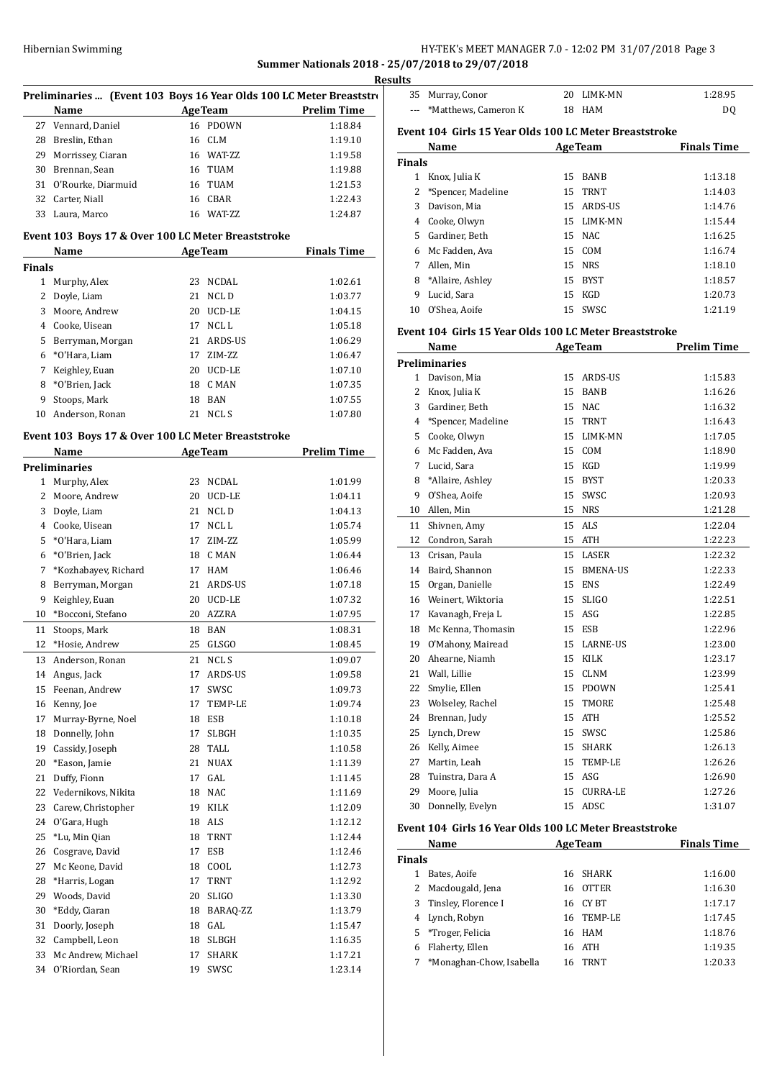## HY-TEK's MEET MANAGER 7.0 - 12:02 PM 31/07/2018 Page 3 **Summer Nationals 2018 - 25/07/2018 to 29/07/2018**

<u>sul</u>

|               |                                                    |    |                | Resu                                                                |  |
|---------------|----------------------------------------------------|----|----------------|---------------------------------------------------------------------|--|
|               |                                                    |    |                | Preliminaries  (Event 103 Boys 16 Year Olds 100 LC Meter Breaststro |  |
|               | Name                                               |    | <b>AgeTeam</b> | <b>Prelim Time</b>                                                  |  |
|               | 27 Vennard, Daniel                                 |    | 16 PDOWN       | 1:18.84                                                             |  |
|               | 28 Breslin, Ethan                                  |    | 16 CLM         | 1:19.10                                                             |  |
|               | 29 Morrissey, Ciaran                               |    | 16 WAT-ZZ      | 1:19.58                                                             |  |
|               | 30 Brennan, Sean                                   |    | 16 TUAM        | 1:19.88                                                             |  |
|               | 31 O'Rourke, Diarmuid                              |    | 16 TUAM        | 1:21.53                                                             |  |
|               | 32 Carter, Niall                                   |    | 16 CBAR        | 1:22.43                                                             |  |
|               | 33 Laura, Marco                                    |    | 16 WAT-ZZ      | 1:24.87                                                             |  |
|               | Event 103 Boys 17 & Over 100 LC Meter Breaststroke |    |                |                                                                     |  |
|               | <b>Example 2018 Age Team</b><br>Name               |    |                | <b>Finals Time</b>                                                  |  |
| <b>Finals</b> |                                                    |    |                |                                                                     |  |
|               | 1 Murphy, Alex                                     |    | 23 NCDAL       | 1:02.61                                                             |  |
|               | 2 Doyle, Liam                                      |    | 21 NCLD        | 1:03.77                                                             |  |
|               | 3 Moore, Andrew                                    |    | 20 UCD-LE      | 1:04.15                                                             |  |
|               | 4 Cooke, Uisean                                    |    | 17 NCL L       | 1:05.18                                                             |  |
|               | 5 Berryman, Morgan                                 |    | 21 ARDS-US     | 1:06.29                                                             |  |
|               | 6 *O'Hara. Liam                                    |    | 17 ZIM-ZZ      | 1:06.47                                                             |  |
|               | 7 Keighley, Euan                                   |    | 20 UCD-LE      | 1:07.10                                                             |  |
|               | 8 *O'Brien, Jack                                   |    | 18 CMAN        | 1:07.35                                                             |  |
| 9             | Stoops, Mark                                       |    | 18 BAN         | 1:07.55                                                             |  |
| 10            | Anderson, Ronan                                    |    | 21 NCLS        | 1:07.80                                                             |  |
|               |                                                    |    |                |                                                                     |  |
|               | Event 103 Boys 17 & Over 100 LC Meter Breaststroke |    |                |                                                                     |  |
|               | <b>Example 2.1 AgeTeam</b><br>Name                 |    |                | <b>Prelim Time</b>                                                  |  |
|               | <b>Preliminaries</b>                               |    |                |                                                                     |  |
|               | 1 Murphy, Alex                                     |    | 23 NCDAL       | 1:01.99                                                             |  |
|               | 2 Moore, Andrew                                    |    | 20 UCD-LE      | 1:04.11                                                             |  |
|               | 3 Doyle, Liam                                      |    | 21 NCLD        | 1:04.13                                                             |  |
|               | 4 Cooke, Uisean                                    |    | 17 NCL L       | 1:05.74                                                             |  |
|               | 5 *O'Hara, Liam                                    |    | 17 ZIM-ZZ      | 1:05.99                                                             |  |
|               | 6 *O'Brien, Jack                                   |    | 18 CMAN        | 1:06.44                                                             |  |
|               | 7 *Kozhabayev, Richard                             |    | 17 HAM         | 1:06.46                                                             |  |
| 8             | Berryman, Morgan                                   |    | 21 ARDS-US     | 1:07.18                                                             |  |
| 9             | Keighley, Euan                                     |    | 20 UCD-LE      | 1:07.32                                                             |  |
|               | 10 *Bocconi, Stefano                               |    | 20 AZZRA       | 1:07.95                                                             |  |
| 11            | Stoops, Mark                                       |    | 18 BAN         | 1:08.31                                                             |  |
| 12            | *Hosie, Andrew                                     |    | 25 GLSGO       | 1:08.45                                                             |  |
| 13            | Anderson, Ronan                                    | 21 | NCL S          | 1:09.07                                                             |  |
| 14            | Angus, Jack                                        | 17 | ARDS-US        | 1:09.58                                                             |  |
| 15            | Feenan, Andrew                                     | 17 | SWSC           | 1:09.73                                                             |  |
| 16            | Kenny, Joe                                         | 17 | TEMP-LE        | 1:09.74                                                             |  |
| 17            | Murray-Byrne, Noel                                 | 18 | ESB            | 1:10.18                                                             |  |
| 18            | Donnelly, John                                     | 17 | <b>SLBGH</b>   | 1:10.35                                                             |  |
| 19            | Cassidy, Joseph                                    | 28 | TALL           | 1:10.58                                                             |  |
| 20            | *Eason, Jamie                                      |    | <b>NUAX</b>    |                                                                     |  |
|               |                                                    | 21 |                | 1:11.39                                                             |  |
| 21            | Duffy, Fionn                                       | 17 | GAL            | 1:11.45                                                             |  |
| 22            | Vedernikovs, Nikita                                | 18 | NAC            | 1:11.69                                                             |  |
| 23            | Carew, Christopher                                 | 19 | <b>KILK</b>    | 1:12.09                                                             |  |
| 24            | O'Gara, Hugh                                       | 18 | ALS            | 1:12.12                                                             |  |
| 25            | *Lu, Min Qian                                      | 18 | TRNT           | 1:12.44                                                             |  |
| 26            | Cosgrave, David                                    | 17 | ESB            | 1:12.46                                                             |  |
| 27            | Mc Keone, David                                    | 18 | COOL           | 1:12.73                                                             |  |
| 28            | *Harris, Logan                                     | 17 | TRNT           | 1:12.92                                                             |  |
| 29            | Woods, David                                       | 20 | SLIGO          | 1:13.30                                                             |  |
| 30            | *Eddy, Ciaran                                      | 18 | BARAQ-ZZ       | 1:13.79                                                             |  |
| 31            | Doorly, Joseph                                     | 18 | GAL            | 1:15.47                                                             |  |
| 32            | Campbell, Leon                                     | 18 | <b>SLBGH</b>   | 1:16.35                                                             |  |
| 33            | Mc Andrew, Michael                                 | 17 | SHARK          | 1:17.21                                                             |  |
| 34            | O'Riordan, Sean                                    | 19 | SWSC           | 1:23.14                                                             |  |

| ults          |                                                        |    |                         |                    |
|---------------|--------------------------------------------------------|----|-------------------------|--------------------|
|               | 35 Murray, Conor                                       |    | 20 LIMK-MN              | 1:28.95            |
| $---$         | *Matthews, Cameron K                                   |    | 18 HAM                  | DQ                 |
|               | Event 104 Girls 15 Year Olds 100 LC Meter Breaststroke |    |                         |                    |
|               | Name                                                   |    | <b>AgeTeam</b>          | <b>Finals Time</b> |
| <b>Finals</b> |                                                        |    |                         |                    |
|               | 1 Knox, Julia K                                        |    | 15 BANB                 | 1:13.18            |
| $\mathbf{2}$  | *Spencer, Madeline                                     | 15 | <b>TRNT</b>             | 1:14.03            |
|               | 3 Davison, Mia                                         |    | 15 ARDS-US              | 1:14.76            |
|               | 4 Cooke, Olwyn                                         |    | 15 LIMK-MN              | 1:15.44            |
|               | 5 Gardiner, Beth                                       |    | 15 NAC                  | 1:16.25            |
|               | 6 Mc Fadden, Ava                                       |    | 15 COM                  | 1:16.74            |
|               | 7 Allen, Min                                           |    | 15 NRS                  | 1:18.10            |
|               | 8 *Allaire, Ashley                                     |    | 15 BYST                 | 1:18.57            |
|               | 9 Lucid, Sara                                          |    | 15 KGD                  | 1:20.73            |
|               | 10 O'Shea, Aoife                                       |    | 15 SWSC                 | 1:21.19            |
|               | Event 104 Girls 15 Year Olds 100 LC Meter Breaststroke |    |                         |                    |
|               | Name                                                   |    | <b>AgeTeam</b>          | <b>Prelim Time</b> |
|               | <b>Preliminaries</b>                                   |    |                         |                    |
|               | 1 Davison, Mia                                         |    | 15 ARDS-US              | 1:15.83            |
|               | 2 Knox, Julia K                                        |    | 15 BANB                 | 1:16.26            |
|               | 3 Gardiner, Beth                                       |    | 15 NAC                  | 1:16.32            |
|               | 4 *Spencer, Madeline                                   |    | 15 TRNT                 | 1:16.43            |
|               | 5 Cooke, Olwyn                                         |    | 15 LIMK-MN              | 1:17.05            |
|               | 6 Mc Fadden, Ava                                       |    | 15 COM                  | 1:18.90            |
|               | 7 Lucid, Sara                                          |    | 15 KGD                  | 1:19.99            |
|               | 8 *Allaire, Ashley                                     |    | 15 BYST                 | 1:20.33            |
|               | 9 O'Shea, Aoife                                        |    | 15 SWSC                 | 1:20.93            |
|               | 10 Allen, Min                                          |    | 15 NRS                  | 1:21.28            |
| 11            | Shivnen, Amy                                           | 15 | ALS                     | 1:22.04            |
|               | 12 Condron, Sarah                                      |    | 15 ATH                  | 1:22.23            |
|               | 13 Crisan, Paula                                       |    | 15 LASER                | 1:22.32            |
|               | 14 Baird, Shannon                                      |    | 15 BMENA-US             | 1:22.33            |
| 15            | Organ, Danielle                                        |    | 15 ENS                  | 1:22.49            |
|               | 16 Weinert, Wiktoria                                   |    | 15 SLIGO                | 1:22.51            |
|               | 17 Kavanagh, Freja L                                   |    | 15 ASG                  | 1:22.85            |
|               | 18 Mc Kenna, Thomasin                                  |    | 15 ESB                  | 1:22.96            |
|               | 19 O'Mahony, Mairead                                   |    | 15 LARNE-US             | 1:23.00            |
| 20            | Ahearne, Niamh                                         | 15 | KILK                    | 1:23.17            |
| 21            | Wall, Lillie                                           | 15 | <b>CLNM</b>             | 1:23.99            |
| 22            | Smylie, Ellen                                          | 15 | <b>PDOWN</b>            | 1:25.41            |
| 23            | Wolseley, Rachel                                       | 15 | TMORE                   | 1:25.48            |
| 24            | Brennan, Judy                                          | 15 | ATH                     | 1:25.52            |
| 25            | Lynch, Drew                                            | 15 | SWSC                    | 1:25.86            |
| 26            | Kelly, Aimee                                           | 15 | SHARK                   | 1:26.13            |
| 27            | Martin, Leah                                           | 15 | TEMP-LE                 | 1:26.26            |
| 28            | Tuinstra. Dara A                                       | 15 | ASG                     | 1:26.90            |
| 29            | Moore, Julia                                           | 15 | <b>CURRA-LE</b>         | 1:27.26            |
| 30            | Donnelly, Evelyn                                       | 15 | ADSC                    | 1:31.07            |
|               | Event 104 Girls 16 Year Olds 100 LC Meter Breaststroke |    |                         |                    |
|               | Namo                                                   |    | $A_{\alpha\alpha}$ Toam | Finale Timo        |

|   | Name                     |    | <b>AgeTeam</b> | <b>Finals Time</b> |  |  |  |  |
|---|--------------------------|----|----------------|--------------------|--|--|--|--|
|   | <b>Finals</b>            |    |                |                    |  |  |  |  |
|   | Bates, Aoife             |    | 16 SHARK       | 1:16.00            |  |  |  |  |
| 2 | Macdougald, Jena         | 16 | <b>OTTER</b>   | 1:16.30            |  |  |  |  |
|   | 3 Tinsley, Florence I    |    | 16 CY BT       | 1:17.17            |  |  |  |  |
|   | 4 Lynch, Robyn           |    | 16 TEMP-LE     | 1:17.45            |  |  |  |  |
|   | 5 *Troger, Felicia       |    | 16 HAM         | 1:18.76            |  |  |  |  |
| 6 | Flaherty, Ellen          | 16 | ATH            | 1:19.35            |  |  |  |  |
| 7 | *Monaghan-Chow, Isabella | 16 | <b>TRNT</b>    | 1:20.33            |  |  |  |  |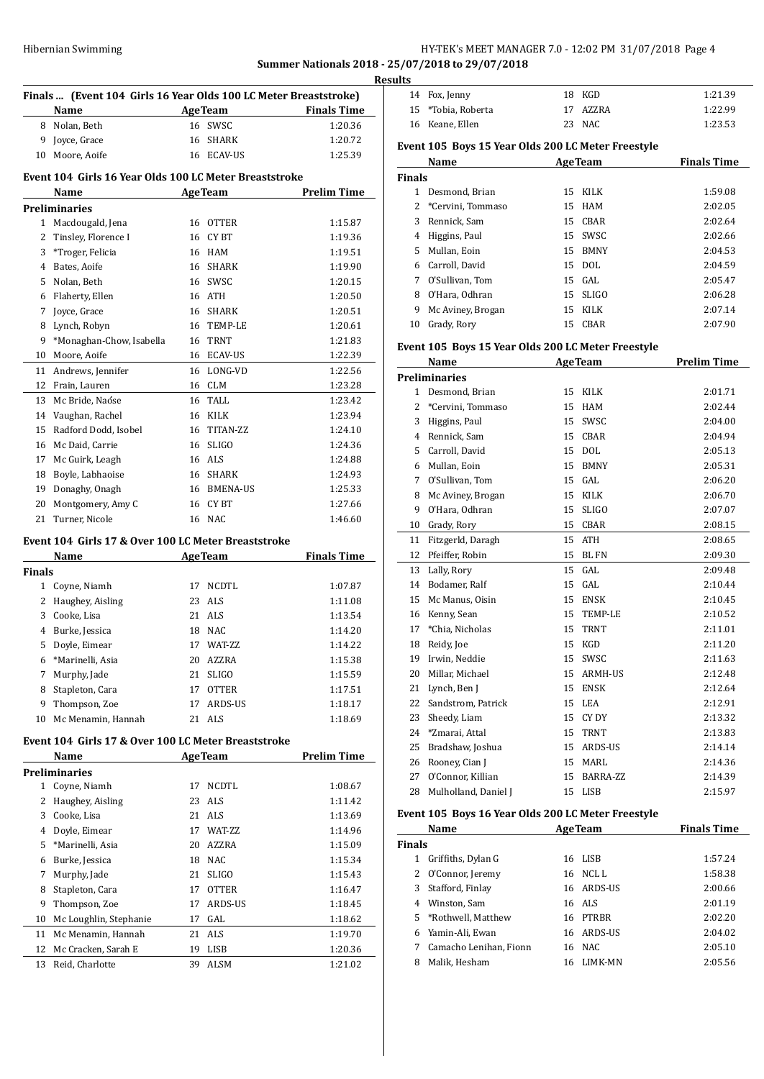## Hibernian Swimming **HY-TEK's MEET MANAGER 7.0 - 12:02 PM 31/07/2018** Page 4 **Summer Nationals 2018 - 25/07/2018 to 29/07/2018**

|                | Finals  (Event 104 Girls 16 Year Olds 100 LC Meter Breaststroke)<br><b>AgeTeam</b><br><b>Finals Time</b><br>Name |          |                     |                    |  |
|----------------|------------------------------------------------------------------------------------------------------------------|----------|---------------------|--------------------|--|
| 8              | Nolan, Beth                                                                                                      |          | 16 SWSC             | 1:20.36            |  |
| 9              | Joyce, Grace                                                                                                     | 16       | <b>SHARK</b>        | 1:20.72            |  |
| 10             | Moore, Aoife                                                                                                     |          | 16 ECAV-US          | 1:25.39            |  |
|                | Event 104 Girls 16 Year Olds 100 LC Meter Breaststroke                                                           |          |                     |                    |  |
|                | Name                                                                                                             |          | <b>AgeTeam</b>      | <b>Prelim Time</b> |  |
|                | <b>Preliminaries</b>                                                                                             |          |                     |                    |  |
| 1              | Macdougald, Jena                                                                                                 |          | 16 OTTER            | 1:15.87            |  |
|                | 2 Tinsley, Florence I                                                                                            |          | 16 CYBT             | 1:19.36            |  |
| 3              | *Troger, Felicia                                                                                                 |          | 16 HAM              | 1:19.51            |  |
| 4              | Bates, Aoife                                                                                                     |          | 16 SHARK            | 1:19.90            |  |
| 5              | Nolan, Beth                                                                                                      |          | 16 SWSC             | 1:20.15            |  |
| 6              | Flaherty, Ellen                                                                                                  |          | 16 ATH              | 1:20.50            |  |
| 7              | Joyce, Grace                                                                                                     |          | 16 SHARK            | 1:20.51            |  |
| 8              | Lynch, Robyn                                                                                                     |          | 16 TEMP-LE          | 1:20.61            |  |
| 9              | *Monaghan-Chow, Isabella                                                                                         |          | 16 TRNT             | 1:21.83            |  |
| 10             | Moore, Aoife                                                                                                     |          | 16 ECAV-US          | 1:22.39            |  |
| 11             | Andrews, Jennifer                                                                                                |          | 16 LONG-VD          | 1:22.56            |  |
| 12             | Frain, Lauren                                                                                                    |          | 16 CLM              | 1:23.28            |  |
| 13             | Mc Bride, Naóse                                                                                                  |          | 16 TALL             | 1:23.42            |  |
| 14             | Vaughan, Rachel                                                                                                  |          | 16 KILK             | 1:23.94            |  |
| 15             | Radford Dodd, Isobel                                                                                             |          | 16 TITAN-ZZ         | 1:24.10            |  |
| 16             | Mc Daid, Carrie                                                                                                  |          | 16 SLIGO            | 1:24.36            |  |
| 17             | Mc Guirk, Leagh                                                                                                  |          | 16 ALS              | 1:24.88            |  |
| 18             | Boyle, Labhaoise                                                                                                 |          | 16 SHARK            | 1:24.93            |  |
| 19             | Donaghy, Onagh                                                                                                   |          | 16 BMENA-US         | 1:25.33            |  |
| 20             | Montgomery, Amy C                                                                                                |          | 16 CYBT             | 1:27.66            |  |
| 21             | Turner, Nicole                                                                                                   |          | 16 NAC              | 1:46.60            |  |
|                | Event 104 Girls 17 & Over 100 LC Meter Breaststroke                                                              |          |                     |                    |  |
|                | Name                                                                                                             |          | <b>AgeTeam</b>      | <b>Finals Time</b> |  |
| Finals         |                                                                                                                  |          |                     |                    |  |
| 1              | Coyne, Niamh                                                                                                     |          | 17 NCDTL            | 1:07.87            |  |
| 2              | Haughey, Aisling                                                                                                 |          | 23 ALS              | 1:11.08            |  |
| 3              | Cooke, Lisa                                                                                                      |          | 21 ALS              | 1:13.54            |  |
| 4              | Burke, Jessica                                                                                                   |          | 18 NAC              | 1:14.20            |  |
|                | 5 Doyle, Eimear                                                                                                  |          | 17 WAT-ZZ           | 1:14.22            |  |
| 6              | *Marinelli, Asia                                                                                                 | 20       | AZZRA               | 1:15.38            |  |
| 7              | Murphy, Jade                                                                                                     | 21       | SLIGO               | 1:15.59            |  |
| 8              | Stapleton, Cara                                                                                                  | 17       | <b>OTTER</b>        | 1:17.51            |  |
| 9              | Thompson, Zoe                                                                                                    | 17       | ARDS-US             | 1:18.17            |  |
| 10             | Mc Menamin, Hannah                                                                                               |          | 21 ALS              | 1:18.69            |  |
|                | Event 104 Girls 17 & Over 100 LC Meter Breaststroke                                                              |          |                     |                    |  |
|                | Name                                                                                                             |          | <b>AgeTeam</b>      | <b>Prelim Time</b> |  |
|                | Preliminaries                                                                                                    |          |                     |                    |  |
| 1              | Coyne, Niamh                                                                                                     | 17       | NCDTL<br><b>ALS</b> | 1:08.67            |  |
| 2              | Haughey, Aisling                                                                                                 | 23       |                     | 1:11.42            |  |
| 3              | Cooke, Lisa                                                                                                      | 21       | ALS                 | 1:13.69            |  |
| $\overline{4}$ | Doyle, Eimear<br>*Marinelli, Asia                                                                                |          | 17 WAT-ZZ           | 1:14.96            |  |
| 5              |                                                                                                                  | 20       | AZZRA               | 1:15.09            |  |
| 6              | Burke, Jessica                                                                                                   | 18       | NAC                 | 1:15.34            |  |
| 7<br>8         | Murphy, Jade<br>Stapleton, Cara                                                                                  | 21<br>17 | SLIGO               | 1:15.43            |  |
| 9              | Thompson, Zoe                                                                                                    | 17       | OTTER<br>ARDS-US    | 1:16.47            |  |
|                | Mc Loughlin, Stephanie                                                                                           | 17       | GAL                 | 1:18.45<br>1:18.62 |  |
| 10<br>11       | Mc Menamin, Hannah                                                                                               | 21       | ALS                 | 1:19.70            |  |
| 12             | Mc Cracken, Sarah E                                                                                              | 19       | LISB                | 1:20.36            |  |

Reid, Charlotte 39 ALSM 1:21.02

|    | <b>Results</b> |                    |  |          |         |  |
|----|----------------|--------------------|--|----------|---------|--|
|    |                | 14 Fox, Jenny      |  | 18 KGD   | 1:21.39 |  |
| L. |                | 15 *Tobia, Roberta |  | 17 AZZRA | 1:22.99 |  |
|    |                | 16 Keane, Ellen    |  | 23 NAC   | 1:23.53 |  |

## **Event 105 Boys 15 Year Olds 200 LC Meter Freestyle**

| Name          |                   |    | <b>AgeTeam</b> | <b>Finals Time</b> |  |
|---------------|-------------------|----|----------------|--------------------|--|
| <b>Finals</b> |                   |    |                |                    |  |
|               | Desmond, Brian    |    | 15 KILK        | 1:59.08            |  |
|               | *Cervini, Tommaso |    | 15 HAM         | 2:02.05            |  |
| 3             | Rennick, Sam      | 15 | CBAR           | 2:02.64            |  |
| 4             | Higgins, Paul     | 15 | SWSC           | 2:02.66            |  |
| 5.            | Mullan, Eoin      | 15 | <b>BMNY</b>    | 2:04.53            |  |
| 6.            | Carroll, David    |    | 15 DOL         | 2:04.59            |  |
| 7             | O'Sullivan, Tom   |    | $15$ GAL       | 2:05.47            |  |
| 8             | 0'Hara, Odhran    | 15 | <b>SLIGO</b>   | 2:06.28            |  |
| 9             | Mc Aviney, Brogan | 15 | KILK           | 2:07.14            |  |
| 10            | Grady, Rory       | 15 | CBAR           | 2:07.90            |  |

#### **Event 105 Boys 15 Year Olds 200 LC Meter Freestyle**

|    | Name                 |    | <b>AgeTeam</b> | <b>Prelim Time</b> |
|----|----------------------|----|----------------|--------------------|
|    | <b>Preliminaries</b> |    |                |                    |
| 1  | Desmond, Brian       | 15 | KILK           | 2:01.71            |
| 2  | *Cervini, Tommaso    | 15 | <b>HAM</b>     | 2:02.44            |
| 3  | Higgins, Paul        | 15 | SWSC           | 2:04.00            |
| 4  | Rennick, Sam         | 15 | <b>CBAR</b>    | 2:04.94            |
| 5  | Carroll, David       | 15 | <b>DOL</b>     | 2:05.13            |
| 6  | Mullan, Eoin         | 15 | <b>BMNY</b>    | 2:05.31            |
| 7  | O'Sullivan, Tom      | 15 | GAL            | 2:06.20            |
| 8  | Mc Aviney, Brogan    | 15 | KILK           | 2:06.70            |
| 9  | O'Hara, Odhran       | 15 | <b>SLIGO</b>   | 2:07.07            |
| 10 | Grady, Rory          | 15 | <b>CBAR</b>    | 2:08.15            |
| 11 | Fitzgerld, Daragh    | 15 | <b>ATH</b>     | 2:08.65            |
| 12 | Pfeiffer, Robin      | 15 | <b>BLFN</b>    | 2:09.30            |
| 13 | Lally, Rory          | 15 | GAL            | 2:09.48            |
| 14 | Bodamer, Ralf        | 15 | GAL            | 2:10.44            |
| 15 | Mc Manus, Oisin      | 15 | <b>ENSK</b>    | 2:10.45            |
| 16 | Kenny, Sean          | 15 | <b>TEMP-LE</b> | 2:10.52            |
| 17 | *Chia, Nicholas      | 15 | <b>TRNT</b>    | 2:11.01            |
| 18 | Reidy, Joe           | 15 | KGD            | 2:11.20            |
| 19 | Irwin, Neddie        | 15 | SWSC           | 2:11.63            |
| 20 | Millar, Michael      | 15 | <b>ARMH-US</b> | 2:12.48            |
| 21 | Lynch, Ben J         | 15 | <b>ENSK</b>    | 2:12.64            |
| 22 | Sandstrom, Patrick   | 15 | LEA            | 2:12.91            |
| 23 | Sheedy, Liam         | 15 | CY DY          | 2:13.32            |
| 24 | *Zmarai, Attal       | 15 | <b>TRNT</b>    | 2:13.83            |
| 25 | Bradshaw, Joshua     | 15 | ARDS-US        | 2:14.14            |
| 26 | Rooney, Cian J       | 15 | <b>MARL</b>    | 2:14.36            |
| 27 | O'Connor, Killian    | 15 | BARRA-ZZ       | 2:14.39            |
| 28 | Mulholland, Daniel J | 15 | <b>LISB</b>    | 2:15.97            |

### **Event 105 Boys 16 Year Olds 200 LC Meter Freestyle**

|               | Name                   | <b>AgeTeam</b> |            | <b>Finals Time</b> |
|---------------|------------------------|----------------|------------|--------------------|
| <b>Finals</b> |                        |                |            |                    |
| 1             | Griffiths, Dylan G     |                | 16 LISB    | 1:57.24            |
| 2             | O'Connor, Jeremy       |                | 16 NCLL    | 1:58.38            |
| 3             | Stafford, Finlay       |                | 16 ARDS-US | 2:00.66            |
| 4             | Winston, Sam           |                | 16 ALS     | 2:01.19            |
|               | 5 *Rothwell, Matthew   |                | 16 PTRBR   | 2:02.20            |
| 6             | Yamin-Ali, Ewan        |                | 16 ARDS-US | 2:04.02            |
| 7             | Camacho Lenihan, Fionn |                | 16 NAC     | 2:05.10            |
| 8             | Malik, Hesham          |                | 16 LIMK-MN | 2:05.56            |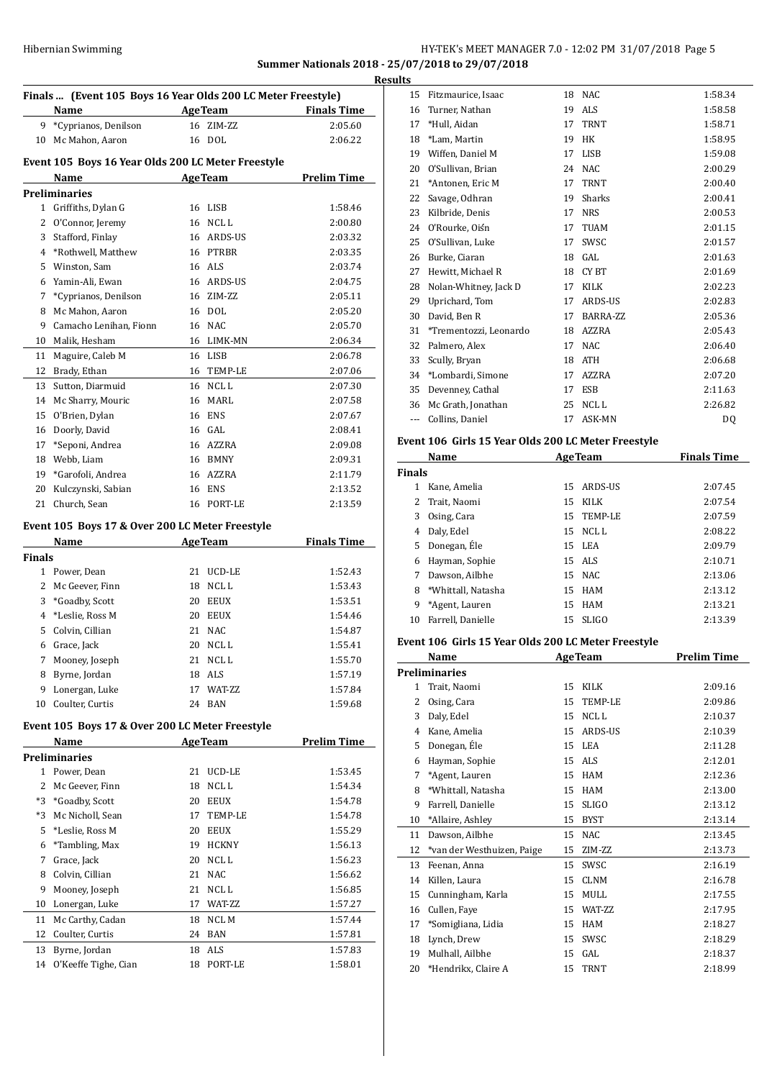## HY-TEK's MEET MANAGER 7.0 - 12:02 PM 31/07/2018 Page 5 **Summer Nationals 2018 - 25/07/2018 to 29/07/2018**

| Finals  (Event 105 Boys 16 Year Olds 200 LC Meter Freestyle) |                                                 |                        |                    |  |  |
|--------------------------------------------------------------|-------------------------------------------------|------------------------|--------------------|--|--|
|                                                              | Name                                            | <b>AgeTeam</b>         | <b>Finals Time</b> |  |  |
| 9.                                                           | *Cyprianos, Denilson                            | 16<br>ZIM-ZZ           | 2:05.60            |  |  |
| 10                                                           | Mc Mahon, Aaron                                 | DOL<br>16              | 2:06.22            |  |  |
| Event 105 Boys 16 Year Olds 200 LC Meter Freestyle           |                                                 |                        |                    |  |  |
| <b>Prelim Time</b><br><b>AgeTeam</b><br>Name                 |                                                 |                        |                    |  |  |
|                                                              | <b>Preliminaries</b>                            |                        |                    |  |  |
| 1                                                            | Griffiths, Dylan G                              | <b>LISB</b><br>16      | 1:58.46            |  |  |
| 2                                                            | O'Connor, Jeremy                                | NCL <sub>L</sub><br>16 | 2:00.80            |  |  |
| 3                                                            | Stafford, Finlay                                | ARDS-US<br>16          | 2:03.32            |  |  |
| 4                                                            | *Rothwell, Matthew                              | <b>PTRBR</b><br>16     | 2:03.35            |  |  |
| 5                                                            | Winston, Sam                                    | <b>ALS</b><br>16       | 2:03.74            |  |  |
| 6                                                            | Yamin-Ali, Ewan                                 | 16<br>ARDS-US          | 2:04.75            |  |  |
| 7                                                            | *Cyprianos, Denilson                            | 16<br>ZIM-ZZ           | 2:05.11            |  |  |
| 8                                                            | Mc Mahon, Aaron                                 | DOL<br>16              | 2:05.20            |  |  |
| 9                                                            | Camacho Lenihan, Fionn                          | NAC<br>16              | 2:05.70            |  |  |
| 10                                                           | Malik, Hesham                                   | LIMK-MN<br>16          | 2:06.34            |  |  |
| 11                                                           | Maguire, Caleb M                                | 16 LISB                | 2:06.78            |  |  |
| 12                                                           | Brady, Ethan                                    | 16<br>TEMP-LE          | 2:07.06            |  |  |
| 13                                                           | Sutton, Diarmuid                                | NCL <sub>L</sub><br>16 | 2:07.30            |  |  |
| 14                                                           | Mc Sharry, Mouric                               | MARL<br>16             | 2:07.58            |  |  |
| 15                                                           | O'Brien, Dylan                                  | 16<br><b>ENS</b>       | 2:07.67            |  |  |
| 16                                                           | Doorly, David                                   | GAL<br>16              | 2:08.41            |  |  |
| 17                                                           | *Seponi, Andrea                                 | 16<br>AZZRA            | 2:09.08            |  |  |
| 18                                                           | Webb, Liam                                      | <b>BMNY</b><br>16      | 2:09.31            |  |  |
| 19                                                           | *Garofoli, Andrea                               | 16<br>AZZRA            | 2:11.79            |  |  |
| 20                                                           | Kulczynski, Sabian                              | <b>ENS</b><br>16       | 2:13.52            |  |  |
| 21                                                           | Church, Sean                                    | PORT-LE<br>16          | 2:13.59            |  |  |
|                                                              | Event 105 Boys 17 & Over 200 LC Meter Freestyle |                        |                    |  |  |
|                                                              | Name                                            | <b>AgeTeam</b>         | <b>Finals Time</b> |  |  |
| $12.4 \times 1.4$                                            |                                                 |                        |                    |  |  |

| Finals |                 |    |                 |         |
|--------|-----------------|----|-----------------|---------|
|        | Power, Dean     | 21 | UCD-LE          | 1:52.43 |
| 2      | Mc Geever, Finn | 18 | NCL L           | 1:53.43 |
| 3      | *Goadby, Scott  | 20 | <b>EEUX</b>     | 1:53.51 |
| 4      | *Leslie, Ross M | 20 | <b>EEUX</b>     | 1:54.46 |
| 5.     | Colvin, Cillian | 21 | NAC.            | 1:54.87 |
| 6      | Grace, Jack     | 20 | NCL L           | 1:55.41 |
| 7      | Mooney, Joseph  | 21 | NCL L           | 1:55.70 |
| 8      | Byrne, Jordan   | 18 | ALS             | 1:57.19 |
| 9      | Lonergan, Luke  | 17 | <b>WAT-7.7.</b> | 1:57.84 |
| 10     | Coulter, Curtis | 24 | <b>BAN</b>      | 1:59.68 |

# **Event 105 Boys 17 & Over 200 LC Meter Freestyle**

|      | Name                 |    | <b>AgeTeam</b> | Prelim Time |
|------|----------------------|----|----------------|-------------|
|      | Preliminaries        |    |                |             |
| 1    | Power, Dean          | 21 | UCD-LE         | 1:53.45     |
| 2    | Mc Geever, Finn      | 18 | NCL L          | 1:54.34     |
| *3   | *Goadby, Scott       | 20 | <b>EEUX</b>    | 1:54.78     |
| $*3$ | Mc Nicholl, Sean     | 17 | TEMP-LE        | 1:54.78     |
| 5.   | *Leslie, Ross M      | 20 | <b>EEUX</b>    | 1:55.29     |
| 6    | *Tambling, Max       | 19 | <b>HCKNY</b>   | 1:56.13     |
| 7    | Grace, Jack          | 20 | NCL L          | 1:56.23     |
| 8    | Colvin, Cillian      | 21 | NAC.           | 1:56.62     |
| 9    | Mooney, Joseph       | 21 | NCL L          | 1:56.85     |
| 10   | Lonergan, Luke       | 17 | WAT-ZZ         | 1:57.27     |
| 11   | Mc Carthy, Cadan     | 18 | NCL M          | 1:57.44     |
| 12   | Coulter, Curtis      | 24 | <b>BAN</b>     | 1:57.81     |
| 13   | Byrne, Jordan        | 18 | ALS            | 1:57.83     |
| 14   | O'Keeffe Tighe, Cian | 18 | PORT-LE        | 1:58.01     |
|      |                      |    |                |             |

| <b>Results</b> |                        |    |                |         |  |
|----------------|------------------------|----|----------------|---------|--|
| 15             | Fitzmaurice, Isaac     | 18 | <b>NAC</b>     | 1:58.34 |  |
| 16             | Turner, Nathan         | 19 | ALS            | 1:58.58 |  |
| 17             | *Hull, Aidan           | 17 | <b>TRNT</b>    | 1:58.71 |  |
| 18             | *Lam, Martin           | 19 | HK             | 1:58.95 |  |
| 19             | Wiffen, Daniel M       | 17 | <b>LISB</b>    | 1:59.08 |  |
| 20             | O'Sullivan, Brian      | 24 | NAC            | 2:00.29 |  |
| 21             | *Antonen, Eric M       | 17 | <b>TRNT</b>    | 2:00.40 |  |
| 22             | Savage, Odhran         | 19 | Sharks         | 2:00.41 |  |
| 23             | Kilbride, Denis        | 17 | <b>NRS</b>     | 2:00.53 |  |
| 24             | O'Rourke, Oiśn         | 17 | <b>TUAM</b>    | 2:01.15 |  |
| 25             | O'Sullivan, Luke       | 17 | SWSC           | 2:01.57 |  |
| 26             | Burke, Ciaran          | 18 | GAL            | 2:01.63 |  |
| 27             | Hewitt, Michael R      | 18 | CY BT          | 2:01.69 |  |
| 28             | Nolan-Whitney, Jack D  | 17 | <b>KILK</b>    | 2:02.23 |  |
| 29             | Uprichard, Tom         | 17 | <b>ARDS-US</b> | 2:02.83 |  |
| 30             | David, Ben R           | 17 | BARRA-ZZ       | 2:05.36 |  |
| 31             | *Trementozzi, Leonardo | 18 | AZZRA          | 2:05.43 |  |
| 32             | Palmero, Alex          | 17 | <b>NAC</b>     | 2:06.40 |  |
| 33             | Scully, Bryan          | 18 | <b>ATH</b>     | 2:06.68 |  |
| 34             | *Lombardi, Simone      | 17 | AZZRA          | 2:07.20 |  |
| 35             | Devenney, Cathal       | 17 | <b>ESB</b>     | 2:11.63 |  |
| 36             | Mc Grath, Jonathan     | 25 | NCL L          | 2:26.82 |  |
| ---            | Collins, Daniel        | 17 | ASK-MN         | DQ      |  |
|                |                        |    |                |         |  |

### **Event 106 Girls 15 Year Olds 200 LC Meter Freestyle**

|               | Name<br><b>AgeTeam</b> |    |              | <b>Finals Time</b> |
|---------------|------------------------|----|--------------|--------------------|
| <b>Finals</b> |                        |    |              |                    |
|               | Kane, Amelia           | 15 | ARDS-US      | 2:07.45            |
|               | Trait, Naomi           | 15 | KILK         | 2:07.54            |
| 3             | Osing, Cara            | 15 | TEMP-LE      | 2:07.59            |
| 4             | Daly, Edel             | 15 | NCL L        | 2:08.22            |
| 5.            | Donegan, Éle           |    | 15 LEA       | 2:09.79            |
| 6             | Hayman, Sophie         |    | 15 ALS       | 2:10.71            |
|               | Dawson, Ailbhe         |    | 15 NAC       | 2:13.06            |
| 8             | *Whittall, Natasha     | 15 | HAM          | 2:13.12            |
| 9             | *Agent, Lauren         | 15 | <b>HAM</b>   | 2:13.21            |
| 10            | Farrell, Danielle      | 15 | <b>SLIGO</b> | 2:13.39            |

## **Event 106 Girls 15 Year Olds 200 LC Meter Freestyle**

|    | Name                       |    | <b>AgeTeam</b> | <b>Prelim Time</b> |
|----|----------------------------|----|----------------|--------------------|
|    | <b>Preliminaries</b>       |    |                |                    |
| 1  | Trait, Naomi               | 15 | KILK           | 2:09.16            |
| 2  | Osing, Cara                | 15 | TEMP-LE        | 2:09.86            |
| 3  | Daly, Edel                 | 15 | NCL L          | 2:10.37            |
| 4  | Kane, Amelia               | 15 | <b>ARDS-US</b> | 2:10.39            |
| 5  | Donegan, Éle               | 15 | <b>LEA</b>     | 2:11.28            |
| 6  | Hayman, Sophie             | 15 | ALS.           | 2:12.01            |
| 7  | *Agent, Lauren             | 15 | <b>HAM</b>     | 2:12.36            |
| 8  | *Whittall, Natasha         | 15 | <b>HAM</b>     | 2:13.00            |
| 9  | Farrell, Danielle          | 15 | <b>SLIGO</b>   | 2:13.12            |
| 10 | *Allaire, Ashley           | 15 | <b>BYST</b>    | 2:13.14            |
| 11 | Dawson, Ailbhe             | 15 | <b>NAC</b>     | 2:13.45            |
| 12 | *van der Westhuizen, Paige | 15 | ZIM-ZZ         | 2:13.73            |
| 13 | Feenan, Anna               | 15 | SWSC           | 2:16.19            |
| 14 | Killen, Laura              | 15 | <b>CLNM</b>    | 2:16.78            |
| 15 | Cunningham, Karla          | 15 | MULL           | 2:17.55            |
| 16 | Cullen, Faye               | 15 | WAT-ZZ         | 2:17.95            |
| 17 | *Somigliana, Lidia         | 15 | <b>HAM</b>     | 2:18.27            |
| 18 | Lynch, Drew                | 15 | SWSC           | 2:18.29            |
| 19 | Mulhall, Ailbhe            | 15 | GAL.           | 2:18.37            |
| 20 | *Hendrikx, Claire A        | 15 | <b>TRNT</b>    | 2:18.99            |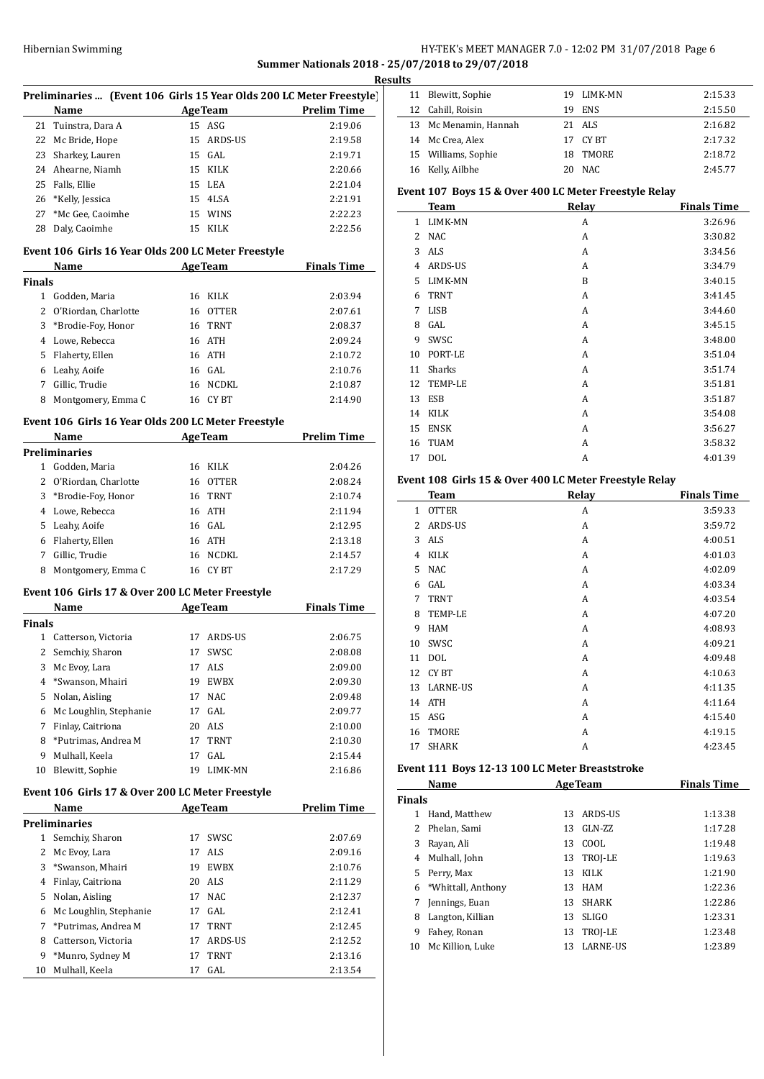## HY-TEK's MEET MANAGER 7.0 - 12:02 PM 31/07/2018 Page 6 **Summer Nationals 2018 - 25/07/2018 to 29/07/2018**

**Results**

|               |                                                  |                                                                      | ĸes                |
|---------------|--------------------------------------------------|----------------------------------------------------------------------|--------------------|
|               |                                                  | Preliminaries  (Event 106 Girls 15 Year Olds 200 LC Meter Freestyle) |                    |
|               | Name                                             | <b>AgeTeam</b>                                                       | <b>Prelim Time</b> |
|               | 21 Tuinstra, Dara A                              | 15 ASG                                                               | 2:19.06            |
|               | 22 Mc Bride, Hope                                | 15 ARDS-US                                                           | 2:19.58            |
|               | 23 Sharkey, Lauren                               | 15 GAL                                                               | 2:19.71            |
|               | 24 Ahearne, Niamh                                | 15 KILK                                                              | 2:20.66            |
| 25            | Falls, Ellie                                     | 15 LEA                                                               | 2:21.04            |
| 26            | *Kelly, Jessica                                  | 15 4LSA                                                              | 2:21.91            |
| 27            | *Mc Gee, Caoimhe                                 | 15 WINS                                                              | 2:22.23            |
| 28            | Daly, Caoimhe                                    | 15 KILK                                                              | 2:22.56            |
|               |                                                  | Event 106 Girls 16 Year Olds 200 LC Meter Freestyle                  |                    |
|               | Name                                             | <b>AgeTeam</b>                                                       | <b>Finals Time</b> |
| Finals        |                                                  |                                                                      |                    |
|               | 1 Godden, Maria                                  | 16 KILK                                                              | 2:03.94            |
|               | 2 O'Riordan, Charlotte                           | 16 OTTER                                                             | 2:07.61            |
|               | 3 *Brodie-Foy, Honor                             | 16 TRNT                                                              | 2:08.37            |
|               | 4 Lowe, Rebecca                                  | 16 ATH                                                               | 2:09.24            |
|               | 5 Flaherty, Ellen                                | 16 ATH                                                               | 2:10.72            |
|               | 6 Leahy, Aoife                                   | 16 GAL                                                               | 2:10.76            |
| 7             | Gillic, Trudie                                   | 16 NCDKL                                                             | 2:10.87            |
|               | 8 Montgomery, Emma C                             | 16 CYBT                                                              | 2:14.90            |
|               |                                                  | Event 106 Girls 16 Year Olds 200 LC Meter Freestyle                  |                    |
|               | <b>Name</b>                                      | AgeTeam                                                              | <b>Prelim Time</b> |
|               | <b>Preliminaries</b>                             |                                                                      |                    |
|               | 1 Godden, Maria                                  | 16 KILK                                                              | 2:04.26            |
|               | 2 O'Riordan, Charlotte                           | 16 OTTER                                                             | 2:08.24            |
| 3             | *Brodie-Foy, Honor                               | 16 TRNT                                                              | 2:10.74            |
|               |                                                  | 16 ATH                                                               |                    |
|               | 4 Lowe, Rebecca                                  |                                                                      | 2:11.94            |
|               | 5 Leahy, Aoife                                   | 16 GAL                                                               | 2:12.95            |
|               | 6 Flaherty, Ellen                                | 16 ATH                                                               | 2:13.18            |
|               | 7 Gillic, Trudie                                 | 16 NCDKL                                                             | 2:14.57            |
|               | 8 Montgomery, Emma C                             | 16 CYBT                                                              | 2:17.29            |
|               | Event 106 Girls 17 & Over 200 LC Meter Freestyle |                                                                      |                    |
|               | Name                                             | <b>AgeTeam</b>                                                       | <b>Finals Time</b> |
| <b>Finals</b> |                                                  |                                                                      |                    |
| $\mathbf{1}$  | Catterson, Victoria                              | 17 ARDS-US                                                           | 2:06.75            |
|               | 2 Semchiy, Sharon                                | 17 SWSC                                                              | 2:08.08            |
| 3             | Mc Evoy, Lara                                    | ALS<br>17                                                            | 2:09.00            |
| 4             | *Swanson, Mhairi                                 | 19<br>EWBX                                                           | 2:09.30            |
| 5             | Nolan, Aisling                                   | 17<br>NAC                                                            | 2:09.48            |
| 6             | Mc Loughlin, Stephanie                           | 17 GAL                                                               | 2:09.77            |
| 7             | Finlay, Caitriona                                | 20 ALS                                                               | 2:10.00            |
| 8             | *Putrimas, Andrea M                              | 17 TRNT                                                              | 2:10.30            |
| 9             | Mulhall, Keela                                   | GAL<br>17                                                            | 2:15.44            |
| 10            | Blewitt, Sophie                                  | LIMK-MN<br>19                                                        | 2:16.86            |
|               | Event 106 Girls 17 & Over 200 LC Meter Freestyle |                                                                      |                    |
|               | Name                                             | <b>AgeTeam</b>                                                       | <b>Prelim Time</b> |
|               | <b>Preliminaries</b>                             |                                                                      |                    |
| $\mathbf{1}$  | Semchiy, Sharon                                  | 17<br>SWSC                                                           | 2:07.69            |
| 2             | Mc Evoy, Lara                                    | ALS<br>17                                                            | 2:09.16            |
| 3             | *Swanson, Mhairi                                 | 19 EWBX                                                              | 2:10.76            |
| 4             | Finlay, Caitriona                                | 20 ALS                                                               | 2:11.29            |
| 5             | Nolan, Aisling                                   | NAC<br>17                                                            |                    |
|               |                                                  |                                                                      | 2:12.37            |
| 6             | Mc Loughlin, Stephanie                           | 17 GAL                                                               | 2:12.41            |
| 7             | *Putrimas, Andrea M                              | 17 TRNT                                                              | 2:12.45            |
| 8             | Catterson, Victoria                              | 17 ARDS-US                                                           | 2:12.52            |
| 9             | *Munro, Sydney M                                 | TRNT<br>17                                                           | 2:13.16            |
| 10            | Mulhall, Keela                                   | GAL<br>17                                                            | 2:13.54            |
|               |                                                  |                                                                      |                    |

| uns |                       |    |            |         |
|-----|-----------------------|----|------------|---------|
|     | 11 Blewitt, Sophie    |    | 19 LIMK-MN | 2:15.33 |
|     | 12 Cahill, Roisin     | 19 | ENS        | 2:15.50 |
|     | 13 Mc Menamin, Hannah |    | 21 ALS     | 2:16.82 |
|     | 14 Mc Crea, Alex      |    | 17 CYBT    | 2:17.32 |
|     | 15 Williams, Sophie   |    | 18 TMORE   | 2:18.72 |
|     | 16 Kelly, Ailbhe      |    | 20 NAC     | 2:45.77 |
|     |                       |    |            |         |

## **Event 107 Boys 15 & Over 400 LC Meter Freestyle Relay**

|                | <b>Team</b>    | Relay | <b>Finals Time</b> |
|----------------|----------------|-------|--------------------|
| 1              | LIMK-MN        | A     | 3:26.96            |
| $\overline{2}$ | <b>NAC</b>     | A     | 3:30.82            |
| 3              | <b>ALS</b>     | A     | 3:34.56            |
| 4              | ARDS-US        | A     | 3:34.79            |
| 5.             | LIMK-MN        | B     | 3:40.15            |
| 6              | <b>TRNT</b>    | A     | 3:41.45            |
| 7              | <b>LISB</b>    | A     | 3:44.60            |
| 8              | GAL            | A     | 3:45.15            |
| 9              | SWSC           | A     | 3:48.00            |
| 10             | PORT-LE        | A     | 3:51.04            |
| 11             | Sharks         | A     | 3:51.74            |
| 12             | <b>TEMP-LE</b> | A     | 3:51.81            |
| 13             | ESB            | A     | 3:51.87            |
| 14             | KILK           | A     | 3:54.08            |
| 15             | <b>ENSK</b>    | A     | 3:56.27            |
| 16             | <b>TUAM</b>    | A     | 3:58.32            |
| 17             | <b>DOL</b>     | A     | 4:01.39            |
|                |                |       |                    |

## **Event 108 Girls 15 & Over 400 LC Meter Freestyle Relay**

|    | Team            | Relav | <b>Finals Time</b> |
|----|-----------------|-------|--------------------|
| 1  | <b>OTTER</b>    | A     | 3:59.33            |
| 2  | <b>ARDS-US</b>  | A     | 3:59.72            |
| 3  | ALS             | A     | 4:00.51            |
| 4  | <b>KILK</b>     | A     | 4:01.03            |
| 5  | <b>NAC</b>      | A     | 4:02.09            |
| 6  | GAL             | A     | 4:03.34            |
| 7  | <b>TRNT</b>     | A     | 4:03.54            |
| 8  | <b>TEMP-LE</b>  | A     | 4:07.20            |
| 9  | <b>HAM</b>      | A     | 4:08.93            |
| 10 | SWSC            | A     | 4:09.21            |
| 11 | <b>DOL</b>      | A     | 4:09.48            |
| 12 | CY BT           | A     | 4:10.63            |
| 13 | <b>LARNE-US</b> | A     | 4:11.35            |
| 14 | <b>ATH</b>      | A     | 4:11.64            |
| 15 | ASG             | A     | 4:15.40            |
| 16 | <b>TMORE</b>    | A     | 4:19.15            |
| 17 | <b>SHARK</b>    | A     | 4:23.45            |

## **Event 111 Boys 12-13 100 LC Meter Breaststroke**

| Name          |                    |    | <b>AgeTeam</b>  | <b>Finals Time</b> |  |  |
|---------------|--------------------|----|-----------------|--------------------|--|--|
| <b>Finals</b> |                    |    |                 |                    |  |  |
| 1             | Hand, Matthew      | 13 | ARDS-US         | 1:13.38            |  |  |
| 2             | Phelan, Sami       | 13 | $GLN-ZZ$        | 1:17.28            |  |  |
| 3             | Rayan, Ali         | 13 | COOL            | 1:19.48            |  |  |
| 4             | Mulhall, John      | 13 | TROJ-LE         | 1:19.63            |  |  |
| 5             | Perry, Max         | 13 | <b>KILK</b>     | 1:21.90            |  |  |
| 6             | *Whittall, Anthony | 13 | HAM             | 1:22.36            |  |  |
| 7             | Jennings, Euan     | 13 | <b>SHARK</b>    | 1:22.86            |  |  |
| 8             | Langton, Killian   | 13 | <b>SLIGO</b>    | 1:23.31            |  |  |
| 9             | Fahey, Ronan       | 13 | TROJ-LE         | 1:23.48            |  |  |
| 10            | Mc Killion, Luke   | 13 | <b>LARNE-US</b> | 1:23.89            |  |  |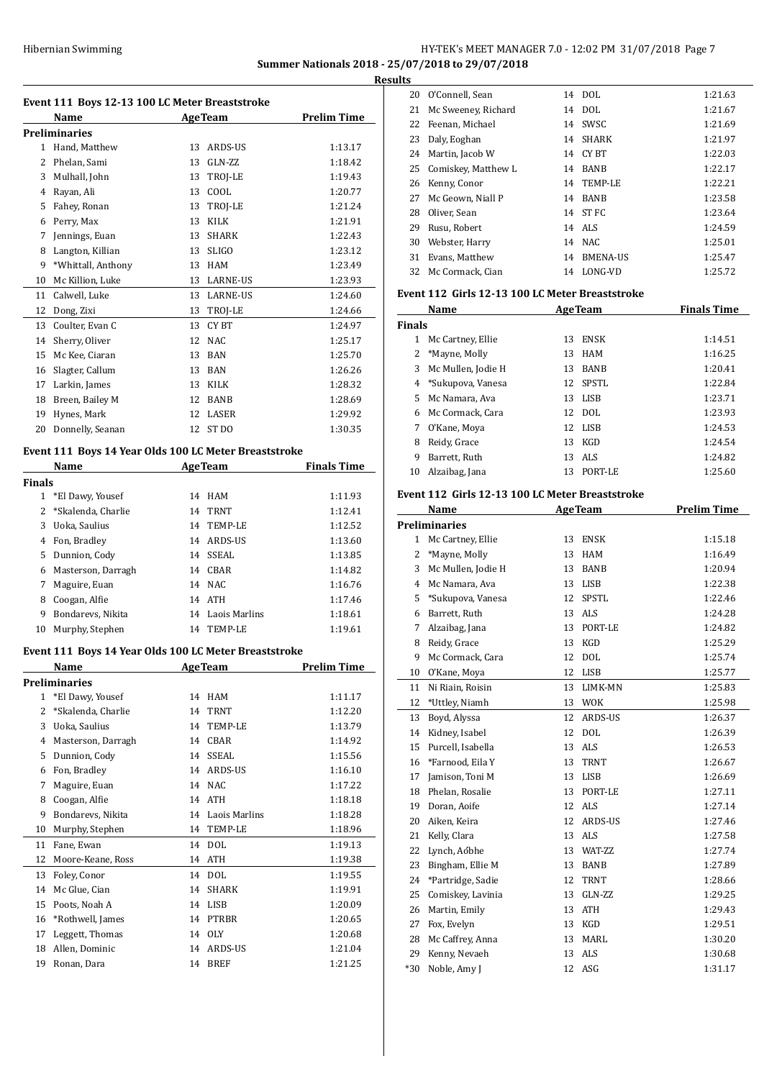## Hibernian Swimming **HY-TEK's MEET MANAGER 7.0 - 12:02 PM 31/07/2018** Page 7 **Summer Nationals 2018 - 25/07/2018 to 29/07/2018**

**Event 111 Boys 12-13 100 LC Meter Breaststroke Name Age Team Prelim Time Preliminaries** 1 Hand, Matthew 13 ARDS-US 1:13.17 2 Phelan, Sami 13 GLN-ZZ 1:18.42 3 Mulhall, John 13 TROI-LE 1:19.43 4 Rayan, Ali 13 COOL 1:20.77 5 Fahey, Ronan 13 TROJ-LE 1:21.24 6 Perry, Max 13 KILK 1:21.91 7 Jennings, Euan 13 SHARK 1:22.43 8 Langton, Killian 13 SLIGO 1:23.12 9 \*Whittall, Anthony 13 HAM 1:23.49 10 Mc Killion, Luke 13 LARNE-US 1:23.93 11 Calwell, Luke 13 LARNE-US 1:24.60 12 Dong, Zixi 13 TROJ-LE 1:24.66 13 Coulter, Evan C 13 CY BT 1:24.97 14 Sherry, Oliver 12 NAC 1:25.17 15 Mc Kee, Ciaran 13 BAN 1:25.70 16 Slagter, Callum 13 BAN 1:26.26 17 Larkin, James 13 KILK 1:28.32 18 Breen, Bailey M 12 BANB 1:28.69 19 Hynes, Mark 12 LASER 1:29.92 20 Donnelly, Seanan 12 ST DO 1:30.35 **Event 111 Boys 14 Year Olds 100 LC Meter Breaststroke Name Age Team Finals Time Finals** 1 \*El Dawy, Yousef 14 HAM 1:11.93 2 \*Skalenda, Charlie 14 TRNT 1:12.41 3 Uoka, Saulius 14 TEMP-LE 1:12.52 4 Fon, Bradley 14 ARDS-US 1:13.60 5 Dunnion, Cody 14 SSEAL 1:13.85 6 Masterson, Darragh 14 CBAR 1:14.82 7 Maguire, Euan 14 NAC 1:16.76 8 Coogan, Alfie 14 ATH 1:17.46 9 Bondarevs, Nikita 14 Laois Marlins 1:18.61 10 Murphy, Stephen 14 TEMP-LE 1:19.61 **Event 111 Boys 14 Year Olds 100 LC Meter Breaststroke Name Age Team Prelim Time Preliminaries** 1 \*El Dawy, Yousef 14 HAM 1:11.17 2 \*Skalenda, Charlie 14 TRNT 1:12.20 3 Uoka, Saulius 14 TEMP-LE 1:13.79 4 Masterson, Darragh 14 CBAR 1:14.92 5 Dunnion, Cody 14 SSEAL 1:15.56 6 Fon, Bradley 14 ARDS-US 1:16.10 7 Maguire, Euan 14 NAC 1:17.22 8 Coogan, Alfie 14 ATH 1:18.18 9 Bondarevs, Nikita 14 Laois Marlins 1:18.28 10 Murphy, Stephen 14 TEMP-LE 1:18.96 11 Fane, Ewan 14 DOL 1:19.13 12 Moore-Keane, Ross 14 ATH 1:19.38 13 Foley, Conor 14 DOL 1:19.55 14 Mc Glue, Cian 14 SHARK 1:19.91 15 Poots, Noah A 14 LISB 1:20.09 16 \*Rothwell, James 14 PTRBR 1:20.65 17 Leggett, Thomas 14 OLY 1:20.68 18 Allen, Dominic 14 ARDS-US 1:21.04 19 Ronan, Dara 14 BREF 1:21.25

| <b>Results</b>                                  |                        |  |             |         |  |  |  |
|-------------------------------------------------|------------------------|--|-------------|---------|--|--|--|
| 20                                              | O'Connell, Sean        |  | 14 DOL      | 1:21.63 |  |  |  |
|                                                 | 21 Mc Sweeney, Richard |  | 14 DOL      | 1:21.67 |  |  |  |
|                                                 | 22 Feenan, Michael     |  | 14 SWSC     | 1:21.69 |  |  |  |
| 23                                              | Daly, Eoghan           |  | 14 SHARK    | 1:21.97 |  |  |  |
|                                                 | 24 Martin, Jacob W     |  | 14 CY BT    | 1:22.03 |  |  |  |
|                                                 | 25 Comiskey, Matthew L |  | 14 BANB     | 1:22.17 |  |  |  |
|                                                 | 26 Kenny, Conor        |  | 14 TEMP-LE  | 1:22.21 |  |  |  |
|                                                 | 27 Mc Geown, Niall P   |  | 14 BANB     | 1:23.58 |  |  |  |
| 28                                              | Oliver, Sean           |  | 14 ST FC    | 1:23.64 |  |  |  |
| 29                                              | Rusu, Robert           |  | 14 ALS      | 1:24.59 |  |  |  |
| 30                                              | Webster, Harry         |  | 14 NAC      | 1:25.01 |  |  |  |
| 31                                              | Evans, Matthew         |  | 14 BMENA-US | 1:25.47 |  |  |  |
|                                                 | 32 Mc Cormack, Cian    |  | 14 LONG-VD  | 1:25.72 |  |  |  |
| Event 112 Girls 12-13 100 LC Meter Breaststroke |                        |  |             |         |  |  |  |
|                                                 |                        |  |             |         |  |  |  |

| Name          |                      |    | <b>AgeTeam</b> | <b>Finals Time</b> |
|---------------|----------------------|----|----------------|--------------------|
| <b>Finals</b> |                      |    |                |                    |
| 1             | Mc Cartney, Ellie    | 13 | <b>ENSK</b>    | 1:14.51            |
|               | *Mayne, Molly        | 13 | <b>HAM</b>     | 1:16.25            |
|               | 3 Mc Mullen, Jodie H | 13 | <b>BANB</b>    | 1:20.41            |
|               | 4 *Sukupova, Vanesa  | 12 | SPSTL          | 1:22.84            |
|               | 5 Mc Namara, Ava     | 13 | LISB           | 1:23.71            |
| 6             | Mc Cormack, Cara     |    | 12 DOL         | 1:23.93            |
| 7             | O'Kane, Moya         |    | 12 LISB        | 1:24.53            |
| 8             | Reidy, Grace         | 13 | KGD            | 1:24.54            |
| 9             | Barrett, Ruth        | 13 | ALS            | 1:24.82            |
| 10            | Alzaibag, Jana       | 13 | PORT-LE        | 1:25.60            |

#### **Event 112 Girls 12-13 100 LC Meter Breaststroke**

|                | Name                 |    | <b>AgeTeam</b> | <b>Prelim Time</b> |
|----------------|----------------------|----|----------------|--------------------|
|                | <b>Preliminaries</b> |    |                |                    |
| $\mathbf{1}$   | Mc Cartney, Ellie    | 13 | <b>ENSK</b>    | 1:15.18            |
| $\overline{2}$ | *Mayne, Molly        | 13 | <b>HAM</b>     | 1:16.49            |
| 3              | Mc Mullen, Jodie H   | 13 | <b>BANB</b>    | 1:20.94            |
| $\overline{4}$ | Mc Namara, Ava       | 13 | <b>LISB</b>    | 1:22.38            |
| 5              | *Sukupova, Vanesa    | 12 | <b>SPSTL</b>   | 1:22.46            |
| 6              | Barrett, Ruth        | 13 | <b>ALS</b>     | 1:24.28            |
| 7              | Alzaibag, Jana       | 13 | PORT-LE        | 1:24.82            |
| 8              | Reidy, Grace         | 13 | <b>KGD</b>     | 1:25.29            |
| 9              | Mc Cormack, Cara     | 12 | <b>DOL</b>     | 1:25.74            |
| 10             | O'Kane, Moya         | 12 | <b>LISB</b>    | 1:25.77            |
| 11             | Ni Riain, Roisin     | 13 | LIMK-MN        | 1:25.83            |
| 12             | *Uttley, Niamh       | 13 | <b>WOK</b>     | 1:25.98            |
| 13             | Boyd, Alyssa         | 12 | ARDS-US        | 1:26.37            |
| 14             | Kidney, Isabel       | 12 | <b>DOL</b>     | 1:26.39            |
| 15             | Purcell, Isabella    | 13 | <b>ALS</b>     | 1:26.53            |
| 16             | *Farnood, Eila Y     | 13 | <b>TRNT</b>    | 1:26.67            |
| 17             | Jamison, Toni M      | 13 | <b>LISB</b>    | 1:26.69            |
| 18             | Phelan, Rosalie      | 13 | PORT-LE        | 1:27.11            |
| 19             | Doran, Aoife         | 12 | <b>ALS</b>     | 1:27.14            |
| 20             | Aiken, Keira         | 12 | ARDS-US        | 1:27.46            |
| 21             | Kelly, Clara         | 13 | <b>ALS</b>     | 1:27.58            |
| 22             | Lynch, Aóbhe         | 13 | WAT-ZZ         | 1:27.74            |
| 23             | Bingham, Ellie M     | 13 | <b>BANB</b>    | 1:27.89            |
| 24             | *Partridge, Sadie    | 12 | <b>TRNT</b>    | 1:28.66            |
| 25             | Comiskey, Lavinia    | 13 | GLN-ZZ         | 1:29.25            |
| 26             | Martin, Emily        | 13 | <b>ATH</b>     | 1:29.43            |
| 27             | Fox, Evelyn          | 13 | <b>KGD</b>     | 1:29.51            |
| 28             | Mc Caffrey, Anna     | 13 | <b>MARL</b>    | 1:30.20            |
| 29             | Kenny, Nevaeh        | 13 | <b>ALS</b>     | 1:30.68            |
| $*30$          | Noble, Amy J         | 12 | ASG            | 1:31.17            |
|                |                      |    |                |                    |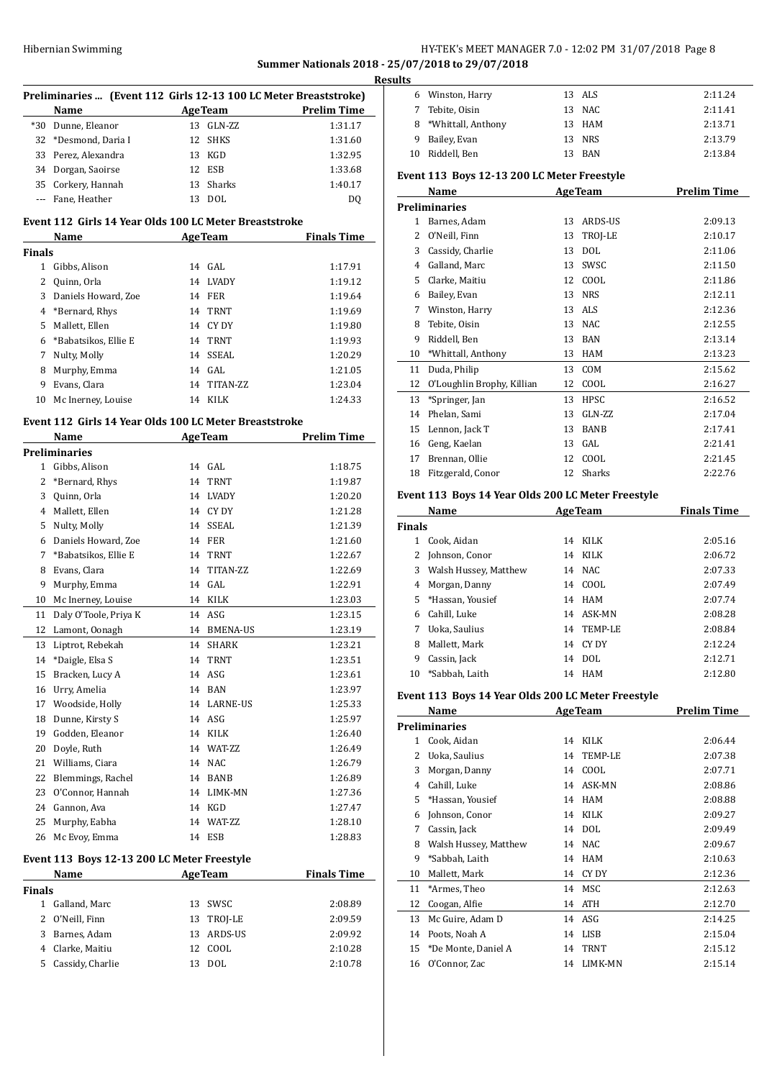### Hibernian Swimming **HY-TEK's MEET MANAGER 7.0 - 12:02 PM 31/07/2018** Page 8 **Summer Nationals 2018 - 25/07/2018 to 29/07/2018**

|               |                                                                  |    |                |                                                | <b>Results</b> |
|---------------|------------------------------------------------------------------|----|----------------|------------------------------------------------|----------------|
|               | Preliminaries  (Event 112 Girls 12-13 100 LC Meter Breaststroke) |    |                |                                                |                |
|               | Name                                                             |    |                | AgeTeam Prelim Time                            |                |
|               | *30 Dunne, Eleanor                                               |    | 13 GLN-ZZ      | 1:31.17                                        |                |
|               | 32 *Desmond, Daria I                                             |    | 12 SHKS        | 1:31.60                                        |                |
|               | 33 Perez, Alexandra                                              |    | 13 KGD         | 1:32.95                                        | 1              |
|               | 34 Dorgan, Saoirse                                               |    | 12 ESB         | 1:33.68                                        | Eve            |
|               | 35 Corkery, Hannah                                               |    | 13 Sharks      | 1:40.17                                        |                |
|               | --- Fane, Heather                                                |    | 13 DOL         | DQ                                             | Pre            |
|               | Event 112 Girls 14 Year Olds 100 LC Meter Breaststroke           |    |                |                                                |                |
| Finals        | Name AgeTeam Finals Time                                         |    |                |                                                |                |
|               | 1 Gibbs, Alison                                                  |    | 14 GAL         | 1:17.91                                        |                |
|               | 2 Quinn, Orla                                                    |    | 14 LVADY       | 1:19.12                                        |                |
|               | 3 Daniels Howard, Zoe                                            |    | 14 FER         | 1:19.64                                        |                |
|               | 4 *Bernard, Rhys                                                 |    | 14 TRNT        | 1:19.69                                        |                |
|               | 5 Mallett, Ellen                                                 |    | 14 CY DY       | 1:19.80                                        |                |
|               | 6 *Babatsikos, Ellie E                                           |    | 14 TRNT        | 1:19.93                                        |                |
|               |                                                                  |    | 14 SSEAL       | 1:20.29                                        | 1              |
|               | 7 Nulty, Molly<br>8 Murphy, Emma                                 |    | 14 GAL         | 1:21.05                                        | 1              |
|               | 9 Evans, Clara                                                   |    | 14 TITAN-ZZ    | 1:23.04                                        | 1              |
|               | 10 Mc Inerney, Louise                                            |    | 14 KILK        | 1:24.33                                        | $\mathbf{1}$   |
|               |                                                                  |    |                |                                                | 1              |
|               | Event 112 Girls 14 Year Olds 100 LC Meter Breaststroke           |    |                |                                                | 1              |
|               | Name                                                             |    |                | <b>Example 2018</b> AgeTeam <b>Prelim Time</b> | 1              |
|               | <b>Preliminaries</b>                                             |    |                |                                                | 1              |
|               | 1 Gibbs, Alison                                                  |    | 14 GAL         | 1:18.75                                        | 1              |
|               | 2 *Bernard, Rhys                                                 |    | 14 TRNT        | 1:19.87                                        |                |
|               | 3 Quinn, Orla                                                    |    | 14 LVADY       | 1:20.20                                        | Eve            |
|               | 4 Mallett, Ellen                                                 |    | 14 CY DY       | 1:21.28                                        |                |
|               | 5 Nulty, Molly                                                   |    | 14 SSEAL       | 1:21.39                                        | Fin            |
|               | 6 Daniels Howard, Zoe                                            |    | 14 FER         | 1:21.60                                        |                |
|               | 7 *Babatsikos, Ellie E                                           |    | 14 TRNT        | 1:22.67                                        |                |
|               | 8 Evans, Clara                                                   |    | 14 TITAN-ZZ    | 1:22.69                                        |                |
| 9             | Murphy, Emma                                                     |    | 14 GAL         | 1:22.91                                        |                |
|               | 10 Mc Inerney, Louise                                            |    | 14 KILK        | 1:23.03                                        |                |
| 11            | Daly O'Toole, Priya K                                            |    | 14 ASG         | 1:23.15                                        |                |
| 12            | Lamont, Oonagh                                                   |    | 14 BMENA-US    | 1:23.19                                        |                |
| 13            | Liptrot, Rebekah                                                 |    | 14 SHARK       | 1:23.21                                        |                |
| 14            | *Daigle, Elsa S                                                  |    | 14 TRNT        | 1:23.51                                        |                |
| 15            | Bracken, Lucy A                                                  | 14 | ASG            | 1:23.61                                        | 1              |
| 16            | Urry, Amelia                                                     |    | 14 BAN         | 1:23.97                                        | Eve            |
| 17            | Woodside, Holly                                                  |    | 14 LARNE-US    | 1:25.33                                        |                |
| 18            | Dunne, Kirsty S                                                  |    | 14 ASG         | 1:25.97                                        | Pre            |
|               | 19 Godden, Eleanor                                               |    | 14 KILK        | 1:26.40                                        |                |
| 20            | Doyle, Ruth                                                      |    | 14 WAT-ZZ      | 1:26.49                                        |                |
|               | 21 Williams, Ciara                                               |    | 14 NAC         | 1:26.79                                        |                |
|               | 22 Blemmings, Rachel                                             |    | 14 BANB        | 1:26.89                                        |                |
|               | 23 O'Connor, Hannah                                              |    | 14 LIMK-MN     | 1:27.36                                        |                |
|               | 24 Gannon, Ava                                                   |    | 14 KGD         | 1:27.47                                        |                |
|               | 25 Murphy, Eabha                                                 |    | 14 WAT-ZZ      | 1:28.10                                        |                |
|               | 26 Mc Evoy, Emma                                                 |    | 14 ESB         | 1:28.83                                        |                |
|               | Event 113 Boys 12-13 200 LC Meter Freestyle                      |    |                |                                                |                |
|               | Name                                                             |    | <b>AgeTeam</b> | <b>Finals Time</b>                             | 1              |
| <b>Finals</b> |                                                                  |    |                |                                                | 1              |
|               | 1 Galland, Marc                                                  |    | 13 SWSC        | 2:08.89                                        | 1              |

|     | :1 Williams, Ciara                       |                | 14 NAC     | 1:26.79            | oona, baanas            | .        |
|-----|------------------------------------------|----------------|------------|--------------------|-------------------------|----------|
|     | 2 Blemmings, Rachel                      |                | 14 BANB    | 1:26.89            | 3 Morgan, Danny         | 14 COOL  |
|     |                                          |                |            |                    | 4 Cahill, Luke          | 14 ASK-N |
|     | 3 O'Connor, Hannah                       |                | 14 LIMK-MN | 1:27.36            | 5 *Hassan, Yousief      | 14 HAM   |
|     | :4 Gannon, Ava                           |                | 14 KGD     | 1:27.47            |                         |          |
|     | :5 Murphy, Eabha                         |                | 14 WAT-ZZ  | 1:28.10            | 6 Johnson, Conor        | 14 KILK  |
|     | :6 Mc Evoy, Emma                         |                | 14 ESB     | 1:28.83            | 7 Cassin, Jack          | 14 DOL   |
|     |                                          |                |            |                    | 8 Walsh Hussey, Matthew | 14 NAC   |
|     | nt 113 Boys 12-13 200 LC Meter Freestyle |                |            |                    | 9 *Sabbah, Laith        | 14 HAM   |
|     | Name                                     | <b>AgeTeam</b> |            | <b>Finals Time</b> | 10 Mallett, Mark        | 14 CYDY  |
| als |                                          |                |            |                    | 11 *Armes, Theo         | 14 MSC   |
|     | 1 Galland, Marc                          | 13             | SWSC       | 2:08.89            | 12 Coogan, Alfie        | 14 ATH   |
|     | 2 O'Neill, Finn                          |                | 13 TROJ-LE | 2:09.59            | 13 Mc Guire, Adam D     | 14 ASG   |
|     | 3 Barnes, Adam                           | 13             | ARDS-US    | 2:09.92            | 14 Poots, Noah A        | 14 LISB  |
|     | 4 Clarke, Maitiu                         |                | 12 COOL    | 2:10.28            | 15 *De Monte, Daniel A  | 14 TRNT  |
|     | 5 Cassidy, Charlie                       |                | 13 DOL     | 2:10.78            | 16 O'Connor, Zac        | 14 LIMK  |

| Event 113 Boys 12-13 200 LC Meter Freestyle |                      |  |        |         |  |  |
|---------------------------------------------|----------------------|--|--------|---------|--|--|
|                                             | 10 Riddell, Ben      |  | 13 BAN | 2:13.84 |  |  |
|                                             | 9 Bailey, Evan       |  | 13 NRS | 2:13.79 |  |  |
|                                             | 8 *Whittall, Anthony |  | 13 HAM | 2:13.71 |  |  |
|                                             | 7 Tebite, Oisin      |  | 13 NAC | 2:11.41 |  |  |

Winston, Harry 13 ALS 2:11.24

## **Name Age Team Prelim Time Preliminaries** Barnes, Adam 13 ARDS-US 2:09.13 O'Neill, Finn 13 TROJ-LE 2:10.17 Cassidy, Charlie 13 DOL 2:11.06 Galland, Marc 13 SWSC 2:11.50 Clarke, Maitiu 12 COOL 2:11.86 Bailey, Evan 13 NRS 2:12.11 Winston, Harry 13 ALS 2:12.36 Tebite, Oisin 13 NAC 2:12.55 Riddell, Ben 13 BAN 2:13.14 \*Whittall, Anthony 13 HAM 2:13.23 Duda, Philip 13 COM 2:15.62 O'Loughlin Brophy, Killian 12 COOL 2:16.27 \*Springer, Jan 13 HPSC 2:16.52 14 Phelan, Sami 13 GLN-ZZ 2:17.04 15 Lennon, Jack T 13 BANB 2:17.41 Geng, Kaelan 13 GAL 2:21.41 Brennan, Ollie 12 COOL 2:21.45 Fitzgerald, Conor 12 Sharks 2:22.76 **Event 113 Boys 14 Year Olds 200 LC Meter Freestyle Name Age Team Finals Time**  $\overline{a}$

| <b>Finals</b> |                         |    |            |         |
|---------------|-------------------------|----|------------|---------|
| 1             | Cook, Aidan             | 14 | KILK       | 2:05.16 |
| $\mathbf{Z}$  | Johnson, Conor          | 14 | KILK       | 2:06.72 |
|               | 3 Walsh Hussey, Matthew |    | 14 NAC     | 2:07.33 |
| 4             | Morgan, Danny           | 14 | COOL       | 2:07.49 |
| 5.            | *Hassan, Yousief        | 14 | HAM        | 2:07.74 |
| 6             | Cahill, Luke            |    | 14 ASK-MN  | 2:08.28 |
| 7             | Uoka, Saulius           |    | 14 TEMP-LE | 2:08.84 |
| 8             | Mallett, Mark           | 14 | CY DY      | 2:12.24 |
| 9             | Cassin, Jack            | 14 | DOL.       | 2:12.71 |
| 10            | *Sabbah, Laith          |    | 14 HAM     | 2:12.80 |

#### **Event 113 Boys 14 Year Olds 200 LC Meter Freestyle**

|    | Name                  |    | <b>AgeTeam</b> | <b>Prelim Time</b> |
|----|-----------------------|----|----------------|--------------------|
|    | Preliminaries         |    |                |                    |
| 1  | Cook, Aidan           | 14 | <b>KILK</b>    | 2:06.44            |
| 2  | Uoka, Saulius         | 14 | TEMP-LE        | 2:07.38            |
| 3  | Morgan, Danny         | 14 | COOL           | 2:07.71            |
| 4  | Cahill, Luke          | 14 | ASK-MN         | 2:08.86            |
| 5  | *Hassan, Yousief      | 14 | HAM            | 2:08.88            |
| 6  | Johnson, Conor        | 14 | <b>KILK</b>    | 2:09.27            |
| 7  | Cassin, Jack          | 14 | <b>DOL</b>     | 2:09.49            |
| 8  | Walsh Hussey, Matthew | 14 | <b>NAC</b>     | 2:09.67            |
| 9  | *Sabbah, Laith        | 14 | <b>HAM</b>     | 2:10.63            |
| 10 | Mallett, Mark         | 14 | CY DY          | 2:12.36            |
| 11 | *Armes, Theo          | 14 | MSC            | 2:12.63            |
| 12 | Coogan, Alfie         | 14 | <b>ATH</b>     | 2:12.70            |
| 13 | Mc Guire, Adam D      | 14 | ASG            | 2:14.25            |
| 14 | Poots, Noah A         | 14 | <b>LISB</b>    | 2:15.04            |
| 15 | *De Monte, Daniel A   | 14 | <b>TRNT</b>    | 2:15.12            |
| 16 | O'Connor, Zac         | 14 | LIMK-MN        | 2:15.14            |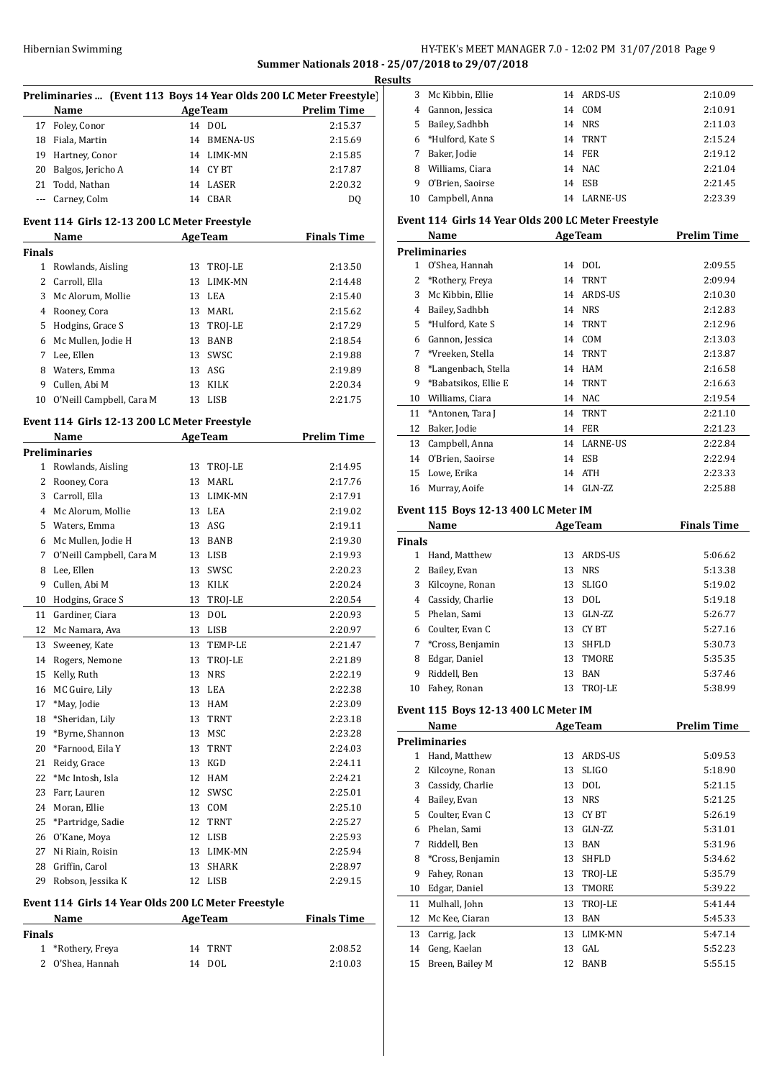## HY-TEK's MEET MANAGER 7.0 - 12:02 PM 31/07/2018 Page 9 **Summer Nationals 2018 - 25/07/2018 to 29/07/2018**

**Results**

|               |                                                      |    |                | u<br>Preliminaries  (Event 113 Boys 14 Year Olds 200 LC Meter Freestyle) |
|---------------|------------------------------------------------------|----|----------------|--------------------------------------------------------------------------|
|               | Name                                                 |    | <b>AgeTeam</b> | <b>Prelim Time</b>                                                       |
|               | 17 Foley, Conor                                      |    | 14 DOL         | 2:15.37                                                                  |
|               | 18 Fiala, Martin                                     |    | 14 BMENA-US    | 2:15.69                                                                  |
|               | 19 Hartney, Conor                                    |    | 14 LIMK-MN     | 2:15.85                                                                  |
| 20            | Balgos, Jericho A                                    |    | 14 CYBT        | 2:17.87                                                                  |
|               | 21 Todd, Nathan                                      |    | 14 LASER       | 2:20.32                                                                  |
|               | --- Carney, Colm                                     |    | 14 CBAR        | DQ                                                                       |
|               |                                                      |    |                |                                                                          |
|               | Event 114 Girls 12-13 200 LC Meter Freestyle<br>Name |    | <b>AgeTeam</b> | <b>Finals Time</b>                                                       |
| <b>Finals</b> |                                                      |    |                |                                                                          |
| 1             | Rowlands, Aisling                                    | 13 | TROJ-LE        | 2:13.50                                                                  |
|               | 2 Carroll, Ella                                      | 13 | LIMK-MN        | 2:14.48                                                                  |
| 3             | Mc Alorum, Mollie                                    | 13 | LEA            | 2:15.40                                                                  |
|               | 4 Rooney, Cora                                       |    | 13 MARL        | 2:15.62                                                                  |
| 5             | Hodgins, Grace S                                     |    | 13 TROJ-LE     | 2:17.29                                                                  |
|               | 6 Mc Mullen, Jodie H                                 |    | 13 BANB        | 2:18.54                                                                  |
|               |                                                      |    | 13 SWSC        | 2:19.88                                                                  |
|               | 7 Lee, Ellen                                         |    |                |                                                                          |
|               | 8 Waters, Emma                                       |    | 13 ASG         | 2:19.89                                                                  |
|               | 9 Cullen, Abi M                                      | 13 | KILK           | 2:20.34                                                                  |
|               | 10 O'Neill Campbell, Cara M                          |    | 13 LISB        | 2:21.75                                                                  |
|               | Event 114 Girls 12-13 200 LC Meter Freestyle         |    |                |                                                                          |
|               | Name                                                 |    | <b>AgeTeam</b> | <b>Prelim Time</b>                                                       |
|               | <b>Preliminaries</b>                                 |    |                |                                                                          |
| 1             | Rowlands, Aisling                                    |    | 13 TROJ-LE     | 2:14.95                                                                  |
|               | 2 Rooney, Cora                                       | 13 | MARL           | 2:17.76                                                                  |
|               | 3 Carroll, Ella                                      | 13 | LIMK-MN        | 2:17.91                                                                  |
|               | 4 Mc Alorum, Mollie                                  | 13 | LEA            | 2:19.02                                                                  |
|               | 5 Waters, Emma                                       |    | 13 ASG         | 2:19.11                                                                  |
|               | 6 Mc Mullen, Jodie H                                 |    | 13 BANB        | 2:19.30                                                                  |
| 7             | O'Neill Campbell, Cara M                             |    | 13 LISB        | 2:19.93                                                                  |
| 8             | Lee, Ellen                                           | 13 | SWSC           | 2:20.23                                                                  |
| 9             | Cullen, Abi M                                        |    | 13 KILK        | 2:20.24                                                                  |
|               | 10 Hodgins, Grace S                                  |    | 13 TROJ-LE     | 2:20.54                                                                  |
| 11            | Gardiner, Ciara                                      | 13 | DOL            | 2:20.93                                                                  |
| 12            | Mc Namara, Ava                                       |    | 13 LISB        | 2:20.97                                                                  |
| 13            | Sweeney, Kate                                        | 13 | TEMP-LE        | 2:21.47                                                                  |
| 14            | Rogers, Nemone                                       | 13 | TROJ-LE        | 2:21.89                                                                  |
| 15            | Kelly, Ruth                                          | 13 | <b>NRS</b>     | 2:22.19                                                                  |
| 16            | MC Guire, Lily                                       | 13 | LEA            | 2:22.38                                                                  |
| 17            | *May, Jodie                                          | 13 | HAM            | 2:23.09                                                                  |
| 18            | *Sheridan, Lily                                      | 13 | <b>TRNT</b>    | 2:23.18                                                                  |
| 19            | *Byrne, Shannon                                      | 13 | MSC            | 2:23.28                                                                  |
| 20            | *Farnood, Eila Y                                     | 13 | TRNT           |                                                                          |
|               |                                                      |    |                | 2:24.03                                                                  |
| 21            | Reidy, Grace                                         | 13 | KGD            | 2:24.11                                                                  |
| 22            | *Mc Intosh, Isla                                     | 12 | HAM            | 2:24.21                                                                  |
| 23            | Farr, Lauren                                         | 12 | SWSC           | 2:25.01                                                                  |
| 24            | Moran, Ellie                                         | 13 | COM            | 2:25.10                                                                  |
| 25            | *Partridge, Sadie                                    | 12 | <b>TRNT</b>    | 2:25.27                                                                  |
| 26            | O'Kane, Moya                                         | 12 | LISB           | 2:25.93                                                                  |
| 27            | Ni Riain, Roisin                                     | 13 | LIMK-MN        | 2:25.94                                                                  |
| 28            | Griffin, Carol                                       | 13 | SHARK          | 2:28.97                                                                  |
| 29            | Robson, Jessika K                                    | 12 | LISB           | 2:29.15                                                                  |
|               | Event 114 Girls 14 Year Olds 200 LC Meter Freestyle  |    |                |                                                                          |
|               | <b>Name</b>                                          |    | <b>AgeTeam</b> | <b>Finals Time</b>                                                       |
| Finals        |                                                      |    |                |                                                                          |
| $\mathbf{1}$  | *Rothery, Freya                                      | 14 | TRNT           | 2:08.52                                                                  |
| $\mathbf{2}$  | O'Shea, Hannah                                       |    | 14 DOL         | 2:10.03                                                                  |

| э  |                  |    |                 |         |
|----|------------------|----|-----------------|---------|
| 3  | Mc Kibbin, Ellie |    | 14 ARDS-US      | 2:10.09 |
| 4  | Gannon, Jessica  | 14 | COM             | 2:10.91 |
| 5. | Bailey, Sadhbh   | 14 | <b>NRS</b>      | 2:11.03 |
| 6  | *Hulford, Kate S | 14 | TRNT            | 2:15.24 |
|    | Baker, Jodie     | 14 | FER             | 2:19.12 |
| 8  | Williams, Ciara  | 14 | NAC.            | 2:21.04 |
| 9  | O'Brien, Saoirse | 14 | ESB             | 2:21.45 |
| 10 | Campbell, Anna   | 14 | <b>LARNE-US</b> | 2:23.39 |

### **Event 114 Girls 14 Year Olds 200 LC Meter Freestyle**

|    | Name                 |    | <b>AgeTeam</b>  | <b>Prelim Time</b> |
|----|----------------------|----|-----------------|--------------------|
|    | <b>Preliminaries</b> |    |                 |                    |
| 1  | O'Shea, Hannah       | 14 | <b>DOL</b>      | 2:09.55            |
| 2  | *Rothery, Freya      | 14 | <b>TRNT</b>     | 2:09.94            |
| 3  | Mc Kibbin, Ellie     | 14 | <b>ARDS-US</b>  | 2:10.30            |
| 4  | Bailey, Sadhbh       | 14 | <b>NRS</b>      | 2:12.83            |
| 5  | *Hulford, Kate S     | 14 | <b>TRNT</b>     | 2:12.96            |
| 6  | Gannon, Jessica      | 14 | <b>COM</b>      | 2:13.03            |
| 7  | *Vreeken, Stella     | 14 | <b>TRNT</b>     | 2:13.87            |
| 8  | *Langenbach, Stella  | 14 | HAM             | 2:16.58            |
| 9  | *Babatsikos, Ellie E | 14 | <b>TRNT</b>     | 2:16.63            |
| 10 | Williams, Ciara      | 14 | <b>NAC</b>      | 2:19.54            |
| 11 | *Antonen, Tara J     | 14 | <b>TRNT</b>     | 2:21.10            |
| 12 | Baker, Jodie         | 14 | <b>FER</b>      | 2:21.23            |
| 13 | Campbell, Anna       | 14 | <b>LARNE-US</b> | 2:22.84            |
| 14 | O'Brien, Saoirse     | 14 | <b>ESB</b>      | 2:22.94            |
| 15 | Lowe, Erika          | 14 | <b>ATH</b>      | 2:23.33            |
| 16 | Murray, Aoife        | 14 | GLN-ZZ          | 2:25.88            |
|    |                      |    |                 |                    |

## **Event 115 Boys 12-13 400 LC Meter IM**

|               | Name              |    | <b>AgeTeam</b> | <b>Finals Time</b> |
|---------------|-------------------|----|----------------|--------------------|
| <b>Finals</b> |                   |    |                |                    |
| 1             | Hand, Matthew     | 13 | ARDS-US        | 5:06.62            |
| 2             | Bailey, Evan      | 13 | <b>NRS</b>     | 5:13.38            |
| 3             | Kilcoyne, Ronan   | 13 | <b>SLIGO</b>   | 5:19.02            |
| 4             | Cassidy, Charlie  | 13 | DOL.           | 5:19.18            |
| 5.            | Phelan, Sami      | 13 | $GLN-ZZ$       | 5:26.77            |
|               | 6 Coulter, Evan C | 13 | CY BT          | 5:27.16            |
| 7             | *Cross, Benjamin  | 13 | <b>SHFLD</b>   | 5:30.73            |
| 8             | Edgar, Daniel     | 13 | TMORE          | 5:35.35            |
| 9             | Riddell, Ben      | 13 | <b>BAN</b>     | 5:37.46            |
| 10            | Fahey, Ronan      | 13 | TROJ-LE        | 5:38.99            |

### **Event 115 Boys 12-13 400 LC Meter IM**

|    | Name                 |    | <b>AgeTeam</b> | <b>Prelim Time</b> |
|----|----------------------|----|----------------|--------------------|
|    | <b>Preliminaries</b> |    |                |                    |
| 1  | Hand, Matthew        | 13 | <b>ARDS-US</b> | 5:09.53            |
| 2  | Kilcoyne, Ronan      | 13 | <b>SLIGO</b>   | 5:18.90            |
| 3  | Cassidy, Charlie     | 13 | <b>DOL</b>     | 5:21.15            |
| 4  | Bailey, Evan         | 13 | <b>NRS</b>     | 5:21.25            |
| 5. | Coulter, Evan C      | 13 | CY BT          | 5:26.19            |
| 6  | Phelan, Sami         | 13 | GLN-ZZ         | 5:31.01            |
| 7  | Riddell, Ben         | 13 | BAN            | 5:31.96            |
| 8  | *Cross, Benjamin     | 13 | <b>SHFLD</b>   | 5:34.62            |
| 9  | Fahey, Ronan         | 13 | TROJ-LE        | 5:35.79            |
| 10 | Edgar, Daniel        | 13 | TMORE          | 5:39.22            |
| 11 | Mulhall, John        | 13 | TROJ-LE        | 5:41.44            |
| 12 | Mc Kee, Ciaran       | 13 | <b>BAN</b>     | 5:45.33            |
| 13 | Carrig, Jack         | 13 | LIMK-MN        | 5:47.14            |
| 14 | Geng, Kaelan         | 13 | GAL            | 5:52.23            |
| 15 | Breen, Bailey M      | 12 | <b>BANB</b>    | 5:55.15            |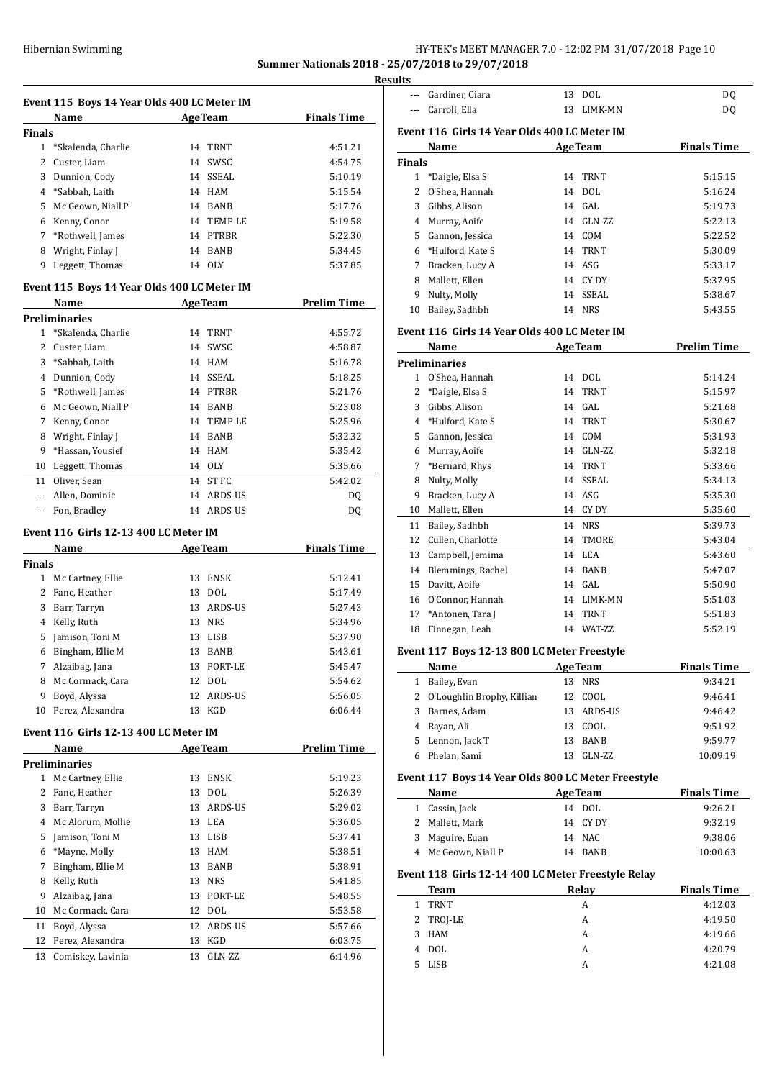## HY-TEK's MEET MANAGER 7.0 - 12:02 PM 31/07/2018 Page 10 **Summer Nationals 2018 - 25/07/2018 to 29/07/2018**

**Resul** 

|                | Event 115 Boys 14 Year Olds 400 LC Meter IM |                |                |                    |
|----------------|---------------------------------------------|----------------|----------------|--------------------|
|                | Name                                        |                | <b>AgeTeam</b> | <b>Finals Time</b> |
| Finals         |                                             |                |                |                    |
| $\mathbf{1}$   | *Skalenda, Charlie                          | 14             | <b>TRNT</b>    | 4:51.21            |
| $\overline{c}$ | Custer, Liam                                |                | 14 SWSC        | 4:54.75            |
| 3              | Dunnion, Cody                               |                | 14 SSEAL       | 5:10.19            |
| 4              | *Sabbah, Laith                              |                | 14 HAM         | 5:15.54            |
| 5              | Mc Geown, Niall P                           |                | 14 BANB        | 5:17.76            |
| 6              | Kenny, Conor                                |                | 14 TEMP-LE     | 5:19.58            |
| 7              | *Rothwell, James                            |                | 14 PTRBR       | 5:22.30            |
| 8              | Wright, Finlay J                            |                | 14 BANB        | 5:34.45            |
| 9              | Leggett, Thomas                             |                | 14 OLY         | 5:37.85            |
|                | Event 115 Boys 14 Year Olds 400 LC Meter IM |                |                |                    |
|                | Name                                        |                | <b>AgeTeam</b> | <b>Prelim Time</b> |
|                | Preliminaries                               |                |                |                    |
| $\mathbf{1}$   | *Skalenda, Charlie                          | 14             | TRNT           | 4:55.72            |
| 2              | Custer, Liam                                | 14             | SWSC           | 4:58.87            |
| 3              | *Sabbah, Laith                              |                | 14 HAM         | 5:16.78            |
| 4              | Dunnion, Cody                               |                | 14 SSEAL       | 5:18.25            |
| 5              | *Rothwell, James                            |                | 14 PTRBR       | 5:21.76            |
| 6              |                                             |                | 14 BANB        | 5:23.08            |
|                | Mc Geown, Niall P                           |                |                |                    |
| 7              | Kenny, Conor                                |                | 14 TEMP-LE     | 5:25.96            |
| 8              | Wright, Finlay J                            |                | 14 BANB        | 5:32.32            |
| 9              | *Hassan, Yousief                            |                | 14 HAM         | 5:35.42            |
| 10             | Leggett, Thomas                             |                | 14 OLY         | 5:35.66            |
| 11             | Oliver, Sean                                |                | 14 ST FC       | 5:42.02            |
| $\cdots$       | Allen, Dominic                              | 14             | ARDS-US        | DQ                 |
|                | --- Fon, Bradley                            |                | 14 ARDS-US     | DQ                 |
|                | Event 116  Girls 12-13 400 LC Meter IM      |                |                |                    |
|                |                                             |                |                |                    |
|                | Name                                        | <b>AgeTeam</b> |                | <b>Finals Time</b> |
| Finals         |                                             |                |                |                    |
| 1              | Mc Cartney, Ellie                           | 13             | <b>ENSK</b>    | 5:12.41            |
| 2              | Fane, Heather                               | 13             | <b>DOL</b>     | 5:17.49            |
| 3              | Barr, Tarryn                                | 13             | ARDS-US        | 5:27.43            |
| 4              |                                             |                | 13 NRS         | 5:34.96            |
| 5              | Kelly, Ruth                                 | 13             | LISB           | 5:37.90            |
| 6              | Jamison, Toni M                             | 13             | <b>BANB</b>    |                    |
|                | Bingham, Ellie M                            |                |                | 5:43.61            |
| 7              | Alzaibag, Jana                              | 13             | PORT-LE        | 5:45.47            |
| 8              | Mc Cormack, Cara                            | 12             | <b>DOL</b>     | 5:54.62            |
| 9              | Boyd, Alyssa                                | 12             | <b>ARDS-US</b> | 5:56.05            |
| 10             | Perez, Alexandra                            | 13             | KGD            | 6:06.44            |
|                | Event 116  Girls 12-13 400 LC Meter IM      |                |                |                    |
|                | Name                                        |                | <b>AgeTeam</b> | <b>Prelim Time</b> |
|                | Preliminaries                               |                |                |                    |
| 1              | Mc Cartney, Ellie                           | 13             | <b>ENSK</b>    | 5:19.23            |
| 2              | Fane, Heather                               | 13             | DOL            | 5:26.39            |
| 3              | Barr, Tarryn                                | 13             | ARDS-US        | 5:29.02            |
| 4              | Mc Alorum, Mollie                           | 13             | LEA            | 5:36.05            |
| 5              | Jamison, Toni M                             | 13             | LISB           | 5:37.41            |
| 6              | *Mayne, Molly                               | 13             | HAM            | 5:38.51            |
| 7              | Bingham, Ellie M                            | 13             | BANB           | 5:38.91            |
| 8              | Kelly, Ruth                                 | 13             | <b>NRS</b>     | 5:41.85            |
| 9              | Alzaibag, Jana                              | 13             | PORT-LE        | 5:48.55            |
| 10             | Mc Cormack, Cara                            | 12             | <b>DOL</b>     | 5:53.58            |
| 11             | Boyd, Alyssa                                | 12             | ARDS-US        | 5:57.66            |
| 12             | Perez, Alexandra                            | 13             | KGD            | 6:03.75            |
| 13             | Comiskey, Lavinia                           | 13             | GLN-ZZ         | 6:14.96            |

| ults           |                                              |    |                |                    |
|----------------|----------------------------------------------|----|----------------|--------------------|
| $\frac{1}{2}$  | Gardiner, Ciara                              |    | 13 DOL         | DQ                 |
| $\overline{a}$ | Carroll, Ella                                | 13 | LIMK-MN        | DQ                 |
|                | Event 116 Girls 14 Year Olds 400 LC Meter IM |    |                |                    |
|                | Name                                         |    | <b>AgeTeam</b> | <b>Finals Time</b> |
|                |                                              |    |                |                    |
| <b>Finals</b>  | 1 *Daigle, Elsa S                            | 14 | <b>TRNT</b>    | 5:15.15            |
| 2              | O'Shea, Hannah                               | 14 | <b>DOL</b>     | 5:16.24            |
| 3              | Gibbs, Alison                                |    | 14 GAL         | 5:19.73            |
| 4              | Murray, Aoife                                |    | 14 GLN-ZZ      | 5:22.13            |
| 5              |                                              |    | 14 COM         | 5:22.52            |
| 6              | Gannon, Jessica<br>*Hulford, Kate S          |    | 14 TRNT        | 5:30.09            |
| 7              | Bracken, Lucy A                              |    | 14 ASG         | 5:33.17            |
| 8              | Mallett, Ellen                               |    | 14 CYDY        | 5:37.95            |
| 9              |                                              | 14 | <b>SSEAL</b>   |                    |
|                | Nulty, Molly                                 |    |                | 5:38.67            |
| 10             | Bailey, Sadhbh                               | 14 | NRS            | 5:43.55            |
|                | Event 116 Girls 14 Year Olds 400 LC Meter IM |    |                |                    |
|                | Name                                         |    | <b>AgeTeam</b> | <b>Prelim Time</b> |
|                | <b>Preliminaries</b>                         |    |                |                    |
|                | 1 O'Shea, Hannah                             | 14 | <b>DOL</b>     | 5:14.24            |
| 2              | *Daigle, Elsa S                              | 14 | <b>TRNT</b>    | 5:15.97            |
| 3              | Gibbs, Alison                                | 14 | GAL            | 5:21.68            |
| 4              | *Hulford, Kate S                             | 14 | <b>TRNT</b>    | 5:30.67            |
| 5              | Gannon, Jessica                              | 14 | COM            | 5:31.93            |
| 6              | Murray, Aoife                                | 14 | GLN-ZZ         | 5:32.18            |
| 7              | *Bernard, Rhys                               | 14 | <b>TRNT</b>    | 5:33.66            |
| 8              | Nulty, Molly                                 | 14 | <b>SSEAL</b>   | 5:34.13            |
| 9              | Bracken, Lucy A                              | 14 | ASG            | 5:35.30            |
| 10             | Mallett, Ellen                               | 14 | CY DY          | 5:35.60            |
| 11             | Bailey, Sadhbh                               | 14 | <b>NRS</b>     | 5:39.73            |
| 12             | Cullen, Charlotte                            | 14 | TMORE          | 5:43.04            |
| 13             | Campbell, Jemima                             | 14 | LEA            | 5:43.60            |
| 14             | Blemmings, Rachel                            | 14 | <b>BANB</b>    | 5:47.07            |
| 15             | Davitt, Aoife                                | 14 | GAL            | 5:50.90            |
| 16             | O'Connor, Hannah                             |    | 14 LIMK-MN     | 5:51.03            |
| 17             | *Antonen, Tara J                             | 14 | <b>TRNT</b>    | 5:51.83            |
| 18             | Finnegan, Leah                               | 14 | WAT-ZZ         | 5:52.19            |

## **Event 117 Boys 12-13 800 LC Meter Freestyle**

 $\sim$ 

|   | <b>Name</b>                  |     | <b>AgeTeam</b> | <b>Finals Time</b> |
|---|------------------------------|-----|----------------|--------------------|
|   | Bailey, Evan                 | 13  | NRS.           | 9:34.21            |
|   | 2 O'Loughlin Brophy, Killian | 12. | COOL           | 9:46.41            |
|   | Barnes, Adam                 | 13  | ARDS-US        | 9:46.42            |
| 4 | Rayan, Ali                   | 13  | COOL           | 9:51.92            |
| 5 | Lennon, Jack T               | 13  | <b>BANB</b>    | 9:59.77            |
|   | Phelan, Sami                 |     | GLN-ZZ         | 10:09.19           |

#### **Event 117 Boys 14 Year Olds 800 LC Meter Freestyle**

|  | Name                | <b>AgeTeam</b> | <b>Finals Time</b> |  |
|--|---------------------|----------------|--------------------|--|
|  | 1 Cassin, Jack      | 14 DOL         | 9:26.21            |  |
|  | 2 Mallett, Mark     | 14 CYDY        | 9:32.19            |  |
|  | 3 Maguire, Euan     | 14 NAC         | 9:38.06            |  |
|  | 4 Mc Geown, Niall P | 14 BANB        | 10:00.63           |  |

### **Event 118 Girls 12-14 400 LC Meter Freestyle Relay**

| Team              | Relay | <b>Finals Time</b> |
|-------------------|-------|--------------------|
| TRNT<br>1.        | А     | 4:12.03            |
| 2 TROJ-LE         | А     | 4:19.50            |
| 3 HAM             | А     | 4:19.66            |
| 4 DOL             | А     | 4:20.79            |
| <b>LISB</b><br>5. | А     | 4:21.08            |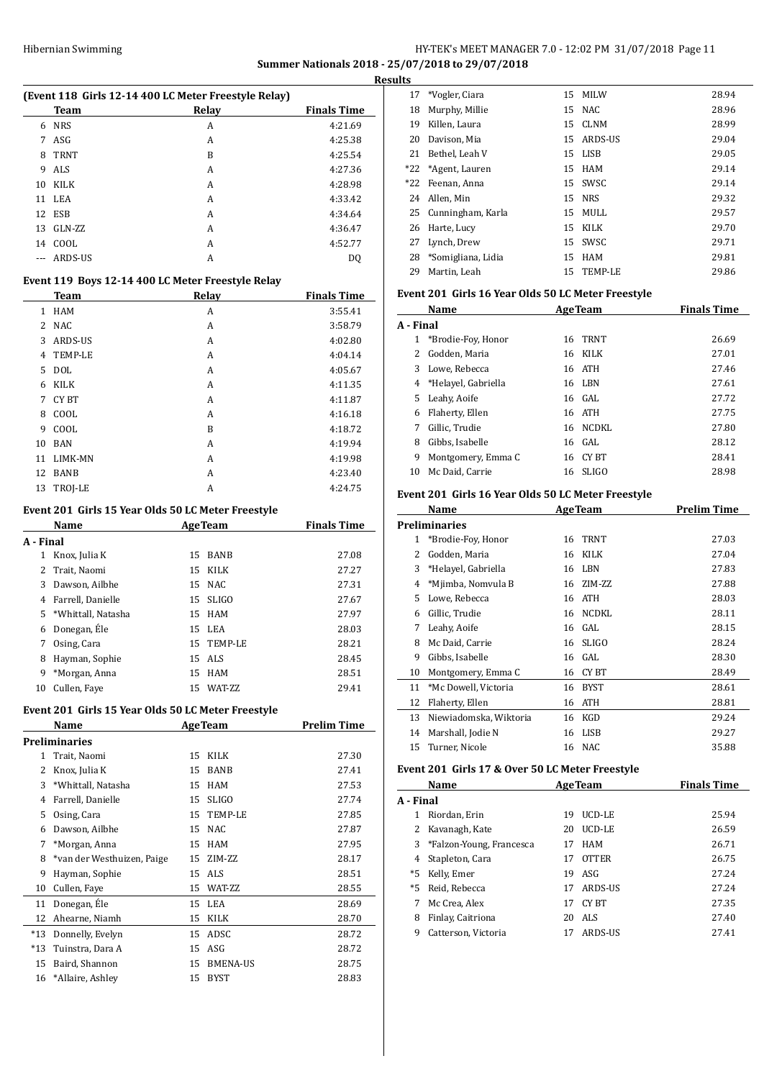## Hibernian Swimming **HY-TEK's MEET MANAGER 7.0 - 12:02 PM 31/07/2018** Page 11 **Summer Nationals 2018 - 25/07/2018 to 29/07/2018 Results**

|    | (Event 118 Girls 12-14 400 LC Meter Freestyle Relay) |       |                    |
|----|------------------------------------------------------|-------|--------------------|
|    | Team                                                 | Relay | <b>Finals Time</b> |
| 6  | <b>NRS</b>                                           | A     | 4:21.69            |
| 7  | ASG                                                  | A     | 4:25.38            |
| 8  | <b>TRNT</b>                                          | B     | 4:25.54            |
| 9  | ALS                                                  | A     | 4:27.36            |
| 10 | KILK                                                 | A     | 4:28.98            |
|    | 11 LEA                                               | A     | 4:33.42            |
|    | 12 ESB                                               | A     | 4:34.64            |
| 13 | GLN-ZZ                                               | A     | 4:36.47            |
| 14 | COOL                                                 | A     | 4:52.77            |
|    | ARDS-US                                              | A     | DO                 |

#### **Event 119 Boys 12-14 400 LC Meter Freestyle Relay**

|    | <b>Team</b>    | Relay | <b>Finals Time</b> |
|----|----------------|-------|--------------------|
| 1  | <b>HAM</b>     | Α     | 3:55.41            |
| 2  | NAC            | A     | 3:58.79            |
| 3  | ARDS-US        | A     | 4:02.80            |
| 4  | <b>TEMP-LE</b> | A     | 4:04.14            |
| 5  | <b>DOL</b>     | A     | 4:05.67            |
| 6  | <b>KILK</b>    | A     | 4:11.35            |
| 7  | CY BT          | A     | 4:11.87            |
| 8  | COOL           | A     | 4:16.18            |
| 9  | COOL           | B     | 4:18.72            |
| 10 | <b>BAN</b>     | A     | 4:19.94            |
| 11 | LIMK-MN        | A     | 4:19.98            |
| 12 | BANB           | A     | 4:23.40            |
| 13 | TROJ-LE        | A     | 4:24.75            |

#### **Event 201 Girls 15 Year Olds 50 LC Meter Freestyle**

|           | Name                 |    | <b>AgeTeam</b>  | <b>Finals Time</b> |
|-----------|----------------------|----|-----------------|--------------------|
| A - Final |                      |    |                 |                    |
| 1         | Knox, Julia K        | 15 | <b>BANB</b>     | 27.08              |
| 2         | Trait, Naomi         | 15 | KILK            | 27.27              |
| 3         | Dawson, Ailbhe       |    | 15 NAC          | 27.31              |
| 4         | Farrell, Danielle    | 15 | <b>SLIGO</b>    | 27.67              |
|           | 5 *Whittall, Natasha | 15 | HAM             | 27.97              |
| 6         | Donegan, Éle         |    | 15 LEA          | 28.03              |
| 7         | Osing, Cara          |    | 15 TEMP-LE      | 28.21              |
| 8         | Hayman, Sophie       |    | 15 ALS          | 28.45              |
| 9         | *Morgan, Anna        | 15 | HAM             | 28.51              |
| 10        | Cullen, Faye         | 15 | <b>WAT-7.7.</b> | 29.41              |

### **Event 201 Girls 15 Year Olds 50 LC Meter Freestyle**

|       | Name                       |    | <b>AgeTeam</b>  | Prelim Time |
|-------|----------------------------|----|-----------------|-------------|
|       | Preliminaries              |    |                 |             |
| 1     | Trait, Naomi               | 15 | KILK            | 27.30       |
| 2     | Knox, Julia K              | 15 | <b>BANB</b>     | 27.41       |
| 3     | *Whittall, Natasha         | 15 | <b>HAM</b>      | 27.53       |
| 4     | Farrell, Danielle          | 15 | <b>SLIGO</b>    | 27.74       |
| 5     | Osing, Cara                | 15 | TEMP-LE         | 27.85       |
| 6     | Dawson, Ailbhe             | 15 | <b>NAC</b>      | 27.87       |
| 7     | *Morgan, Anna              | 15 | <b>HAM</b>      | 27.95       |
| 8     | *van der Westhuizen, Paige | 15 | ZIM-ZZ          | 28.17       |
| 9     | Hayman, Sophie             | 15 | <b>ALS</b>      | 28.51       |
| 10    | Cullen, Faye               | 15 | WAT-ZZ          | 28.55       |
| 11    | Donegan, Éle               | 15 | LEA             | 28.69       |
| 12    | Ahearne, Niamh             | 15 | <b>KILK</b>     | 28.70       |
| $*13$ | Donnelly, Evelyn           | 15 | ADSC            | 28.72       |
| $*13$ | Tuinstra, Dara A           | 15 | ASG             | 28.72       |
| 15    | Baird, Shannon             | 15 | <b>BMENA-US</b> | 28.75       |
| 16    | *Allaire, Ashley           | 15 | <b>BYST</b>     | 28.83       |

|       | 17 *Vogler, Ciara     |     | 15 MILW     | 28.94 |
|-------|-----------------------|-----|-------------|-------|
| 18    | Murphy, Millie        |     | 15 NAC      | 28.96 |
| 19    | Killen, Laura         | 15  | <b>CLNM</b> | 28.99 |
| 20    | Davison, Mia          |     | 15 ARDS-US  | 29.04 |
| 21    | Bethel, Leah V        |     | 15 LISB     | 29.05 |
|       | *22 *Agent, Lauren    | 15  | HAM         | 29.14 |
| $*22$ | Feenan, Anna          |     | 15 SWSC     | 29.14 |
| 24    | Allen, Min            |     | 15 NRS      | 29.32 |
|       | 25 Cunningham, Karla  |     | 15 MULL     | 29.57 |
| 26    | Harte, Lucy           | 15  | KILK        | 29.70 |
| 27    | Lynch, Drew           |     | 15 SWSC     | 29.71 |
|       | 28 *Somigliana, Lidia | 15  | HAM         | 29.81 |
| 29    | Martin, Leah          | 15. | TEMP-LE     | 29.86 |

#### **Event 201 Girls 16 Year Olds 50 LC Meter Freestyle**

| Name      |                       | <b>AgeTeam</b> |              | <b>Finals Time</b> |
|-----------|-----------------------|----------------|--------------|--------------------|
| A - Final |                       |                |              |                    |
| 1         | *Brodie-Foy, Honor    | 16             | <b>TRNT</b>  | 26.69              |
| 2         | Godden, Maria         |                | 16 KILK      | 27.01              |
| 3         | Lowe, Rebecca         |                | 16 ATH       | 27.46              |
|           | 4 *Helayel, Gabriella |                | 16 LBN       | 27.61              |
| 5.        | Leahy, Aoife          |                | 16 GAL       | 27.72              |
| 6         | Flaherty, Ellen       |                | 16 ATH       | 27.75              |
| 7         | Gillic, Trudie        | 16             | NCDKL        | 27.80              |
| 8         | Gibbs, Isabelle       |                | 16 GAL       | 28.12              |
| 9         | Montgomery, Emma C    | 16             | CY BT        | 28.41              |
| 10        | Mc Daid, Carrie       | 16             | <b>SLIGO</b> | 28.98              |

## **Event 201 Girls 16 Year Olds 50 LC Meter Freestyle**

|    | Name                   |    | <b>AgeTeam</b> | <b>Prelim Time</b> |
|----|------------------------|----|----------------|--------------------|
|    | Preliminaries          |    |                |                    |
| 1  | *Brodie-Foy, Honor     | 16 | <b>TRNT</b>    | 27.03              |
| 2  | Godden, Maria          | 16 | KILK           | 27.04              |
| 3  | *Helayel, Gabriella    | 16 | LBN            | 27.83              |
| 4  | *Mjimba, Nomvula B     | 16 | ZIM-ZZ         | 27.88              |
| 5  | Lowe, Rebecca          | 16 | <b>ATH</b>     | 28.03              |
| 6  | Gillic, Trudie         | 16 | <b>NCDKL</b>   | 28.11              |
| 7  | Leahy, Aoife           | 16 | GAL            | 28.15              |
| 8  | Mc Daid, Carrie        | 16 | <b>SLIGO</b>   | 28.24              |
| 9  | Gibbs, Isabelle        | 16 | GAL            | 28.30              |
| 10 | Montgomery, Emma C     | 16 | CY BT          | 28.49              |
| 11 | *Mc Dowell, Victoria   | 16 | <b>BYST</b>    | 28.61              |
| 12 | Flaherty, Ellen        | 16 | <b>ATH</b>     | 28.81              |
| 13 | Niewiadomska, Wiktoria | 16 | KGD            | 29.24              |
| 14 | Marshall, Jodie N      | 16 | <b>LISB</b>    | 29.27              |
| 15 | Turner, Nicole         | 16 | NAC            | 35.88              |

#### **Event 201 Girls 17 & Over 50 LC Meter Freestyle**

 $\overline{a}$ 

 $\overline{a}$ 

|           | Name                       | <b>AgeTeam</b> |              | <b>Finals Time</b> |
|-----------|----------------------------|----------------|--------------|--------------------|
| A - Final |                            |                |              |                    |
|           | Riordan, Erin              | 19             | UCD-LE       | 25.94              |
|           | 2 Kavanagh, Kate           | 20             | UCD-LE       | 26.59              |
|           | 3 *Falzon-Young, Francesca | 17             | HAM          | 26.71              |
|           | 4 Stapleton, Cara          | 17             | <b>OTTER</b> | 26.75              |
| *5        | Kelly, Emer                | 19             | ASG          | 27.24              |
| $*5$      | Reid, Rebecca              | 17             | ARDS-US      | 27.24              |
|           | Mc Crea, Alex              | 17             | CY BT        | 27.35              |
| 8         | Finlay, Caitriona          | 20             | ALS.         | 27.40              |
| 9         | Catterson, Victoria        | 17             | ARDS-US      | 27.41              |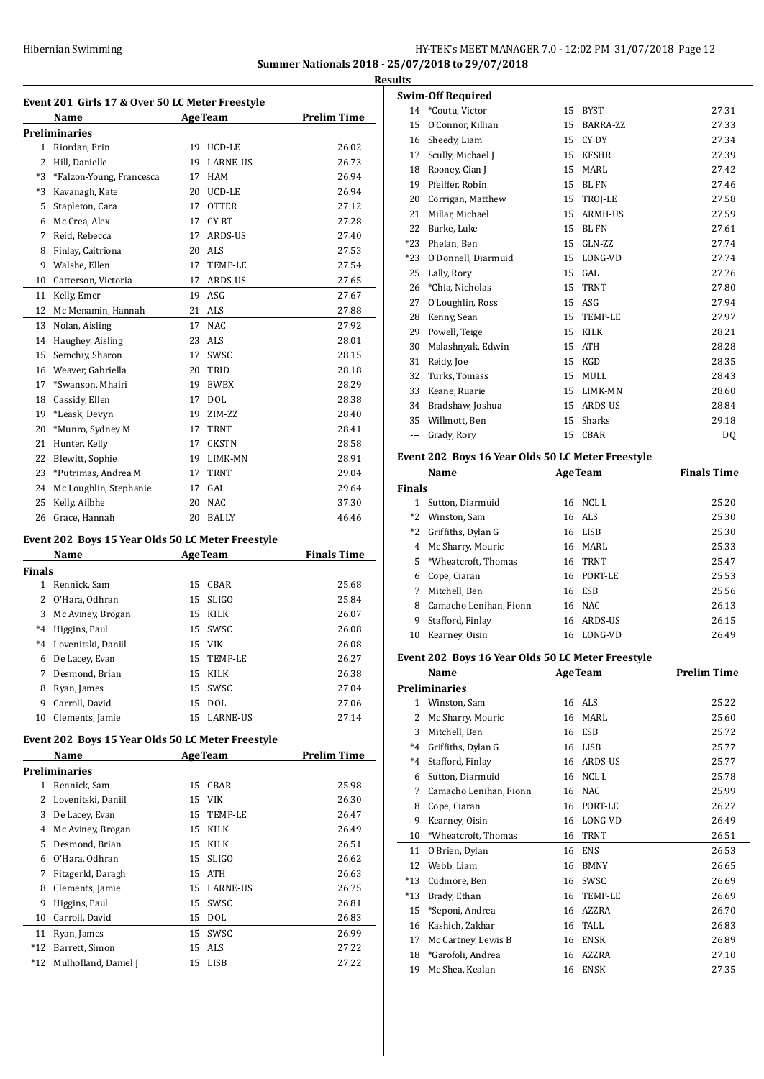## Hibernian Swimming **HY-TEK's MEET MANAGER 7.0 - 12:02 PM 31/07/2018** Page 12 **Summer Nationals 2018 - 25/07/2018 to 29/07/2018**

**Results**

|                                                   | Event 201 Girls 17 & Over 50 LC Meter Freestyle   |          |                 |                    |  |  |  |
|---------------------------------------------------|---------------------------------------------------|----------|-----------------|--------------------|--|--|--|
|                                                   | Name<br>Preliminaries                             |          | AgeTeam         | <b>Prelim Time</b> |  |  |  |
|                                                   | 1 Riordan, Erin                                   |          | 19 UCD-LE       | 26.02              |  |  |  |
|                                                   | 2 Hill, Danielle                                  | 19       | <b>LARNE-US</b> | 26.73              |  |  |  |
| $*3$                                              | *Falzon-Young, Francesca                          | 17       | HAM             | 26.94              |  |  |  |
| *3                                                | Kavanagh, Kate                                    | 20       | UCD-LE          | 26.94              |  |  |  |
| 5                                                 | Stapleton, Cara                                   | 17       | OTTER           | 27.12              |  |  |  |
| 6                                                 | Mc Crea, Alex                                     | 17       | CY BT           | 27.28              |  |  |  |
| 7                                                 | Reid, Rebecca                                     | 17       | ARDS-US         | 27.40              |  |  |  |
| 8                                                 | Finlay, Caitriona                                 | 20       | ALS             | 27.53              |  |  |  |
| 9                                                 | Walshe, Ellen                                     | 17       | TEMP-LE         | 27.54              |  |  |  |
| 10                                                | Catterson, Victoria                               | 17       | ARDS-US         | 27.65              |  |  |  |
| 11                                                |                                                   | 19       | ASG             |                    |  |  |  |
| 12                                                | Kelly, Emer<br>Mc Menamin, Hannah                 | 21       | ALS             | 27.67              |  |  |  |
|                                                   |                                                   |          |                 | 27.88              |  |  |  |
| 13                                                | Nolan, Aisling                                    | 17       | NAC             | 27.92              |  |  |  |
| 14                                                | Haughey, Aisling                                  | 23       | ALS             | 28.01              |  |  |  |
| 15                                                | Semchiy, Sharon                                   | 17       | SWSC            | 28.15              |  |  |  |
|                                                   | 16 Weaver, Gabriella                              | 20       | TRID            | 28.18              |  |  |  |
| 17                                                | *Swanson, Mhairi                                  | 19       | EWBX            | 28.29              |  |  |  |
| 18                                                | Cassidy, Ellen                                    | 17       | <b>DOL</b>      | 28.38              |  |  |  |
| 19                                                | *Leask, Devyn                                     | 19       | ZIM-ZZ          | 28.40              |  |  |  |
| 20                                                | *Munro, Sydney M                                  |          | 17 TRNT         | 28.41              |  |  |  |
| 21                                                | Hunter, Kelly                                     | 17       | <b>CKSTN</b>    | 28.58              |  |  |  |
| 22                                                | Blewitt, Sophie                                   | 19       | LIMK-MN         | 28.91              |  |  |  |
| 23                                                | *Putrimas, Andrea M                               | 17       | TRNT            | 29.04              |  |  |  |
| 24                                                | Mc Loughlin, Stephanie                            | 17       | GAL             | 29.64              |  |  |  |
| 25                                                | Kelly, Ailbhe                                     | 20       | NAC             | 37.30              |  |  |  |
|                                                   | 26 Grace, Hannah                                  | 20       | BALLY           | 46.46              |  |  |  |
| Event 202 Boys 15 Year Olds 50 LC Meter Freestyle |                                                   |          |                 |                    |  |  |  |
|                                                   |                                                   |          |                 |                    |  |  |  |
|                                                   | Name                                              |          | AgeTeam         | <b>Finals Time</b> |  |  |  |
| Finals                                            |                                                   |          |                 |                    |  |  |  |
|                                                   | 1 Rennick, Sam                                    |          | 15 CBAR         | 25.68              |  |  |  |
| 2                                                 | O'Hara, Odhran                                    | 15       | <b>SLIGO</b>    | 25.84              |  |  |  |
| 3                                                 | Mc Aviney, Brogan                                 | 15       | KILK            | 26.07              |  |  |  |
| $*4$                                              | Higgins, Paul                                     | 15       | SWSC            | 26.08              |  |  |  |
| $*4$                                              | Lovenitski, Daniil                                | 15       | <b>VIK</b>      | 26.08              |  |  |  |
| 6                                                 | De Lacey, Evan                                    | 15       | TEMP-LE         | 26.27              |  |  |  |
| 7                                                 | Desmond, Brian                                    | 15       | KILK            | 26.38              |  |  |  |
| 8                                                 | Ryan, James                                       | 15       | SWSC            | 27.04              |  |  |  |
| 9                                                 | Carroll, David                                    | 15       | DOL             | 27.06              |  |  |  |
| 10                                                | Clements, Jamie                                   | 15       | LARNE-US        | 27.14              |  |  |  |
|                                                   | Event 202 Boys 15 Year Olds 50 LC Meter Freestyle |          |                 |                    |  |  |  |
|                                                   | Name                                              |          | <b>AgeTeam</b>  | <b>Prelim Time</b> |  |  |  |
|                                                   | <b>Preliminaries</b>                              |          |                 |                    |  |  |  |
|                                                   | 1 Rennick, Sam                                    | 15       | CBAR            | 25.98              |  |  |  |
| 2                                                 | Lovenitski, Daniil                                | 15       | VIK             | 26.30              |  |  |  |
| 3                                                 | De Lacey, Evan                                    | 15       | TEMP-LE         | 26.47              |  |  |  |
| 4                                                 | Mc Aviney, Brogan                                 | 15       | KILK            | 26.49              |  |  |  |
| 5                                                 | Desmond, Brian                                    | 15       | KILK            | 26.51              |  |  |  |
| 6                                                 | O'Hara, Odhran                                    | 15       | SLIGO           | 26.62              |  |  |  |
| 7                                                 | Fitzgerld, Daragh                                 | 15       | ATH             | 26.63              |  |  |  |
| 8                                                 | Clements, Jamie                                   | 15       | LARNE-US        | 26.75              |  |  |  |
| 9                                                 | Higgins, Paul                                     | 15       | SWSC            | 26.81              |  |  |  |
| 10                                                | Carroll, David                                    | 15       | <b>DOL</b>      | 26.83              |  |  |  |
| 11                                                | Ryan, James                                       | 15       | SWSC            | 26.99              |  |  |  |
| $^{\ast}12$<br>*12                                | Barrett, Simon<br>Mulholland, Daniel J            | 15<br>15 | ALS<br>LISB     | 27.22              |  |  |  |

| 11 L.S |                     |    |                |       |
|--------|---------------------|----|----------------|-------|
|        | Swim-Off Required   |    |                |       |
| 14     | *Coutu, Victor      | 15 | <b>BYST</b>    | 27.31 |
| 15     | O'Connor, Killian   | 15 | BARRA-ZZ       | 27.33 |
| 16     | Sheedy, Liam        | 15 | CY DY          | 27.34 |
| 17     | Scully, Michael J   | 15 | <b>KFSHR</b>   | 27.39 |
| 18     | Rooney, Cian J      | 15 | <b>MARL</b>    | 27.42 |
| 19     | Pfeiffer, Robin     | 15 | <b>BLFN</b>    | 27.46 |
| 20     | Corrigan, Matthew   | 15 | TROJ-LE        | 27.58 |
| 21     | Millar, Michael     | 15 | <b>ARMH-US</b> | 27.59 |
| 22     | Burke, Luke         | 15 | <b>BLFN</b>    | 27.61 |
| $*23$  | Phelan, Ben         | 15 | GLN-ZZ         | 27.74 |
| $*23$  | O'Donnell, Diarmuid | 15 | LONG-VD        | 27.74 |
| 25     | Lally, Rory         | 15 | GAL            | 27.76 |
| 26     | *Chia, Nicholas     | 15 | <b>TRNT</b>    | 27.80 |
| 27     | O'Loughlin, Ross    | 15 | ASG            | 27.94 |
| 28     | Kenny, Sean         | 15 | TEMP-LE        | 27.97 |
| 29     | Powell, Teige       | 15 | <b>KILK</b>    | 28.21 |
| 30     | Malashnyak, Edwin   | 15 | <b>ATH</b>     | 28.28 |
| 31     | Reidy, Joe          | 15 | KGD            | 28.35 |
| 32     | Turks, Tomass       | 15 | MULL           | 28.43 |
| 33     | Keane, Ruarie       | 15 | LIMK-MN        | 28.60 |
| 34     | Bradshaw, Joshua    | 15 | ARDS-US        | 28.84 |
| 35     | Willmott, Ben       | 15 | Sharks         | 29.18 |
| ---    | Grady, Rory         | 15 | CBAR           | DQ    |
|        |                     |    |                |       |

## **Event 202 Boys 16 Year Olds 50 LC Meter Freestyle**

| Name          |                        | <b>AgeTeam</b> |                | <b>Finals Time</b> |  |  |
|---------------|------------------------|----------------|----------------|--------------------|--|--|
| <b>Finals</b> |                        |                |                |                    |  |  |
|               | Sutton, Diarmuid       | 16             | NCL L          | 25.20              |  |  |
| $*2$          | Winston, Sam           |                | 16 ALS         | 25.30              |  |  |
| $*2$          | Griffiths, Dylan G     |                | 16 LISB        | 25.30              |  |  |
| 4             | Mc Sharry, Mouric      | 16             | MARI.          | 25.33              |  |  |
|               | 5 *Wheatcroft, Thomas  |                | 16 TRNT        | 25.47              |  |  |
| 6             | Cope, Ciaran           | 16             | PORT-LE        | 25.53              |  |  |
| 7             | Mitchell. Ben          |                | 16 ESB         | 25.56              |  |  |
| 8             | Camacho Lenihan, Fionn |                | 16 NAC         | 26.13              |  |  |
| 9             | Stafford, Finlay       | 16             | <b>ARDS-US</b> | 26.15              |  |  |
| 10            | Kearney, Oisin         | 16             | LONG-VD        | 26.49              |  |  |

### **Event 202 Boys 16 Year Olds 50 LC Meter Freestyle**

|              | Name                   | <b>AgeTeam</b> |             | <b>Prelim Time</b> |
|--------------|------------------------|----------------|-------------|--------------------|
|              | Preliminaries          |                |             |                    |
| $\mathbf{1}$ | Winston, Sam           |                | 16 ALS      | 25.22              |
| 2            | Mc Sharry, Mouric      | 16             | MARL        | 25.60              |
| 3            | Mitchell, Ben          | 16             | <b>ESB</b>  | 25.72              |
| $*_{4}$      | Griffiths, Dylan G     | 16             | <b>LISB</b> | 25.77              |
| $*4$         | Stafford, Finlay       | 16             | ARDS-US     | 25.77              |
| 6            | Sutton, Diarmuid       | 16             | NCL L       | 25.78              |
| 7            | Camacho Lenihan, Fionn | 16             | <b>NAC</b>  | 25.99              |
| 8            | Cope, Ciaran           | 16             | PORT-LE     | 26.27              |
| 9            | Kearney, Oisin         | 16             | LONG-VD     | 26.49              |
| 10           | *Wheatcroft, Thomas    | 16             | <b>TRNT</b> | 26.51              |
| 11           | O'Brien, Dylan         | 16             | <b>ENS</b>  | 26.53              |
| 12           | Webb, Liam             | 16             | <b>BMNY</b> | 26.65              |
| $*13$        | Cudmore, Ben           | 16             | SWSC.       | 26.69              |
| $*13$        | Brady, Ethan           | 16             | TEMP-LE     | 26.69              |
| 15           | *Seponi, Andrea        | 16             | AZZRA       | 26.70              |
| 16           | Kashich, Zakhar        | 16             | TALL        | 26.83              |
| 17           | Mc Cartney, Lewis B    | 16             | <b>ENSK</b> | 26.89              |
| 18           | *Garofoli, Andrea      | 16             | AZZRA       | 27.10              |
| 19           | Mc Shea, Kealan        | 16             | <b>ENSK</b> | 27.35              |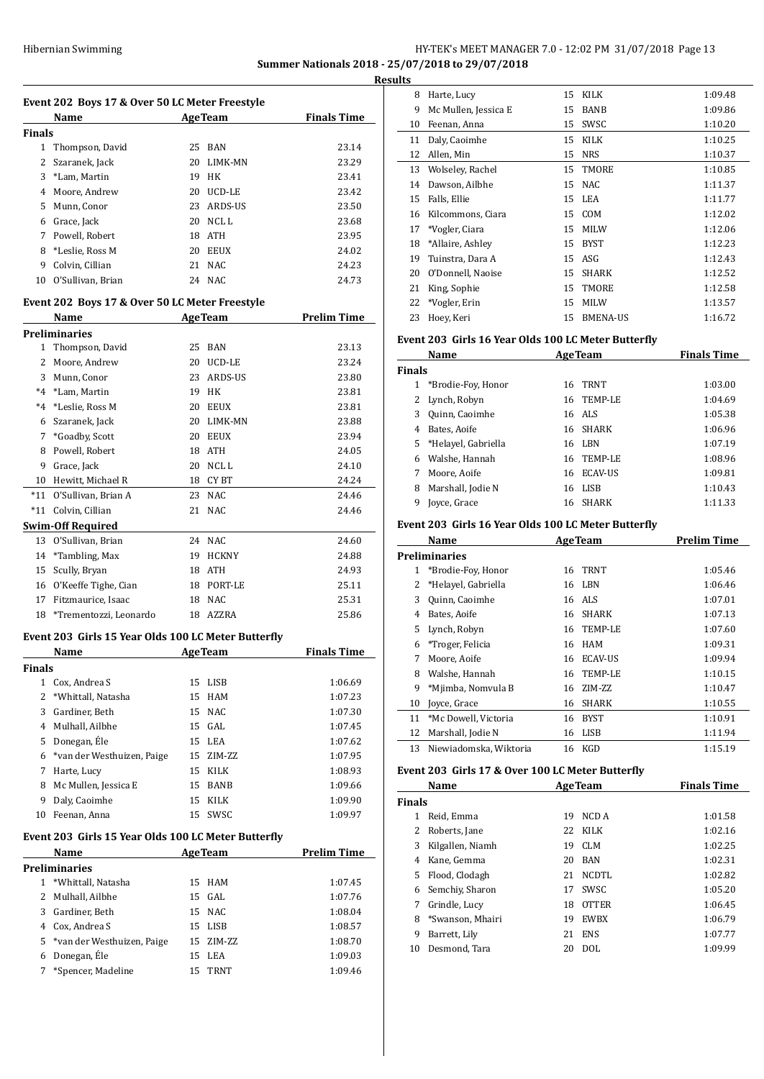## Hibernian Swimming **HY-TEK's MEET MANAGER 7.0 - 12:02 PM 31/07/2018** Page 13 **Summer Nationals 2018 - 25/07/2018 to 29/07/2018**

**Results**

|               | Event 202 Boys 17 & Over 50 LC Meter Freestyle<br>Name |                | <b>AgeTeam</b> | <b>Finals Time</b>                                                                                         |
|---------------|--------------------------------------------------------|----------------|----------------|------------------------------------------------------------------------------------------------------------|
| Finals        |                                                        |                |                |                                                                                                            |
| 1             | Thompson, David                                        |                | 25 BAN         | 23.14                                                                                                      |
| 2             | Szaranek, Jack                                         | 20             | LIMK-MN        | 23.29                                                                                                      |
|               | 3 *Lam, Martin                                         | 19             | HK             | 23.41                                                                                                      |
|               | 4 Moore, Andrew                                        |                | 20 UCD-LE      | 23.42                                                                                                      |
|               | 5 Munn, Conor                                          |                | 23 ARDS-US     | 23.50                                                                                                      |
|               | 6 Grace, Jack                                          |                | 20 NCL L       | 23.68                                                                                                      |
| 7             | Powell, Robert                                         |                | 18 ATH         | 23.95                                                                                                      |
|               | 8 *Leslie, Ross M                                      |                | 20 EEUX        | 24.02                                                                                                      |
| 9             | Colvin, Cillian                                        | 21             | <b>NAC</b>     | 24.23                                                                                                      |
| 10            | O'Sullivan, Brian                                      |                | 24 NAC         | 24.73                                                                                                      |
|               | Event 202 Boys 17 & Over 50 LC Meter Freestyle         |                |                |                                                                                                            |
|               | Name                                                   |                | <b>AgeTeam</b> | <b>Prelim Time</b>                                                                                         |
|               | <b>Preliminaries</b>                                   |                |                |                                                                                                            |
| 1             | Thompson, David                                        |                | 25 BAN         | 23.13                                                                                                      |
| 2             | Moore, Andrew                                          |                | 20 UCD-LE      | 23.24                                                                                                      |
|               | 3 Munn, Conor                                          | 23             | ARDS-US        | 23.80                                                                                                      |
|               | *4 *Lam, Martin                                        |                | 19 HK          | 23.81                                                                                                      |
| *4            | *Leslie, Ross M                                        |                | 20 EEUX        | 23.81                                                                                                      |
| 6             | Szaranek, Jack                                         |                | 20 LIMK-MN     | 23.88                                                                                                      |
|               |                                                        |                | 20 EEUX        | 23.94                                                                                                      |
|               | 7 *Goadby, Scott                                       |                |                |                                                                                                            |
| 8             | Powell, Robert                                         |                | 18 ATH         | 24.05                                                                                                      |
| 9             | Grace, Jack                                            |                | 20 NCL L       | 24.10                                                                                                      |
|               | 10 Hewitt, Michael R                                   |                | 18 CYBT        | 24.24                                                                                                      |
| $*11$         | O'Sullivan, Brian A                                    |                | 23 NAC         | 24.46                                                                                                      |
| $*11$         | Colvin, Cillian                                        | 21             | <b>NAC</b>     | 24.46                                                                                                      |
|               | <b>Swim-Off Required</b>                               |                |                |                                                                                                            |
| 13            | O'Sullivan, Brian                                      |                | 24 NAC         | 24.60                                                                                                      |
| 14            | *Tambling, Max                                         |                | 19 HCKNY       | 24.88                                                                                                      |
| 15            | Scully, Bryan                                          |                | 18 ATH         | 24.93                                                                                                      |
|               | 16 O'Keeffe Tighe, Cian                                |                | 18 PORT-LE     | 25.11                                                                                                      |
| 17            | Fitzmaurice, Isaac                                     |                | 18 NAC         | 25.31                                                                                                      |
| 18            | *Trementozzi, Leonardo                                 |                | 18 AZZRA       | 25.86                                                                                                      |
|               | Event 203 Girls 15 Year Olds 100 LC Meter Butterfly    |                |                |                                                                                                            |
|               |                                                        |                |                | <u>Finals Time</u>                                                                                         |
|               |                                                        |                |                |                                                                                                            |
|               | <u>Name</u>                                            | <b>AgeTeam</b> |                |                                                                                                            |
| <b>Finals</b> | 1 Cox, Andrea S                                        |                | 15 LISB        |                                                                                                            |
|               | 2 *Whittall, Natasha                                   |                | 15 HAM         |                                                                                                            |
|               | 3 Gardiner, Beth                                       |                | 15 NAC         |                                                                                                            |
|               | 4 Mulhall, Ailbhe                                      |                | 15 GAL         |                                                                                                            |
|               |                                                        |                |                |                                                                                                            |
|               | 5 Donegan, Éle                                         |                | 15 LEA         |                                                                                                            |
|               | 6 *van der Westhuizen, Paige                           |                | 15 ZIM-ZZ      |                                                                                                            |
|               | 7 Harte, Lucy                                          |                | 15 KILK        |                                                                                                            |
|               | 8 Mc Mullen, Jessica E                                 |                | 15 BANB        |                                                                                                            |
|               | 9 Daly, Caoimhe                                        |                | 15 KILK        |                                                                                                            |
|               | 10 Feenan, Anna                                        |                | 15 SWSC        | 1:06.69<br>1:07.23<br>1:07.30<br>1:07.45<br>1:07.62<br>1:07.95<br>1:08.93<br>1:09.66<br>1:09.90<br>1:09.97 |
|               | Event 203 Girls 15 Year Olds 100 LC Meter Butterfly    |                |                |                                                                                                            |
|               | Name                                                   |                | <b>AgeTeam</b> |                                                                                                            |
|               | <b>Preliminaries</b>                                   |                |                |                                                                                                            |
|               | 1 *Whittall, Natasha                                   |                | 15 HAM         |                                                                                                            |
|               | 2 Mulhall, Ailbhe                                      | 15             | GAL            |                                                                                                            |
|               | 3 Gardiner, Beth                                       |                | 15 NAC         |                                                                                                            |
|               | 4 Cox, Andrea S                                        |                | 15 LISB        |                                                                                                            |
|               | 5 *van der Westhuizen, Paige                           |                | 15 ZIM-ZZ      |                                                                                                            |
|               | 6 Donegan, Éle                                         |                | 15 LEA         | <b>Prelim Time</b><br>1:07.45<br>1:07.76<br>1:08.04<br>1:08.57<br>1:08.70<br>1:09.03                       |

| uits |                      |    |                 |         |
|------|----------------------|----|-----------------|---------|
| 8    | Harte, Lucy          | 15 | KILK            | 1:09.48 |
| 9    | Mc Mullen, Jessica E | 15 | BANB            | 1:09.86 |
| 10   | Feenan, Anna         | 15 | SWSC            | 1:10.20 |
| 11   | Daly, Caoimhe        | 15 | KILK            | 1:10.25 |
| 12   | Allen, Min           | 15 | <b>NRS</b>      | 1:10.37 |
| 13   | Wolseley, Rachel     | 15 | TMORE           | 1:10.85 |
| 14   | Dawson, Ailbhe       | 15 | NAC.            | 1:11.37 |
| 15   | Falls, Ellie         | 15 | LEA             | 1:11.77 |
| 16   | Kilcommons, Ciara    | 15 | <b>COM</b>      | 1:12.02 |
| 17   | *Vogler, Ciara       | 15 | <b>MILW</b>     | 1:12.06 |
| 18   | *Allaire, Ashley     | 15 | <b>BYST</b>     | 1:12.23 |
| 19   | Tuinstra, Dara A     |    | 15 ASG          | 1:12.43 |
| 20   | O'Donnell, Naoise    | 15 | <b>SHARK</b>    | 1:12.52 |
| 21   | King, Sophie         | 15 | TMORE           | 1:12.58 |
| 22   | *Vogler, Erin        | 15 | <b>MILW</b>     | 1:13.57 |
| 23   | Hoey, Keri           | 15 | <b>BMENA-US</b> | 1:16.72 |
|      |                      |    |                 |         |

## **Event 203 Girls 16 Year Olds 100 LC Meter Butterfly**

|               | Name<br><b>AgeTeam</b> |    |            | <b>Finals Time</b> |  |
|---------------|------------------------|----|------------|--------------------|--|
| <b>Finals</b> |                        |    |            |                    |  |
| 1             | *Brodie-Foy, Honor     |    | 16 TRNT    | 1:03.00            |  |
| 2             | Lynch, Robyn           |    | 16 TEMP-LE | 1:04.69            |  |
| 3             | Quinn, Caoimhe         |    | 16 ALS     | 1:05.38            |  |
| 4             | Bates, Aoife           |    | 16 SHARK   | 1:06.96            |  |
|               | 5 *Helayel, Gabriella  | 16 | LBN        | 1:07.19            |  |
| 6             | Walshe, Hannah         |    | 16 TEMP-LE | 1:08.96            |  |
|               | Moore, Aoife           | 16 | ECAV-US    | 1:09.81            |  |
| 8             | Marshall, Jodie N      | 16 | LISB       | 1:10.43            |  |
| 9             | Joyce, Grace           |    | 16 SHARK   | 1:11.33            |  |

#### **Event 203 Girls 16 Year Olds 100 LC Meter Butterfly**

|    | Name                   | <b>AgeTeam</b> |              | <b>Prelim Time</b> |
|----|------------------------|----------------|--------------|--------------------|
|    | <b>Preliminaries</b>   |                |              |                    |
|    | *Brodie-Foy, Honor     | 16             | <b>TRNT</b>  | 1:05.46            |
| 2  | *Helayel, Gabriella    | 16             | LBN          | 1:06.46            |
| 3  | Quinn, Caoimhe         | 16             | ALS.         | 1:07.01            |
| 4  | Bates, Aoife           | 16             | <b>SHARK</b> | 1:07.13            |
| 5. | Lynch, Robyn           | 16             | TEMP-LE      | 1:07.60            |
| 6  | *Troger, Felicia       | 16             | HAM          | 1:09.31            |
| 7  | Moore, Aoife           | 16             | ECAV-US      | 1:09.94            |
| 8  | Walshe, Hannah         | 16             | TEMP-LE      | 1:10.15            |
| 9  | *Mjimba, Nomvula B     | 16             | ZIM-ZZ       | 1:10.47            |
| 10 | Joyce, Grace           | 16             | <b>SHARK</b> | 1:10.55            |
| 11 | *Mc Dowell, Victoria   | 16             | <b>BYST</b>  | 1:10.91            |
| 12 | Marshall, Jodie N      | 16             | LISB         | 1:11.94            |
| 13 | Niewiadomska, Wiktoria | 16             | KGD          | 1:15.19            |

## **Event 203 Girls 17 & Over 100 LC Meter Butterfly**

| Name          |                  |    | <b>AgeTeam</b> | <b>Finals Time</b> |  |
|---------------|------------------|----|----------------|--------------------|--|
| <b>Finals</b> |                  |    |                |                    |  |
|               | Reid, Emma       | 19 | NCD A          | 1:01.58            |  |
| 2             | Roberts, Jane    | 22 | <b>KILK</b>    | 1:02.16            |  |
| 3             | Kilgallen, Niamh | 19 | CLM            | 1:02.25            |  |
| 4             | Kane, Gemma      | 20 | <b>BAN</b>     | 1:02.31            |  |
| 5.            | Flood, Clodagh   | 21 | NCDTL          | 1:02.82            |  |
| 6             | Semchiy, Sharon  | 17 | <b>SWSC</b>    | 1:05.20            |  |
| 7             | Grindle, Lucy    | 18 | <b>OTTER</b>   | 1:06.45            |  |
| 8             | *Swanson, Mhairi | 19 | <b>EWBX</b>    | 1:06.79            |  |
| 9             | Barrett, Lily    | 21 | <b>ENS</b>     | 1:07.77            |  |
| 10            | Desmond, Tara    | 20 | DOL            | 1:09.99            |  |
|               |                  |    |                |                    |  |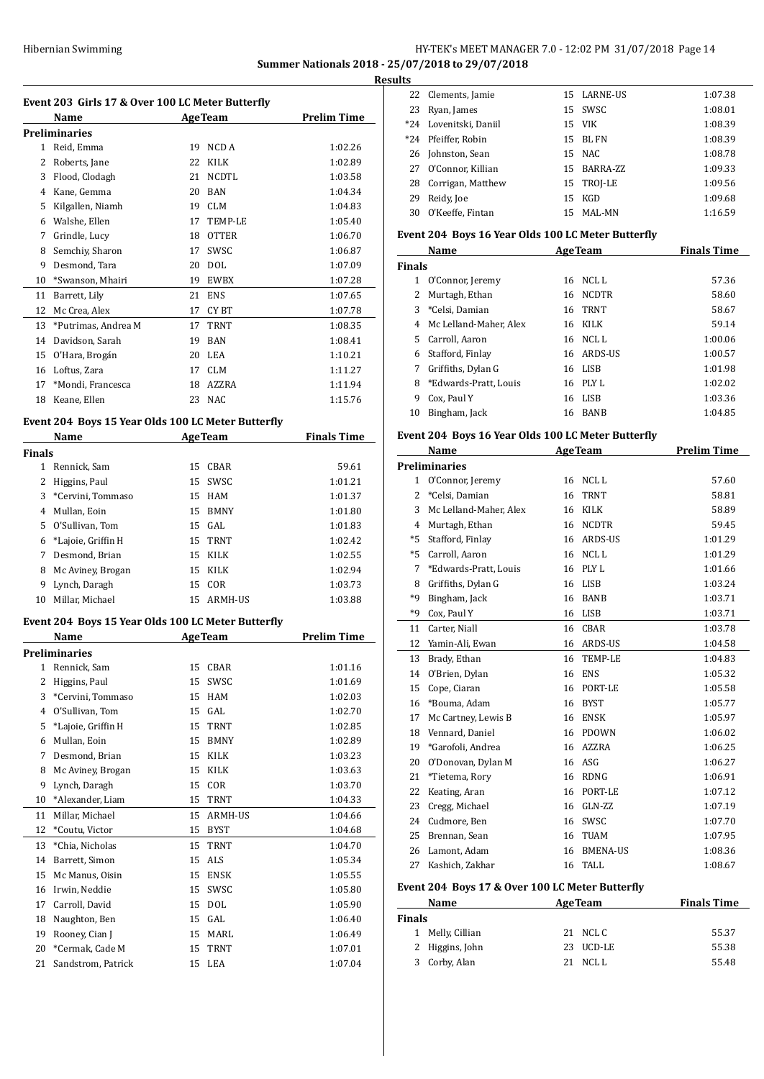## Hibernian Swimming **HY-TEK's MEET MANAGER 7.0 - 12:02 PM 31/07/2018** Page 14 **Summer Nationals 2018 - 25/07/2018 to 29/07/2018**

**Results**

| Event 203 Girls 17 & Over 100 LC Meter Butterfly |                                                    |    |                |                    |
|--------------------------------------------------|----------------------------------------------------|----|----------------|--------------------|
|                                                  | Name                                               |    | <b>AgeTeam</b> | <b>Prelim Time</b> |
|                                                  | <b>Preliminaries</b>                               |    |                |                    |
|                                                  | 1 Reid, Emma                                       | 19 | NCD A          | 1:02.26            |
|                                                  | 2 Roberts, Jane                                    |    | 22 KILK        | 1:02.89            |
|                                                  | 3 Flood, Clodagh                                   | 21 | <b>NCDTL</b>   | 1:03.58            |
|                                                  | 4 Kane, Gemma                                      |    | 20 BAN         | 1:04.34            |
|                                                  | 5 Kilgallen, Niamh                                 |    | 19 CLM         | 1:04.83            |
|                                                  | 6 Walshe, Ellen                                    |    | 17 TEMP-LE     | 1:05.40            |
|                                                  | 7 Grindle, Lucy                                    |    | 18 OTTER       | 1:06.70            |
|                                                  | 8 Semchiy, Sharon                                  | 17 | SWSC           | 1:06.87            |
|                                                  | 9 Desmond. Tara                                    |    | 20 DOL         | 1:07.09            |
|                                                  | 10 *Swanson, Mhairi                                |    | 19 EWBX        | 1:07.28            |
|                                                  | 11 Barrett, Lily                                   |    | 21 ENS         | 1:07.65            |
|                                                  | 12 Mc Crea, Alex                                   |    | 17 CYBT        | 1:07.78            |
| 13                                               | *Putrimas, Andrea M                                | 17 | <b>TRNT</b>    | 1:08.35            |
|                                                  | 14 Davidson, Sarah                                 |    | 19 BAN         | 1:08.41            |
|                                                  | 15 O'Hara, Brogán                                  |    | 20 LEA         | 1:10.21            |
|                                                  | 16 Loftus, Zara                                    |    | 17 CLM         | 1:11.27            |
|                                                  | 17 *Mondi. Francesca                               |    | 18 AZZRA       | 1:11.94            |
|                                                  | 18 Keane, Ellen                                    |    | 23 NAC         | 1:15.76            |
|                                                  | Event 204 Boys 15 Year Olds 100 LC Meter Butterfly |    |                |                    |
|                                                  | Name                                               |    | <b>AgeTeam</b> | <b>Finals Time</b> |
| <b>Finals</b>                                    |                                                    |    |                |                    |
|                                                  | 1 Rennick, Sam                                     |    | 15 CBAR        | 59.61              |
|                                                  | 2 Higgins, Paul                                    |    | 15 SWSC        | 1:01.21            |
|                                                  | 3 *Cervini, Tommaso                                |    | 15 HAM         | 1:01.37            |
|                                                  | 4 Mullan, Eoin                                     |    | 15 BMNY        | 1:01.80            |
|                                                  | 5 O'Sullivan, Tom                                  |    | 15 GAL         | 1:01.83            |
|                                                  | 6 *Lajoie, Griffin H                               |    | 15 TRNT        | 1:02.42            |
|                                                  | 7 Desmond, Brian                                   |    | 15 KILK        | 1:02.55            |
|                                                  | 8 Mc Aviney, Brogan                                |    | 15 KILK        | 1:02.94            |
|                                                  | 9 Lynch, Daragh                                    |    | 15 COR         | 1:03.73            |
|                                                  | 10 Millar, Michael                                 |    | 15 ARMH-US     | 1:03.88            |
|                                                  |                                                    |    |                |                    |
|                                                  | Event 204 Boys 15 Year Olds 100 LC Meter Butterfly |    |                |                    |
|                                                  | Name                                               |    | <b>AgeTeam</b> | <b>Prelim Time</b> |
|                                                  | <b>Preliminaries</b>                               |    |                |                    |
| 1                                                | Rennick, Sam                                       | 15 | CBAR           | 1:01.16            |
| 2                                                | Higgins, Paul                                      | 15 | SWSC           | 1:01.69            |
| 3                                                | *Cervini, Tommaso                                  | 15 | HAM            | 1:02.03            |
| 4                                                | O'Sullivan, Tom                                    | 15 | GAL            | 1:02.70            |
| 5                                                | *Lajoie, Griffin H                                 | 15 | TRNT           | 1:02.85            |
| 6                                                | Mullan, Eoin                                       | 15 | BMNY           | 1:02.89            |
| 7                                                | Desmond, Brian                                     | 15 | KILK           | 1:03.23            |
| 8                                                | Mc Aviney, Brogan                                  | 15 | KILK           | 1:03.63            |
| 9                                                | Lynch, Daragh                                      | 15 | COR            | 1:03.70            |
| 10                                               | *Alexander, Liam                                   | 15 | TRNT           | 1:04.33            |
| 11                                               | Millar, Michael                                    | 15 | ARMH-US        | 1:04.66            |
| 12                                               | *Coutu, Victor                                     | 15 | <b>BYST</b>    | 1:04.68            |
| 13                                               | *Chia, Nicholas                                    | 15 | TRNT           | 1:04.70            |
| 14                                               | Barrett, Simon                                     | 15 | ALS            | 1:05.34            |
| 15                                               | Mc Manus, Oisin                                    | 15 | ENSK           | 1:05.55            |
| 16                                               | Irwin, Neddie                                      | 15 | SWSC           | 1:05.80            |
| 17                                               | Carroll, David                                     | 15 | DOL            | 1:05.90            |
| 18                                               | Naughton, Ben                                      | 15 | GAL            | 1:06.40            |
| 19                                               | Rooney, Cian J                                     | 15 | MARL           | 1:06.49            |
| 20                                               | *Cermak, Cade M                                    | 15 | TRNT           | 1:07.01            |
| 21                                               | Sandstrom, Patrick                                 | 15 | LEA            | 1:07.04            |
|                                                  |                                                    |    |                |                    |

| LЭ    |                        |     |             |         |
|-------|------------------------|-----|-------------|---------|
|       | 22 Clements, Jamie     |     | 15 LARNE-US | 1:07.38 |
| 23    | Ryan, James            |     | 15 SWSC     | 1:08.01 |
|       | *24 Lovenitski, Daniil |     | 15 VIK      | 1:08.39 |
| $*24$ | Pfeiffer. Robin        |     | 15 BL FN    | 1:08.39 |
|       | 26 Johnston, Sean      |     | 15 NAC      | 1:08.78 |
|       | 27 O'Connor, Killian   |     | 15 BARRA-ZZ | 1:09.33 |
| 28    | Corrigan, Matthew      |     | 15 TROJ-LE  | 1:09.56 |
| 29    | Reidy, Joe             | 15  | KGD         | 1:09.68 |
| 30    | O'Keeffe, Fintan       | 15. | MAL-MN      | 1:16.59 |

## **Event 204 Boys 16 Year Olds 100 LC Meter Butterfly**

|               | Name                   |    | <b>AgeTeam</b> | <b>Finals Time</b> |
|---------------|------------------------|----|----------------|--------------------|
| <b>Finals</b> |                        |    |                |                    |
| 1             | O'Connor, Jeremy       | 16 | NCL L          | 57.36              |
| 2             | Murtagh, Ethan         | 16 | <b>NCDTR</b>   | 58.60              |
| 3             | *Celsi, Damian         |    | 16 TRNT        | 58.67              |
| 4             | Mc Lelland-Maher, Alex | 16 | KILK           | 59.14              |
| 5.            | Carroll, Aaron         | 16 | NCL L          | 1:00.06            |
| 6             | Stafford, Finlay       |    | 16 ARDS-US     | 1:00.57            |
| 7             | Griffiths, Dylan G     |    | 16 LISB        | 1:01.98            |
| 8             | *Edwards-Pratt, Louis  | 16 | PLY L          | 1:02.02            |
| 9             | Cox, Paul Y            | 16 | LISB           | 1:03.36            |
| 10            | Bingham, Jack          | 16 | <b>BANB</b>    | 1:04.85            |

### **Event 204 Boys 16 Year Olds 100 LC Meter Butterfly**

|              | Name                   |    | <b>AgeTeam</b>  | <b>Prelim Time</b> |
|--------------|------------------------|----|-----------------|--------------------|
|              | <b>Preliminaries</b>   |    |                 |                    |
| $\mathbf{1}$ | O'Connor, Jeremy       | 16 | NCL L           | 57.60              |
| 2            | *Celsi, Damian         | 16 | <b>TRNT</b>     | 58.81              |
| 3            | Mc Lelland-Maher, Alex | 16 | <b>KILK</b>     | 58.89              |
| 4            | Murtagh, Ethan         | 16 | <b>NCDTR</b>    | 59.45              |
| $*5$         | Stafford, Finlay       | 16 | <b>ARDS-US</b>  | 1:01.29            |
| $*5$         | Carroll, Aaron         | 16 | <b>NCLL</b>     | 1:01.29            |
| 7            | *Edwards-Pratt, Louis  | 16 | PLY L           | 1:01.66            |
| 8            | Griffiths, Dylan G     | 16 | <b>LISB</b>     | 1:03.24            |
| *9           | Bingham, Jack          | 16 | <b>BANB</b>     | 1:03.71            |
| $*q$         | Cox, Paul Y            | 16 | <b>LISB</b>     | 1:03.71            |
| 11           | Carter, Niall          | 16 | <b>CBAR</b>     | 1:03.78            |
| 12           | Yamin-Ali, Ewan        | 16 | ARDS-US         | 1:04.58            |
| 13           | Brady, Ethan           | 16 | TEMP-LE         | 1:04.83            |
| 14           | O'Brien, Dylan         | 16 | <b>ENS</b>      | 1:05.32            |
| 15           | Cope, Ciaran           | 16 | PORT-LE         | 1:05.58            |
| 16           | *Bouma, Adam           | 16 | <b>BYST</b>     | 1:05.77            |
| 17           | Mc Cartney, Lewis B    | 16 | <b>ENSK</b>     | 1:05.97            |
| 18           | Vennard, Daniel        | 16 | <b>PDOWN</b>    | 1:06.02            |
| 19           | *Garofoli, Andrea      | 16 | <b>AZZRA</b>    | 1:06.25            |
| 20           | O'Donovan, Dylan M     | 16 | ASG             | 1:06.27            |
| 21           | *Tietema, Rory         | 16 | <b>RDNG</b>     | 1:06.91            |
| 22           | Keating, Aran          | 16 | PORT-LE         | 1:07.12            |
| 23           | Cregg, Michael         | 16 | GLN-ZZ          | 1:07.19            |
| 24           | Cudmore, Ben           | 16 | SWSC            | 1:07.70            |
| 25           | Brennan, Sean          | 16 | <b>TUAM</b>     | 1:07.95            |
| 26           | Lamont, Adam           | 16 | <b>BMENA-US</b> | 1:08.36            |
| 27           | Kashich, Zakhar        | 16 | <b>TALL</b>     | 1:08.67            |

### **Event 204 Boys 17 & Over 100 LC Meter Butterfly**

|        | Name             | <b>AgeTeam</b> | <b>Finals Time</b> |
|--------|------------------|----------------|--------------------|
| Finals |                  |                |                    |
|        | 1 Melly, Cillian | 21 NCLC        | 55.37              |
|        | 2 Higgins, John  | 23 UCD-LE      | 55.38              |
|        | 3 Corby, Alan    | $21$ NCLL      | 55.48              |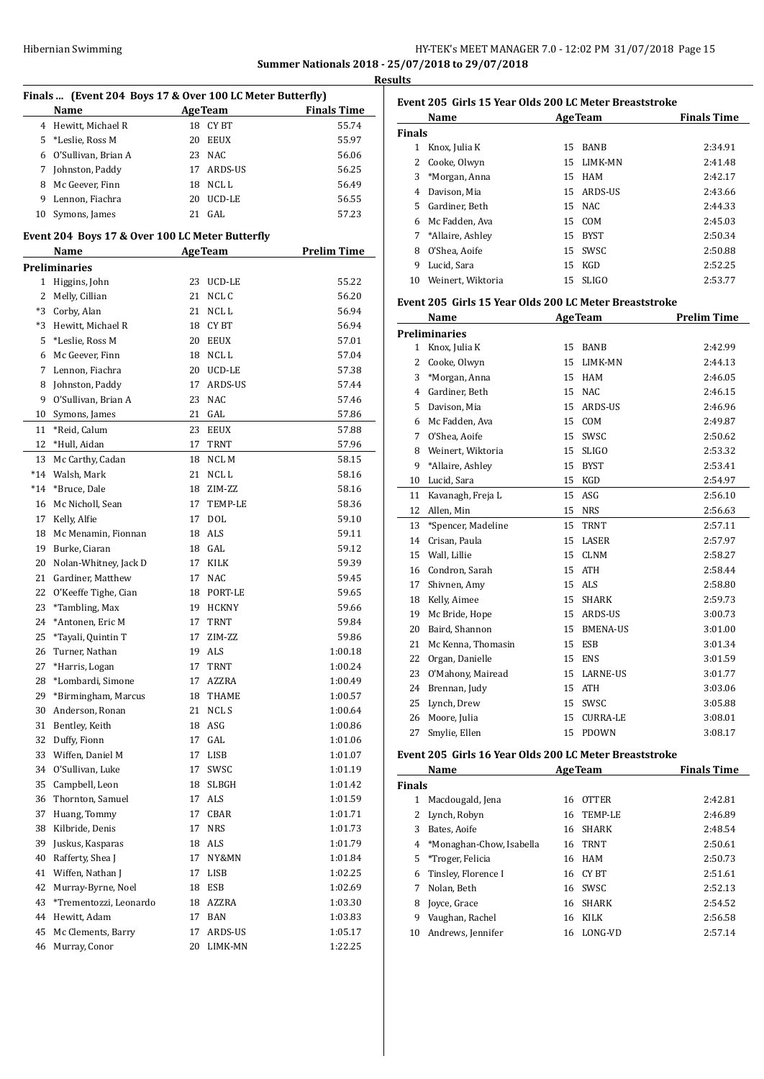## Hibernian Swimming

|                                                  | HY-TEK's MEET MANAGER 7.0 - 12:02 PM 31/07/2018 Page 15 |  |  |
|--------------------------------------------------|---------------------------------------------------------|--|--|
| Summer Nationals 2018 - 25/07/2018 to 29/07/2018 |                                                         |  |  |
| <b>Results</b>                                   |                                                         |  |  |

|    | Finals  (Event 204 Boys 17 & Over 100 LC Meter Butterfly)         |          |                |                    |  |  |  |
|----|-------------------------------------------------------------------|----------|----------------|--------------------|--|--|--|
|    | Name                                                              |          | <b>AgeTeam</b> | <b>Finals Time</b> |  |  |  |
|    | 4 Hewitt, Michael R                                               | 18       | <b>CYBT</b>    | 55.74              |  |  |  |
|    | 5 *Leslie, Ross M                                                 | 20       | <b>EEUX</b>    | 55.97              |  |  |  |
| 6  | O'Sullivan, Brian A                                               | 23       | <b>NAC</b>     | 56.06              |  |  |  |
|    | 7 Johnston, Paddy                                                 | 17       | ARDS-US        | 56.25              |  |  |  |
|    | 8 Mc Geever, Finn                                                 | 18       | NCL L          | 56.49              |  |  |  |
|    | 9 Lennon, Fiachra                                                 | 20       | UCD-LE         | 56.55              |  |  |  |
| 10 | Symons, James                                                     |          | 21 GAL         | 57.23              |  |  |  |
|    |                                                                   |          |                |                    |  |  |  |
|    | Event 204 Boys 17 & Over 100 LC Meter Butterfly<br><b>AgeTeam</b> |          |                |                    |  |  |  |
|    | Name<br><b>Preliminaries</b>                                      |          |                | <b>Prelim Time</b> |  |  |  |
|    | 1 Higgins, John                                                   | 23       | UCD-LE         | 55.22              |  |  |  |
|    | 2 Melly, Cillian                                                  | 21       | NCL C          | 56.20              |  |  |  |
|    | *3 Corby, Alan                                                    | 21       | NCL L          | 56.94              |  |  |  |
|    | *3 Hewitt, Michael R                                              | 18       | CY BT          | 56.94              |  |  |  |
| 5  | *Leslie, Ross M                                                   | 20       | <b>EEUX</b>    | 57.01              |  |  |  |
| 6  | Mc Geever, Finn                                                   | 18       | NCL L          | 57.04              |  |  |  |
|    | 7 Lennon, Fiachra                                                 | 20       | UCD-LE         | 57.38              |  |  |  |
|    | Johnston, Paddy                                                   | 17       | <b>ARDS-US</b> | 57.44              |  |  |  |
| 8  | O'Sullivan, Brian A                                               |          | <b>NAC</b>     |                    |  |  |  |
| 9  |                                                                   | 23<br>21 | GAL            | 57.46<br>57.86     |  |  |  |
| 10 | Symons, James<br>*Reid, Calum                                     |          |                |                    |  |  |  |
| 11 |                                                                   | 23       | <b>EEUX</b>    | 57.88              |  |  |  |
| 12 | *Hull, Aidan                                                      | 17       | TRNT           | 57.96              |  |  |  |
| 13 | Mc Carthy, Cadan                                                  | 18       | NCL M          | 58.15              |  |  |  |
|    | *14 Walsh, Mark                                                   | 21       | NCL L          | 58.16              |  |  |  |
|    | *14 *Bruce, Dale                                                  | 18       | ZIM-ZZ         | 58.16              |  |  |  |
| 16 | Mc Nicholl, Sean                                                  | 17       | TEMP-LE        | 58.36              |  |  |  |
| 17 | Kelly, Alfie                                                      | 17       | DOL            | 59.10              |  |  |  |
|    | 18 Mc Menamin, Fionnan                                            | 18       | ALS            | 59.11              |  |  |  |
| 19 | Burke, Ciaran                                                     | 18       | GAL            | 59.12              |  |  |  |
| 20 | Nolan-Whitney, Jack D                                             | 17       | KILK           | 59.39              |  |  |  |
| 21 | Gardiner, Matthew                                                 | 17       | <b>NAC</b>     | 59.45              |  |  |  |
| 22 | O'Keeffe Tighe, Cian                                              | 18       | PORT-LE        | 59.65              |  |  |  |
| 23 | *Tambling, Max                                                    | 19       | <b>HCKNY</b>   | 59.66              |  |  |  |
| 24 | *Antonen, Eric M                                                  | 17       | TRNT           | 59.84              |  |  |  |
| 25 | *Tayali, Quintin T                                                | 17       | ZIM-ZZ         | 59.86              |  |  |  |
|    | 26 Turner, Nathan                                                 |          | 19 ALS         | 1:00.18            |  |  |  |
| 27 | *Harris, Logan                                                    | 17       | TRNT           | 1:00.24            |  |  |  |
| 28 | *Lombardi, Simone                                                 | 17       | AZZRA          | 1:00.49            |  |  |  |
| 29 | *Birmingham, Marcus                                               | 18       | THAME          | 1:00.57            |  |  |  |
| 30 | Anderson, Ronan                                                   | 21       | NCL S          | 1:00.64            |  |  |  |
| 31 | Bentley, Keith                                                    | 18       | ASG            | 1:00.86            |  |  |  |
| 32 | Duffy, Fionn                                                      | 17       | GAL            | 1:01.06            |  |  |  |
| 33 | Wiffen, Daniel M                                                  | 17       | LISB           | 1:01.07            |  |  |  |
| 34 | O'Sullivan, Luke                                                  | 17       | SWSC           | 1:01.19            |  |  |  |
| 35 | Campbell, Leon                                                    | 18       | SLBGH          | 1:01.42            |  |  |  |
| 36 | Thornton, Samuel                                                  | 17       | ALS            | 1:01.59            |  |  |  |
| 37 | Huang, Tommy                                                      | 17       | CBAR           | 1:01.71            |  |  |  |
| 38 | Kilbride, Denis                                                   | 17       | <b>NRS</b>     | 1:01.73            |  |  |  |
| 39 | Juskus, Kasparas                                                  | 18       | ALS            | 1:01.79            |  |  |  |
| 40 | Rafferty, Shea J                                                  | 17       | NY&MN          | 1:01.84            |  |  |  |
| 41 | Wiffen, Nathan J                                                  | 17       | LISB           | 1:02.25            |  |  |  |
| 42 | Murray-Byrne, Noel                                                | 18       | ESB            | 1:02.69            |  |  |  |
| 43 | *Trementozzi, Leonardo                                            | 18       | AZZRA          | 1:03.30            |  |  |  |
| 44 | Hewitt, Adam                                                      | 17       | BAN            | 1:03.83            |  |  |  |
| 45 | Mc Clements, Barry                                                | 17       | ARDS-US        | 1:05.17            |  |  |  |
| 46 | Murray, Conor                                                     | 20       | LIMK-MN        | 1:22.25            |  |  |  |

|               | Name               |     | <b>AgeTeam</b> | <b>Finals Time</b> |
|---------------|--------------------|-----|----------------|--------------------|
| <b>Finals</b> |                    |     |                |                    |
| 1             | Knox, Julia K      | 15  | <b>BANB</b>    | 2:34.91            |
| 2             | Cooke, Olwyn       | 15. | LIMK-MN        | 2:41.48            |
| 3             | *Morgan, Anna      | 15  | HAM            | 2:42.17            |
| 4             | Davison, Mia       | 15. | ARDS-US        | 2:43.66            |
| 5.            | Gardiner, Beth     |     | 15 NAC         | 2:44.33            |
| 6             | Mc Fadden, Ava     |     | 15 COM         | 2:45.03            |
|               | 7 *Allaire, Ashley | 15  | BYST           | 2:50.34            |
| 8             | O'Shea, Aoife      |     | 15 SWSC        | 2:50.88            |
| 9             | Lucid, Sara        | 15  | KGD            | 2:52.25            |
| 10            | Weinert. Wiktoria  |     | 15 SLIGO       | 2:53.77            |
|               |                    |     |                |                    |

### **Event 205 Girls 15 Year Olds 200 LC Meter Breaststroke**

|              | Name                 |    | <b>AgeTeam</b>  | <b>Prelim Time</b> |
|--------------|----------------------|----|-----------------|--------------------|
|              | <b>Preliminaries</b> |    |                 |                    |
| $\mathbf{1}$ | Knox, Julia K        | 15 | <b>BANB</b>     | 2:42.99            |
| 2            | Cooke, Olwyn         | 15 | LIMK-MN         | 2:44.13            |
| 3            | *Morgan, Anna        | 15 | <b>HAM</b>      | 2:46.05            |
| 4            | Gardiner, Beth       | 15 | NAC             | 2:46.15            |
| 5            | Davison, Mia         | 15 | ARDS-US         | 2:46.96            |
| 6            | Mc Fadden, Ava       | 15 | COM             | 2:49.87            |
| 7            | O'Shea, Aoife        | 15 | SWSC            | 2:50.62            |
| 8            | Weinert, Wiktoria    | 15 | <b>SLIGO</b>    | 2:53.32            |
| 9            | *Allaire, Ashley     | 15 | <b>BYST</b>     | 2:53.41            |
| 10           | Lucid, Sara          | 15 | KGD             | 2:54.97            |
| 11           | Kavanagh, Freja L    | 15 | ASG             | 2:56.10            |
| 12           | Allen, Min           | 15 | <b>NRS</b>      | 2:56.63            |
| 13           | *Spencer, Madeline   | 15 | <b>TRNT</b>     | 2:57.11            |
| 14           | Crisan, Paula        | 15 | LASER           | 2:57.97            |
| 15           | Wall, Lillie         | 15 | <b>CLNM</b>     | 2:58.27            |
| 16           | Condron, Sarah       | 15 | <b>ATH</b>      | 2:58.44            |
| 17           | Shivnen, Amy         | 15 | <b>ALS</b>      | 2:58.80            |
| 18           | Kelly, Aimee         | 15 | <b>SHARK</b>    | 2:59.73            |
| 19           | Mc Bride, Hope       | 15 | ARDS-US         | 3:00.73            |
| 20           | Baird, Shannon       | 15 | <b>BMENA-US</b> | 3:01.00            |
| 21           | Mc Kenna, Thomasin   | 15 | <b>ESB</b>      | 3:01.34            |
| 22           | Organ, Danielle      | 15 | <b>ENS</b>      | 3:01.59            |
| 23           | O'Mahony, Mairead    | 15 | <b>LARNE-US</b> | 3:01.77            |
| 24           | Brennan, Judy        | 15 | <b>ATH</b>      | 3:03.06            |
| 25           | Lynch, Drew          | 15 | SWSC            | 3:05.88            |
| 26           | Moore, Julia         | 15 | <b>CURRA-LE</b> | 3:08.01            |
| 27           | Smylie, Ellen        | 15 | <b>PDOWN</b>    | 3:08.17            |

## **Event 205 Girls 16 Year Olds 200 LC Meter Breaststroke**

|               | Name                       |    | <b>AgeTeam</b> | <b>Finals Time</b> |
|---------------|----------------------------|----|----------------|--------------------|
| <b>Finals</b> |                            |    |                |                    |
| 1             | Macdougald, Jena           | 16 | <b>OTTER</b>   | 2:42.81            |
| 2             | Lynch, Robyn               |    | 16 TEMP-LE     | 2:46.89            |
| 3             | Bates. Aoife               | 16 | <b>SHARK</b>   | 2:48.54            |
|               | 4 *Monaghan-Chow, Isabella | 16 | TRNT           | 2:50.61            |
| 5.            | *Troger, Felicia           |    | 16 HAM         | 2:50.73            |
| 6             | Tinsley, Florence I        |    | 16 CY BT       | 2:51.61            |
| 7             | Nolan, Beth                | 16 | <b>SWSC</b>    | 2:52.13            |
| 8             | Joyce, Grace               | 16 | SHARK          | 2:54.52            |
| 9             | Vaughan, Rachel            | 16 | KILK           | 2:56.58            |
| 10            | Andrews, Jennifer          |    | 16 LONG-VD     | 2:57.14            |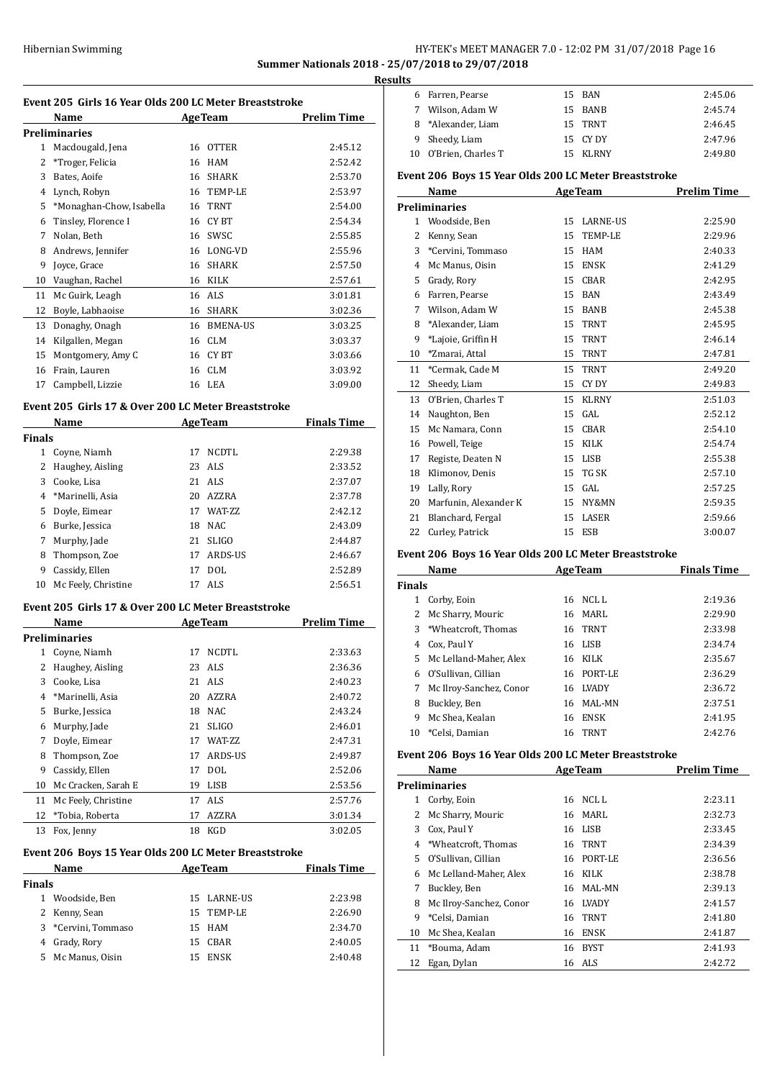## HY-TEK's MEET MANAGER 7.0 - 12:02 PM 31/07/2018 Page 16 **Summer Nationals 2018 - 25/07/2018 to 29/07/2018**

**Results**

| Event 205  Girls 16 Year Olds 200 LC Meter Breaststroke |                                                       |    |                           |                    |
|---------------------------------------------------------|-------------------------------------------------------|----|---------------------------|--------------------|
|                                                         | Name                                                  |    | <b>AgeTeam</b>            | <b>Prelim Time</b> |
|                                                         | Preliminaries                                         |    |                           |                    |
| 1<br>$\overline{2}$                                     | Macdougald, Jena                                      | 16 | <b>OTTER</b>              | 2:45.12            |
|                                                         | *Troger, Felicia                                      |    | 16 HAM                    | 2:52.42            |
| 3                                                       | Bates, Aoife                                          |    | 16 SHARK                  | 2:53.70            |
|                                                         | 4 Lynch, Robyn                                        |    | 16 TEMP-LE<br><b>TRNT</b> | 2:53.97            |
| 5                                                       | *Monaghan-Chow, Isabella                              | 16 | 16 CYBT                   | 2:54.00<br>2:54.34 |
| 6<br>7                                                  | Tinsley, Florence I                                   | 16 | SWSC                      | 2:55.85            |
| 8                                                       | Nolan, Beth<br>Andrews, Jennifer                      |    | 16 LONG-VD                | 2:55.96            |
| 9                                                       | Joyce, Grace                                          | 16 | <b>SHARK</b>              | 2:57.50            |
|                                                         | 10 Vaughan, Rachel                                    |    | 16 KILK                   |                    |
|                                                         |                                                       |    | 16 ALS                    | 2:57.61            |
| 11<br>12                                                | Mc Guirk, Leagh                                       | 16 |                           | 3:01.81            |
|                                                         | Boyle, Labhaoise                                      |    | SHARK                     | 3:02.36            |
| 13                                                      | Donaghy, Onagh                                        | 16 | <b>BMENA-US</b>           | 3:03.25            |
| 14                                                      | Kilgallen, Megan                                      | 16 | <b>CLM</b>                | 3:03.37            |
| 15                                                      | Montgomery, Amy C                                     |    | 16 CYBT                   | 3:03.66            |
| 16                                                      | Frain, Lauren                                         |    | 16 CLM                    | 3:03.92            |
| 17                                                      | Campbell, Lizzie                                      |    | 16 LEA                    | 3:09.00            |
|                                                         | Event 205 Girls 17 & Over 200 LC Meter Breaststroke   |    |                           |                    |
|                                                         | Name                                                  |    | <b>AgeTeam</b>            | <b>Finals Time</b> |
| Finals                                                  |                                                       |    |                           |                    |
|                                                         | 1 Coyne, Niamh                                        |    | 17 NCDTL                  | 2:29.38            |
|                                                         | 2 Haughey, Aisling                                    |    | 23 ALS                    | 2:33.52            |
| 3                                                       | Cooke, Lisa                                           |    | 21 ALS                    | 2:37.07            |
|                                                         | 4 *Marinelli, Asia                                    |    | 20 AZZRA                  | 2:37.78            |
| 5                                                       | Doyle, Eimear                                         |    | 17 WAT-ZZ                 | 2:42.12            |
| 6                                                       | Burke, Jessica                                        |    | 18 NAC                    | 2:43.09            |
| 7                                                       | Murphy, Jade                                          | 21 | <b>SLIGO</b>              | 2:44.87            |
|                                                         |                                                       |    |                           |                    |
| 8                                                       | Thompson, Zoe                                         | 17 | ARDS-US                   | 2:46.67            |
| 9                                                       | Cassidy, Ellen                                        | 17 | <b>DOL</b>                | 2:52.89<br>2:56.51 |
|                                                         | 10 Mc Feely, Christine                                |    | 17 ALS                    |                    |
|                                                         | Event 205 Girls 17 & Over 200 LC Meter Breaststroke   |    |                           |                    |
|                                                         | Name                                                  |    | <b>AgeTeam</b>            | <b>Prelim Time</b> |
|                                                         | <b>Preliminaries</b>                                  |    |                           |                    |
|                                                         | 1 Coyne, Niamh                                        | 17 | <b>NCDTL</b>              | 2:33.63            |
| 2                                                       | Haughey, Aisling                                      |    | 23 ALS                    | 2:36.36            |
| 3                                                       | Cooke, Lisa                                           | 21 | ALS                       | 2:40.23            |
| 4                                                       | *Marinelli, Asia                                      | 20 | AZZRA                     | 2:40.72            |
| 5                                                       | Burke, Jessica                                        | 18 | <b>NAC</b>                | 2:43.24            |
| 6                                                       | Murphy, Jade                                          | 21 | SLIGO                     | 2:46.01            |
| 7                                                       | Doyle, Eimear                                         | 17 | WAT-ZZ                    | 2:47.31            |
| 8                                                       | Thompson, Zoe                                         | 17 | ARDS-US                   | 2:49.87            |
| 9                                                       | Cassidy, Ellen                                        | 17 | DOL                       | 2:52.06            |
| 10                                                      | Mc Cracken, Sarah E                                   | 19 | LISB                      | 2:53.56            |
| 11                                                      | Mc Feely, Christine                                   | 17 | ALS                       | 2:57.76            |
| 12                                                      | *Tobia, Roberta                                       | 17 | AZZRA                     | 3:01.34            |
| 13                                                      | Fox, Jenny                                            | 18 | KGD                       | 3:02.05            |
|                                                         |                                                       |    |                           |                    |
|                                                         | Event 206 Boys 15 Year Olds 200 LC Meter Breaststroke |    |                           |                    |
|                                                         | Name                                                  |    | <b>AgeTeam</b>            | <b>Finals Time</b> |
| Finals                                                  |                                                       |    |                           |                    |
| 1                                                       | Woodside, Ben                                         |    | 15 LARNE-US               | 2:23.98            |
| 2                                                       | Kenny, Sean                                           | 15 | TEMP-LE                   | 2:26.90            |
| 3                                                       | *Cervini, Tommaso                                     | 15 | HAM                       | 2:34.70            |
| 4                                                       | Grady, Rory                                           | 15 | CBAR                      | 2:40.05            |
| 5                                                       | Mc Manus, Oisin                                       | 15 | ENSK                      | 2:40.48            |
|                                                         |                                                       |    |                           |                    |

| ΓS |                       |          |         |
|----|-----------------------|----------|---------|
|    | 6 Farren, Pearse      | 15 BAN   | 2:45.06 |
| 7  | Wilson, Adam W        | 15 BANB  | 2:45.74 |
|    | 8 *Alexander, Liam    | 15 TRNT  | 2:46.45 |
|    | 9 Sheedy, Liam        | 15 CYDY  | 2:47.96 |
|    | 10 O'Brien, Charles T | 15 KLRNY | 2:49.80 |
|    |                       |          |         |

## **Event 206 Boys 15 Year Olds 200 LC Meter Breaststroke**

|    | Name                  |    | <b>AgeTeam</b>  | <b>Prelim Time</b> |
|----|-----------------------|----|-----------------|--------------------|
|    | <b>Preliminaries</b>  |    |                 |                    |
| 1  | Woodside, Ben         | 15 | <b>LARNE-US</b> | 2:25.90            |
| 2  | Kenny, Sean           | 15 | <b>TEMP-LE</b>  | 2:29.96            |
| 3  | *Cervini, Tommaso     | 15 | <b>HAM</b>      | 2:40.33            |
| 4  | Mc Manus, Oisin       | 15 | <b>ENSK</b>     | 2:41.29            |
| 5  | Grady, Rory           | 15 | <b>CBAR</b>     | 2:42.95            |
| 6  | Farren, Pearse        | 15 | <b>BAN</b>      | 2:43.49            |
| 7  | Wilson, Adam W        | 15 | <b>BANB</b>     | 2:45.38            |
| 8  | *Alexander, Liam      | 15 | <b>TRNT</b>     | 2:45.95            |
| 9  | *Lajoie, Griffin H    | 15 | <b>TRNT</b>     | 2:46.14            |
| 10 | *Zmarai, Attal        | 15 | <b>TRNT</b>     | 2:47.81            |
| 11 | *Cermak, Cade M       | 15 | <b>TRNT</b>     | 2:49.20            |
| 12 | Sheedy, Liam          | 15 | <b>CYDY</b>     | 2:49.83            |
| 13 | O'Brien, Charles T    | 15 | <b>KLRNY</b>    | 2:51.03            |
| 14 | Naughton, Ben         | 15 | GAL.            | 2:52.12            |
| 15 | Mc Namara, Conn       | 15 | <b>CBAR</b>     | 2:54.10            |
| 16 | Powell, Teige         | 15 | <b>KILK</b>     | 2:54.74            |
| 17 | Registe, Deaten N     | 15 | <b>LISB</b>     | 2:55.38            |
| 18 | Klimonov, Denis       | 15 | TG SK           | 2:57.10            |
| 19 | Lally, Rory           | 15 | GAL             | 2:57.25            |
| 20 | Marfunin, Alexander K | 15 | NY&MN           | 2:59.35            |
| 21 | Blanchard, Fergal     | 15 | <b>LASER</b>    | 2:59.66            |
| 22 | Curley, Patrick       | 15 | <b>ESB</b>      | 3:00.07            |

## **Event 206 Boys 16 Year Olds 200 LC Meter Breaststroke**

| Name          |                          |    | <b>AgeTeam</b> | <b>Finals Time</b> |
|---------------|--------------------------|----|----------------|--------------------|
| <b>Finals</b> |                          |    |                |                    |
| 1             | Corby, Eoin              | 16 | NCL L          | 2:19.36            |
| 2             | Mc Sharry, Mouric        |    | 16 MARL        | 2:29.90            |
| 3             | *Wheatcroft, Thomas      | 16 | <b>TRNT</b>    | 2:33.98            |
| 4             | Cox, Paul Y              | 16 | LISB           | 2:34.74            |
|               | 5 Mc Lelland-Maher, Alex | 16 | KILK           | 2:35.67            |
| 6             | O'Sullivan, Cillian      | 16 | PORT-LE        | 2:36.29            |
| 7             | Mc Ilroy-Sanchez, Conor  | 16 | <b>LVADY</b>   | 2:36.72            |
| 8             | Buckley, Ben             | 16 | MAL-MN         | 2:37.51            |
| 9             | Mc Shea, Kealan          | 16 | <b>ENSK</b>    | 2:41.95            |
| 10            | *Celsi, Damian           | 16 | <b>TRNT</b>    | 2:42.76            |

#### **Event 206 Boys 16 Year Olds 200 LC Meter Breaststroke**

|    | Name                    | <b>AgeTeam</b> |              | <b>Prelim Time</b> |
|----|-------------------------|----------------|--------------|--------------------|
|    | <b>Preliminaries</b>    |                |              |                    |
| 1  | Corby, Eoin             | 16             | NCL L        | 2:23.11            |
| 2  | Mc Sharry, Mouric       | 16             | MARL         | 2:32.73            |
| 3  | Cox, Paul Y             |                | 16 LISB      | 2:33.45            |
| 4  | *Wheatcroft, Thomas     | 16             | <b>TRNT</b>  | 2:34.39            |
| 5. | O'Sullivan, Cillian     | 16             | PORT-LE      | 2:36.56            |
| 6  | Mc Lelland-Maher, Alex  | 16             | KILK         | 2:38.78            |
| 7  | Buckley, Ben            | 16             | MAL-MN       | 2:39.13            |
| 8  | Mc Ilroy-Sanchez, Conor | 16             | <b>LVADY</b> | 2:41.57            |
| 9  | *Celsi, Damian          | 16             | <b>TRNT</b>  | 2:41.80            |
| 10 | Mc Shea, Kealan         | 16             | ENSK         | 2:41.87            |
| 11 | *Bouma, Adam            | 16             | <b>BYST</b>  | 2:41.93            |
| 12 | Egan, Dylan             | 16             | ALS          | 2:42.72            |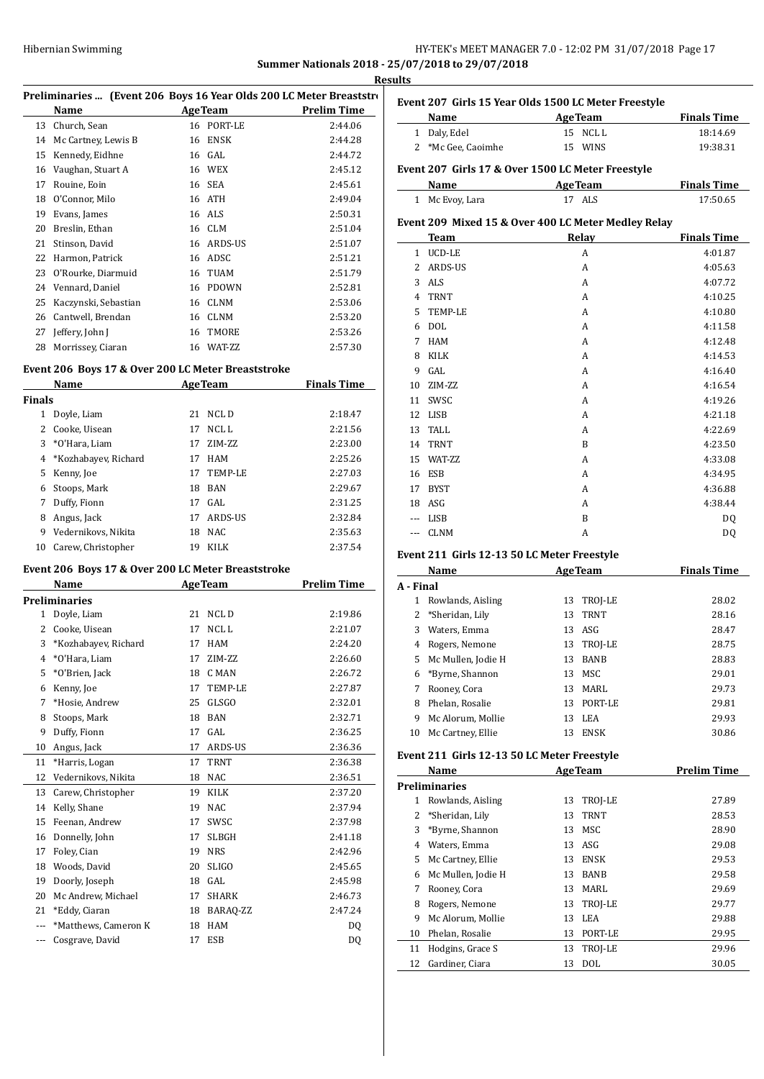## HY-TEK's MEET MANAGER 7.0 - 12:02 PM 31/07/2018 Page 17 **Summer Nationals 2018 - 25/07/2018 to 29/07/2018**

|        |                                                                             |          |                             |                    | <b>Results</b>                                                                                                                 |
|--------|-----------------------------------------------------------------------------|----------|-----------------------------|--------------------|--------------------------------------------------------------------------------------------------------------------------------|
|        | Preliminaries  (Event 206 Boys 16 Year Olds 200 LC Meter Breaststro<br>Name | AgeTeam  |                             | <b>Prelim Time</b> | <b>Event 20</b><br>Na                                                                                                          |
|        | 13 Church, Sean                                                             |          | 16 PORT-LE                  | 2:44.06            | 1 Da                                                                                                                           |
|        | 14 Mc Cartney, Lewis B                                                      |          | 16 ENSK                     | 2:44.28            | 2<br>$^*M$                                                                                                                     |
| 15     | Kennedy, Eidhne                                                             |          | 16 GAL                      | 2:44.72            |                                                                                                                                |
|        | 16 Vaughan, Stuart A                                                        |          | 16 WEX                      | 2:45.12            | <b>Event 20</b>                                                                                                                |
| 17     | Rouine, Eoin                                                                |          | 16 SEA                      | 2:45.61            | Na                                                                                                                             |
| 18     | O'Connor, Milo                                                              |          | 16 ATH                      | 2:49.04            | 1 Mc                                                                                                                           |
| 19     | Evans, James                                                                |          | 16 ALS                      | 2:50.31            | Event 20                                                                                                                       |
|        | 20 Breslin, Ethan<br>21 Stinson, David                                      |          | 16 CLM<br>16 ARDS-US        | 2:51.04<br>2:51.07 | Te                                                                                                                             |
|        | 22 Harmon, Patrick                                                          |          | 16 ADSC                     | 2:51.21            | $1$ UC                                                                                                                         |
|        | 23 O'Rourke, Diarmuid                                                       |          | 16 TUAM                     | 2:51.79            | 2 AR                                                                                                                           |
|        | 24 Vennard, Daniel                                                          |          | 16 PDOWN                    | 2:52.81            | 3 AL                                                                                                                           |
| 25     | Kaczynski, Sebastian                                                        |          | 16 CLNM                     | 2:53.06            | 4 TR                                                                                                                           |
|        | 26 Cantwell, Brendan                                                        |          | 16 CLNM                     | 2:53.20            | 5 TE                                                                                                                           |
| 27     | Jeffery, John J                                                             |          | 16 TMORE                    | 2:53.26            | 6 DO                                                                                                                           |
| 28     | Morrissey, Ciaran                                                           |          | 16 WAT-ZZ                   | 2:57.30            | 7 HA                                                                                                                           |
|        |                                                                             |          |                             |                    | 8 KII                                                                                                                          |
|        | Event 206 Boys 17 & Over 200 LC Meter Breaststroke                          |          |                             |                    | 9<br>GA                                                                                                                        |
|        | <b>Example 2.1 Age Team</b><br>Name                                         |          |                             | <b>Finals Time</b> | ZIN<br>10                                                                                                                      |
| Finals |                                                                             |          |                             |                    | SW<br>11                                                                                                                       |
|        | 1 Doyle, Liam                                                               |          | 21 NCLD                     | 2:18.47            | 12 LIS                                                                                                                         |
|        | 2 Cooke, Uisean                                                             |          | 17 NCL L                    | 2:21.56            | 13<br>TA.                                                                                                                      |
| 3      | *O'Hara, Liam                                                               |          | 17 ZIM-ZZ                   | 2:23.00            | 14 TR                                                                                                                          |
| 4      | *Kozhabayev, Richard                                                        |          | 17 HAM                      | 2:25.26            | 15 WA                                                                                                                          |
| 5      | Kenny, Joe                                                                  |          | 17 TEMP-LE                  | 2:27.03            | 16 ESI                                                                                                                         |
| 6<br>7 | Stoops, Mark<br>Duffy, Fionn                                                |          | 18 BAN<br>17 GAL            | 2:29.67<br>2:31.25 | 17 BY                                                                                                                          |
| 8      | Angus, Jack                                                                 |          | 17 ARDS-US                  | 2:32.84            | 18 AS<br>--- LIS                                                                                                               |
| 9      | Vedernikovs, Nikita                                                         |          | 18 NAC                      | 2:35.63            | --- CLI                                                                                                                        |
|        | 10 Carew, Christopher                                                       |          | 19 KILK                     | 2:37.54            |                                                                                                                                |
|        |                                                                             |          |                             |                    | <b>Event 21</b>                                                                                                                |
|        | Event 206 Boys 17 & Over 200 LC Meter Breaststroke                          |          |                             |                    | Na                                                                                                                             |
|        | Name                                                                        |          | <b>Example 2.1 Age Team</b> | <b>Prelim Time</b> | A - Final                                                                                                                      |
|        | <b>Preliminaries</b>                                                        |          |                             |                    | $\mathbf{1}$<br>Ro                                                                                                             |
|        | 1 Doyle, Liam<br>2 Cooke, Uisean                                            |          | 21 NCLD<br>17 NCL L         | 2:19.86<br>2:21.07 | $\overline{c}$<br>$*$ Sł                                                                                                       |
|        | 3 *Kozhabayev, Richard                                                      |          | 17 HAM                      | 2:24.20            | 3 Wa<br>4 Ro                                                                                                                   |
| 4      | *O'Hara, Liam                                                               | 17       | ZIM-ZZ                      | 2:26.60            | 5<br>Mc                                                                                                                        |
| 5      | *O'Brien, Jack                                                              | 18       | C MAN                       | 2:26.72            | 6<br>*By                                                                                                                       |
| 6      | Kenny, Joe                                                                  | 17       | TEMP-LE                     | 2:27.87            | 7<br>Ro                                                                                                                        |
| 7      | *Hosie, Andrew                                                              | 25       | <b>GLSGO</b>                | 2:32.01            | 8<br>Ph                                                                                                                        |
| 8      | Stoops, Mark                                                                | 18       | <b>BAN</b>                  | 2:32.71            | 9<br>Mc                                                                                                                        |
|        | Duffy, Fionn                                                                |          | GAL                         |                    |                                                                                                                                |
| 9      |                                                                             |          |                             |                    |                                                                                                                                |
| 10     |                                                                             | 17<br>17 |                             | 2:36.25            | 10                                                                                                                             |
| 11     | Angus, Jack                                                                 | 17       | ARDS-US<br>TRNT             | 2:36.36<br>2:36.38 |                                                                                                                                |
| 12     | *Harris, Logan                                                              | 18       |                             |                    |                                                                                                                                |
| 13     | Vedernikovs, Nikita<br>Carew, Christopher                                   | 19       | NAC<br>KILK                 | 2:36.51<br>2:37.20 |                                                                                                                                |
| 14     | Kelly, Shane                                                                | 19       | <b>NAC</b>                  | 2:37.94            | 1                                                                                                                              |
| 15     | Feenan, Andrew                                                              | 17       | SWSC                        | 2:37.98            | $\overline{2}$                                                                                                                 |
| 16     | Donnelly, John                                                              | 17       | SLBGH                       | 2:41.18            | 3                                                                                                                              |
| 17     | Foley, Cian                                                                 | 19       | <b>NRS</b>                  | 2:42.96            |                                                                                                                                |
| 18     | Woods, David                                                                | 20       | <b>SLIGO</b>                | 2:45.65            | 5                                                                                                                              |
| 19     | Doorly, Joseph                                                              |          | 18 GAL                      | 2:45.98            |                                                                                                                                |
| 20     | Mc Andrew, Michael                                                          | 17       | <b>SHARK</b>                | 2:46.73            | 7                                                                                                                              |
| 21     | *Eddy, Ciaran                                                               |          | 18 BARAQ-ZZ                 | 2:47.24            | 8                                                                                                                              |
|        | *Matthews, Cameron K                                                        |          | 18 HAM                      | DQ                 | 9                                                                                                                              |
|        | Cosgrave, David                                                             | 17       | ESB                         | DQ                 | 10                                                                                                                             |
|        |                                                                             |          |                             |                    | 11                                                                                                                             |
|        |                                                                             |          |                             |                    | 12                                                                                                                             |
|        |                                                                             |          |                             |                    | Mc<br>Event 21<br>Na<br>Prelimin<br>Ro <sup></sup><br>$*S$<br>$*B_1$<br>4 Wa<br>Mc<br>6 Mc<br>Ro<br>Ro<br>Mc<br>Ph<br>Ho<br>Ga |
|        |                                                                             |          |                             |                    |                                                                                                                                |
|        |                                                                             |          |                             |                    |                                                                                                                                |
|        |                                                                             |          |                             |                    |                                                                                                                                |

| Event 207 Girls 15 Year Olds 1500 LC Meter Freestyle |                    |                                                     |                    |  |
|------------------------------------------------------|--------------------|-----------------------------------------------------|--------------------|--|
|                                                      | Name               | <b>AgeTeam</b>                                      | <b>Finals Time</b> |  |
|                                                      | 1 Daly, Edel       | 15 NCLL                                             | 18:14.69           |  |
|                                                      | 2 *Mc Gee, Caoimhe | 15 WINS                                             | 19:38.31           |  |
|                                                      |                    | Event 207 Girls 17 & Over 1500 LC Meter Freestyle   |                    |  |
|                                                      | Name               | <b>Example 2 AgeTeam</b>                            | <b>Finals Time</b> |  |
|                                                      | 1 Mc Evoy, Lara    | 17 ALS                                              | 17:50.65           |  |
|                                                      |                    | Event 209 Mixed 15 & Over 400 LC Meter Medley Relay |                    |  |
|                                                      | Team               | Relay                                               | <b>Finals Time</b> |  |
| $\mathbf{1}$                                         | UCD-LE             | A                                                   | 4:01.87            |  |
| 2                                                    | ARDS-US            | A                                                   | 4:05.63            |  |
| 3                                                    | ALS                | A                                                   | 4:07.72            |  |
| $\overline{4}$                                       | <b>TRNT</b>        | A                                                   | 4:10.25            |  |
| 5                                                    | <b>TEMP-LE</b>     | A                                                   | 4:10.80            |  |
| 6                                                    | DOL                | A                                                   | 4:11.58            |  |
| 7                                                    | <b>HAM</b>         | A                                                   | 4:12.48            |  |
| 8                                                    | KILK               | A                                                   | 4:14.53            |  |
| 9                                                    | GAL.               | A                                                   | 4:16.40            |  |
| 10                                                   | ZIM-ZZ             | A                                                   | 4:16.54            |  |
| 11                                                   | SWSC               | A                                                   | 4:19.26            |  |
| 12                                                   | LISB               | A                                                   | 4:21.18            |  |
| 13                                                   | <b>TALL</b>        | A                                                   | 4:22.69            |  |
| 14                                                   | <b>TRNT</b>        | B                                                   | 4:23.50            |  |
| 15                                                   | <b>WAT-7.7</b>     | A                                                   | 4:33.08            |  |
| 16                                                   | <b>ESB</b>         | A                                                   | 4:34.95            |  |
| 17                                                   | BYST               | A                                                   | 4:36.88            |  |
| 18                                                   | ASG                | A                                                   | 4:38.44            |  |
| $---$                                                | LISB               | B                                                   | D <sub>0</sub>     |  |
| ---                                                  | <b>CLNM</b>        | A                                                   | DQ                 |  |

## **Event 211 Girls 12-13 50 LC Meter Freestyle**

|           | Name               |    | <b>AgeTeam</b> | <b>Finals Time</b> |
|-----------|--------------------|----|----------------|--------------------|
| \ - Final |                    |    |                |                    |
| 1         | Rowlands, Aisling  | 13 | TROJ-LE        | 28.02              |
| 2         | *Sheridan, Lily    | 13 | <b>TRNT</b>    | 28.16              |
| 3         | Waters, Emma       | 13 | ASG            | 28.47              |
| 4         | Rogers, Nemone     |    | 13 TROJ-LE     | 28.75              |
| 5.        | Mc Mullen, Jodie H | 13 | <b>BANB</b>    | 28.83              |
| 6         | *Byrne, Shannon    | 13 | MSC.           | 29.01              |
|           | Rooney, Cora       | 13 | MARI.          | 29.73              |
| 8         | Phelan, Rosalie    | 13 | PORT-LE        | 29.81              |
| 9         | Mc Alorum, Mollie  | 13 | LEA            | 29.93              |
| 10        | Mc Cartney, Ellie  | 13 | <b>ENSK</b>    | 30.86              |

#### **Event 211 Girls 12-13 50 LC Meter Freestyle**

|    | Name               |    | <b>AgeTeam</b> | <b>Prelim Time</b> |
|----|--------------------|----|----------------|--------------------|
|    | Preliminaries      |    |                |                    |
| 1  | Rowlands, Aisling  | 13 | TROJ-LE        | 27.89              |
|    | *Sheridan, Lily    | 13 | <b>TRNT</b>    | 28.53              |
| 3  | *Byrne, Shannon    | 13 | MSC            | 28.90              |
| 4  | Waters, Emma       | 13 | ASG            | 29.08              |
| 5. | Mc Cartney, Ellie  | 13 | ENSK           | 29.53              |
| 6  | Mc Mullen, Jodie H | 13 | <b>BANB</b>    | 29.58              |
| 7  | Rooney, Cora       | 13 | MARL           | 29.69              |
| 8  | Rogers, Nemone     | 13 | TROJ-LE        | 29.77              |
| 9  | Mc Alorum. Mollie  | 13 | LEA            | 29.88              |
| 10 | Phelan, Rosalie    | 13 | PORT-LE        | 29.95              |
| 11 | Hodgins, Grace S   | 13 | TROJ-LE        | 29.96              |
| 12 | Gardiner, Ciara    | 13 | DOL            | 30.05              |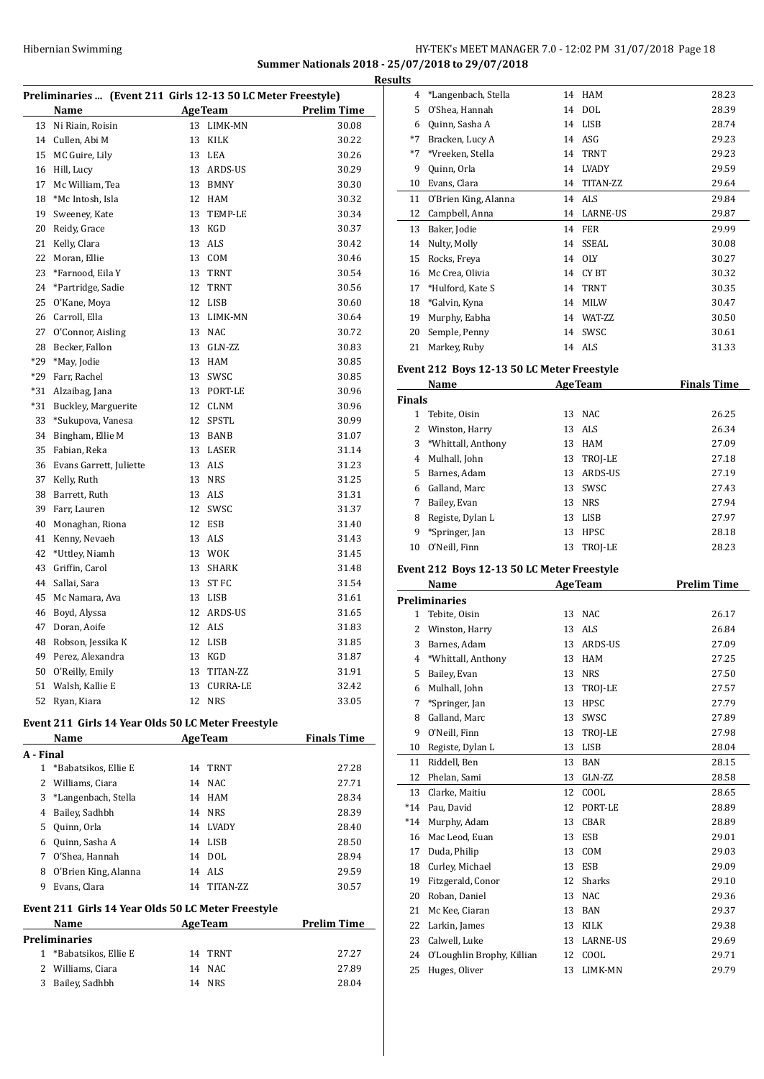## HY-TEK's MEET MANAGER 7.0 - 12:02 PM 31/07/2018 Page 18 **Summer Nationals 2018 - 25/07/2018 to 29/07/2018**

**Results**

|       |                         |    |                 | Preliminaries  (Event 211 Girls 12-13 50 LC Meter Freestyle) |  |  |  |  |  |
|-------|-------------------------|----|-----------------|--------------------------------------------------------------|--|--|--|--|--|
|       | Name                    |    | <b>AgeTeam</b>  | <b>Prelim Time</b>                                           |  |  |  |  |  |
| 13    | Ni Riain, Roisin        | 13 | LIMK-MN         | 30.08                                                        |  |  |  |  |  |
| 14    | Cullen, Abi M           | 13 | KILK            | 30.22                                                        |  |  |  |  |  |
| 15    | MC Guire, Lily          |    | 13 LEA          | 30.26                                                        |  |  |  |  |  |
| 16    | Hill, Lucy              |    | 13 ARDS-US      | 30.29                                                        |  |  |  |  |  |
| 17    | Mc William, Tea         |    | 13 BMNY         | 30.30                                                        |  |  |  |  |  |
| 18    | *Mc Intosh, Isla        |    | 12 HAM          | 30.32                                                        |  |  |  |  |  |
| 19    | Sweeney, Kate           | 13 | <b>TEMP-LE</b>  | 30.34                                                        |  |  |  |  |  |
| 20    | Reidy, Grace            | 13 | KGD             | 30.37                                                        |  |  |  |  |  |
| 21    | Kelly, Clara            | 13 | ALS             | 30.42                                                        |  |  |  |  |  |
| 22    | Moran, Ellie            |    | 13 COM          | 30.46                                                        |  |  |  |  |  |
| 23    | *Farnood, Eila Y        | 13 | TRNT            | 30.54                                                        |  |  |  |  |  |
| 24    | *Partridge, Sadie       | 12 | <b>TRNT</b>     | 30.56                                                        |  |  |  |  |  |
| 25    | O'Kane, Moya            | 12 | LISB            | 30.60                                                        |  |  |  |  |  |
| 26    | Carroll, Ella           | 13 | LIMK-MN         | 30.64                                                        |  |  |  |  |  |
| 27    | O'Connor, Aisling       | 13 | NAC             | 30.72                                                        |  |  |  |  |  |
| 28    | Becker, Fallon          |    | 13 GLN-ZZ       | 30.83                                                        |  |  |  |  |  |
| $*29$ | *May, Jodie             | 13 | <b>HAM</b>      | 30.85                                                        |  |  |  |  |  |
| $*29$ | Farr, Rachel            |    | 13 SWSC         | 30.85                                                        |  |  |  |  |  |
| $*31$ | Alzaibag, Jana          |    | 13 PORT-LE      | 30.96                                                        |  |  |  |  |  |
| *31   | Buckley, Marguerite     |    | 12 CLNM         | 30.96                                                        |  |  |  |  |  |
| 33    | *Sukupova, Vanesa       | 12 | <b>SPSTL</b>    | 30.99                                                        |  |  |  |  |  |
| 34    | Bingham, Ellie M        | 13 | <b>BANB</b>     | 31.07                                                        |  |  |  |  |  |
| 35    | Fabian, Reka            | 13 | LASER           | 31.14                                                        |  |  |  |  |  |
| 36    | Evans Garrett, Juliette |    | 13 ALS          | 31.23                                                        |  |  |  |  |  |
| 37    | Kelly, Ruth             | 13 | <b>NRS</b>      | 31.25                                                        |  |  |  |  |  |
| 38    | Barrett, Ruth           | 13 | ALS             | 31.31                                                        |  |  |  |  |  |
| 39    | Farr, Lauren            | 12 | SWSC            | 31.37                                                        |  |  |  |  |  |
| 40    | Monaghan, Riona         |    | 12 ESB          | 31.40                                                        |  |  |  |  |  |
| 41    | Kenny, Nevaeh           |    | 13 ALS          | 31.43                                                        |  |  |  |  |  |
| 42    | *Uttley, Niamh          |    | 13 WOK          | 31.45                                                        |  |  |  |  |  |
| 43    | Griffin, Carol          | 13 | SHARK           | 31.48                                                        |  |  |  |  |  |
| 44    | Sallai, Sara            |    | 13 ST FC        | 31.54                                                        |  |  |  |  |  |
| 45    | Mc Namara, Ava          |    | 13 LISB         | 31.61                                                        |  |  |  |  |  |
| 46    | Boyd, Alyssa            | 12 | ARDS-US         | 31.65                                                        |  |  |  |  |  |
| 47    | Doran, Aoife            |    | 12 ALS          | 31.83                                                        |  |  |  |  |  |
| 48    | Robson, Jessika K       |    | 12 LISB         | 31.85                                                        |  |  |  |  |  |
| 49    | Perez, Alexandra        | 13 | KGD             | 31.87                                                        |  |  |  |  |  |
| 50    | O'Reilly, Emily         | 13 | TITAN-ZZ        | 31.91                                                        |  |  |  |  |  |
| 51    | Walsh, Kallie E         | 13 | <b>CURRA-LE</b> | 32.42                                                        |  |  |  |  |  |
| 52    | Ryan, Kiara             | 12 | <b>NRS</b>      | 33.05                                                        |  |  |  |  |  |
|       |                         |    |                 |                                                              |  |  |  |  |  |

#### **Event 211 Girls 14 Year Olds 50 LC Meter Freestyle**

|           | Name                 |    | <b>AgeTeam</b> | <b>Finals Time</b> |
|-----------|----------------------|----|----------------|--------------------|
| A - Final |                      |    |                |                    |
| 1         | *Babatsikos, Ellie E |    | 14 TRNT        | 27.28              |
| 2         | Williams, Ciara      |    | 14 NAC         | 27.71              |
| 3         | *Langenbach, Stella  |    | 14 HAM         | 28.34              |
| 4         | Bailey, Sadhbh       |    | 14 NRS         | 28.39              |
| 5         | Quinn, Orla          |    | 14 I.VADY      | 28.40              |
| 6         | Quinn, Sasha A       |    | 14 LISB        | 28.50              |
| 7         | O'Shea, Hannah       |    | 14 DOL         | 28.94              |
| 8         | O'Brien King, Alanna |    | 14 ALS         | 29.59              |
| 9         | Evans, Clara         | 14 | TITAN-ZZ       | 30.57              |
|           |                      |    |                |                    |

## **Event 211 Girls 14 Year Olds 50 LC Meter Freestyle**

| Name                 | <b>AgeTeam</b> | <b>Prelim Time</b> |
|----------------------|----------------|--------------------|
| <b>Preliminaries</b> |                |                    |
| *Babatsikos, Ellie E | 14 TRNT        | 27.27              |
| 2 Williams, Ciara    | 14 NAC         | 27.89              |
| Bailey, Sadhbh<br>3  | 14 NRS         | 28.04              |

| 4    | *Langenbach, Stella  | 14 | HAM          | 28.23 |
|------|----------------------|----|--------------|-------|
| 5    | O'Shea, Hannah       | 14 | <b>DOL</b>   | 28.39 |
| 6    | Quinn, Sasha A       | 14 | <b>LISB</b>  | 28.74 |
| $*7$ | Bracken, Lucy A      | 14 | ASG          | 29.23 |
| $*7$ | *Vreeken, Stella     | 14 | <b>TRNT</b>  | 29.23 |
| 9    | Quinn, Orla          | 14 | <b>LVADY</b> | 29.59 |
| 10   | Evans, Clara         | 14 | TITAN-ZZ     | 29.64 |
| 11   | O'Brien King, Alanna |    | 14 ALS       | 29.84 |
| 12   | Campbell, Anna       |    | 14 LARNE-US  | 29.87 |
| 13   | Baker, Jodie         | 14 | <b>FER</b>   | 29.99 |
| 14   | Nulty, Molly         | 14 | SSEAL        | 30.08 |
| 15   | Rocks, Freya         | 14 | <b>OLY</b>   | 30.27 |
| 16   | Mc Crea, Olivia      | 14 | CY BT        | 30.32 |
| 17   | *Hulford, Kate S     | 14 | <b>TRNT</b>  | 30.35 |
| 18   | *Galvin, Kyna        | 14 | <b>MILW</b>  | 30.47 |
| 19   | Murphy, Eabha        | 14 | WAT-ZZ       | 30.50 |
| 20   | Semple, Penny        | 14 | SWSC         | 30.61 |
| 21   | Markey, Ruby         | 14 | ALS          | 31.33 |

## **Event 212 Boys 12-13 50 LC Meter Freestyle**

| <b>AgeTeam</b><br>Name |                    |    | <b>Finals Time</b> |       |
|------------------------|--------------------|----|--------------------|-------|
| <b>Finals</b>          |                    |    |                    |       |
|                        | Tebite, Oisin      | 13 | NAC.               | 26.25 |
| 2                      | Winston, Harry     |    | 13 ALS             | 26.34 |
| 3                      | *Whittall, Anthony | 13 | <b>HAM</b>         | 27.09 |
| 4                      | Mulhall, John      | 13 | TROJ-LE            | 27.18 |
| 5.                     | Barnes, Adam       | 13 | ARDS-US            | 27.19 |
| 6                      | Galland, Marc      | 13 | <b>SWSC</b>        | 27.43 |
| 7                      | Bailey, Evan       | 13 | <b>NRS</b>         | 27.94 |
| 8                      | Registe, Dylan L   | 13 | LISB               | 27.97 |
| 9                      | *Springer, Jan     | 13 | <b>HPSC</b>        | 28.18 |
| 10                     | O'Neill. Finn      | 13 | <b>TROI-LE</b>     | 28.23 |

### **Event 212 Boys 12-13 50 LC Meter Freestyle**

|              | Name                       | <b>AgeTeam</b> |             | <b>Prelim Time</b> |
|--------------|----------------------------|----------------|-------------|--------------------|
|              | <b>Preliminaries</b>       |                |             |                    |
| $\mathbf{1}$ | Tebite, Oisin              | 13             | NAC         | 26.17              |
| 2            | Winston, Harry             | 13             | <b>ALS</b>  | 26.84              |
| 3            | Barnes, Adam               | 13             | ARDS-US     | 27.09              |
| 4            | *Whittall, Anthony         | 13             | <b>HAM</b>  | 27.25              |
| 5            | Bailey, Evan               | 13             | <b>NRS</b>  | 27.50              |
| 6            | Mulhall, John              | 13             | TROJ-LE     | 27.57              |
| 7            | *Springer, Jan             | 13             | <b>HPSC</b> | 27.79              |
| 8            | Galland, Marc              | 13             | SWSC        | 27.89              |
| 9            | O'Neill, Finn              | 13             | TROJ-LE     | 27.98              |
| 10           | Registe, Dylan L           | 13             | <b>LISB</b> | 28.04              |
| 11           | Riddell, Ben               | 13             | <b>BAN</b>  | 28.15              |
| 12           | Phelan, Sami               | 13             | GLN-ZZ      | 28.58              |
| 13           | Clarke, Maitiu             | 12             | COOL        | 28.65              |
| $*14$        | Pau. David                 | 12             | PORT-LE     | 28.89              |
| $*14$        | Murphy, Adam               | 13             | <b>CBAR</b> | 28.89              |
| 16           | Mac Leod, Euan             | 13             | <b>ESB</b>  | 29.01              |
| 17           | Duda, Philip               | 13             | COM         | 29.03              |
| 18           | Curley, Michael            | 13             | <b>ESB</b>  | 29.09              |
| 19           | Fitzgerald, Conor          | 12             | Sharks      | 29.10              |
| 20           | Roban, Daniel              | 13             | <b>NAC</b>  | 29.36              |
| 21           | Mc Kee, Ciaran             | 13             | <b>BAN</b>  | 29.37              |
| 22           | Larkin, James              | 13             | <b>KILK</b> | 29.38              |
| 23           | Calwell, Luke              | 13             | LARNE-US    | 29.69              |
| 24           | O'Loughlin Brophy, Killian | 12             | COOL        | 29.71              |
| 25           | Huges, Oliver              | 13             | LIMK-MN     | 29.79              |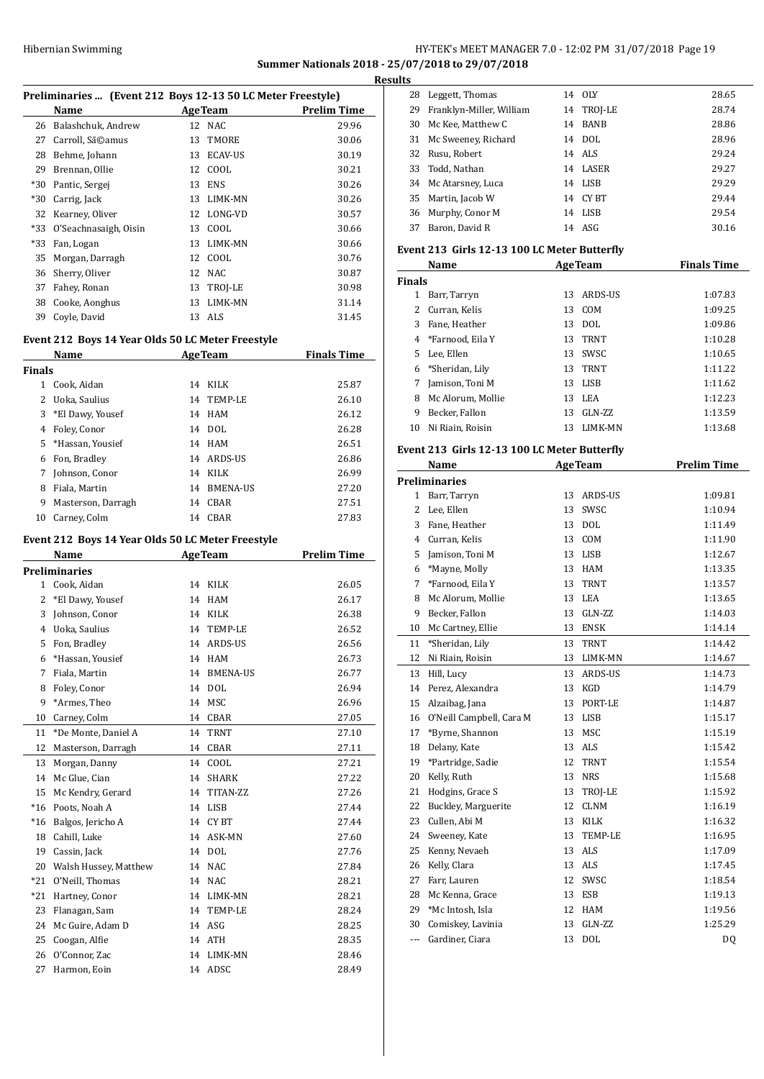## HY-TEK's MEET MANAGER 7.0 - 12:02 PM 31/07/2018 Page 19 **Summer Nationals 2018 - 25/07/2018 to 29/07/2018**

**Results**

 $\overline{a}$ 

 $\overline{a}$ 

| Preliminaries  (Event 212 Boys 12-13 50 LC Meter Freestyle) |                                                   |    |                |                    |
|-------------------------------------------------------------|---------------------------------------------------|----|----------------|--------------------|
|                                                             | Name                                              |    | AgeTeam        | <b>Prelim Time</b> |
| 26                                                          | Balashchuk, Andrew                                | 12 | NAC            | 29.96              |
| 27                                                          | Carroll, Sã©amus                                  | 13 | TMORE          | 30.06              |
|                                                             | 28 Behme, Johann                                  | 13 | ECAV-US        | 30.19              |
|                                                             | 29 Brennan, Ollie                                 |    | 12 COOL        | 30.21              |
|                                                             | *30 Pantic, Sergej                                |    | 13 ENS         | 30.26              |
|                                                             | *30 Carrig, Jack                                  |    | 13 LIMK-MN     | 30.26              |
|                                                             | 32 Kearney, Oliver                                |    | 12 LONG-VD     | 30.57              |
| *33                                                         | O'Seachnasaigh, Oisin                             |    | 13 COOL        | 30.66              |
| *33                                                         | Fan, Logan                                        |    | 13 LIMK-MN     | 30.66              |
| 35                                                          | Morgan, Darragh                                   |    | 12 COOL        | 30.76              |
| 36                                                          | Sherry, Oliver                                    |    | 12 NAC         | 30.87              |
|                                                             | 37 Fahey, Ronan                                   |    | 13 TROJ-LE     | 30.98              |
|                                                             | 38 Cooke, Aonghus                                 |    | 13 LIMK-MN     | 31.14              |
| 39                                                          | Coyle, David                                      |    | 13 ALS         | 31.45              |
|                                                             |                                                   |    |                |                    |
|                                                             | Event 212 Boys 14 Year Olds 50 LC Meter Freestyle |    |                |                    |
|                                                             | Name                                              |    | <b>AgeTeam</b> | <b>Finals Time</b> |
| <b>Finals</b>                                               |                                                   |    |                |                    |
|                                                             | 1 Cook, Aidan                                     |    | 14 KILK        | 25.87              |
|                                                             | 2 Uoka, Saulius                                   |    | 14 TEMP-LE     | 26.10              |
| 3                                                           | *El Dawy, Yousef                                  |    | 14 HAM         | 26.12              |
| 4                                                           | Foley, Conor                                      |    | 14 DOL         | 26.28              |
| 5                                                           | *Hassan, Yousief                                  |    | 14 HAM         | 26.51              |
|                                                             | 6 Fon, Bradley                                    |    | 14 ARDS-US     | 26.86              |
|                                                             | 7 Johnson, Conor                                  |    | 14 KILK        | 26.99              |
|                                                             | 8 Fiala, Martin                                   |    | 14 BMENA-US    | 27.20              |
| 9                                                           | Masterson, Darragh                                |    | 14 CBAR        | 27.51              |
| 10                                                          | Carney, Colm                                      |    | 14 CBAR        | 27.83              |
|                                                             |                                                   |    |                |                    |
|                                                             | Event 212 Boys 14 Year Olds 50 LC Meter Freestyle |    |                |                    |
|                                                             | Name                                              |    | <b>AgeTeam</b> | <b>Prelim Time</b> |
|                                                             | <b>Preliminaries</b>                              |    |                |                    |
|                                                             | 1 Cook, Aidan                                     |    | 14 KILK        | 26.05              |
|                                                             | 2 *El Dawy, Yousef                                |    | 14 HAM         | 26.17              |
|                                                             | 3 Johnson, Conor                                  |    | 14 KILK        | 26.38              |
|                                                             | 4 Uoka, Saulius                                   |    | 14 TEMP-LE     | 26.52              |
|                                                             | 5 Fon, Bradley                                    |    | 14 ARDS-US     | 26.56              |
| 6                                                           | *Hassan, Yousief                                  |    | 14 HAM         | 26.73              |
| 7                                                           | Fiala, Martin                                     | 14 | BMENA-US       | 26.77              |
| 8                                                           | Foley, Conor                                      | 14 | <b>DOL</b>     | 26.94              |
| 9                                                           | *Armes, Theo                                      | 14 | MSC            | 26.96              |
| 10                                                          | Carney, Colm                                      | 14 | CBAR           | 27.05              |
| 11                                                          | *De Monte, Daniel A                               | 14 | TRNT           | 27.10              |
| 12                                                          | Masterson, Darragh                                | 14 | CBAR           | 27.11              |
| 13                                                          | Morgan, Danny                                     | 14 | COOL           | 27.21              |
| 14                                                          | Mc Glue, Cian                                     | 14 | SHARK          | 27.22              |
| 15                                                          | Mc Kendry, Gerard                                 | 14 | TITAN-ZZ       | 27.26              |
| $*16$                                                       | Poots, Noah A                                     | 14 | <b>LISB</b>    | 27.44              |
| *16                                                         | Balgos, Jericho A                                 | 14 | CY BT          | 27.44              |
| 18                                                          | Cahill, Luke                                      | 14 | ASK-MN         | 27.60              |
| 19                                                          | Cassin, Jack                                      | 14 | DOL            | 27.76              |
| 20                                                          | Walsh Hussey, Matthew                             | 14 | NAC            | 27.84              |
| *21                                                         | O'Neill, Thomas                                   | 14 | NAC            | 28.21              |
| *21                                                         | Hartney, Conor                                    | 14 | LIMK-MN        | 28.21              |
| 23                                                          | Flanagan, Sam                                     | 14 | TEMP-LE        | 28.24              |
| 24                                                          | Mc Guire, Adam D                                  | 14 | ASG            | 28.25              |
| 25                                                          | Coogan, Alfie                                     | 14 | ATH            | 28.35              |
| 26                                                          | O'Connor, Zac                                     | 14 | LIMK-MN        | 28.46              |
| 27                                                          | Harmon, Eoin                                      | 14 | ADSC           | 28.49              |
|                                                             |                                                   |    |                |                    |

| เ๖ |                          |    |            |       |
|----|--------------------------|----|------------|-------|
| 28 | Leggett, Thomas          | 14 | - OLY      | 28.65 |
| 29 | Franklyn-Miller, William |    | 14 TROJ-LE | 28.74 |
| 30 | Mc Kee, Matthew C        | 14 | BANB       | 28.86 |
|    | 31 Mc Sweeney, Richard   |    | 14 DOL     | 28.96 |
|    | 32 Rusu, Robert          |    | 14 ALS     | 29.24 |
|    | 33 Todd, Nathan          | 14 | LASER      | 29.27 |
|    | 34 Mc Atarsney, Luca     | 14 | LISB       | 29.29 |
| 35 | Martin, Jacob W          | 14 | CY BT      | 29.44 |
|    | 36 Murphy, Conor M       | 14 | LISB       | 29.54 |
| 37 | Baron, David R           | 14 | ASG        | 30.16 |

## **Event 213 Girls 12-13 100 LC Meter Butterfly**

| Name          |                    |    | <b>AgeTeam</b> | <b>Finals Time</b> |  |
|---------------|--------------------|----|----------------|--------------------|--|
| <b>Finals</b> |                    |    |                |                    |  |
|               | Barr, Tarryn       | 13 | ARDS-US        | 1:07.83            |  |
| 2             | Curran, Kelis      | 13 | COM            | 1:09.25            |  |
| 3             | Fane, Heather      | 13 | DOL.           | 1:09.86            |  |
|               | 4 *Farnood, Eila Y | 13 | TRNT           | 1:10.28            |  |
| 5.            | Lee, Ellen         | 13 | <b>SWSC</b>    | 1:10.65            |  |
| 6             | *Sheridan, Lily    | 13 | <b>TRNT</b>    | 1:11.22            |  |
|               | Jamison, Toni M    |    | 13 LISB        | 1:11.62            |  |
| 8             | Mc Alorum, Mollie  | 13 | LEA            | 1:12.23            |  |
| 9             | Becker, Fallon     | 13 | $GLN-ZZ$       | 1:13.59            |  |
| 10            | Ni Riain, Roisin   | 13 | LIMK-MN        | 1:13.68            |  |

## **Event 213 Girls 12-13 100 LC Meter Butterfly**

|        | Name                     |    | <b>AgeTeam</b> | <b>Prelim Time</b> |
|--------|--------------------------|----|----------------|--------------------|
|        | <b>Preliminaries</b>     |    |                |                    |
| 1      | Barr, Tarryn             | 13 | <b>ARDS-US</b> | 1:09.81            |
| 2      | Lee, Ellen               | 13 | SWSC           | 1:10.94            |
| 3      | Fane, Heather            | 13 | <b>DOL</b>     | 1:11.49            |
| 4      | Curran, Kelis            | 13 | COM            | 1:11.90            |
| 5      | Jamison, Toni M          | 13 | <b>LISB</b>    | 1:12.67            |
| 6      | *Mayne, Molly            | 13 | <b>HAM</b>     | 1:13.35            |
| 7      | *Farnood, Eila Y         | 13 | <b>TRNT</b>    | 1:13.57            |
| 8      | Mc Alorum, Mollie        | 13 | LEA            | 1:13.65            |
| 9      | Becker, Fallon           | 13 | GLN-ZZ         | 1:14.03            |
| 10     | Mc Cartney, Ellie        | 13 | <b>ENSK</b>    | 1:14.14            |
| 11     | *Sheridan, Lily          | 13 | <b>TRNT</b>    | 1:14.42            |
| 12     | Ni Riain, Roisin         | 13 | LIMK-MN        | 1:14.67            |
| 13     | Hill, Lucy               | 13 | ARDS-US        | 1:14.73            |
| 14     | Perez, Alexandra         | 13 | <b>KGD</b>     | 1:14.79            |
| 15     | Alzaibag, Jana           | 13 | PORT-LE        | 1:14.87            |
| 16     | O'Neill Campbell, Cara M | 13 | <b>LISB</b>    | 1:15.17            |
| 17     | *Byrne, Shannon          | 13 | <b>MSC</b>     | 1:15.19            |
| 18     | Delany, Kate             | 13 | ALS            | 1:15.42            |
| 19     | *Partridge, Sadie        | 12 | <b>TRNT</b>    | 1:15.54            |
| 20     | Kelly, Ruth              | 13 | <b>NRS</b>     | 1:15.68            |
| 21     | Hodgins, Grace S         | 13 | TROJ-LE        | 1:15.92            |
| 22     | Buckley, Marguerite      | 12 | <b>CLNM</b>    | 1:16.19            |
| 23     | Cullen, Abi M            | 13 | KILK           | 1:16.32            |
| 24     | Sweeney, Kate            | 13 | TEMP-LE        | 1:16.95            |
| 25     | Kenny, Nevaeh            | 13 | <b>ALS</b>     | 1:17.09            |
| 26     | Kelly, Clara             | 13 | ALS            | 1:17.45            |
| 27     | Farr, Lauren             | 12 | SWSC           | 1:18.54            |
| 28     | Mc Kenna, Grace          | 13 | <b>ESB</b>     | 1:19.13            |
| 29     | *Mc Intosh, Isla         | 12 | <b>HAM</b>     | 1:19.56            |
| 30     | Comiskey, Lavinia        | 13 | GLN-ZZ         | 1:25.29            |
| $\sim$ | Gardiner, Ciara          | 13 | <b>DOL</b>     | DQ                 |
|        |                          |    |                |                    |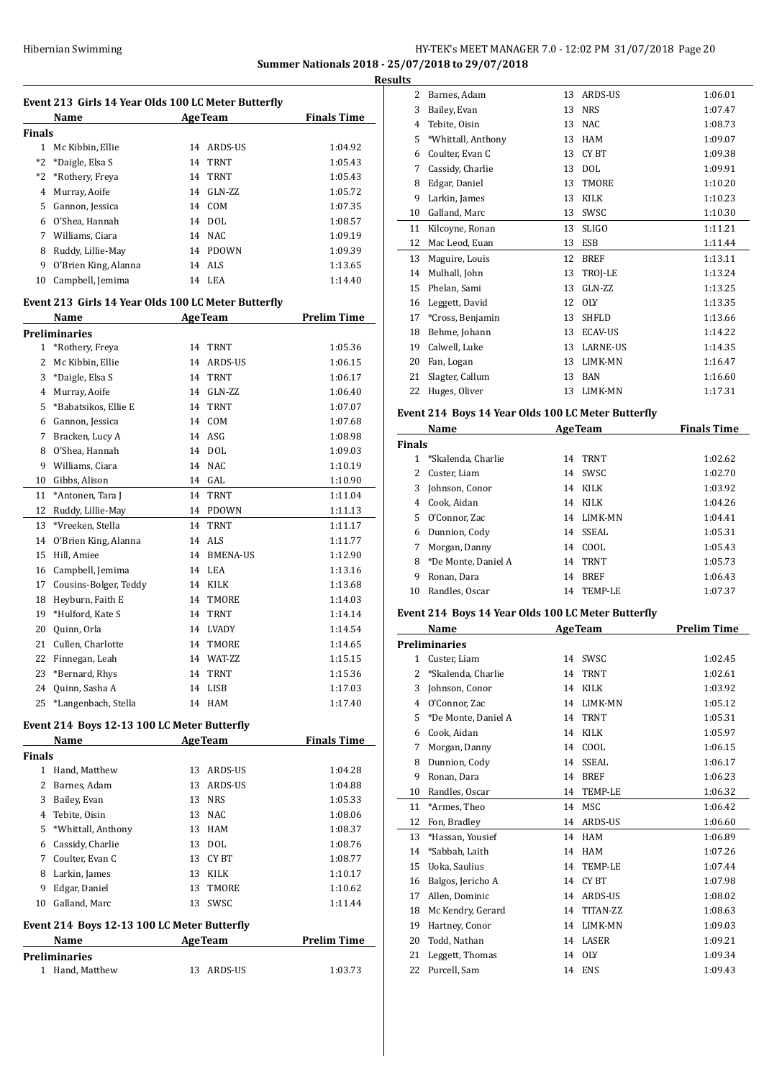## HY-TEK's MEET MANAGER 7.0 - 12:02 PM 31/07/2018 Page 20 **Summer Nationals 2018 - 25/07/2018 to 29/07/2018**

**Results**

|               | Name                                                |    | <b>AgeTeam</b> | <b>Finals Time</b> |
|---------------|-----------------------------------------------------|----|----------------|--------------------|
| <b>Finals</b> |                                                     |    |                |                    |
|               | 1 Mc Kibbin, Ellie                                  |    | 14 ARDS-US     | 1:04.92            |
| $*2$          | *Daigle, Elsa S                                     |    | 14 TRNT        | 1:05.43            |
| $*2$          | *Rothery, Freya                                     |    | 14 TRNT        | 1:05.43            |
|               | 4 Murray, Aoife                                     |    | 14 GLN-ZZ      | 1:05.72            |
|               | 5 Gannon, Jessica                                   |    | 14 COM         | 1:07.35            |
|               | 6 O'Shea, Hannah                                    |    | 14 DOL         | 1:08.57            |
|               | 7 Williams, Ciara                                   |    | 14 NAC         | 1:09.19            |
| 8             | Ruddy, Lillie-May                                   |    | 14 PDOWN       | 1:09.39            |
| 9             | O'Brien King, Alanna                                |    | 14 ALS         | 1:13.65            |
| 10            | Campbell, Jemima                                    |    | 14 LEA         | 1:14.40            |
|               | Event 213 Girls 14 Year Olds 100 LC Meter Butterfly |    |                |                    |
|               | Name                                                |    | <b>AgeTeam</b> | Prelim Time        |
|               | <b>Preliminaries</b>                                |    |                |                    |
| $\mathbf{1}$  | *Rothery, Freya                                     | 14 | <b>TRNT</b>    | 1:05.36            |
| 2             | Mc Kibbin, Ellie                                    |    | 14 ARDS-US     | 1:06.15            |
|               | 3 *Daigle, Elsa S                                   |    | 14 TRNT        | 1:06.17            |
|               | 4 Murray, Aoife                                     |    | 14 GLN-ZZ      | 1:06.40            |
|               | 5 *Babatsikos, Ellie E                              |    | 14 TRNT        | 1:07.07            |
|               | 6 Gannon, Jessica                                   |    | 14 COM         | 1:07.68            |
|               | 7 Bracken, Lucy A                                   |    | 14 ASG         | 1:08.98            |
|               | 8 O'Shea, Hannah                                    |    | 14 DOL         | 1:09.03            |
|               | 9 Williams, Ciara                                   | 14 | NAC            | 1:10.19            |
| 10            | Gibbs, Alison                                       |    | 14 GAL         | 1:10.90            |
| 11            | *Antonen, Tara J                                    |    | 14 TRNT        | 1:11.04            |
| 12            | Ruddy, Lillie-May                                   |    | 14 PDOWN       | 1:11.13            |
| 13            | *Vreeken, Stella                                    |    | 14 TRNT        | 1:11.17            |
| 14            | O'Brien King, Alanna                                |    | 14 ALS         | 1:11.77            |
| 15            | Hill, Amiee                                         |    | 14 BMENA-US    | 1:12.90            |
|               | 16 Campbell, Jemima                                 |    | 14 LEA         | 1:13.16            |
| 17            | Cousins-Bolger, Teddy                               |    | 14 KILK        | 1:13.68            |
| 18            | Heyburn, Faith E                                    |    | 14 TMORE       | 1:14.03            |
| 19            | *Hulford, Kate S                                    |    | 14 TRNT        | 1:14.14            |
| 20            | Quinn, Orla                                         |    | 14 LVADY       | 1:14.54            |
| 21            | Cullen, Charlotte                                   |    | 14 TMORE       | 1:14.65            |
| 22            | Finnegan, Leah                                      |    | 14 WAT-ZZ      | 1:15.15            |
| 23            | *Bernard, Rhys                                      |    | 14 TRNT        | 1:15.36            |
| 24            | Quinn, Sasha A                                      |    | 14 LISB        | 1:17.03            |
| 25            | *Langenbach, Stella                                 | 14 | <b>HAM</b>     | 1:17.40            |

# **Event 214 Boys 12-13 100 LC Meter Butterfly<br>Name AgeTeam**

|        | Name                                        |    | <b>AgeTeam</b> | <b>Finals Time</b> |  |
|--------|---------------------------------------------|----|----------------|--------------------|--|
| Finals |                                             |    |                |                    |  |
| 1      | Hand. Matthew                               | 13 | ARDS-US        | 1:04.28            |  |
| 2      | Barnes, Adam                                | 13 | ARDS-US        | 1:04.88            |  |
| 3      | Bailey, Evan                                | 13 | <b>NRS</b>     | 1:05.33            |  |
| 4      | Tebite, Oisin                               | 13 | NAC            | 1:08.06            |  |
| 5.     | *Whittall, Anthony                          | 13 | <b>HAM</b>     | 1:08.37            |  |
| 6      | Cassidy, Charlie                            | 13 | <b>DOL</b>     | 1:08.76            |  |
| 7      | Coulter, Evan C                             | 13 | CY BT          | 1:08.77            |  |
| 8      | Larkin, James                               | 13 | KILK           | 1:10.17            |  |
| 9      | Edgar, Daniel                               | 13 | TMORE          | 1:10.62            |  |
| 10     | Galland, Marc                               | 13 | SWSC           | 1:11.44            |  |
|        | Event 214 Boys 12-13 100 LC Meter Butterfly |    |                |                    |  |
|        | Name                                        |    | AgeTeam        | <b>Prelim Time</b> |  |
|        | Preliminaries                               |    |                |                    |  |

| <b>Preliminaries</b> |            |         |  |  |
|----------------------|------------|---------|--|--|
| 1 Hand. Matthew      | 13 ARDS-US | 1:03.73 |  |  |

| Barnes, Adam       | 13 | ARDS-US        | 1:06.01 |
|--------------------|----|----------------|---------|
| Bailey, Evan       | 13 | <b>NRS</b>     | 1:07.47 |
| Tebite, Oisin      | 13 | <b>NAC</b>     | 1:08.73 |
| *Whittall, Anthony | 13 | <b>HAM</b>     | 1:09.07 |
| Coulter, Evan C    | 13 | CY BT          | 1:09.38 |
| Cassidy, Charlie   | 13 | <b>DOL</b>     | 1:09.91 |
| Edgar, Daniel      | 13 | TMORE          | 1:10.20 |
| Larkin, James      | 13 | <b>KILK</b>    | 1:10.23 |
| Galland, Marc      | 13 | SWSC           | 1:10.30 |
| Kilcoyne, Ronan    | 13 | <b>SLIGO</b>   | 1:11.21 |
| Mac Leod, Euan     | 13 | <b>ESB</b>     | 1:11.44 |
| Maguire, Louis     | 12 | <b>BREF</b>    | 1:13.11 |
| Mulhall, John      | 13 | TROJ-LE        | 1:13.24 |
| Phelan, Sami       | 13 | $GLN-ZZ$       | 1:13.25 |
| Leggett, David     | 12 | <b>OLY</b>     | 1:13.35 |
| *Cross, Benjamin   | 13 | <b>SHFLD</b>   | 1:13.66 |
| Behme, Johann      | 13 | <b>ECAV-US</b> | 1:14.22 |
| Calwell, Luke      | 13 | LARNE-US       | 1:14.35 |
| Fan, Logan         | 13 | LIMK-MN        | 1:16.47 |
| Slagter, Callum    | 13 | <b>BAN</b>     | 1:16.60 |
| Huges, Oliver      | 13 | LIMK-MN        | 1:17.31 |
|                    |    |                |         |

### **Event 214 Boys 14 Year Olds 100 LC Meter Butterfly**

| Name          |                     |    | <b>AgeTeam</b> | <b>Finals Time</b> |
|---------------|---------------------|----|----------------|--------------------|
| <b>Finals</b> |                     |    |                |                    |
|               | *Skalenda, Charlie  | 14 | <b>TRNT</b>    | 1:02.62            |
| 2.            | Custer, Liam        | 14 | SWSC           | 1:02.70            |
| 3             | Johnson, Conor      | 14 | KILK           | 1:03.92            |
| 4             | Cook, Aidan         | 14 | KILK           | 1:04.26            |
| 5.            | O'Connor, Zac       | 14 | LIMK-MN        | 1:04.41            |
| 6             | Dunnion, Cody       | 14 | SSEAL          | 1:05.31            |
| 7             | Morgan, Danny       | 14 | COOL           | 1:05.43            |
| 8             | *De Monte, Daniel A | 14 | <b>TRNT</b>    | 1:05.73            |
| 9             | Ronan, Dara         | 14 | <b>BREF</b>    | 1:06.43            |
| 10            | Randles, Oscar      | 14 | TEMP-LE        | 1:07.37            |

### **Event 214 Boys 14 Year Olds 100 LC Meter Butterfly**

|    | Name                 |    | <b>AgeTeam</b>  | <b>Prelim Time</b> |
|----|----------------------|----|-----------------|--------------------|
|    | <b>Preliminaries</b> |    |                 |                    |
| 1  | Custer, Liam         | 14 | SWSC            | 1:02.45            |
| 2  | *Skalenda, Charlie   | 14 | <b>TRNT</b>     | 1:02.61            |
| 3  | Johnson, Conor       | 14 | <b>KILK</b>     | 1:03.92            |
| 4  | O'Connor, Zac        | 14 | LIMK-MN         | 1:05.12            |
| 5  | *De Monte, Daniel A  | 14 | <b>TRNT</b>     | 1:05.31            |
| 6  | Cook, Aidan          | 14 | <b>KILK</b>     | 1:05.97            |
| 7  | Morgan, Danny        | 14 | COOL            | 1:06.15            |
| 8  | Dunnion, Cody        | 14 | <b>SSEAL</b>    | 1:06.17            |
| 9  | Ronan, Dara          | 14 | <b>BREF</b>     | 1:06.23            |
| 10 | Randles, Oscar       | 14 | <b>TEMP-LE</b>  | 1:06.32            |
| 11 | *Armes, Theo         | 14 | <b>MSC</b>      | 1:06.42            |
| 12 | Fon, Bradley         | 14 | ARDS-US         | 1:06.60            |
| 13 | *Hassan, Yousief     | 14 | <b>HAM</b>      | 1:06.89            |
| 14 | *Sabbah, Laith       | 14 | <b>HAM</b>      | 1:07.26            |
| 15 | Uoka, Saulius        | 14 | TEMP-LE         | 1:07.44            |
| 16 | Balgos, Jericho A    | 14 | <b>CYBT</b>     | 1:07.98            |
| 17 | Allen, Dominic       | 14 | <b>ARDS-US</b>  | 1:08.02            |
| 18 | Mc Kendry, Gerard    | 14 | <b>TITAN-ZZ</b> | 1:08.63            |
| 19 | Hartney, Conor       | 14 | LIMK-MN         | 1:09.03            |
| 20 | Todd, Nathan         | 14 | LASER           | 1:09.21            |
| 21 | Leggett, Thomas      | 14 | <b>OLY</b>      | 1:09.34            |
| 22 | Purcell, Sam         | 14 | <b>ENS</b>      | 1:09.43            |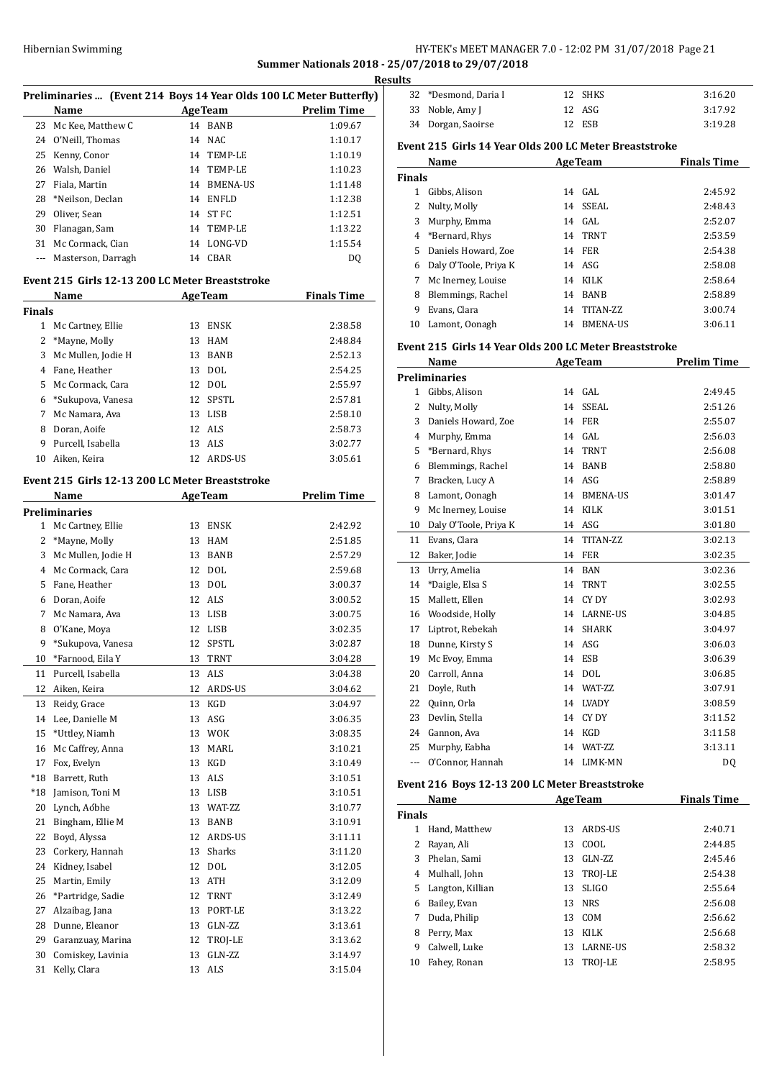## Hibernian Swimming **HY-TEK's MEET MANAGER 7.0 - 12:02 PM 31/07/2018** Page 21 **Summer Nationals 2018 - 25/07/2018 to 29/07/2018**

**Results**

|               |                        | Preliminaries  (Event 214 Boys 14 Year Olds 100 LC Meter Butterfly) | <u>nes</u>         |
|---------------|------------------------|---------------------------------------------------------------------|--------------------|
|               | Name                   | <b>AgeTeam</b>                                                      | <b>Prelim Time</b> |
|               | 23 Mc Kee, Matthew C   | 14 BANB                                                             | 1:09.67            |
|               | 24 O'Neill, Thomas     | 14 NAC                                                              | 1:10.17            |
|               | 25 Kenny, Conor        | 14 TEMP-LE                                                          | 1:10.19            |
|               | 26 Walsh, Daniel       | 14 TEMP-LE                                                          | 1:10.23            |
|               | 27 Fiala, Martin       | 14 BMENA-US                                                         | 1:11.48            |
| 28            | *Neilson, Declan       | 14 ENFLD                                                            | 1:12.38            |
|               |                        | 14 ST FC                                                            | 1:12.51            |
|               | 29 Oliver, Sean        |                                                                     |                    |
| 30            | Flanagan, Sam          | 14 TEMP-LE                                                          | 1:13.22            |
|               | 31 Mc Cormack, Cian    | 14 LONG-VD                                                          | 1:15.54            |
|               | --- Masterson, Darragh | 14 CBAR                                                             | DQ                 |
|               |                        | Event 215 Girls 12-13 200 LC Meter Breaststroke                     |                    |
|               | Name                   | AgeTeam                                                             | <b>Finals Time</b> |
| <b>Finals</b> |                        |                                                                     |                    |
|               | 1 Mc Cartney, Ellie    | 13 ENSK                                                             | 2:38.58            |
|               | 2 *Mayne, Molly        | 13 HAM                                                              | 2:48.84            |
| 3             | Mc Mullen, Jodie H     | 13 BANB                                                             | 2:52.13            |
|               | 4 Fane, Heather        | 13 DOL                                                              | 2:54.25            |
| 5             | Mc Cormack, Cara       | 12 DOL                                                              | 2:55.97            |
|               | 6 *Sukupova, Vanesa    | 12 SPSTL                                                            | 2:57.81            |
|               | 7 Mc Namara, Ava       | 13 LISB                                                             | 2:58.10            |
| 8             | Doran, Aoife           | 12 ALS                                                              | 2:58.73            |
| 9             | Purcell, Isabella      | 13 ALS                                                              | 3:02.77            |
|               | 10 Aiken, Keira        | 12 ARDS-US                                                          | 3:05.61            |
|               |                        | Event 215 Girls 12-13 200 LC Meter Breaststroke                     |                    |
|               | Name                   | AgeTeam                                                             | <b>Prelim Time</b> |
|               | <b>Preliminaries</b>   |                                                                     |                    |
|               | 1 Mc Cartney, Ellie    | 13 ENSK                                                             | 2:42.92            |
|               | 2 *Mayne, Molly        | 13 HAM                                                              | 2:51.85            |
| 3             | Mc Mullen, Jodie H     | 13 BANB                                                             | 2:57.29            |
|               | 4 Mc Cormack, Cara     | 12 DOL                                                              | 2:59.68            |
|               | 5 Fane, Heather        | 13 DOL                                                              | 3:00.37            |
|               | 6 Doran, Aoife         | 12 ALS                                                              | 3:00.52            |
|               | 7 Mc Namara, Ava       | 13 LISB                                                             |                    |
|               |                        |                                                                     | 3:00.75            |
| 8             | O'Kane, Moya           | 12 LISB                                                             | 3:02.35            |
| 9             | *Sukupova, Vanesa      | 12 SPSTL                                                            | 3:02.87            |
| 10            | *Farnood, Eila Y       | 13<br>TRNT                                                          | 3:04.28            |
| 11            | Purcell, Isabella      | ALS<br>13                                                           | 3:04.38            |
| 12            | Aiken, Keira           | ARDS-US<br>12                                                       | 3:04.62            |
| 13            | Reidy, Grace           | 13<br>KGD                                                           | 3:04.97            |
| 14            | Lee, Danielle M        | ASG<br>13                                                           | 3:06.35            |
| 15            | *Uttley, Niamh         | 13<br><b>WOK</b>                                                    | 3:08.35            |
| 16            | Mc Caffrey, Anna       | MARL<br>13                                                          | 3:10.21            |
| 17            | Fox, Evelyn            | KGD<br>13                                                           | 3:10.49            |
| *18           | Barrett, Ruth          | ALS<br>13                                                           | 3:10.51            |
| *18           | Jamison, Toni M        | LISB<br>13                                                          | 3:10.51            |
| 20            | Lynch, Aóbhe           | WAT-ZZ<br>13                                                        | 3:10.77            |
| 21            | Bingham, Ellie M       | BANB<br>13                                                          | 3:10.91            |
| 22            | Boyd, Alyssa           | ARDS-US<br>12                                                       | 3:11.11            |
| 23            | Corkery, Hannah        | Sharks<br>13                                                        | 3:11.20            |
| 24            | Kidney, Isabel         | 12<br>DOL                                                           |                    |
|               |                        |                                                                     | 3:12.05            |
| 25            | Martin, Emily          | 13<br>ATH                                                           | 3:12.09            |
| 26            | *Partridge, Sadie      | 12<br>TRNT                                                          | 3:12.49            |
| 27            | Alzaibag, Jana         | 13<br>PORT-LE                                                       | 3:13.22            |
| 28            | Dunne, Eleanor         | GLN-ZZ<br>13                                                        | 3:13.61            |
| 29            | Garanzuay, Marina      | 12<br>TROJ-LE                                                       | 3:13.62            |
| 30            | Comiskey, Lavinia      | 13<br>GLN-ZZ                                                        | 3:14.97            |
| 31            | Kelly, Clara           | 13 ALS                                                              | 3:15.04            |

| LS. |                      |         |         |
|-----|----------------------|---------|---------|
|     | 32 *Desmond, Daria I | 12 SHKS | 3:16.20 |
|     | 33 Noble, Amy J      | 12 ASG  | 3:17.92 |
|     | 34 Dorgan, Saoirse   | 12 ESB  | 3:19.28 |

## **Event 215 Girls 14 Year Olds 200 LC Meter Breaststroke**

|               | Name                  | <b>AgeTeam</b> |                 | <b>Finals Time</b> |
|---------------|-----------------------|----------------|-----------------|--------------------|
| <b>Finals</b> |                       |                |                 |                    |
| 1             | Gibbs, Alison         |                | $14$ GAL        | 2:45.92            |
| 2             | Nulty, Molly          | 14             | SSEAL           | 2:48.43            |
| 3             | Murphy, Emma          |                | 14 GAL          | 2:52.07            |
| 4             | *Bernard, Rhys        | 14             | TRNT            | 2:53.59            |
| 5.            | Daniels Howard, Zoe   | 14             | FER             | 2:54.38            |
| 6             | Daly O'Toole, Priya K |                | 14 ASG          | 2:58.08            |
| 7             | Mc Inerney, Louise    | 14             | KILK            | 2:58.64            |
| 8             | Blemmings, Rachel     | 14             | <b>BANB</b>     | 2:58.89            |
| 9             | Evans, Clara          | 14             | TITAN-ZZ        | 3:00.74            |
| 10            | Lamont, Oonagh        | 14             | <b>BMENA-US</b> | 3:06.11            |

### **Event 215 Girls 14 Year Olds 200 LC Meter Breaststroke**

|              | Name                  |    | <b>AgeTeam</b>  | <b>Prelim Time</b> |
|--------------|-----------------------|----|-----------------|--------------------|
|              | <b>Preliminaries</b>  |    |                 |                    |
| $\mathbf{1}$ | Gibbs, Alison         | 14 | GAL.            | 2:49.45            |
| 2            | Nulty, Molly          | 14 | SSEAL           | 2:51.26            |
| 3            | Daniels Howard, Zoe   | 14 | <b>FER</b>      | 2:55.07            |
| 4            | Murphy, Emma          | 14 | GAL.            | 2:56.03            |
| 5            | *Bernard, Rhys        | 14 | <b>TRNT</b>     | 2:56.08            |
| 6            | Blemmings, Rachel     | 14 | <b>BANB</b>     | 2:58.80            |
| 7            | Bracken, Lucy A       | 14 | ASG             | 2:58.89            |
| 8            | Lamont, Oonagh        | 14 | <b>BMENA-US</b> | 3:01.47            |
| 9            | Mc Inerney, Louise    | 14 | <b>KILK</b>     | 3:01.51            |
| 10           | Daly O'Toole, Priya K | 14 | ASG             | 3:01.80            |
| 11           | Evans, Clara          | 14 | TITAN-ZZ        | 3:02.13            |
| 12           | Baker, Jodie          | 14 | <b>FER</b>      | 3:02.35            |
| 13           | Urry, Amelia          | 14 | <b>BAN</b>      | 3:02.36            |
| 14           | *Daigle, Elsa S       | 14 | <b>TRNT</b>     | 3:02.55            |
| 15           | Mallett, Ellen        | 14 | CY DY           | 3:02.93            |
| 16           | Woodside, Holly       | 14 | <b>LARNE-US</b> | 3:04.85            |
| 17           | Liptrot, Rebekah      | 14 | <b>SHARK</b>    | 3:04.97            |
| 18           | Dunne, Kirsty S       | 14 | ASG             | 3:06.03            |
| 19           | Mc Evoy, Emma         | 14 | <b>ESB</b>      | 3:06.39            |
| 20           | Carroll, Anna         | 14 | <b>DOL</b>      | 3:06.85            |
| 21           | Doyle, Ruth           | 14 | WAT-ZZ          | 3:07.91            |
| 22           | Quinn, Orla           | 14 | <b>LVADY</b>    | 3:08.59            |
| 23           | Devlin, Stella        | 14 | CY DY           | 3:11.52            |
| 24           | Gannon, Ava           | 14 | <b>KGD</b>      | 3:11.58            |
| 25           | Murphy, Eabha         | 14 | WAT-ZZ          | 3:13.11            |
| ---          | O'Connor, Hannah      | 14 | <b>LIMK-MN</b>  | D <sub>0</sub>     |

## **Event 216 Boys 12-13 200 LC Meter Breaststroke**

|               | Little 210 Doys 12 15 200 BC Meter Dicaststrone |    |                 |                    |  |  |
|---------------|-------------------------------------------------|----|-----------------|--------------------|--|--|
|               | <b>Name</b>                                     |    | <b>AgeTeam</b>  | <b>Finals Time</b> |  |  |
| <b>Finals</b> |                                                 |    |                 |                    |  |  |
| 1             | Hand, Matthew                                   | 13 | ARDS-US         | 2:40.71            |  |  |
|               | Rayan, Ali                                      | 13 | COOL            | 2:44.85            |  |  |
| 3             | Phelan. Sami                                    | 13 | $GLN-ZZ$        | 2:45.46            |  |  |
| 4             | Mulhall, John                                   |    | 13 TROJ-LE      | 2:54.38            |  |  |
| 5.            | Langton, Killian                                | 13 | <b>SLIGO</b>    | 2:55.64            |  |  |
| 6             | Bailey, Evan                                    |    | 13 NRS          | 2:56.08            |  |  |
| 7             | Duda, Philip                                    |    | 13 COM          | 2:56.62            |  |  |
| 8             | Perry, Max                                      | 13 | <b>KILK</b>     | 2:56.68            |  |  |
| 9             | Calwell, Luke                                   | 13 | <b>LARNE-US</b> | 2:58.32            |  |  |
| 10            | Fahey, Ronan                                    | 13 | TROJ-LE         | 2:58.95            |  |  |
|               |                                                 |    |                 |                    |  |  |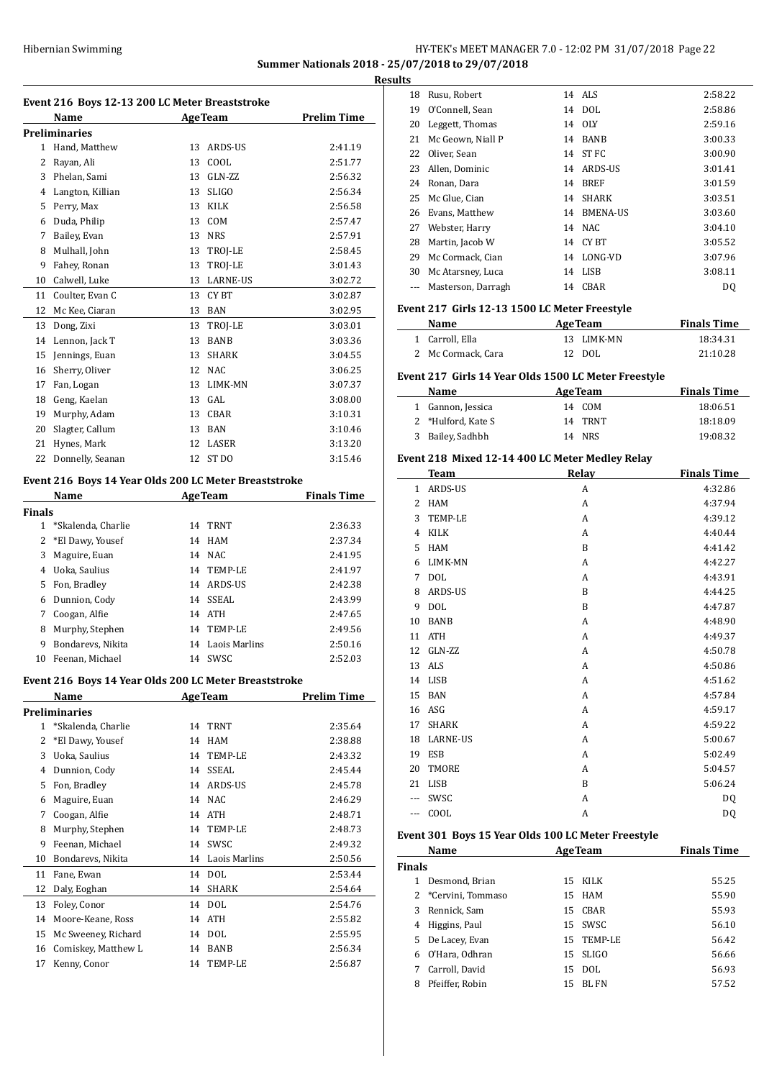## HY-TEK's MEET MANAGER 7.0 - 12:02 PM 31/07/2018 Page 22 **Summer Nationals 2018 - 25/07/2018 to 29/07/2018**

**Results**

|              | Name                 |    | <b>AgeTeam</b>   | <b>Prelim Time</b> |
|--------------|----------------------|----|------------------|--------------------|
|              | <b>Preliminaries</b> |    |                  |                    |
| $\mathbf{1}$ | Hand, Matthew        | 13 | ARDS-US          | 2:41.19            |
| 2            | Rayan, Ali           | 13 | COOL             | 2:51.77            |
| 3            | Phelan, Sami         | 13 | $GLN-ZZ$         | 2:56.32            |
| 4            | Langton, Killian     | 13 | <b>SLIGO</b>     | 2:56.34            |
| 5            | Perry, Max           | 13 | <b>KILK</b>      | 2:56.58            |
| 6            | Duda, Philip         | 13 | COM              | 2:57.47            |
| 7            | Bailey, Evan         | 13 | <b>NRS</b>       | 2:57.91            |
| 8            | Mulhall, John        | 13 | TROJ-LE          | 2:58.45            |
| 9            | Fahey, Ronan         | 13 | TROJ-LE          | 3:01.43            |
| 10           | Calwell, Luke        | 13 | <b>LARNE-US</b>  | 3:02.72            |
| 11           | Coulter, Evan C      | 13 | CY BT            | 3:02.87            |
| 12           | Mc Kee, Ciaran       | 13 | <b>BAN</b>       | 3:02.95            |
| 13           | Dong, Zixi           | 13 | TROJ-LE          | 3:03.01            |
| 14           | Lennon, Jack T       | 13 | <b>BANB</b>      | 3:03.36            |
| 15           | Jennings, Euan       | 13 | <b>SHARK</b>     | 3:04.55            |
| 16           | Sherry, Oliver       | 12 | NAC              | 3:06.25            |
| 17           | Fan, Logan           | 13 | <b>LIMK-MN</b>   | 3:07.37            |
| 18           | Geng, Kaelan         | 13 | GAL.             | 3:08.00            |
| 19           | Murphy, Adam         | 13 | CBAR             | 3:10.31            |
| 20           | Slagter, Callum      | 13 | <b>BAN</b>       | 3:10.46            |
| 21           | Hynes, Mark          | 12 | <b>LASER</b>     | 3:13.20            |
| 22           | Donnelly, Seanan     | 12 | ST <sub>DO</sub> | 3:15.46            |

## **Event 216 Boys 14 Year Olds 200 LC Meter Breaststroke**

| Name   |                    |    | <b>AgeTeam</b> | <b>Finals Time</b> |  |
|--------|--------------------|----|----------------|--------------------|--|
| Finals |                    |    |                |                    |  |
|        | *Skalenda, Charlie | 14 | TRNT           | 2:36.33            |  |
|        | 2 *El Dawy, Yousef | 14 | HAM            | 2:37.34            |  |
| 3      | Maguire, Euan      | 14 | NAC.           | 2:41.95            |  |
| 4      | Uoka, Saulius      | 14 | TEMP-LE        | 2:41.97            |  |
| 5      | Fon, Bradley       | 14 | ARDS-US        | 2:42.38            |  |
| 6      | Dunnion, Cody      | 14 | SSEAL          | 2:43.99            |  |
| 7      | Coogan, Alfie      | 14 | ATH            | 2:47.65            |  |
| 8      | Murphy, Stephen    | 14 | TEMP-LE        | 2:49.56            |  |
| 9      | Bondarevs, Nikita  | 14 | Laois Marlins  | 2:50.16            |  |
| 10     | Feenan. Michael    | 14 | SWSC           | 2:52.03            |  |

### **Event 216 Boys 14 Year Olds 200 LC Meter Breaststroke**

|              | <b>Preliminaries</b> |    |                |         |
|--------------|----------------------|----|----------------|---------|
| $\mathbf{1}$ | *Skalenda, Charlie   |    | 14 TRNT        | 2:35.64 |
| 2            | *El Dawy, Yousef     | 14 | HAM            | 2:38.88 |
| 3            | Uoka, Saulius        | 14 | TEMP-LE        | 2:43.32 |
| 4            | Dunnion, Cody        | 14 | SSEAL          | 2:45.44 |
| 5            | Fon, Bradley         | 14 | ARDS-US        | 2:45.78 |
| 6            | Maguire, Euan        | 14 | <b>NAC</b>     | 2:46.29 |
| 7            | Coogan, Alfie        | 14 | <b>ATH</b>     | 2:48.71 |
| 8            | Murphy, Stephen      | 14 | <b>TEMP-LE</b> | 2:48.73 |
| 9            | Feenan, Michael      | 14 | SWSC           | 2:49.32 |
| 10           | Bondarevs, Nikita    | 14 | Laois Marlins  | 2:50.56 |
| 11           | Fane, Ewan           | 14 | <b>DOL</b>     | 2:53.44 |
| 12           | Daly, Eoghan         | 14 | <b>SHARK</b>   | 2:54.64 |
| 13           | Foley, Conor         | 14 | <b>DOL</b>     | 2:54.76 |
| 14           | Moore-Keane, Ross    | 14 | <b>ATH</b>     | 2:55.82 |
| 15           | Mc Sweeney, Richard  | 14 | <b>DOL</b>     | 2:55.95 |
| 16           | Comiskey, Matthew L  | 14 | <b>BANB</b>    | 2:56.34 |
| 17           | Kenny, Conor         | 14 | <b>TEMP-LE</b> | 2:56.87 |

| 18 | Rusu, Robert       |    | 14 ALS          | 2:58.22 |
|----|--------------------|----|-----------------|---------|
| 19 | O'Connell, Sean    |    | 14 DOL          | 2:58.86 |
| 20 | Leggett, Thomas    | 14 | <b>OLY</b>      | 2:59.16 |
| 21 | Mc Geown, Niall P  | 14 | <b>BANB</b>     | 3:00.33 |
| 22 | Oliver, Sean       | 14 | ST FC           | 3:00.90 |
| 23 | Allen, Dominic     | 14 | ARDS-US         | 3:01.41 |
| 24 | Ronan, Dara        | 14 | <b>BREF</b>     | 3:01.59 |
| 25 | Mc Glue, Cian      | 14 | SHARK           | 3:03.51 |
| 26 | Evans, Matthew     | 14 | <b>BMENA-US</b> | 3:03.60 |
| 27 | Webster, Harry     | 14 | NAC             | 3:04.10 |
| 28 | Martin, Jacob W    | 14 | CY BT           | 3:05.52 |
| 29 | Mc Cormack, Cian   | 14 | LONG-VD         | 3:07.96 |
| 30 | Mc Atarsney, Luca  | 14 | LISB            | 3:08.11 |
|    | Masterson, Darragh | 14 | CBAR            | DQ      |
|    |                    |    |                 |         |

#### **Event 217 Girls 12-13 1500 LC Meter Freestyle**

| Name               | <b>AgeTeam</b> | <b>Finals Time</b> |
|--------------------|----------------|--------------------|
| 1 Carroll, Ella    | 13 LIMK-MN     | 18:34.31           |
| 2 Mc Cormack, Cara | 12 DOL         | 21:10.28           |

### **Event 217 Girls 14 Year Olds 1500 LC Meter Freestyle**

| Name               | <b>AgeTeam</b> | <b>Finals Time</b> |
|--------------------|----------------|--------------------|
| 1 Gannon, Jessica  | 14 COM         | 18:06.51           |
| 2 *Hulford, Kate S | 14 TRNT        | 18:18.09           |
| 3 Bailey, Sadhbh   | 14 NRS         | 19:08.32           |

## **Event 218 Mixed 12-14 400 LC Meter Medley Relay**

|              | <b>Team</b>     | <b>Relay</b> | <b>Finals Time</b> |
|--------------|-----------------|--------------|--------------------|
| $\mathbf{1}$ | <b>ARDS-US</b>  | A            | 4:32.86            |
| 2            | <b>HAM</b>      | A            | 4:37.94            |
| 3            | <b>TEMP-LE</b>  | A            | 4:39.12            |
| 4            | <b>KILK</b>     | A            | 4:40.44            |
| 5            | <b>HAM</b>      | B            | 4:41.42            |
| 6            | LIMK-MN         | A            | 4:42.27            |
| 7            | <b>DOL</b>      | A            | 4:43.91            |
| 8            | <b>ARDS-US</b>  | B            | 4:44.25            |
| 9            | <b>DOL</b>      | B            | 4:47.87            |
| 10           | <b>BANB</b>     | A            | 4:48.90            |
| 11           | <b>ATH</b>      | A            | 4:49.37            |
| 12           | GLN-ZZ          | A            | 4:50.78            |
| 13           | <b>ALS</b>      | A            | 4:50.86            |
| 14           | LISB            | A            | 4:51.62            |
| 15           | <b>BAN</b>      | A            | 4:57.84            |
| 16           | ASG             | A            | 4:59.17            |
| 17           | <b>SHARK</b>    | A            | 4:59.22            |
| 18           | <b>LARNE-US</b> | A            | 5:00.67            |
| 19           | ESB             | A            | 5:02.49            |
| 20           | <b>TMORE</b>    | A            | 5:04.57            |
| 21           | LISB            | B            | 5:06.24            |
| $---$        | SWSC            | A            | DQ                 |
| ---          | COOL            | A            | DQ                 |

## **Event 301 Boys 15 Year Olds 100 LC Meter Freestyle**

|               | Name                | <b>AgeTeam</b> |            | <b>Finals Time</b> |
|---------------|---------------------|----------------|------------|--------------------|
| <b>Finals</b> |                     |                |            |                    |
| 1             | Desmond, Brian      |                | 15 KILK    | 55.25              |
|               | 2 *Cervini, Tommaso |                | 15 HAM     | 55.90              |
| 3             | Rennick, Sam        | 15             | CBAR       | 55.93              |
| 4             | Higgins, Paul       |                | 15 SWSC    | 56.10              |
| 5.            | De Lacey, Evan      |                | 15 TEMP-LE | 56.42              |
| 6             | 0'Hara, Odhran      |                | 15 SLIGO   | 56.66              |
|               | Carroll, David      | 15             | DOL        | 56.93              |
| 8             | Pfeiffer, Robin     | 15             | BL FN      | 57.52              |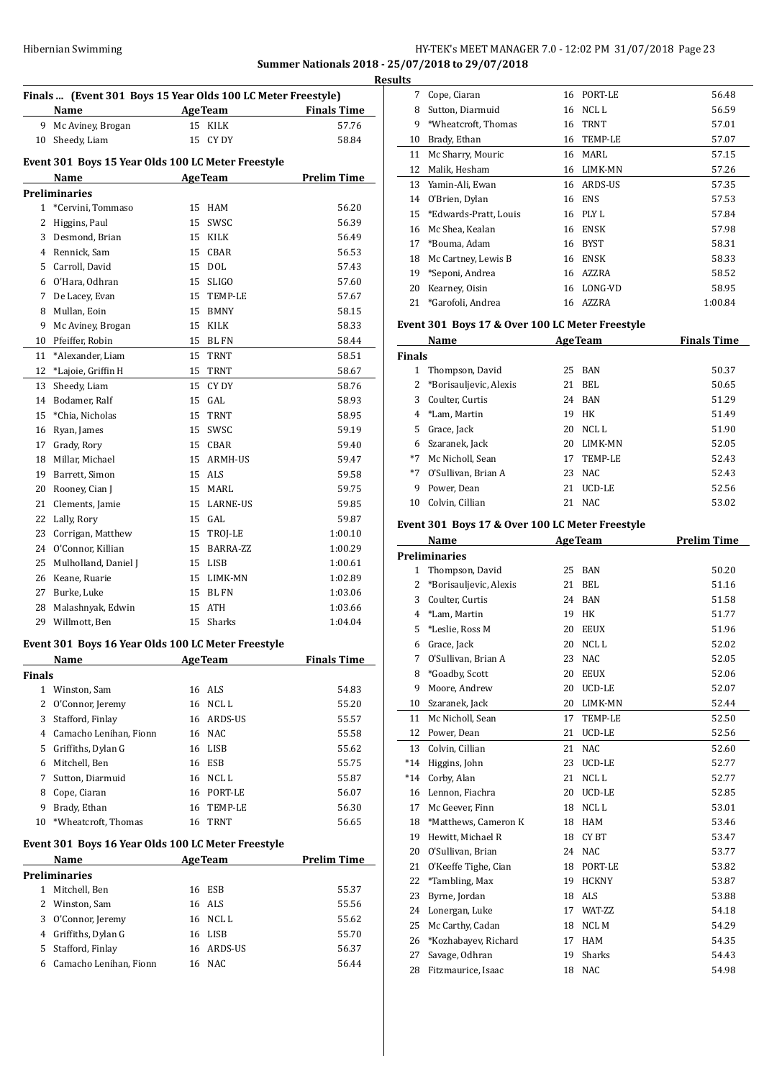## Hibernian Swimming **HY-TEK's MEET MANAGER 7.0 - 12:02 PM 31/07/2018** Page 23 **Summer Nationals 2018 - 25/07/2018 to 29/07/2018**

| Finals  (Event 301 Boys 15 Year Olds 100 LC Meter Freestyle) |                                                    |    |                |                    |  |
|--------------------------------------------------------------|----------------------------------------------------|----|----------------|--------------------|--|
|                                                              | Name                                               |    | <b>AgeTeam</b> | <b>Finals Time</b> |  |
|                                                              | 9 Mc Aviney, Brogan                                |    | 15 KILK        | 57.76              |  |
| 10                                                           | Sheedy, Liam                                       |    | 15 CY DY       | 58.84              |  |
|                                                              |                                                    |    |                |                    |  |
|                                                              | Event 301 Boys 15 Year Olds 100 LC Meter Freestyle |    |                |                    |  |
|                                                              | Name                                               |    | <b>AgeTeam</b> | <b>Prelim Time</b> |  |
|                                                              | <b>Preliminaries</b>                               |    |                |                    |  |
| 1                                                            | *Cervini, Tommaso                                  | 15 | HAM            | 56.20              |  |
| $\overline{2}$                                               | Higgins, Paul                                      | 15 | SWSC           | 56.39              |  |
| 3                                                            | Desmond, Brian                                     |    | 15 KILK        | 56.49              |  |
|                                                              | 4 Rennick, Sam                                     |    | 15 CBAR        | 56.53              |  |
|                                                              | 5 Carroll, David                                   |    | 15 DOL         | 57.43              |  |
|                                                              | 6 O'Hara, Odhran                                   |    | 15 SLIGO       | 57.60              |  |
| 7                                                            | De Lacey, Evan                                     |    | 15 TEMP-LE     | 57.67              |  |
| 8                                                            | Mullan, Eoin                                       |    | 15 BMNY        | 58.15              |  |
| 9                                                            | Mc Aviney, Brogan                                  |    | 15 KILK        | 58.33              |  |
| 10                                                           | Pfeiffer, Robin                                    |    | 15 BL FN       | 58.44              |  |
| 11                                                           | *Alexander, Liam                                   | 15 | TRNT           | 58.51              |  |
| 12                                                           | *Lajoie, Griffin H                                 | 15 | TRNT           | 58.67              |  |
| 13                                                           | Sheedy, Liam                                       | 15 | CY DY          | 58.76              |  |
| 14                                                           | Bodamer, Ralf                                      |    | 15 GAL         | 58.93              |  |
| 15                                                           | *Chia, Nicholas                                    | 15 | <b>TRNT</b>    | 58.95              |  |
| 16                                                           | Ryan, James                                        | 15 | SWSC           | 59.19              |  |
| 17                                                           | Grady, Rory                                        |    | 15 CBAR        | 59.40              |  |
| 18                                                           | Millar, Michael                                    |    | 15 ARMH-US     | 59.47              |  |
| 19                                                           | Barrett, Simon                                     |    | 15 ALS         | 59.58              |  |
| 20                                                           | Rooney, Cian J                                     |    | 15 MARL        | 59.75              |  |
| 21                                                           | Clements, Jamie                                    |    | 15 LARNE-US    | 59.85              |  |
| 22                                                           | Lally, Rory                                        |    | 15 GAL         | 59.87              |  |
| 23                                                           | Corrigan, Matthew                                  |    | 15 TROJ-LE     | 1:00.10            |  |
|                                                              | 24 O'Connor, Killian                               |    | 15 BARRA-ZZ    | 1:00.29            |  |
| 25                                                           | Mulholland, Daniel J                               |    | 15 LISB        | 1:00.61            |  |
| 26                                                           | Keane, Ruarie                                      |    | 15 LIMK-MN     | 1:02.89            |  |
| 27                                                           | Burke, Luke                                        |    | 15 BL FN       | 1:03.06            |  |
| 28                                                           | Malashnyak, Edwin                                  | 15 | ATH            | 1:03.66            |  |
| 29                                                           | Willmott, Ben                                      | 15 | <b>Sharks</b>  | 1:04.04            |  |
|                                                              | Event 301 Boys 16 Year Olds 100 LC Meter Freestyle |    |                |                    |  |
|                                                              | <u>Name</u>                                        |    | <b>AgeTeam</b> | <u>Finals Time</u> |  |
| <b>Finals</b>                                                |                                                    |    |                |                    |  |
|                                                              | 1 Winston, Sam                                     |    | 16 ALS         | 54.83              |  |
| $\overline{2}$                                               | O'Connor, Jeremy                                   | 16 | NCL L          | 55.20              |  |
| 3                                                            | Stafford, Finlay                                   |    | 16 ARDS-US     | 55.57              |  |
|                                                              | 4 Camacho Lenihan, Fionn                           |    | 16 NAC         | 55.58              |  |
| 5                                                            | Griffiths, Dylan G                                 |    | 16 LISB        | 55.62              |  |
| 6                                                            | Mitchell, Ben                                      |    | 16 ESB         | 55.75              |  |
| 7                                                            | Sutton, Diarmuid                                   |    | 16 NCL L       | 55.87              |  |
| 8                                                            | Cope, Ciaran                                       | 16 | PORT-LE        | 56.07              |  |
| 9                                                            | Brady, Ethan                                       | 16 | TEMP-LE        | 56.30              |  |

## **Event 301 Boys 16 Year Olds 100 LC Meter Freestyle**

| <b>Name</b>            |  |  | <b>Prelim Time</b>                                                                |  |  |  |
|------------------------|--|--|-----------------------------------------------------------------------------------|--|--|--|
| Preliminaries          |  |  |                                                                                   |  |  |  |
| Mitchell, Ben          |  |  | 55.37                                                                             |  |  |  |
| 2 Winston, Sam         |  |  | 55.56                                                                             |  |  |  |
| O'Connor, Jeremy       |  |  | 55.62                                                                             |  |  |  |
| Griffiths, Dylan G     |  |  | 55.70                                                                             |  |  |  |
| Stafford, Finlay       |  |  | 56.37                                                                             |  |  |  |
| Camacho Lenihan, Fionn |  |  | 56.44                                                                             |  |  |  |
|                        |  |  | <b>AgeTeam</b><br>16 ESB<br>16 ALS<br>16 NCL L<br>16 LISB<br>16 ARDS-US<br>16 NAC |  |  |  |

\*Wheatcroft, Thomas 16 TRNT 56.65

| <b>Results</b> |    |                          |    |             |         |
|----------------|----|--------------------------|----|-------------|---------|
|                | 7  | Cope, Ciaran             | 16 | PORT-LE     | 56.48   |
|                | 8  | Sutton, Diarmuid         | 16 | NCL L       | 56.59   |
|                | 9  | *Wheatcroft, Thomas      | 16 | <b>TRNT</b> | 57.01   |
|                | 10 | Brady, Ethan             | 16 | TEMP-LE     | 57.07   |
|                | 11 | Mc Sharry, Mouric        | 16 | MARI.       | 57.15   |
|                | 12 | Malik, Hesham            | 16 | LIMK-MN     | 57.26   |
|                | 13 | Yamin-Ali, Ewan          | 16 | ARDS-US     | 57.35   |
|                | 14 | O'Brien, Dylan           | 16 | ENS         | 57.53   |
|                |    | 15 *Edwards-Pratt, Louis | 16 | PLY L       | 57.84   |
|                | 16 | Mc Shea, Kealan          | 16 | ENSK        | 57.98   |
|                | 17 | *Bouma, Adam             | 16 | <b>BYST</b> | 58.31   |
|                | 18 | Mc Cartney, Lewis B      | 16 | ENSK        | 58.33   |
|                | 19 | *Seponi, Andrea          | 16 | AZZRA       | 58.52   |
|                | 20 | Kearney, Oisin           | 16 | LONG-VD     | 58.95   |
|                | 21 | *Garofoli, Andrea        | 16 | AZZRA       | 1:00.84 |

## **Event 301 Boys 17 & Over 100 LC Meter Freestyle**

| Name          |                        |    | <b>AgeTeam</b> | <b>Finals Time</b> |  |
|---------------|------------------------|----|----------------|--------------------|--|
| <b>Finals</b> |                        |    |                |                    |  |
|               | Thompson, David        | 25 | BAN            | 50.37              |  |
|               | *Borisauljevic, Alexis | 21 | BEL            | 50.65              |  |
| 3             | Coulter, Curtis        | 24 | BAN            | 51.29              |  |
|               | 4 *Lam, Martin         | 19 | <b>HK</b>      | 51.49              |  |
| 5.            | Grace, Jack            | 20 | NCL L          | 51.90              |  |
| 6             | Szaranek, Jack         | 20 | LIMK-MN        | 52.05              |  |
| $*7$          | Mc Nicholl, Sean       | 17 | TEMP-LE        | 52.43              |  |
| $*7$          | O'Sullivan. Brian A    | 23 | NAC.           | 52.43              |  |
| 9             | Power, Dean            | 21 | UCD-LE         | 52.56              |  |
| 10            | Colvin, Cillian        | 21 | NAC.           | 53.02              |  |

#### **Event 301 Boys 17 & Over 100 LC Meter Freestyle**

 $\overline{a}$ 

 $\overline{a}$ 

 $\overline{a}$ 

|                | Name                   | <b>AgeTeam</b> |                  | <b>Prelim Time</b> |
|----------------|------------------------|----------------|------------------|--------------------|
|                | Preliminaries          |                |                  |                    |
| $\mathbf{1}$   | Thompson, David        | 25             | <b>BAN</b>       | 50.20              |
| $\overline{2}$ | *Borisauljevic, Alexis | 21             | BEL              | 51.16              |
| 3              | Coulter, Curtis        | 24             | <b>BAN</b>       | 51.58              |
| $\overline{4}$ | *Lam, Martin           | 19             | HK               | 51.77              |
| 5              | *Leslie, Ross M        | 20             | <b>EEUX</b>      | 51.96              |
| 6              | Grace, Jack            | 20             | NCL <sub>L</sub> | 52.02              |
| 7              | O'Sullivan, Brian A    | 23             | <b>NAC</b>       | 52.05              |
| 8              | *Goadby, Scott         | 20             | <b>EEUX</b>      | 52.06              |
| 9              | Moore, Andrew          | 20             | UCD-LE           | 52.07              |
| 10             | Szaranek, Jack         | 20             | LIMK-MN          | 52.44              |
| 11             | Mc Nicholl, Sean       | 17             | <b>TEMP-LE</b>   | 52.50              |
| 12             | Power, Dean            | 21             | UCD-LE           | 52.56              |
| 13             | Colvin, Cillian        | 21             | <b>NAC</b>       | 52.60              |
| $*14$          | Higgins, John          | 23             | UCD-LE           | 52.77              |
| $*14$          | Corby, Alan            | 21             | <b>NCLL</b>      | 52.77              |
| 16             | Lennon, Fiachra        | 20             | UCD-LE           | 52.85              |
| 17             | Mc Geever, Finn        | 18             | NCL <sub>L</sub> | 53.01              |
| 18             | *Matthews, Cameron K   | 18             | <b>HAM</b>       | 53.46              |
| 19             | Hewitt, Michael R      | 18             | CY BT            | 53.47              |
| 20             | O'Sullivan, Brian      | 24             | <b>NAC</b>       | 53.77              |
| 21             | O'Keeffe Tighe, Cian   | 18             | PORT-LE          | 53.82              |
| 22             | *Tambling, Max         | 19             | <b>HCKNY</b>     | 53.87              |
| 23             | Byrne, Jordan          | 18             | <b>ALS</b>       | 53.88              |
| 24             | Lonergan, Luke         | 17             | WAT-ZZ           | 54.18              |
| 25             | Mc Carthy, Cadan       | 18             | <b>NCLM</b>      | 54.29              |
| 26             | *Kozhabayev, Richard   | 17             | <b>HAM</b>       | 54.35              |
| 27             | Savage, Odhran         | 19             | <b>Sharks</b>    | 54.43              |
| 28             | Fitzmaurice, Isaac     | 18             | <b>NAC</b>       | 54.98              |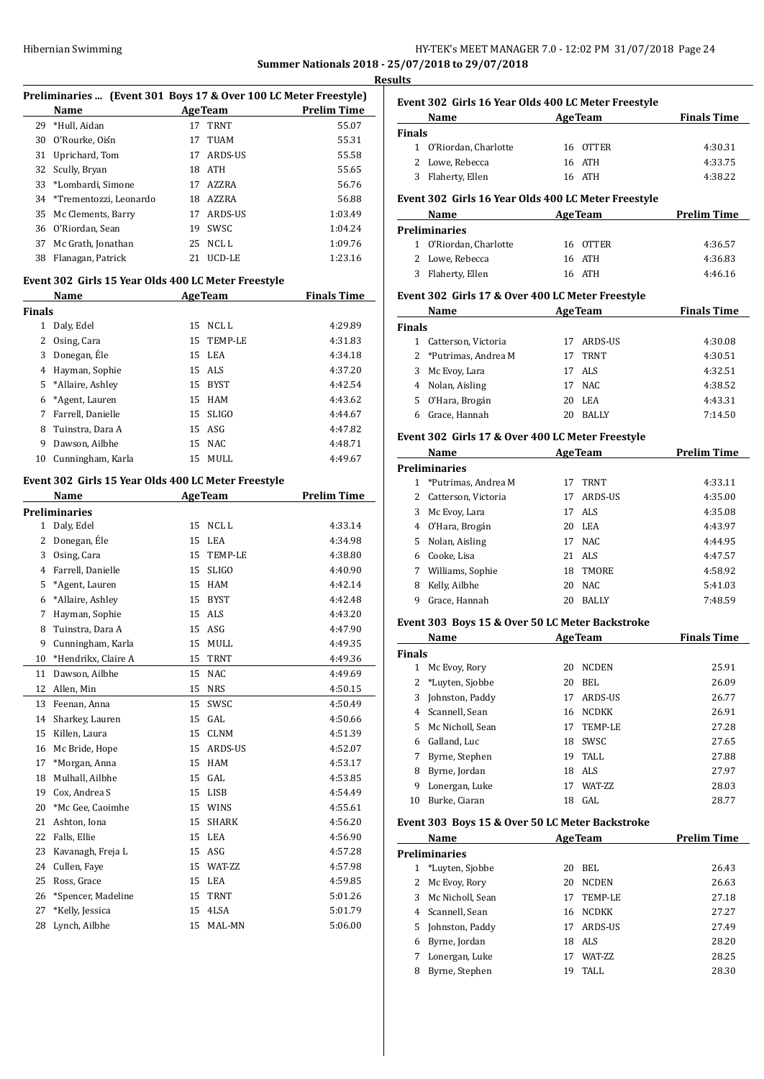## Hibernian Swimming **HY-TEK's MEET MANAGER 7.0 - 12:02 PM 31/07/2018** Page 24 **Summer Nationals 2018 - 25/07/2018 to 29/07/2018**

**Results**

| Preliminaries  (Event 301 Boys 17 & Over 100 LC Meter Freestyle) |                           |     |                |                    |
|------------------------------------------------------------------|---------------------------|-----|----------------|--------------------|
|                                                                  | Name                      |     | <b>AgeTeam</b> | <b>Prelim Time</b> |
|                                                                  | 29 *Hull, Aidan           | 17  | TRNT           | 55.07              |
| 30                                                               | O'Rourke, Oiśn            | 17  | TUAM           | 55.31              |
| 31                                                               | Uprichard, Tom            | 17  | ARDS-US        | 55.58              |
|                                                                  | 32 Scully, Bryan          | 18. | ATH            | 55.65              |
|                                                                  | 33 *Lombardi. Simone      | 17  | AZZRA          | 56.76              |
|                                                                  | 34 *Trementozzi, Leonardo | 18  | AZZRA          | 56.88              |
|                                                                  | 35 Mc Clements, Barry     | 17  | ARDS-US        | 1:03.49            |
|                                                                  | 36 O'Riordan, Sean        | 19  | SWSC.          | 1:04.24            |
| 37                                                               | Mc Grath, Jonathan        | 25  | NCL L          | 1:09.76            |
| 38                                                               | Flanagan, Patrick         | 21  | UCD-LE         | 1:23.16            |

## **Event 302 Girls 15 Year Olds 400 LC Meter Freestyle**

|        | Name              |    | <b>AgeTeam</b> | <b>Finals Time</b> |
|--------|-------------------|----|----------------|--------------------|
| Finals |                   |    |                |                    |
| 1      | Daly, Edel        | 15 | NCL L          | 4:29.89            |
| 2      | Osing, Cara       |    | 15 TEMP-LE     | 4:31.83            |
| 3      | Donegan, Éle      |    | 15 LEA         | 4:34.18            |
| 4      | Hayman, Sophie    |    | 15 ALS         | 4:37.20            |
| 5.     | *Allaire, Ashley  | 15 | <b>BYST</b>    | 4:42.54            |
| 6      | *Agent, Lauren    |    | 15 HAM         | 4:43.62            |
| 7      | Farrell, Danielle | 15 | SLIGO          | 4:44.67            |
| 8      | Tuinstra, Dara A  |    | 15 ASG         | 4:47.82            |
| 9      | Dawson, Ailbhe    |    | 15 NAC         | 4:48.71            |
| 10     | Cunningham, Karla | 15 | MULL           | 4:49.67            |

## **Event 302 Girls 15 Year Olds 400 LC Meter Freestyle**

|                | Name                 |    | <b>AgeTeam</b> | <b>Prelim Time</b> |
|----------------|----------------------|----|----------------|--------------------|
|                | <b>Preliminaries</b> |    |                |                    |
| $\mathbf{1}$   | Daly, Edel           | 15 | NCL L          | 4:33.14            |
| $\overline{c}$ | Donegan, Éle         | 15 | <b>LEA</b>     | 4:34.98            |
| 3              | Osing, Cara          | 15 | <b>TEMP-LE</b> | 4:38.80            |
| $\overline{4}$ | Farrell, Danielle    | 15 | <b>SLIGO</b>   | 4:40.90            |
| 5              | *Agent, Lauren       | 15 | <b>HAM</b>     | 4:42.14            |
| 6              | *Allaire, Ashley     | 15 | <b>BYST</b>    | 4:42.48            |
| 7              | Hayman, Sophie       | 15 | <b>ALS</b>     | 4:43.20            |
| 8              | Tuinstra, Dara A     | 15 | ASG            | 4:47.90            |
| 9              | Cunningham, Karla    | 15 | <b>MULL</b>    | 4:49.35            |
| 10             | *Hendrikx, Claire A  | 15 | TRNT           | 4:49.36            |
| 11             | Dawson, Ailbhe       | 15 | <b>NAC</b>     | 4:49.69            |
| 12             | Allen, Min           | 15 | <b>NRS</b>     | 4:50.15            |
| 13             | Feenan, Anna         | 15 | SWSC           | 4:50.49            |
| 14             | Sharkey, Lauren      | 15 | GAL            | 4:50.66            |
| 15             | Killen, Laura        | 15 | <b>CLNM</b>    | 4:51.39            |
| 16             | Mc Bride, Hope       | 15 | ARDS-US        | 4:52.07            |
| 17             | *Morgan, Anna        | 15 | <b>HAM</b>     | 4:53.17            |
| 18             | Mulhall, Ailbhe      | 15 | GAL            | 4:53.85            |
| 19             | Cox, Andrea S        | 15 | <b>LISB</b>    | 4:54.49            |
| 20             | *Mc Gee, Caoimhe     | 15 | <b>WINS</b>    | 4:55.61            |
| 21             | Ashton, Iona         | 15 | <b>SHARK</b>   | 4:56.20            |
| 22             | Falls, Ellie         | 15 | <b>LEA</b>     | 4:56.90            |
| 23             | Kavanagh, Freja L    | 15 | ASG            | 4:57.28            |
| 24             | Cullen, Faye         | 15 | WAT-ZZ         | 4:57.98            |
| 25             | Ross, Grace          | 15 | LEA            | 4:59.85            |
| 26             | *Spencer, Madeline   | 15 | <b>TRNT</b>    | 5:01.26            |
| 27             | *Kelly, Jessica      | 15 | 4LSA           | 5:01.79            |
| 28             | Lynch, Ailbhe        | 15 | MAL-MN         | 5:06.00            |
|                |                      |    |                |                    |

|               | Event 302 Girls 16 Year Olds 400 LC Meter Freestyle |    |                |                    |
|---------------|-----------------------------------------------------|----|----------------|--------------------|
|               | <b>Name</b>                                         |    | <b>AgeTeam</b> | <b>Finals Time</b> |
| <b>Finals</b> |                                                     |    |                |                    |
|               | 1 O'Riordan, Charlotte                              |    | 16 OTTER       | 4:30.31            |
|               | 2 Lowe, Rebecca                                     |    | 16 ATH         | 4:33.75            |
| 3             | Flaherty, Ellen                                     |    | 16 ATH         | 4:38.22            |
|               | Event 302 Girls 16 Year Olds 400 LC Meter Freestyle |    |                |                    |
|               | Name                                                |    | <b>AgeTeam</b> | <b>Prelim Time</b> |
|               | <b>Preliminaries</b>                                |    |                |                    |
|               | 1 O'Riordan, Charlotte                              |    | 16 OTTER       | 4:36.57            |
|               | 2 Lowe, Rebecca                                     |    | 16 ATH         | 4:36.83            |
|               | 3 Flaherty, Ellen                                   |    | 16 ATH         | 4:46.16            |
|               | Event 302 Girls 17 & Over 400 LC Meter Freestyle    |    |                |                    |
|               | Name                                                |    | <b>AgeTeam</b> | <b>Finals Time</b> |
| <b>Finals</b> |                                                     |    |                |                    |
| 1             | Catterson, Victoria                                 | 17 | ARDS-US        | 4:30.08            |
|               | 2 *Putrimas, Andrea M                               | 17 | <b>TRNT</b>    | 4:30.51            |
| 3             | Mc Evoy, Lara                                       | 17 | <b>ALS</b>     | 4:32.51            |
| 4             | Nolan, Aisling                                      | 17 | <b>NAC</b>     | 4:38.52            |
| 5.            | O'Hara, Brogán                                      |    | 20 LEA         | 4:43.31            |
| 6             | Grace, Hannah                                       | 20 | <b>BALLY</b>   | 7:14.50            |
|               | Event 302 Girls 17 & Over 400 LC Meter Freestyle    |    |                |                    |
|               | Name                                                |    | <b>AgeTeam</b> | <b>Prelim Time</b> |
|               | <b>Preliminaries</b>                                |    |                |                    |
|               | 1 *Putrimas, Andrea M                               |    | 17 TRNT        | 4:33.11            |
|               |                                                     |    |                |                    |
| 2             | Catterson, Victoria                                 |    | 17 ARDS-US     | 4:35.00            |

|   | 3 Mc Evoy, Lara    |    | 17 ALS       | 4:35.08 |
|---|--------------------|----|--------------|---------|
|   | 4 O'Hara, Brogán   | 20 | LEA          | 4:43.97 |
|   | 5 Nolan, Aisling   | 17 | NAC.         | 4:44.95 |
|   | 6 Cooke, Lisa      |    | 21 ALS       | 4:47.57 |
|   | 7 Williams, Sophie |    | 18 TMORE     | 4:58.92 |
| 8 | Kelly, Ailbhe      |    | 20 NAC       | 5:41.03 |
| 9 | Grace, Hannah      | 20 | <b>BALLY</b> | 7:48.59 |

#### **Event 303 Boys 15 & Over 50 LC Meter Backstroke**

|               | Name             | <b>AgeTeam</b> |                | <b>Finals Time</b> |
|---------------|------------------|----------------|----------------|--------------------|
| <b>Finals</b> |                  |                |                |                    |
|               | Mc Evoy, Rory    | 20             | <b>NCDEN</b>   | 25.91              |
| 2             | *Luyten, Sjobbe  | 20             | BEL            | 26.09              |
| 3             | Johnston, Paddy  | 17             | ARDS-US        | 26.77              |
| 4             | Scannell, Sean   | 16             | <b>NCDKK</b>   | 26.91              |
| 5.            | Mc Nicholl, Sean | 17             | TEMP-LE        | 27.28              |
| 6             | Galland, Luc     | 18             | <b>SWSC</b>    | 27.65              |
|               | Byrne, Stephen   | 19             | TALL.          | 27.88              |
| 8             | Byrne, Jordan    | 18             | ALS            | 27.97              |
| 9             | Lonergan, Luke   | 17             | <b>WAT-77.</b> | 28.03              |
| 10            | Burke, Ciaran    | 18             | GAL.           | 28.77              |

### **Event 303 Boys 15 & Over 50 LC Meter Backstroke**

|    | Name             |    | <b>AgeTeam</b>  | <b>Prelim Time</b> |  |  |  |
|----|------------------|----|-----------------|--------------------|--|--|--|
|    | Preliminaries    |    |                 |                    |  |  |  |
|    | *Luyten, Sjobbe  | 20 | BEL             | 26.43              |  |  |  |
|    | Mc Evoy, Rory    | 20 | <b>NCDEN</b>    | 26.63              |  |  |  |
| 3  | Mc Nicholl, Sean | 17 | TEMP-LE         | 27.18              |  |  |  |
| 4  | Scannell, Sean   | 16 | <b>NCDKK</b>    | 27.27              |  |  |  |
| 5. | Johnston, Paddy  | 17 | ARDS-US         | 27.49              |  |  |  |
| 6  | Byrne, Jordan    | 18 | ALS             | 28.20              |  |  |  |
|    | Lonergan, Luke   | 17 | <b>WAT-7.7.</b> | 28.25              |  |  |  |
| 8  | Byrne, Stephen   | 19 | TALL.           | 28.30              |  |  |  |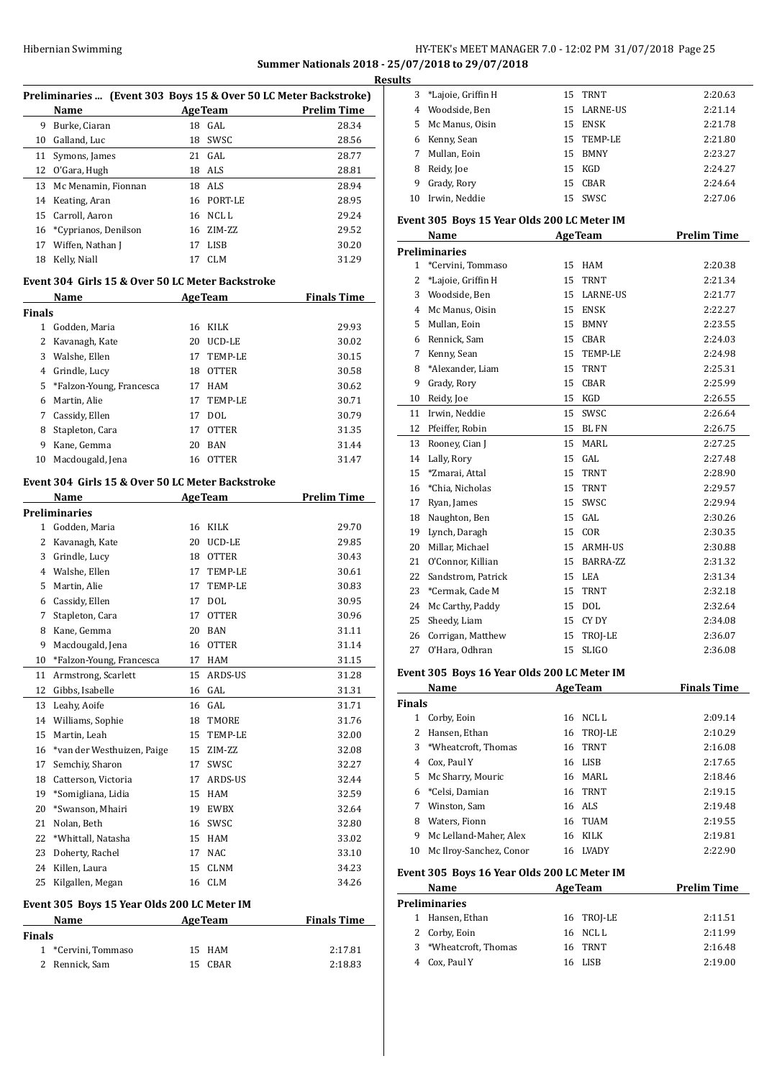## HY-TEK's MEET MANAGER 7.0 - 12:02 PM 31/07/2018 Page 25 **Summer Nationals 2018 - 25/07/2018 to 29/07/2018**

|               |                                                                  |                |                   |                    | <b>Results</b> |
|---------------|------------------------------------------------------------------|----------------|-------------------|--------------------|----------------|
|               | Preliminaries  (Event 303 Boys 15 & Over 50 LC Meter Backstroke) |                |                   |                    | 3              |
|               | Name                                                             |                | <b>AgeTeam</b>    | <b>Prelim Time</b> | 4              |
| 9             | Burke, Ciaran                                                    |                | 18 GAL<br>18 SWSC | 28.34              | 5<br>6         |
|               | 10 Galland, Luc                                                  | 21             | GAL               | 28.56<br>28.77     | 7              |
|               | 11 Symons, James<br>12 O'Gara, Hugh                              |                | 18 ALS            | 28.81              | 8              |
| 13            | Mc Menamin, Fionnan                                              |                | 18 ALS            | 28.94              | 9              |
|               | 14 Keating, Aran                                                 |                | 16 PORT-LE        | 28.95              | 10             |
|               | 15 Carroll, Aaron                                                |                | 16 NCL L          | 29.24              |                |
| 16            | *Cyprianos, Denilson                                             |                | 16 ZIM-ZZ         | 29.52              | Event          |
|               | 17 Wiffen, Nathan J                                              |                | 17 LISB           | 30.20              |                |
|               | 18 Kelly, Niall                                                  |                | 17 CLM            | 31.29              | Prelin<br>1    |
|               | Event 304 Girls 15 & Over 50 LC Meter Backstroke                 |                |                   |                    | 2              |
|               | Name                                                             | AgeTeam        |                   | <b>Finals Time</b> | 3              |
| <b>Finals</b> |                                                                  |                |                   |                    | 4              |
|               | 1 Godden, Maria                                                  |                | 16 KILK           | 29.93              | 5              |
|               | 2 Kavanagh, Kate                                                 |                | 20 UCD-LE         | 30.02              | 6              |
|               | 3 Walshe, Ellen                                                  |                | 17 TEMP-LE        | 30.15              | 7              |
|               | 4 Grindle, Lucy                                                  | 18             | OTTER             | 30.58              | 8              |
| 5.            | *Falzon-Young, Francesca                                         |                | 17 HAM            | 30.62              | 9              |
| 6             | Martin, Alie                                                     | 17             | TEMP-LE           | 30.71              | 10<br>11       |
| 7             | Cassidy, Ellen                                                   |                | 17 DOL            | 30.79              | 12             |
| 8             | Stapleton, Cara                                                  | 17             | OTTER             | 31.35              | 13             |
|               | 9 Kane, Gemma                                                    | 20             | BAN<br>16 OTTER   | 31.44<br>31.47     | 14             |
|               | 10 Macdougald, Jena                                              |                |                   |                    | 15             |
|               | Event 304 Girls 15 & Over 50 LC Meter Backstroke                 |                |                   |                    | 16             |
|               | Name                                                             | <b>AgeTeam</b> |                   | <b>Prelim Time</b> | 17             |
|               | <b>Preliminaries</b>                                             |                |                   |                    | 18             |
|               | 1 Godden, Maria                                                  |                | 16 KILK           | 29.70              | 19             |
|               | 2 Kavanagh, Kate                                                 | 20             | UCD-LE            | 29.85              | 20             |
| 3             | Grindle, Lucy                                                    | 18             | OTTER             | 30.43              | 21             |
|               | 4 Walshe, Ellen                                                  | 17             | TEMP-LE           | 30.61              | 22             |
| 5             | Martin, Alie                                                     | 17             | TEMP-LE           | 30.83              | 23             |
|               | 6 Cassidy, Ellen                                                 | 17             | DOL               | 30.95              | 24             |
| 7             | Stapleton, Cara                                                  | 17             | <b>OTTER</b>      | 30.96              | 25             |
| 8             | Kane, Gemma                                                      | 20             | <b>BAN</b>        | 31.11              | 26             |
| 9             | Macdougald, Jena                                                 | 16             | <b>OTTER</b>      | 31.14              | 27             |
| 10            | *Falzon-Young, Francesca                                         | 17             | <b>HAM</b>        | 31.15              | Event          |
| 11            | Armstrong, Scarlett                                              | 15             | ARDS-US           | 31.28              |                |
| 12            | Gibbs, Isabelle                                                  | 16             | GAL               | 31.31              | <b>Finals</b>  |
| 13            | Leahy, Aoife                                                     |                | 16 GAL            | 31.71              | 1              |
| 14            | Williams, Sophie                                                 | 18             | TMORE             | 31.76              | 2              |
|               | 15 Martin, Leah                                                  | 15             | TEMP-LE           | 32.00              | 3              |
| 16            | *van der Westhuizen, Paige<br>Semchiy, Sharon                    | 15             | ZIM-ZZ            | 32.08              | 4              |
| 17            |                                                                  | 17             | SWSC              | 32.27              | 5              |
| 18<br>19      | Catterson, Victoria                                              | 17<br>15       | ARDS-US           | 32.44              | 6              |
| 20            | *Somigliana, Lidia<br>*Swanson, Mhairi                           |                | HAM<br>19 EWBX    | 32.59<br>32.64     | 7              |
| 21            | Nolan, Beth                                                      |                | 16 SWSC           |                    | 8              |
| 22            | *Whittall, Natasha                                               |                | 15 HAM            | 32.80<br>33.02     | 9              |
| 23            | Doherty, Rachel                                                  |                | 17 NAC            |                    | 10             |
|               | 24 Killen, Laura                                                 | 15             | CLNM              | 33.10<br>34.23     |                |
|               | 25 Kilgallen, Megan                                              |                | 16 CLM            | 34.26              | Event          |
|               | Event 305 Boys 15 Year Olds 200 LC Meter IM                      |                |                   |                    | Prelin         |
|               | Name                                                             | <b>AgeTeam</b> |                   | <b>Finals Time</b> | 1              |
| <b>Finals</b> |                                                                  |                |                   |                    | 2              |
|               | 1 *Cervini, Tommaso                                              | 15             | HAM               | 2:17.81            | 3              |
| 2             | Rennick, Sam                                                     | 15             | CBAR              | 2:18.83            | 4              |
|               |                                                                  |                |                   |                    |                |

| <u>ils</u>   |                                                   |    |                     |                    |
|--------------|---------------------------------------------------|----|---------------------|--------------------|
| 3            | *Lajoie, Griffin H                                | 15 | TRNT                | 2:20.63            |
| 4            | Woodside, Ben                                     | 15 | LARNE-US            | 2:21.14            |
| 5            | Mc Manus, Oisin                                   |    | 15 ENSK             | 2:21.78            |
| 6            | Kenny, Sean                                       | 15 | TEMP-LE             | 2:21.80            |
| 7            | Mullan, Eoin                                      |    | 15 BMNY             | 2:23.27            |
| 8            | Reidy, Joe                                        |    | 15 KGD              | 2:24.27            |
| 9            | Grady, Rory                                       | 15 | CBAR                | 2:24.64            |
| 10           | Irwin, Neddie                                     | 15 | SWSC                | 2:27.06            |
|              | Event 305 Boys 15 Year Olds 200 LC Meter IM       |    |                     |                    |
|              | Name                                              |    | <b>AgeTeam</b>      | <b>Prelim Time</b> |
|              | Preliminaries                                     |    |                     |                    |
| $\mathbf{1}$ | *Cervini, Tommaso                                 | 15 | HAM                 | 2:20.38            |
| 2            |                                                   |    |                     |                    |
| 3            | *Lajoie, Griffin H                                | 15 | TRNT<br>15 LARNE-US | 2:21.34            |
|              | Woodside, Ben                                     |    |                     | 2:21.77            |
| 4            | Mc Manus, Oisin                                   |    | 15 ENSK             | 2:22.27            |
| 5            | Mullan, Eoin                                      |    | 15 BMNY             | 2:23.55            |
| 6            | Rennick, Sam                                      |    | 15 CBAR             | 2:24.03            |
| 7            | Kenny, Sean                                       |    | 15 TEMP-LE          | 2:24.98            |
| 8            | *Alexander, Liam                                  | 15 | <b>TRNT</b>         | 2:25.31            |
| 9            | Grady, Rory                                       | 15 | CBAR                | 2:25.99            |
| 10           | Reidy, Joe                                        | 15 | KGD                 | 2:26.55            |
| 11           | Irwin, Neddie                                     | 15 | SWSC                | 2:26.64            |
| 12           | Pfeiffer, Robin                                   | 15 | BL FN               | 2:26.75            |
| 13           | Rooney, Cian J                                    | 15 | MARL                | 2:27.25            |
| 14           | Lally, Rory                                       | 15 | GAL                 | 2:27.48            |
| 15           | *Zmarai, Attal                                    | 15 | TRNT                | 2:28.90            |
| 16           | *Chia, Nicholas                                   | 15 | <b>TRNT</b>         | 2:29.57            |
| 17           | Ryan, James                                       | 15 | SWSC                | 2:29.94            |
| 18           | Naughton, Ben                                     |    | 15 GAL              | 2:30.26            |
| 19           | Lynch, Daragh                                     |    | 15 COR              | 2:30.35            |
| 20           | Millar, Michael                                   |    | 15 ARMH-US          | 2:30.88            |
| 21           | O'Connor, Killian                                 |    | 15 BARRA-ZZ         | 2:31.32            |
| 22           | Sandstrom, Patrick                                |    | 15 LEA              | 2:31.34            |
| 23           | *Cermak, Cade M                                   | 15 | <b>TRNT</b>         | 2:32.18            |
| 24           | Mc Carthy, Paddy                                  |    | 15 DOL              | 2:32.64            |
| 25           | Sheedy, Liam                                      |    | 15 CY DY            | 2:34.08            |
| 26           | Corrigan, Matthew                                 | 15 | TROJ-LE             | 2:36.07            |
| 27           | O'Hara, Odhran                                    | 15 | <b>SLIGO</b>        | 2:36.08            |
|              | Event 305 Boys 16 Year Olds 200 LC Meter IM       |    |                     |                    |
|              | Name                                              |    | <b>AgeTeam</b>      | <b>Finals Time</b> |
| Finals       |                                                   |    |                     |                    |
|              | 1 Corby, Eoin                                     |    | 16 NCLL             | 2:09.14            |
|              | 2 Hansen, Ethan                                   |    | 16 TROJ-LE          | 2:10.29            |
| 3            | *Wheatcroft, Thomas                               |    | 16 TRNT             | 2:16.08            |
|              | 4 Cox, Paul Y                                     |    | 16 LISB             | 2:17.65            |
| 5            | Mc Sharry, Mouric                                 |    | 16 MARL             | 2:18.46            |
|              | 6 *Celsi, Damian                                  |    | 16 TRNT             | 2:19.15            |
|              | 7 Winston, Sam                                    |    | 16 ALS              | 2:19.48            |
|              | 8 Waters, Fionn                                   |    | 16 TUAM             | 2:19.55            |
|              | 9 Mc Lelland-Maher, Alex                          |    | 16 KILK             | 2:19.81            |
|              | 10 Mc Ilroy-Sanchez, Conor                        |    | 16 LVADY            | 2:22.90            |
|              | Event 305 Boys 16 Year Olds 200 LC Meter IM       |    |                     |                    |
|              | Name<br>the control of the control of the control |    | <b>AgeTeam</b>      | <b>Prelim Time</b> |
|              | Preliminaries                                     |    |                     |                    |
|              | 1 Hansen, Ethan                                   | 16 | TROJ-LE             | 2:11.51            |
|              | 2 Corby, Eoin                                     |    | 16 NCLL             | 2:11.99            |

 \*Wheatcroft, Thomas 16 TRNT 2:16.48 Cox, Paul Y 16 LISB 2:19.00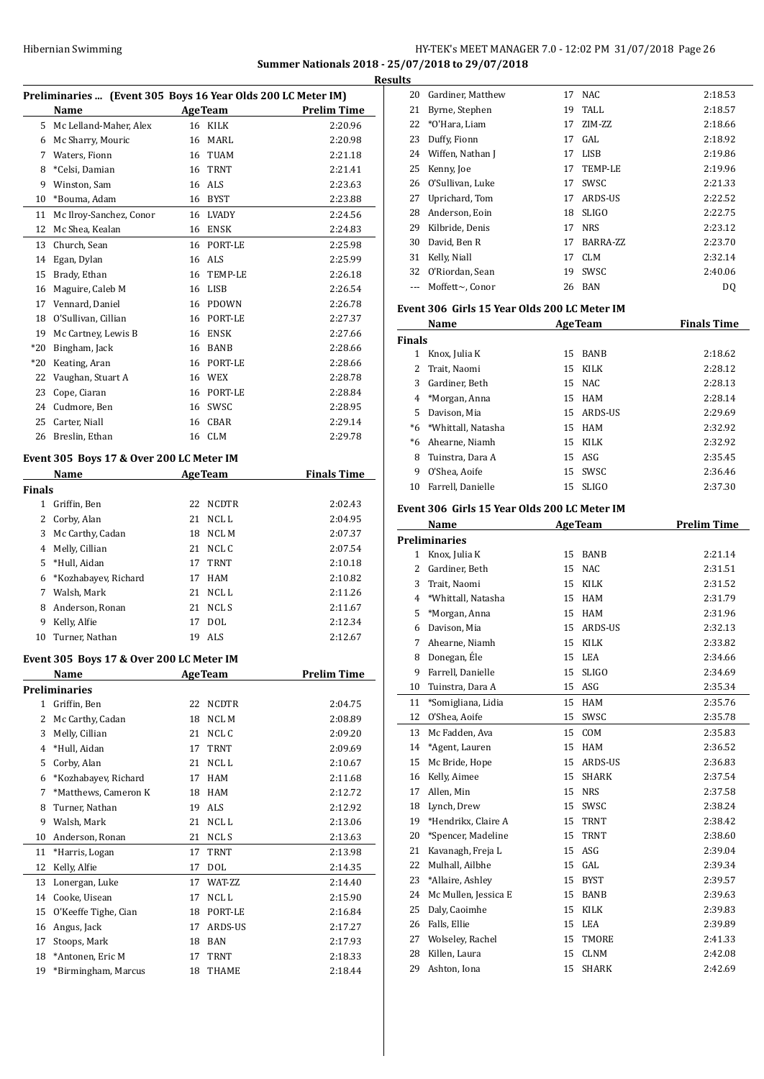## HY-TEK's MEET MANAGER 7.0 - 12:02 PM 31/07/2018 Page 26 **Summer Nationals 2018 - 25/07/2018 to 29/07/2018**

|               |                                                              |          |                  | R                  |
|---------------|--------------------------------------------------------------|----------|------------------|--------------------|
|               | Preliminaries  (Event 305 Boys 16 Year Olds 200 LC Meter IM) |          |                  |                    |
|               | Name                                                         |          | <b>AgeTeam</b>   | <b>Prelim Time</b> |
|               | 5 Mc Lelland-Maher, Alex                                     |          | 16 KILK          | 2:20.96            |
|               | 6 Mc Sharry, Mouric                                          |          | 16 MARL          | 2:20.98            |
|               | 7 Waters, Fionn                                              |          | 16 TUAM          | 2:21.18            |
| 8             | *Celsi, Damian                                               |          | 16 TRNT          | 2:21.41            |
| 9             | Winston, Sam                                                 |          | 16 ALS           | 2:23.63            |
| 10            | *Bouma, Adam                                                 |          | 16 BYST          | 2:23.88            |
| 11<br>12      | Mc Ilroy-Sanchez, Conor<br>Mc Shea, Kealan                   | 16       | LVADY<br>16 ENSK | 2:24.56<br>2:24.83 |
| 13            | Church, Sean                                                 |          | 16 PORT-LE       | 2:25.98            |
| 14            |                                                              |          | 16 ALS           | 2:25.99            |
| 15            | Egan, Dylan<br>Brady, Ethan                                  |          | 16 TEMP-LE       | 2:26.18            |
| 16            | Maguire, Caleb M                                             |          | 16 LISB          | 2:26.54            |
| 17            | Vennard, Daniel                                              |          | 16 PDOWN         | 2:26.78            |
| 18            | O'Sullivan, Cillian                                          |          | 16 PORT-LE       | 2:27.37            |
| 19            | Mc Cartney, Lewis B                                          |          | 16 ENSK          | 2:27.66            |
| $*20$         | Bingham, Jack                                                |          | 16 BANB          | 2:28.66            |
| $*20$         | Keating, Aran                                                |          | 16 PORT-LE       | 2:28.66            |
| 22            | Vaughan, Stuart A                                            |          | 16 WEX           | 2:28.78            |
| 23            | Cope, Ciaran                                                 |          | 16 PORT-LE       | 2:28.84            |
| 24            | Cudmore, Ben                                                 |          | 16 SWSC          | 2:28.95            |
| 25            | Carter, Niall                                                |          | 16 CBAR          | 2:29.14            |
|               | 26 Breslin. Ethan                                            |          | 16 CLM           | 2:29.78            |
|               |                                                              |          |                  |                    |
|               | Event 305 Boys 17 & Over 200 LC Meter IM                     |          |                  |                    |
|               | Name                                                         |          | <b>AgeTeam</b>   | <b>Finals Time</b> |
| <b>Finals</b> |                                                              |          |                  |                    |
|               | 1 Griffin, Ben                                               | 22       | <b>NCDTR</b>     | 2:02.43            |
| 2             | Corby, Alan                                                  | 21       | NCL L            | 2:04.95            |
| 3             | Mc Carthy, Cadan                                             |          | 18 NCL M         | 2:07.37            |
| 4             | Melly, Cillian                                               | 21       | NCL C            | 2:07.54            |
| 5             | *Hull, Aidan                                                 | 17       | <b>TRNT</b>      | 2:10.18            |
| 6<br>7        | *Kozhabayev, Richard<br>Walsh, Mark                          | 17<br>21 | HAM<br>NCL L     | 2:10.82            |
| 8             |                                                              | 21       | NCL S            | 2:11.26            |
| 9             | Anderson, Ronan<br>Kelly, Alfie                              | 17       | <b>DOL</b>       | 2:11.67<br>2:12.34 |
| 10            | Turner, Nathan                                               | 19       | ALS              | 2:12.67            |
|               |                                                              |          |                  |                    |
|               | Event 305 Boys 17 & Over 200 LC Meter IM                     |          |                  |                    |
|               | Name                                                         |          | <b>AgeTeam</b>   | <b>Prelim Time</b> |
|               | <b>Preliminaries</b>                                         |          |                  |                    |
| 1             | Griffin, Ben                                                 | 22       | NCDTR            | 2:04.75            |
| 2             | Mc Carthy, Cadan                                             | 18       | NCL M            | 2:08.89            |
| 3             | Melly, Cillian                                               | 21       | NCL C            | 2:09.20            |
| 4             | *Hull, Aidan                                                 | 17       | TRNT             | 2:09.69            |
| 5             | Corby, Alan                                                  | 21       | NCL L            | 2:10.67            |
| 6             | *Kozhabayev, Richard                                         | 17       | HAM              | 2:11.68            |
| 7             | *Matthews, Cameron K                                         | 18       | HAM              | 2:12.72            |
| 8             | Turner, Nathan                                               | 19       | ALS              | 2:12.92            |
| 9             | Walsh, Mark                                                  | 21       | NCL L            | 2:13.06            |
| 10            | Anderson, Ronan                                              | 21       | NCL S            | 2:13.63            |
| 11            | *Harris, Logan                                               | 17       | TRNT             | 2:13.98            |
| 12            | Kelly, Alfie                                                 | 17       | DOL              | 2:14.35            |
| 13            | Lonergan, Luke                                               | 17       | WAT-ZZ           | 2:14.40            |
| 14            | Cooke, Uisean                                                | 17       | NCL L            | 2:15.90            |
| 15            | O'Keeffe Tighe, Cian                                         | 18       | PORT-LE          | 2:16.84            |
| 16            | Angus, Jack                                                  | 17       | ARDS-US          | 2:17.27            |
| 17            | Stoops, Mark                                                 | 18       | BAN              | 2:17.93            |
| 18            | *Antonen, Eric M                                             | 17       | TRNT             | 2:18.33            |
| 19            | *Birmingham, Marcus                                          | 18       | THAME            | 2:18.44            |

| <b>≀esults</b> |                     |    |            |         |
|----------------|---------------------|----|------------|---------|
| 20             | Gardiner, Matthew   | 17 | NAC.       | 2:18.53 |
| 21             | Byrne, Stephen      | 19 | TALL       | 2:18.57 |
|                | 22 *O'Hara, Liam    | 17 | ZIM-ZZ     | 2:18.66 |
| 23             | Duffy, Fionn        | 17 | GAL        | 2:18.92 |
|                | 24 Wiffen, Nathan J |    | 17 LISB    | 2:19.86 |
| 25             | Kenny, Joe          | 17 | TEMP-LE    | 2:19.96 |
| 26             | O'Sullivan, Luke    | 17 | SWSC       | 2:21.33 |
| 27             | Uprichard, Tom      | 17 | ARDS-US    | 2:22.52 |
| 28             | Anderson, Eoin      | 18 | SLIGO      | 2:22.75 |
| 29             | Kilbride, Denis     | 17 | <b>NRS</b> | 2:23.12 |
| 30             | David, Ben R        | 17 | BARRA-ZZ   | 2:23.70 |
| 31             | Kelly, Niall        |    | 17 CLM     | 2:32.14 |
| 32             | O'Riordan, Sean     | 19 | SWSC       | 2:40.06 |
|                | Moffett~, Conor     |    | 26 BAN     | DQ      |
|                |                     |    |            |         |

#### **Event 306 Girls 15 Year Olds 200 LC Meter IM**

|               | Name<br><b>AgeTeam</b> |     |              | <b>Finals Time</b> |
|---------------|------------------------|-----|--------------|--------------------|
| <b>Finals</b> |                        |     |              |                    |
| 1             | Knox, Julia K          | 15. | <b>BANB</b>  | 2:18.62            |
| 2             | Trait, Naomi           | 15  | <b>KILK</b>  | 2:28.12            |
| 3             | Gardiner, Beth         |     | 15 NAC       | 2:28.13            |
| 4             | *Morgan, Anna          |     | 15 HAM       | 2:28.14            |
| 5.            | Davison, Mia           |     | 15 ARDS-US   | 2:29.69            |
|               | *6 *Whittall, Natasha  |     | 15 HAM       | 2:32.92            |
| $*6$          | Ahearne, Niamh         |     | 15 KILK      | 2:32.92            |
| 8             | Tuinstra, Dara A       |     | $15$ ASG     | 2:35.45            |
| 9             | O'Shea, Aoife          | 15  | <b>SWSC</b>  | 2:36.46            |
| 10            | Farrell, Danielle      | 15  | <b>SLIGO</b> | 2:37.30            |

### **Event 306 Girls 15 Year Olds 200 LC Meter IM**

|                | Name                 |    | <b>AgeTeam</b> | <b>Prelim Time</b> |
|----------------|----------------------|----|----------------|--------------------|
|                | <b>Preliminaries</b> |    |                |                    |
| 1              | Knox, Julia K        | 15 | <b>BANB</b>    | 2:21.14            |
| $\overline{2}$ | Gardiner, Beth       | 15 | <b>NAC</b>     | 2:31.51            |
| 3              | Trait, Naomi         | 15 | <b>KILK</b>    | 2:31.52            |
| 4              | *Whittall, Natasha   | 15 | <b>HAM</b>     | 2:31.79            |
| 5              | *Morgan, Anna        | 15 | <b>HAM</b>     | 2:31.96            |
| 6              | Davison, Mia         | 15 | ARDS-US        | 2:32.13            |
| 7              | Ahearne, Niamh       | 15 | <b>KILK</b>    | 2:33.82            |
| 8              | Donegan, Éle         | 15 | <b>LEA</b>     | 2:34.66            |
| 9              | Farrell, Danielle    | 15 | <b>SLIGO</b>   | 2:34.69            |
| 10             | Tuinstra, Dara A     | 15 | ASG            | 2:35.34            |
| 11             | *Somigliana, Lidia   | 15 | <b>HAM</b>     | 2:35.76            |
| 12             | O'Shea, Aoife        | 15 | SWSC           | 2:35.78            |
| 13             | Mc Fadden, Ava       | 15 | COM            | 2:35.83            |
| 14             | *Agent, Lauren       | 15 | <b>HAM</b>     | 2:36.52            |
| 15             | Mc Bride, Hope       | 15 | ARDS-US        | 2:36.83            |
| 16             | Kelly, Aimee         | 15 | <b>SHARK</b>   | 2:37.54            |
| 17             | Allen, Min           | 15 | <b>NRS</b>     | 2:37.58            |
| 18             | Lynch, Drew          | 15 | SWSC           | 2:38.24            |
| 19             | *Hendrikx, Claire A  | 15 | <b>TRNT</b>    | 2:38.42            |
| 20             | *Spencer, Madeline   | 15 | <b>TRNT</b>    | 2:38.60            |
| 21             | Kavanagh, Freja L    | 15 | <b>ASG</b>     | 2:39.04            |
| 22             | Mulhall, Ailbhe      | 15 | GAL            | 2:39.34            |
| 23             | *Allaire, Ashley     | 15 | <b>BYST</b>    | 2:39.57            |
| 24             | Mc Mullen, Jessica E | 15 | <b>BANB</b>    | 2:39.63            |
| 25             | Daly, Caoimhe        | 15 | <b>KILK</b>    | 2:39.83            |
| 26             | Falls, Ellie         | 15 | <b>LEA</b>     | 2:39.89            |
| 27             | Wolseley, Rachel     | 15 | TMORE          | 2:41.33            |
| 28             | Killen, Laura        | 15 | <b>CLNM</b>    | 2:42.08            |
| 29             | Ashton, Iona         | 15 | <b>SHARK</b>   | 2:42.69            |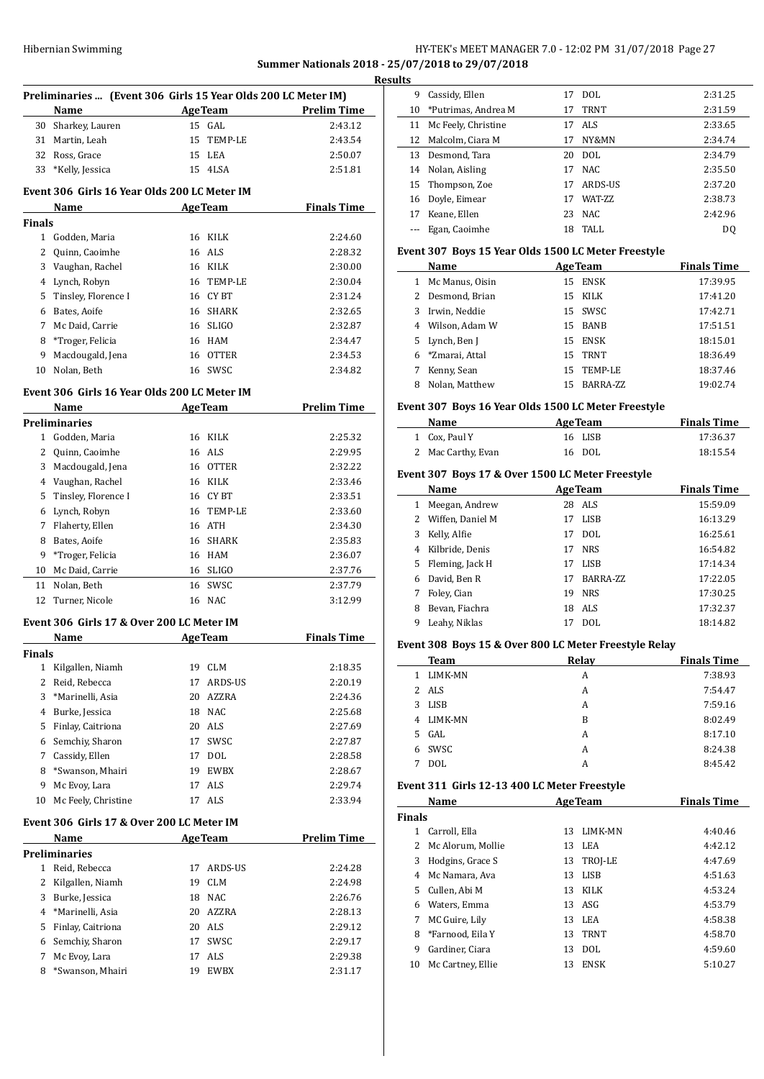## HY-TEK's MEET MANAGER 7.0 - 12:02 PM 31/07/2018 Page 27 **Summer Nationals 2018 - 25/07/2018 to 29/07/2018**

 $\frac{1}{2}$ 

|                | Preliminaries  (Event 306 Girls 15 Year Olds 200 LC Meter IM) |    |                |                    |
|----------------|---------------------------------------------------------------|----|----------------|--------------------|
|                | Name                                                          |    | <b>AgeTeam</b> | <b>Prelim Time</b> |
| 30             | Sharkey, Lauren                                               |    | 15 GAL         | 2:43.12            |
|                | 31 Martin, Leah                                               |    | 15 TEMP-LE     | 2:43.54            |
| 32             | Ross, Grace                                                   |    | 15 LEA         | 2:50.07            |
| 33             | *Kelly, Jessica                                               |    | 15 4LSA        | 2:51.81            |
|                | Event 306 Girls 16 Year Olds 200 LC Meter IM                  |    |                |                    |
|                | Name                                                          |    | <b>AgeTeam</b> | <b>Finals Time</b> |
| Finals         |                                                               |    |                |                    |
|                | 1 Godden, Maria                                               |    | 16 KILK        | 2:24.60            |
| 2              | Quinn, Caoimhe                                                |    | 16 ALS         | 2:28.32            |
|                | 3 Vaughan, Rachel                                             |    | 16 KILK        | 2:30.00            |
| 4              | Lynch, Robyn                                                  |    | 16 TEMP-LE     | 2:30.04            |
| 5              | Tinsley, Florence I                                           |    | 16 CYBT        | 2:31.24            |
| 6              | Bates, Aoife                                                  |    | 16 SHARK       | 2:32.65            |
| 7              | Mc Daid, Carrie                                               |    | 16 SLIGO       | 2:32.87            |
| 8              | *Troger, Felicia                                              |    | 16 HAM         | 2:34.47            |
| 9              | Macdougald, Jena                                              |    | 16 OTTER       | 2:34.53            |
| 10             | Nolan, Beth                                                   |    | 16 SWSC        | 2:34.82            |
|                |                                                               |    |                |                    |
|                | Event 306 Girls 16 Year Olds 200 LC Meter IM                  |    |                |                    |
|                | Name                                                          |    | <b>AgeTeam</b> | <b>Prelim Time</b> |
|                | <b>Preliminaries</b>                                          |    |                |                    |
| $\mathbf{1}$   | Godden, Maria                                                 |    | 16 KILK        | 2:25.32            |
| 2              | Quinn, Caoimhe                                                |    | 16 ALS         | 2:29.95            |
|                | 3 Macdougald, Jena                                            |    | 16 OTTER       | 2:32.22            |
|                | 4 Vaughan, Rachel                                             |    | 16 KILK        | 2:33.46            |
| 5              | Tinsley, Florence I                                           |    | 16 CYBT        | 2:33.51            |
| 6              | Lynch, Robyn                                                  |    | 16 TEMP-LE     | 2:33.60            |
| 7              | Flaherty, Ellen                                               |    | 16 ATH         | 2:34.30            |
| 8              | Bates, Aoife                                                  |    | 16 SHARK       | 2:35.83            |
| 9              | *Troger, Felicia                                              |    | 16 HAM         | 2:36.07            |
| 10             | Mc Daid, Carrie                                               |    | 16 SLIGO       | 2:37.76            |
| 11             | Nolan, Beth                                                   |    | 16 SWSC        | 2:37.79            |
| 12             | Turner, Nicole                                                | 16 | <b>NAC</b>     | 3:12.99            |
|                | Event 306 Girls 17 & Over 200 LC Meter IM                     |    |                |                    |
|                | Name                                                          |    | <b>AgeTeam</b> | <b>Finals Time</b> |
| Finals         |                                                               |    |                |                    |
|                | 1 Kilgallen, Niamh                                            |    | 19 CLM         | 2:18.35            |
| $\overline{2}$ | Reid, Rebecca                                                 | 17 | ARDS-US        | 2:20.19            |
| 3              | *Marinelli, Asia                                              |    | 20 AZZRA       | 2:24.36            |
| 4              | Burke, Jessica                                                |    | 18 NAC         | 2:25.68            |
| 5              | Finlay, Caitriona                                             |    | 20 ALS         | 2:27.69            |
| 6              | Semchiy, Sharon                                               |    | 17 SWSC        | 2:27.87            |
| 7              | Cassidy, Ellen                                                |    | 17 DOL         | 2:28.58            |
| 8              | *Swanson, Mhairi                                              |    | 19 EWBX        | 2:28.67            |
| 9              | Mc Evoy, Lara                                                 | 17 | ALS            | 2:29.74            |
| 10             | Mc Feely, Christine                                           | 17 | ALS            | 2:33.94            |
|                | Event 306  Girls 17 & Over 200 LC Meter IM                    |    |                |                    |
|                | <u>Name</u>                                                   |    | <b>AgeTeam</b> | <b>Prelim Time</b> |
|                | Preliminaries                                                 |    |                |                    |
|                | 1 Reid, Rebecca                                               | 17 | ARDS-US        | 2:24.28            |
|                | 2 Kilgallen, Niamh                                            | 19 | <b>CLM</b>     | 2:24.98            |
| 3              | Burke, Jessica                                                |    | 18 NAC         | 2:26.76            |
| 4              | *Marinelli, Asia                                              |    | 20 AZZRA       | 2:28.13            |
| 5              | Finlay, Caitriona                                             |    | 20 ALS         | 2:29.12            |
| 6              | Semchiy, Sharon                                               |    | 17 SWSC        | 2:29.17            |
| 7              | Mc Evoy, Lara                                                 | 17 | ALS            | 2:29.38            |
| 8              | *Swanson, Mhairi                                              | 19 | <b>EWBX</b>    | 2:31.17            |
|                |                                                               |    |                |                    |
|                |                                                               |    |                |                    |

| esults |                        |    |                 |                |
|--------|------------------------|----|-----------------|----------------|
| 9      | Cassidy, Ellen         | 17 | DOL.            | 2:31.25        |
|        | 10 *Putrimas, Andrea M | 17 | <b>TRNT</b>     | 2:31.59        |
| 11     | Mc Feely, Christine    |    | 17 ALS          | 2:33.65        |
| 12     | Malcolm, Ciara M       | 17 | NY&MN           | 2:34.74        |
| 13     | Desmond, Tara          |    | 20 DOL          | 2:34.79        |
| 14     | Nolan, Aisling         | 17 | NAC             | 2:35.50        |
|        | 15 Thompson, Zoe       | 17 | ARDS-US         | 2:37.20        |
|        | 16 Doyle, Eimear       | 17 | <b>WAT-7.7.</b> | 2:38.73        |
| 17     | Keane, Ellen           |    | 23 NAC          | 2:42.96        |
|        | Egan, Caoimhe          | 18 | TALL            | D <sub>0</sub> |
|        |                        |    |                 |                |

#### **Event 307 Boys 15 Year Olds 1500 LC Meter Freestyle**

|    | Name             | <b>AgeTeam</b> |             | <b>Finals Time</b> |
|----|------------------|----------------|-------------|--------------------|
| 1  | Mc Manus, Oisin  | 15             | <b>ENSK</b> | 17:39.95           |
|    | 2 Desmond, Brian |                | 15 KILK     | 17:41.20           |
| 3. | Irwin, Neddie    |                | 15 SWSC     | 17:42.71           |
|    | 4 Wilson, Adam W |                | 15 BANB     | 17:51.51           |
|    | 5 Lynch, Ben J   | 15.            | ENSK        | 18:15.01           |
|    | 6 *Zmarai, Attal | 15             | <b>TRNT</b> | 18:36.49           |
| 7  | Kenny, Sean      | 15             | TEMP-LE     | 18:37.46           |
| 8  | Nolan. Matthew   | 15             | BARRA-ZZ    | 19:02.74           |

#### **Event 307 Boys 16 Year Olds 1500 LC Meter Freestyle**

| Name               | <b>AgeTeam</b> | <b>Finals Time</b> |
|--------------------|----------------|--------------------|
| 1 Cox. Paul Y      | 16 LISB        | 17:36.37           |
| 2 Mac Carthy, Evan | 16 DOL         | 18:15.54           |

#### **Event 307 Boys 17 & Over 1500 LC Meter Freestyle**

|   | Name             |    | <b>AgeTeam</b> | <b>Finals Time</b> |
|---|------------------|----|----------------|--------------------|
| 1 | Meegan, Andrew   |    | 28 ALS         | 15:59.09           |
| 2 | Wiffen, Daniel M | 17 | <b>LISB</b>    | 16:13.29           |
| 3 | Kelly, Alfie     | 17 | <b>DOL</b>     | 16:25.61           |
| 4 | Kilbride, Denis  | 17 | <b>NRS</b>     | 16:54.82           |
| 5 | Fleming, Jack H  | 17 | LISB           | 17:14.34           |
| 6 | David, Ben R     | 17 | BARRA-ZZ       | 17:22.05           |
|   | Foley, Cian      | 19 | <b>NRS</b>     | 17:30.25           |
| 8 | Bevan, Fiachra   | 18 | ALS            | 17:32.37           |
| 9 | Leahy, Niklas    |    | DOL            | 18:14.82           |

### **Event 308 Boys 15 & Over 800 LC Meter Freestyle Relay**

| <b>Team</b>          | Relay | <b>Finals Time</b> |
|----------------------|-------|--------------------|
| <b>LIMK-MN</b><br>1. | A     | 7:38.93            |
| 2 ALS                | A     | 7:54.47            |
| <b>LISB</b><br>3     | A     | 7:59.16            |
| LIMK-MN<br>4         | B     | 8:02.49            |
| GAL<br>5.            | A     | 8:17.10            |
| 6 SWSC               | A     | 8:24.38            |
| DOL                  | A     | 8:45.42            |

### **Event 311 Girls 12-13 400 LC Meter Freestyle**

|               | Name              |     | <b>AgeTeam</b> | <b>Finals Time</b> |
|---------------|-------------------|-----|----------------|--------------------|
| <b>Finals</b> |                   |     |                |                    |
| 1.            | Carroll, Ella     | 13. | LIMK-MN        | 4:40.46            |
| 2             | Mc Alorum, Mollie | 13  | LEA            | 4:42.12            |
| 3             | Hodgins, Grace S  | 13  | TROJ-LE        | 4:47.69            |
| 4             | Mc Namara, Ava    | 13  | LISB           | 4:51.63            |
| 5.            | Cullen, Abi M     | 13  | KILK           | 4:53.24            |
| 6             | Waters, Emma      |     | 13 ASG         | 4:53.79            |
| 7             | MC Guire, Lily    | 13  | LEA            | 4:58.38            |
| 8             | *Farnood, Eila Y  | 13  | TRNT           | 4:58.70            |
| 9             | Gardiner, Ciara   | 13  | DOL            | 4:59.60            |
| 10            | Mc Cartney, Ellie | 13  | <b>ENSK</b>    | 5:10.27            |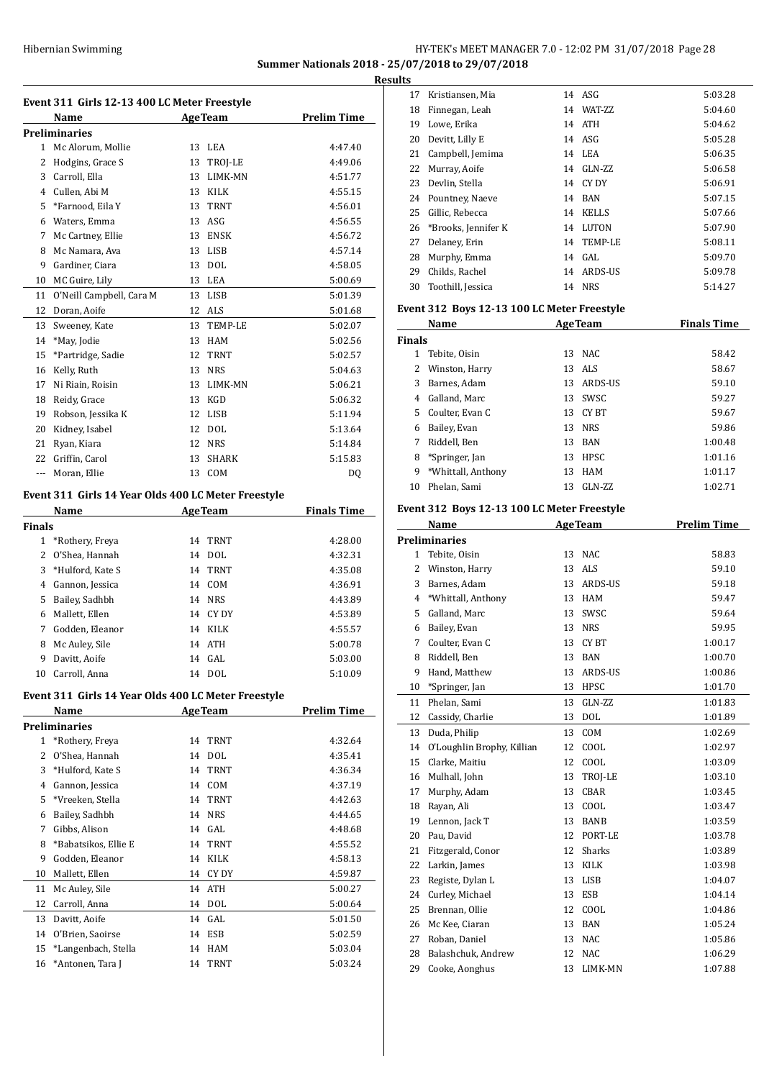## HY-TEK's MEET MANAGER 7.0 - 12:02 PM 31/07/2018 Page 28 **Summer Nationals 2018 - 25/07/2018 to 29/07/2018**

**Results**

|              | Event 311 Girls 12-13 400 LC Meter Freestyle<br>Name |          | <b>AgeTeam</b>     | <b>Prelim Time</b> |
|--------------|------------------------------------------------------|----------|--------------------|--------------------|
|              |                                                      |          |                    |                    |
| 1            | <b>Preliminaries</b><br>Mc Alorum, Mollie            | 13       | LEA                | 4:47.40            |
|              | 2 Hodgins, Grace S                                   | 13       | TROJ-LE            | 4:49.06            |
|              | 3 Carroll, Ella                                      |          | 13 LIMK-MN         | 4:51.77            |
|              |                                                      |          | 13 KILK            |                    |
| 5            | 4 Cullen, Abi M<br>*Farnood, Eila Y                  | 13       | TRNT               | 4:55.15<br>4:56.01 |
|              |                                                      |          | ASG                |                    |
|              | 6 Waters, Emma                                       | 13       |                    | 4:56.55            |
| 7<br>8       | Mc Cartney, Ellie                                    |          | 13 ENSK<br>13 LISB | 4:56.72            |
| 9            | Mc Namara, Ava                                       |          | 13 DOL             | 4:57.14<br>4:58.05 |
|              | Gardiner, Ciara                                      |          |                    |                    |
| 10           | MC Guire, Lily                                       |          | 13 LEA             | 5:00.69            |
| 11           | O'Neill Campbell, Cara M                             |          | 13 LISB            | 5:01.39            |
| 12           | Doran, Aoife                                         |          | 12 ALS             | 5:01.68            |
| 13           | Sweeney, Kate                                        |          | 13 TEMP-LE         | 5:02.07            |
| 14           | *May, Jodie                                          |          | 13 HAM             | 5:02.56            |
| 15           | *Partridge, Sadie                                    | 12       | <b>TRNT</b>        | 5:02.57            |
| 16           | Kelly, Ruth                                          | 13       | NRS                | 5:04.63            |
| 17           | Ni Riain, Roisin                                     | 13       | LIMK-MN            | 5:06.21            |
| 18           | Reidy, Grace                                         | 13       | KGD                | 5:06.32            |
| 19           | Robson, Jessika K                                    |          | 12 LISB            | 5:11.94            |
| 20           | Kidney, Isabel                                       | 12       | DOL                | 5:13.64            |
| 21           | Ryan, Kiara                                          |          | 12 NRS             | 5:14.84            |
|              | 22 Griffin, Carol                                    | 13       | <b>SHARK</b>       | 5:15.83            |
|              | --- Moran, Ellie                                     | 13       | COM                | DQ                 |
|              | Event 311 Girls 14 Year Olds 400 LC Meter Freestyle  |          |                    |                    |
|              | <b>Name</b>                                          |          | <b>AgeTeam</b>     | <b>Finals Time</b> |
| Finals       |                                                      |          |                    |                    |
|              | 1 *Rothery, Freya                                    |          | 14 TRNT            | 4:28.00            |
|              | 2 O'Shea, Hannah                                     |          | 14 DOL             | 4:32.31            |
| 3            | *Hulford, Kate S                                     | 14       | TRNT               | 4:35.08            |
|              | 4 Gannon, Jessica                                    |          | 14 COM             | 4:36.91            |
| 5            | Bailey, Sadhbh                                       |          | 14 NRS             | 4:43.89            |
| 6            | Mallett, Ellen                                       |          | 14 CY DY           | 4:53.89            |
| 7            | Godden, Eleanor                                      |          | 14 KILK            | 4:55.57            |
| 8            | Mc Auley, Sile                                       |          | 14 ATH             | 5:00.78            |
|              | 9 Davitt, Aoife                                      |          | 14 GAL             | 5:03.00            |
|              | 10 Carroll, Anna                                     |          | 14 DOL             | 5:10.09            |
|              | Event 311 Girls 14 Year Olds 400 LC Meter Freestyle  |          |                    |                    |
|              | <b>Name</b>                                          |          | <b>AgeTeam</b>     | <b>Prelim Time</b> |
|              | <b>Preliminaries</b>                                 |          |                    |                    |
| $\mathbf{1}$ | *Rothery, Freya                                      | 14       | TRNT               | 4:32.64            |
| 2            | O'Shea, Hannah                                       | 14       | DOL                | 4:35.41            |
| 3            | *Hulford, Kate S                                     | 14       | <b>TRNT</b>        | 4:36.34            |
|              | 4 Gannon, Jessica                                    | 14       | COM                | 4:37.19            |
|              | *Vreeken, Stella                                     |          |                    |                    |
| 5            |                                                      | 14<br>14 | <b>TRNT</b>        | 4:42.63            |
| 6            | Bailey, Sadhbh                                       |          | <b>NRS</b>         | 4:44.65            |
| 7            | Gibbs, Alison                                        | 14       | GAL                | 4:48.68            |
| 8            | *Babatsikos, Ellie E                                 |          | 14 TRNT            | 4:55.52            |
| 9            | Godden, Eleanor                                      |          | 14 KILK            | 4:58.13            |
| 10           | Mallett, Ellen                                       | 14       | CY DY              | 4:59.87            |
| 11           | Mc Auley, Sile                                       | 14       | ATH                | 5:00.27            |
| 12           | Carroll, Anna                                        |          | 14 DOL             | 5:00.64            |
| 13           | Davitt, Aoife                                        | 14       | GAL                | 5:01.50            |
| 14           | O'Brien, Saoirse                                     | 14       | ESB                | 5:02.59            |
| 15           | *Langenbach, Stella                                  | 14       | HAM                | 5:03.04            |
| 16           | *Antonen, Tara J                                     | 14       | TRNT               | 5:03.24            |

| ıы |    |                     |    |                 |         |
|----|----|---------------------|----|-----------------|---------|
|    | 17 | Kristiansen, Mia    |    | 14 ASG          | 5:03.28 |
|    | 18 | Finnegan, Leah      | 14 | <b>WAT-7.7.</b> | 5:04.60 |
|    | 19 | Lowe, Erika         | 14 | <b>ATH</b>      | 5:04.62 |
|    | 20 | Devitt, Lilly E     |    | 14 ASG          | 5:05.28 |
|    | 21 | Campbell, Jemima    |    | 14 LEA          | 5:06.35 |
|    | 22 | Murray, Aoife       | 14 | GLN-ZZ          | 5:06.58 |
|    | 23 | Devlin, Stella      |    | 14 CYDY         | 5:06.91 |
|    | 24 | Pountney, Naeve     | 14 | BAN             | 5:07.15 |
|    | 25 | Gillic, Rebecca     |    | 14 KELLS        | 5:07.66 |
|    | 26 | *Brooks, Jennifer K | 14 | LUTON           | 5:07.90 |
|    | 27 | Delaney, Erin       |    | 14 TEMP-LE      | 5:08.11 |
|    | 28 | Murphy, Emma        |    | 14 GAL          | 5:09.70 |
|    | 29 | Childs, Rachel      | 14 | ARDS-US         | 5:09.78 |
|    | 30 | Toothill, Jessica   | 14 | <b>NRS</b>      | 5:14.27 |
|    |    |                     |    |                 |         |

### **Event 312 Boys 12-13 100 LC Meter Freestyle**

|               | Name               | <b>AgeTeam</b> |             | <b>Finals Time</b> |
|---------------|--------------------|----------------|-------------|--------------------|
| <b>Finals</b> |                    |                |             |                    |
|               | Tebite, Oisin      | 13             | NAC.        | 58.42              |
| 2             | Winston, Harry     | 13             | ALS         | 58.67              |
| 3             | Barnes, Adam       | 13             | ARDS-US     | 59.10              |
| 4             | Galland, Marc      | 13             | SWSC        | 59.27              |
| 5.            | Coulter, Evan C    | 13             | CY BT       | 59.67              |
| 6             | Bailey, Evan       | 13             | <b>NRS</b>  | 59.86              |
|               | Riddell, Ben       | 13             | <b>BAN</b>  | 1:00.48            |
| 8             | *Springer, Jan     | 13             | <b>HPSC</b> | 1:01.16            |
| 9             | *Whittall, Anthony | 13             | <b>HAM</b>  | 1:01.17            |
| 10            | Phelan, Sami       | 13             | $GLN-ZZ$    | 1:02.71            |

## **Event 312 Boys 12-13 100 LC Meter Freestyle**

|    | Name                       | <b>AgeTeam</b> |                | <b>Prelim Time</b> |
|----|----------------------------|----------------|----------------|--------------------|
|    | <b>Preliminaries</b>       |                |                |                    |
| 1  | Tebite, Oisin              | 13             | NAC            | 58.83              |
| 2  | Winston, Harry             | 13             | <b>ALS</b>     | 59.10              |
| 3  | Barnes, Adam               | 13             | ARDS-US        | 59.18              |
| 4  | *Whittall, Anthony         | 13             | <b>HAM</b>     | 59.47              |
| 5  | Galland, Marc              | 13             | SWSC           | 59.64              |
| 6  | Bailey, Evan               | 13             | <b>NRS</b>     | 59.95              |
| 7  | Coulter. Evan C            | 13             | <b>CYBT</b>    | 1:00.17            |
| 8  | Riddell, Ben               | 13             | <b>BAN</b>     | 1:00.70            |
| 9  | Hand, Matthew              | 13             | <b>ARDS-US</b> | 1:00.86            |
| 10 | *Springer, Jan             | 13             | <b>HPSC</b>    | 1:01.70            |
| 11 | Phelan, Sami               | 13             | $GLN-ZZ$       | 1:01.83            |
| 12 | Cassidy, Charlie           | 13             | <b>DOL</b>     | 1:01.89            |
| 13 | Duda, Philip               | 13             | COM            | 1:02.69            |
| 14 | O'Loughlin Brophy, Killian | 12             | COOL           | 1:02.97            |
| 15 | Clarke, Maitiu             | 12             | COOL           | 1:03.09            |
| 16 | Mulhall, John              | 13             | TROJ-LE        | 1:03.10            |
| 17 | Murphy, Adam               | 13             | <b>CBAR</b>    | 1:03.45            |
| 18 | Rayan, Ali                 | 13             | COOL           | 1:03.47            |
| 19 | Lennon, Jack T             | 13             | <b>BANB</b>    | 1:03.59            |
| 20 | Pau. David                 | 12             | PORT-LE        | 1:03.78            |
| 21 | Fitzgerald, Conor          | 12             | <b>Sharks</b>  | 1:03.89            |
| 22 | Larkin, James              | 13             | <b>KILK</b>    | 1:03.98            |
| 23 | Registe, Dylan L           | 13             | <b>LISB</b>    | 1:04.07            |
| 24 | Curley, Michael            | 13             | <b>ESB</b>     | 1:04.14            |
| 25 | Brennan, Ollie             | 12             | COOL           | 1:04.86            |
| 26 | Mc Kee, Ciaran             | 13             | <b>BAN</b>     | 1:05.24            |
| 27 | Roban, Daniel              | 13             | <b>NAC</b>     | 1:05.86            |
| 28 | Balashchuk, Andrew         | 12             | NAC            | 1:06.29            |
| 29 | Cooke, Aonghus             | 13             | LIMK-MN        | 1:07.88            |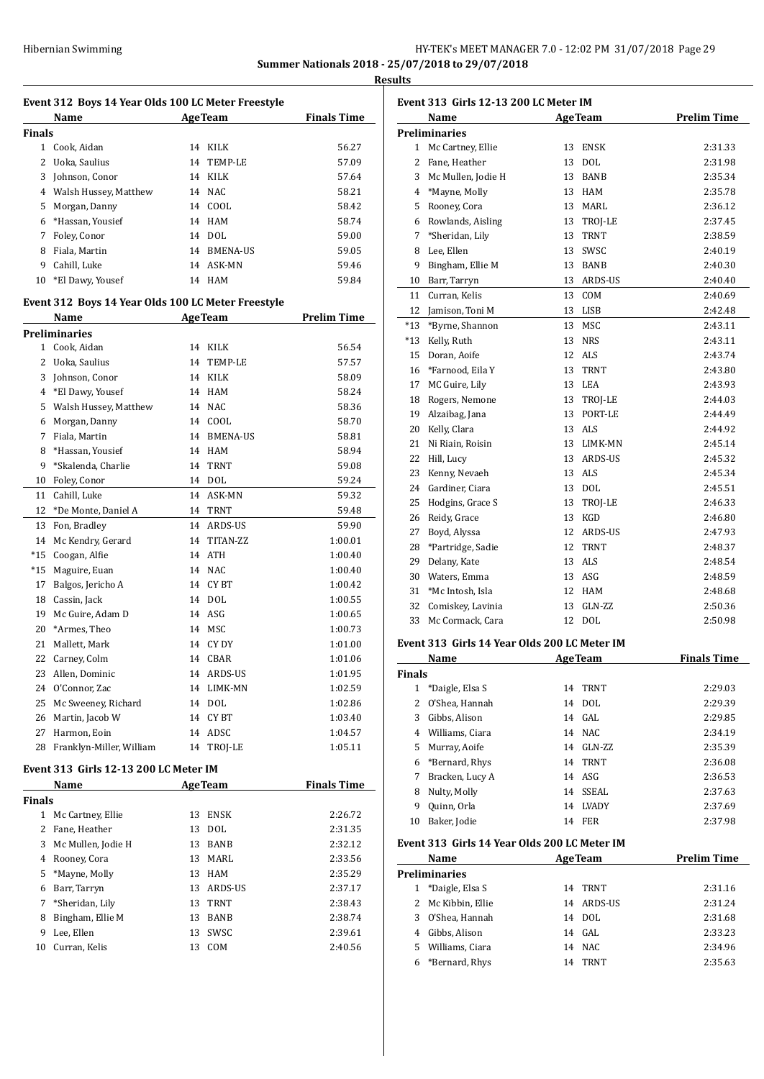## HY-TEK's MEET MANAGER 7.0 - 12:02 PM 31/07/2018 Page 29 **Summer Nationals 2018 - 25/07/2018 to 29/07/2018**

**Results**

| Event 312 Boys 14 Year Olds 100 LC Meter Freestyle |                                                    |    |                |                    |  |  |  |
|----------------------------------------------------|----------------------------------------------------|----|----------------|--------------------|--|--|--|
|                                                    | <b>Example 2</b> Age Team<br>Name                  |    |                | <b>Finals Time</b> |  |  |  |
| Finals                                             |                                                    |    |                |                    |  |  |  |
| $\mathbf{1}$                                       | Cook, Aidan                                        |    | 14 KILK        | 56.27              |  |  |  |
| 2                                                  | Uoka, Saulius                                      |    | 14 TEMP-LE     | 57.09              |  |  |  |
| 3                                                  | Johnson, Conor                                     |    | 14 KILK        | 57.64              |  |  |  |
|                                                    | 4 Walsh Hussey, Matthew                            |    | 14 NAC         | 58.21              |  |  |  |
| 5                                                  | Morgan, Danny                                      |    | 14 COOL        | 58.42              |  |  |  |
| 6                                                  | *Hassan, Yousief                                   |    | 14 HAM         | 58.74              |  |  |  |
| 7                                                  | Foley, Conor                                       |    | 14 DOL         | 59.00              |  |  |  |
| 8                                                  | Fiala, Martin                                      |    | 14 BMENA-US    | 59.05              |  |  |  |
| 9                                                  | Cahill, Luke                                       |    | 14 ASK-MN      | 59.46              |  |  |  |
| 10                                                 | *El Dawy, Yousef                                   |    | 14 HAM         | 59.84              |  |  |  |
|                                                    | Event 312 Boys 14 Year Olds 100 LC Meter Freestyle |    |                |                    |  |  |  |
|                                                    | Name                                               |    | <b>AgeTeam</b> | <b>Prelim Time</b> |  |  |  |
|                                                    | Preliminaries                                      |    |                |                    |  |  |  |
| $\mathbf{1}$                                       | Cook. Aidan                                        |    | 14 KILK        | 56.54              |  |  |  |
| 2                                                  | Uoka, Saulius                                      |    | 14 TEMP-LE     | 57.57              |  |  |  |
| 3                                                  | Johnson, Conor                                     |    | 14 KILK        | 58.09              |  |  |  |
| 4                                                  | *El Dawy, Yousef                                   |    | 14 HAM         | 58.24              |  |  |  |
| 5                                                  | Walsh Hussey, Matthew                              |    | 14 NAC         | 58.36              |  |  |  |
| 6                                                  | Morgan, Danny                                      |    | 14 COOL        | 58.70              |  |  |  |
| 7                                                  | Fiala, Martin                                      |    | 14 BMENA-US    | 58.81              |  |  |  |
| 8                                                  | *Hassan, Yousief                                   |    | 14 HAM         | 58.94              |  |  |  |
| 9                                                  | *Skalenda, Charlie                                 |    | 14 TRNT        | 59.08              |  |  |  |
| 10                                                 | Foley, Conor                                       |    | 14 DOL         | 59.24              |  |  |  |
| 11                                                 | Cahill, Luke                                       |    | 14 ASK-MN      | 59.32              |  |  |  |
| 12                                                 | *De Monte, Daniel A                                |    | 14 TRNT        | 59.48              |  |  |  |
| 13                                                 | Fon, Bradley                                       |    | 14 ARDS-US     | 59.90              |  |  |  |
| 14                                                 | Mc Kendry, Gerard                                  |    | 14 TITAN-ZZ    | 1:00.01            |  |  |  |
| $*15$                                              | Coogan, Alfie                                      |    | 14 ATH         | 1:00.40            |  |  |  |
| *15                                                | Maguire, Euan                                      |    | 14 NAC         | 1:00.40            |  |  |  |
| 17                                                 | Balgos, Jericho A                                  |    | 14 CYBT        | 1:00.42            |  |  |  |
| 18                                                 | Cassin, Jack                                       |    | 14 DOL         | 1:00.55            |  |  |  |
| 19                                                 | Mc Guire, Adam D                                   |    | 14 ASG         | 1:00.65            |  |  |  |
| 20                                                 | *Armes, Theo                                       |    | 14 MSC         | 1:00.73            |  |  |  |
| 21                                                 | Mallett, Mark                                      |    | 14 CY DY       | 1:01.00            |  |  |  |
| 22                                                 | Carney, Colm                                       |    | 14 CBAR        | 1:01.06            |  |  |  |
| 23                                                 | Allen, Dominic                                     |    | 14 ARDS-US     | 1:01.95            |  |  |  |
| 24                                                 | O'Connor, Zac                                      | 14 | LIMK-MN        | 1:02.59            |  |  |  |
| 25                                                 | Mc Sweeney, Richard                                |    | 14 DOL         | 1:02.86            |  |  |  |
| 26                                                 | Martin, Jacob W                                    | 14 | CY BT          | 1:03.40            |  |  |  |
| 27                                                 | Harmon, Eoin                                       |    | 14 ADSC        | 1:04.57            |  |  |  |
| 28                                                 | Franklyn-Miller, William                           | 14 | TROJ-LE        | 1:05.11            |  |  |  |
|                                                    | Event 313  Girls 12-13 200 LC Meter IM             |    |                |                    |  |  |  |
|                                                    | Name                                               |    | <b>AgeTeam</b> | <b>Finals Time</b> |  |  |  |
| <b>Finals</b>                                      |                                                    |    |                |                    |  |  |  |
| $\mathbf{1}$                                       | Mc Cartney, Ellie                                  | 13 | ENSK           | 2:26.72            |  |  |  |
| 2                                                  | Fane, Heather                                      | 13 | DOL            | 2:31.35            |  |  |  |
| 3                                                  | Mc Mullen, Jodie H                                 | 13 | <b>BANB</b>    | 2:32.12            |  |  |  |

3 Mc Mullen, Jodie H 13 BANB 2:32.12 Rooney, Cora 13 MARL 2:33.56 \*Mayne, Molly 13 HAM 2:35.29 Barr, Tarryn 13 ARDS-US 2:37.17 \*Sheridan, Lily 13 TRNT 2:38.43 Bingham, Ellie M 13 BANB 2:38.74 8 Bingham, Ellie M 13 BANB 2:38.74<br>9 Lee, Ellen 13 SWSC 2:39.61 Curran, Kelis 13 COM 2:40.56

| Event 313 Girls 12-13 200 LC Meter IM |                      |    |                |                    |
|---------------------------------------|----------------------|----|----------------|--------------------|
|                                       | Name                 |    | <b>AgeTeam</b> | <b>Prelim Time</b> |
|                                       | <b>Preliminaries</b> |    |                |                    |
| 1                                     | Mc Cartney, Ellie    | 13 | <b>ENSK</b>    | 2:31.33            |
| 2                                     | Fane, Heather        | 13 | DOL            | 2:31.98            |
| 3                                     | Mc Mullen, Jodie H   | 13 | <b>BANB</b>    | 2:35.34            |
| 4                                     | *Mayne, Molly        | 13 | <b>HAM</b>     | 2:35.78            |
| 5                                     | Rooney, Cora         | 13 | MARL           | 2:36.12            |
| 6                                     | Rowlands, Aisling    | 13 | TROJ-LE        | 2:37.45            |
| 7                                     | *Sheridan, Lily      | 13 | <b>TRNT</b>    | 2:38.59            |
| 8                                     | Lee, Ellen           | 13 | SWSC           | 2:40.19            |
| 9                                     | Bingham, Ellie M     | 13 | <b>BANB</b>    | 2:40.30            |
| 10                                    | Barr, Tarryn         |    | 13 ARDS-US     | 2:40.40            |
| 11                                    | Curran, Kelis        | 13 | COM            | 2:40.69            |
| 12                                    | Jamison, Toni M      | 13 | LISB           | 2:42.48            |
| $*13$                                 | *Byrne, Shannon      | 13 | MSC            | 2:43.11            |
| *13                                   | Kelly, Ruth          | 13 | NRS            | 2:43.11            |
| 15                                    | Doran, Aoife         | 12 | ALS            | 2:43.74            |
| 16                                    | *Farnood, Eila Y     | 13 | <b>TRNT</b>    | 2:43.80            |
| 17                                    | MC Guire, Lily       |    | 13 LEA         | 2:43.93            |
| 18                                    | Rogers, Nemone       | 13 | TROJ-LE        | 2:44.03            |
| 19                                    | Alzaibag, Jana       | 13 | PORT-LE        | 2:44.49            |
| 20                                    | Kelly, Clara         | 13 | ALS            | 2:44.92            |
| 21                                    | Ni Riain, Roisin     | 13 | LIMK-MN        | 2:45.14            |
| 22                                    | Hill, Lucy           | 13 | ARDS-US        | 2:45.32            |
| 23                                    | Kenny, Nevaeh        | 13 | ALS            | 2:45.34            |
| 24                                    | Gardiner, Ciara      | 13 | <b>DOL</b>     | 2:45.51            |
| 25                                    | Hodgins, Grace S     | 13 | TROJ-LE        | 2:46.33            |
| 26                                    | Reidy, Grace         | 13 | KGD            | 2:46.80            |
| 27                                    | Boyd, Alyssa         | 12 | ARDS-US        | 2:47.93            |
| 28                                    | *Partridge, Sadie    | 12 | <b>TRNT</b>    | 2:48.37            |
| 29                                    | Delany, Kate         | 13 | <b>ALS</b>     | 2:48.54            |
| 30                                    | Waters, Emma         | 13 | ASG            | 2:48.59            |
| 31                                    | *Mc Intosh, Isla     | 12 | HAM            | 2:48.68            |
| 32                                    | Comiskey, Lavinia    | 13 | GLN-ZZ         | 2:50.36            |
| 33                                    | Mc Cormack, Cara     | 12 | <b>DOL</b>     | 2:50.98            |
|                                       |                      |    |                |                    |

## **Event 313 Girls 14 Year Olds 200 LC Meter IM**

| Name          |                 |    | <b>AgeTeam</b> | <b>Finals Time</b> |  |
|---------------|-----------------|----|----------------|--------------------|--|
| <b>Finals</b> |                 |    |                |                    |  |
| 1             | *Daigle, Elsa S | 14 | <b>TRNT</b>    | 2:29.03            |  |
| 2             | O'Shea, Hannah  | 14 | DOL.           | 2:29.39            |  |
| 3             | Gibbs, Alison   |    | 14 GAL         | 2:29.85            |  |
| 4             | Williams, Ciara |    | 14 NAC         | 2:34.19            |  |
| 5             | Murray, Aoife   | 14 | $GLN-ZZ$       | 2:35.39            |  |
| 6             | *Bernard, Rhys  | 14 | TRNT           | 2:36.08            |  |
| 7             | Bracken, Lucy A |    | 14 ASG         | 2:36.53            |  |
| 8             | Nulty, Molly    | 14 | SSEAL          | 2:37.63            |  |
| 9             | Quinn, Orla     | 14 | <b>LVADY</b>   | 2:37.69            |  |
| 10            | Baker, Jodie    | 14 | <b>FER</b>     | 2:37.98            |  |

## **Event 313 Girls 14 Year Olds 200 LC Meter IM**

| Name |                      |    | <b>AgeTeam</b> | <b>Prelim Time</b> |
|------|----------------------|----|----------------|--------------------|
|      | <b>Preliminaries</b> |    |                |                    |
| 1    | *Daigle, Elsa S      | 14 | TRNT           | 2:31.16            |
|      | 2 Mc Kibbin, Ellie   |    | 14 ARDS-US     | 2:31.24            |
| 3    | O'Shea, Hannah       |    | 14 DOL         | 2:31.68            |
| 4    | Gibbs, Alison        | 14 | GAL.           | 2:33.23            |
| 5.   | Williams, Ciara      | 14 | NAC.           | 2:34.96            |
| 6    | *Bernard, Rhys       | 14 | TRNT           | 2:35.63            |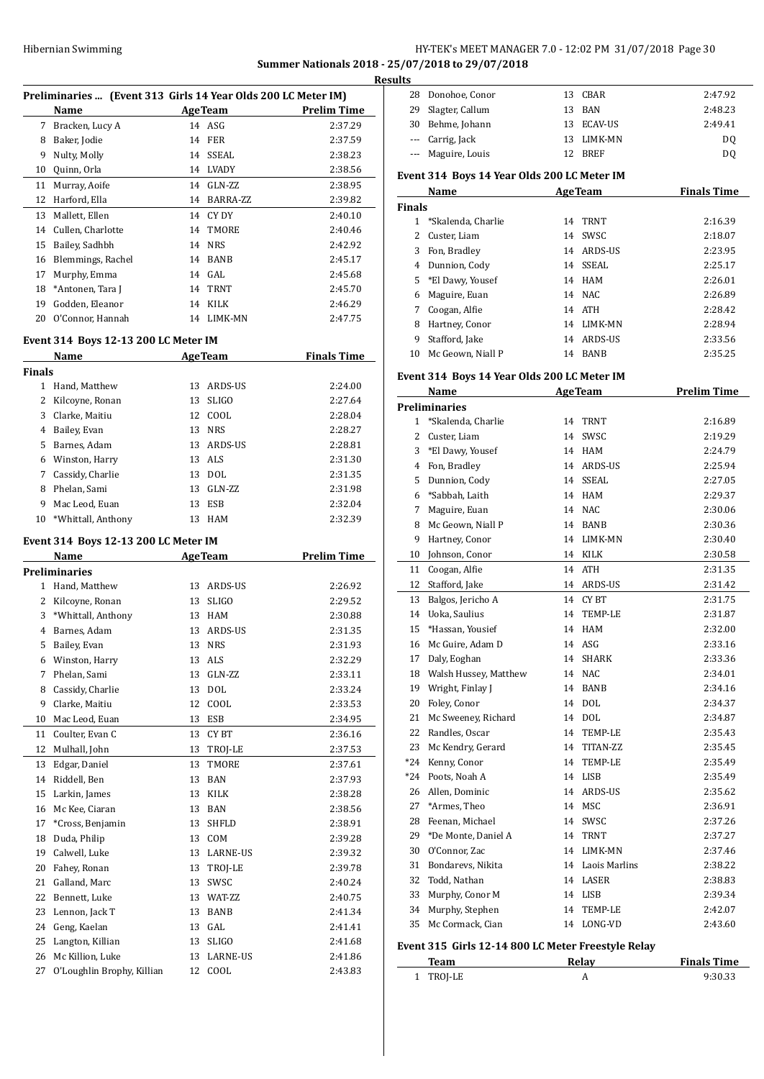## HY-TEK's MEET MANAGER 7.0 - 12:02 PM 31/07/2018 Page 30

**Summer Nationals 2018 - 25/07/2018 to 29/07/2018**

| Preliminaries  (Event 313 Girls 14 Year Olds 200 LC Meter IM) |                                      |    |                |                    |  |
|---------------------------------------------------------------|--------------------------------------|----|----------------|--------------------|--|
|                                                               | Name                                 |    | <b>AgeTeam</b> | <b>Prelim Time</b> |  |
| 7                                                             | Bracken, Lucy A                      |    | $14$ ASG       | 2:37.29            |  |
| 8                                                             | Baker, Jodie                         | 14 | <b>FER</b>     | 2:37.59            |  |
| 9                                                             | Nulty, Molly                         | 14 | <b>SSEAL</b>   | 2:38.23            |  |
| 10                                                            | Quinn, Orla                          | 14 | <b>LVADY</b>   | 2:38.56            |  |
| 11                                                            | Murray, Aoife                        | 14 | GLN-ZZ         | 2:38.95            |  |
| 12                                                            | Harford, Ella                        | 14 | BARRA-ZZ       | 2:39.82            |  |
| 13                                                            | Mallett, Ellen                       | 14 | CY DY          | 2:40.10            |  |
| 14                                                            | Cullen, Charlotte                    | 14 | TMORE          | 2:40.46            |  |
| 15                                                            | Bailey, Sadhbh                       | 14 | <b>NRS</b>     | 2:42.92            |  |
| 16                                                            | Blemmings, Rachel                    | 14 | <b>BANB</b>    | 2:45.17            |  |
| 17                                                            | Murphy, Emma                         | 14 | GAL            | 2:45.68            |  |
| 18                                                            | *Antonen, Tara J                     | 14 | <b>TRNT</b>    | 2:45.70            |  |
| 19                                                            | Godden, Eleanor                      | 14 | <b>KILK</b>    | 2:46.29            |  |
| 20                                                            | O'Connor, Hannah                     | 14 | LIMK-MN        | 2:47.75            |  |
|                                                               | Event 314 Boys 12-13 200 LC Meter IM |    |                |                    |  |
|                                                               | Name                                 |    | <b>AgeTeam</b> | <b>Finals Time</b> |  |
| <b>Finals</b>                                                 |                                      |    |                |                    |  |
| $\mathbf{1}$                                                  | Hand, Matthew                        | 13 | ARDS-US        | 2:24.00            |  |
| 2                                                             | Kilcoyne, Ronan                      | 13 | <b>SLIGO</b>   | 2:27.64            |  |
| 3                                                             | Clarke, Maitiu                       | 12 | COOL           | 2:28.04            |  |
| 4                                                             | Bailey, Evan                         | 13 | <b>NRS</b>     | 2:28.27            |  |
| 5                                                             | Barnes, Adam                         | 13 | <b>ARDS-US</b> | 2:28.81            |  |
| 6                                                             | Winston, Harry                       | 13 | ALS            | 2:31.30            |  |
| 7                                                             | Cassidy, Charlie                     | 13 | <b>DOL</b>     | 2:31.35            |  |
| 8                                                             | Phelan, Sami                         | 13 | GLN-ZZ         | 2:31.98            |  |
| 9                                                             | Mac Leod, Euan                       | 13 | <b>ESB</b>     | 2:32.04            |  |

\*Whittall, Anthony 13 HAM 2:32.39

## **Event 314 Boys 12-13 200 LC Meter IM**

|                | Name                       |    | <b>AgeTeam</b>  | <b>Prelim Time</b> |
|----------------|----------------------------|----|-----------------|--------------------|
|                | <b>Preliminaries</b>       |    |                 |                    |
| 1              | Hand, Matthew              | 13 | ARDS-US         | 2:26.92            |
| 2              | Kilcoyne, Ronan            | 13 | <b>SLIGO</b>    | 2:29.52            |
| 3              | *Whittall, Anthony         | 13 | <b>HAM</b>      | 2:30.88            |
| $\overline{4}$ | Barnes, Adam               | 13 | <b>ARDS-US</b>  | 2:31.35            |
| 5              | Bailey, Evan               | 13 | <b>NRS</b>      | 2:31.93            |
| 6              | Winston, Harry             | 13 | <b>ALS</b>      | 2:32.29            |
| 7              | Phelan, Sami               | 13 | $GLN-ZZ$        | 2:33.11            |
| 8              | Cassidy, Charlie           | 13 | <b>DOL</b>      | 2:33.24            |
| 9              | Clarke, Maitiu             | 12 | COOL            | 2:33.53            |
| 10             | Mac Leod, Euan             | 13 | <b>ESB</b>      | 2:34.95            |
| 11             | Coulter, Evan C            | 13 | <b>CYBT</b>     | 2:36.16            |
| 12             | Mulhall, John              | 13 | TROJ-LE         | 2:37.53            |
| 13             | Edgar, Daniel              | 13 | TMORE           | 2:37.61            |
| 14             | Riddell, Ben               | 13 | <b>BAN</b>      | 2:37.93            |
| 15             | Larkin, James              | 13 | <b>KILK</b>     | 2:38.28            |
| 16             | Mc Kee, Ciaran             | 13 | <b>BAN</b>      | 2:38.56            |
| 17             | *Cross, Benjamin           | 13 | <b>SHFLD</b>    | 2:38.91            |
| 18             | Duda, Philip               | 13 | COM             | 2:39.28            |
| 19             | Calwell, Luke              | 13 | <b>LARNE-US</b> | 2:39.32            |
| 20             | Fahev, Ronan               | 13 | TROJ-LE         | 2:39.78            |
| 21             | Galland, Marc              | 13 | SWSC            | 2:40.24            |
| 22             | Bennett, Luke              | 13 | WAT-ZZ          | 2:40.75            |
| 23             | Lennon, Jack T             | 13 | <b>BANB</b>     | 2:41.34            |
| 24             | Geng, Kaelan               | 13 | GAL             | 2:41.41            |
| 25             | Langton, Killian           | 13 | <b>SLIGO</b>    | 2:41.68            |
| 26             | Mc Killion, Luke           | 13 | <b>LARNE-US</b> | 2:41.86            |
| 27             | O'Loughlin Brophy, Killian | 12 | COOL            | 2:43.83            |

| <b>Results</b> |                                             |                |                    |
|----------------|---------------------------------------------|----------------|--------------------|
|                | 28 Donohoe, Conor                           | CBAR<br>13     | 2:47.92            |
|                | 29 Slagter, Callum                          | BAN<br>13      | 2:48.23            |
|                | 30 Behme, Johann                            | ECAV-US<br>13  | 2:49.41            |
|                | Carrig, Jack<br>$\cdots$                    | LIMK-MN<br>13  | DO.                |
|                | --- Maguire, Louis                          | 12 BREF        | D <sub>0</sub>     |
|                | Event 314 Boys 14 Year Olds 200 LC Meter IM |                |                    |
|                | Name                                        | <b>AgeTeam</b> | <b>Finals Time</b> |
| <b>Finals</b>  |                                             |                |                    |
|                | *Skalenda, Charlie                          | TRNT<br>14     | 2:16.39            |

|    | $O$ <i>NATCHMA, <math>O</math>Harne</i> |    |             | ----    |
|----|-----------------------------------------|----|-------------|---------|
|    | Custer, Liam                            | 14 | SWSC.       | 2:18.07 |
| 3  | Fon, Bradley                            |    | 14 ARDS-US  | 2:23.95 |
| 4  | Dunnion, Cody                           |    | 14 SSEAL    | 2:25.17 |
|    | 5 *El Dawy, Yousef                      |    | 14 HAM      | 2:26.01 |
| 6  | Maguire, Euan                           |    | 14 NAC      | 2:26.89 |
| 7  | Coogan, Alfie                           |    | 14 ATH      | 2:28.42 |
| 8  | Hartney, Conor                          |    | 14 LIMK-MN  | 2:28.94 |
| 9  | Stafford, Jake                          |    | 14 ARDS-US  | 2:33.56 |
| 10 | Mc Geown, Niall P                       | 14 | <b>BANB</b> | 2:35.25 |

### **Event 314 Boys 14 Year Olds 200 LC Meter IM**

|                | Name                                               |    | <b>AgeTeam</b>   | <b>Prelim Time</b> |
|----------------|----------------------------------------------------|----|------------------|--------------------|
|                | <b>Preliminaries</b>                               |    |                  |                    |
| 1              | *Skalenda, Charlie                                 | 14 | <b>TRNT</b>      | 2:16.89            |
| $\overline{c}$ | Custer, Liam                                       |    | 14 SWSC          | 2:19.29            |
| 3              | *El Dawy, Yousef                                   |    | 14 HAM           | 2:24.79            |
| 4              | Fon, Bradley                                       |    | 14 ARDS-US       | 2:25.94            |
| 5              | Dunnion, Cody                                      |    | 14 SSEAL         | 2:27.05            |
| 6              | *Sabbah, Laith                                     |    | 14 HAM           | 2:29.37            |
| 7              | Maguire, Euan                                      | 14 | <b>NAC</b>       | 2:30.06            |
| 8              | Mc Geown, Niall P                                  |    | 14 BANB          | 2:30.36            |
| 9              | Hartney, Conor                                     |    | 14 LIMK-MN       | 2:30.40            |
| 10             | Johnson, Conor                                     |    | 14 KILK          | 2:30.58            |
| 11             | Coogan, Alfie                                      | 14 | <b>ATH</b>       | 2:31.35            |
| 12             | Stafford, Jake                                     |    | 14 ARDS-US       | 2:31.42            |
| 13             | Balgos, Jericho A                                  |    | 14 CYBT          | 2:31.75            |
| 14             | Uoka, Saulius                                      | 14 | TEMP-LE          | 2:31.87            |
| 15             | *Hassan, Yousief                                   | 14 | HAM              | 2:32.00            |
| 16             | Mc Guire, Adam D                                   | 14 | ASG              | 2:33.16            |
| 17             | Daly, Eoghan                                       | 14 | <b>SHARK</b>     | 2:33.36            |
| 18             | Walsh Hussey, Matthew                              |    | 14 NAC           | 2:34.01            |
| 19             | Wright, Finlay J                                   |    | 14 BANB          | 2:34.16            |
| 20             | Foley, Conor                                       |    | 14 DOL           | 2:34.37            |
| 21             | Mc Sweeney, Richard                                |    | 14 DOL           | 2:34.87            |
| 22             | Randles, Oscar                                     | 14 | TEMP-LE          | 2:35.43            |
| 23             | Mc Kendry, Gerard                                  | 14 | TITAN-ZZ         | 2:35.45            |
| $*24$          | Kenny, Conor                                       | 14 | TEMP-LE          | 2:35.49            |
| $*24$          | Poots, Noah A                                      |    | 14 LISB          | 2:35.49            |
| 26             | Allen, Dominic                                     | 14 | ARDS-US          | 2:35.62            |
| 27             | *Armes, Theo                                       |    | 14 MSC           | 2:36.91            |
| 28             | Feenan, Michael                                    |    | 14 SWSC          | 2:37.26            |
| 29             | *De Monte, Daniel A                                |    | 14 TRNT          | 2:37.27            |
| 30             | O'Connor, Zac                                      |    | 14 LIMK-MN       | 2:37.46            |
| 31             | Bondarevs, Nikita                                  |    | 14 Laois Marlins | 2:38.22            |
| 32             | Todd, Nathan                                       |    | 14 LASER         | 2:38.83            |
| 33             | Murphy, Conor M                                    |    | 14 LISB          | 2:39.34            |
| 34             | Murphy, Stephen                                    | 14 | TEMP-LE          | 2:42.07            |
| 35             | Mc Cormack, Cian                                   | 14 | LONG-VD          | 2:43.60            |
|                | Event 315 Girls 12-14 800 LC Meter Freestyle Relay |    |                  |                    |
|                | <b>Team</b>                                        |    | Relay            | <b>Finals Time</b> |

TROJ-LE A 9:30.33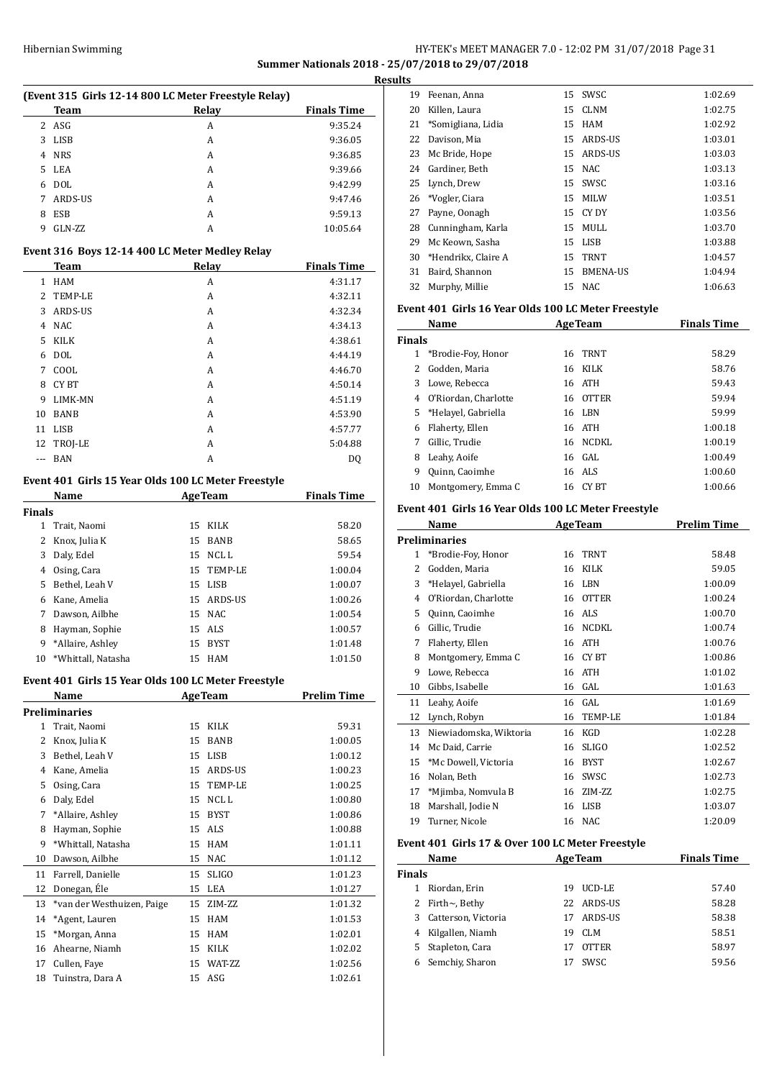## Hibernian Swimming **HY-TEK's MEET MANAGER 7.0 - 12:02 PM 31/07/2018** Page 31 **Summer Nationals 2018 - 25/07/2018 to 29/07/2018**

**Results**

L,

 $\overline{a}$ 

| (Event 315 Girls 12-14 800 LC Meter Freestyle Relay) |                    |   |          |  |  |
|------------------------------------------------------|--------------------|---|----------|--|--|
|                                                      | <b>Finals Time</b> |   |          |  |  |
|                                                      | 2 ASG              | А | 9:35.24  |  |  |
| 3                                                    | <b>LISB</b>        | A | 9:36.05  |  |  |
| 4                                                    | <b>NRS</b>         | A | 9:36.85  |  |  |
| 5.                                                   | LEA                | A | 9:39.66  |  |  |
| 6                                                    | <b>DOL</b>         | A | 9:42.99  |  |  |
|                                                      | ARDS-US            | A | 9:47.46  |  |  |
| 8                                                    | <b>ESB</b>         | A | 9:59.13  |  |  |
| 9                                                    | GLN-ZZ             | А | 10:05.64 |  |  |

#### **Event 316 Boys 12-14 400 LC Meter Medley Relay**

|     | Team         | Relay | <b>Finals Time</b> |
|-----|--------------|-------|--------------------|
| 1   | <b>HAM</b>   | A     | 4:31.17            |
|     | 2 TEMP-LE    | A     | 4:32.11            |
| 3   | ARDS-US      | A     | 4:32.34            |
| 4   | <b>NAC</b>   | A     | 4:34.13            |
| 5   | <b>KILK</b>  | A     | 4:38.61            |
| 6   | <b>DOL</b>   | A     | 4:44.19            |
| 7   | COOL         | A     | 4:46.70            |
| 8   | <b>CY BT</b> | A     | 4:50.14            |
| 9   | LIMK-MN      | A     | 4:51.19            |
| 10  | <b>BANB</b>  | A     | 4:53.90            |
| 11  | <b>LISB</b>  | A     | 4:57.77            |
|     | 12 TROJ-LE   | A     | 5:04.88            |
| --- | <b>BAN</b>   | A     | <b>DQ</b>          |

#### **Event 401 Girls 15 Year Olds 100 LC Meter Freestyle**

|        | Name               |    | <b>AgeTeam</b> | <b>Finals Time</b> |  |
|--------|--------------------|----|----------------|--------------------|--|
| Finals |                    |    |                |                    |  |
| 1      | Trait, Naomi       | 15 | <b>KILK</b>    | 58.20              |  |
| 2      | Knox, Julia K      | 15 | <b>BANB</b>    | 58.65              |  |
| 3      | Daly, Edel         | 15 | NCL L          | 59.54              |  |
| 4      | Osing, Cara        | 15 | TEMP-LE        | 1:00.04            |  |
| 5      | Bethel. Leah V     | 15 | LISB           | 1:00.07            |  |
| 6      | Kane, Amelia       | 15 | ARDS-US        | 1:00.26            |  |
| 7      | Dawson, Ailbhe     |    | 15 NAC         | 1:00.54            |  |
| 8      | Hayman, Sophie     |    | 15 ALS         | 1:00.57            |  |
| 9      | *Allaire, Ashley   | 15 | <b>BYST</b>    | 1:01.48            |  |
| 10     | *Whittall, Natasha | 15 | HAM            | 1:01.50            |  |

### **Event 401 Girls 15 Year Olds 100 LC Meter Freestyle**

|    | Name                       |    | <b>AgeTeam</b> | Prelim Time |  |
|----|----------------------------|----|----------------|-------------|--|
|    | Preliminaries              |    |                |             |  |
| 1  | Trait, Naomi               | 15 | <b>KILK</b>    | 59.31       |  |
| 2  | Knox, Julia K              | 15 | <b>BANB</b>    | 1:00.05     |  |
| 3  | Bethel, Leah V             | 15 | <b>LISB</b>    | 1:00.12     |  |
| 4  | Kane, Amelia               | 15 | ARDS-US        | 1:00.23     |  |
| 5  | Osing, Cara                | 15 | TEMP-LE        | 1:00.25     |  |
| 6  | Daly, Edel                 | 15 | NCL L          | 1:00.80     |  |
| 7  | *Allaire, Ashley           | 15 | <b>BYST</b>    | 1:00.86     |  |
| 8  | Hayman, Sophie             | 15 | ALS            | 1:00.88     |  |
| 9  | *Whittall, Natasha         | 15 | <b>HAM</b>     | 1:01.11     |  |
| 10 | Dawson, Ailbhe             | 15 | <b>NAC</b>     | 1:01.12     |  |
| 11 | Farrell, Danielle          | 15 | <b>SLIGO</b>   | 1:01.23     |  |
| 12 | Donegan, Éle               | 15 | LEA            | 1:01.27     |  |
| 13 | *van der Westhuizen, Paige | 15 | ZIM-ZZ         | 1:01.32     |  |
| 14 | *Agent, Lauren             | 15 | <b>HAM</b>     | 1:01.53     |  |
| 15 | *Morgan, Anna              | 15 | <b>HAM</b>     | 1:02.01     |  |
| 16 | Ahearne, Niamh             | 15 | <b>KILK</b>    | 1:02.02     |  |
| 17 | Cullen, Faye               | 15 | WAT-ZZ         | 1:02.56     |  |
| 18 | Tuinstra, Dara A           | 15 | ASG            | 1:02.61     |  |

| 19 | Feenan, Anna        | 15 | SWSC            | 1:02.69 |
|----|---------------------|----|-----------------|---------|
| 20 | Killen, Laura       | 15 | <b>CLNM</b>     | 1:02.75 |
| 21 | *Somigliana, Lidia  | 15 | HAM             | 1:02.92 |
| 22 | Davison, Mia        | 15 | ARDS-US         | 1:03.01 |
| 23 | Mc Bride, Hope      | 15 | ARDS-US         | 1:03.03 |
| 24 | Gardiner. Beth      | 15 | NAC.            | 1:03.13 |
| 25 | Lynch, Drew         | 15 | SWSC            | 1:03.16 |
| 26 | *Vogler, Ciara      | 15 | <b>MILW</b>     | 1:03.51 |
| 27 | Payne, Oonagh       | 15 | CY DY           | 1:03.56 |
| 28 | Cunningham, Karla   | 15 | MULL            | 1:03.70 |
| 29 | Mc Keown, Sasha     | 15 | LISB            | 1:03.88 |
| 30 | *Hendrikx, Claire A | 15 | <b>TRNT</b>     | 1:04.57 |
| 31 | Baird, Shannon      | 15 | <b>BMENA-US</b> | 1:04.94 |
| 32 | Murphy, Millie      | 15 | NAC             | 1:06.63 |

#### **Event 401 Girls 16 Year Olds 100 LC Meter Freestyle**

|               | Name<br><b>AgeTeam</b> |    |              | <b>Finals Time</b> |
|---------------|------------------------|----|--------------|--------------------|
| <b>Finals</b> |                        |    |              |                    |
| 1             | *Brodie-Foy, Honor     | 16 | <b>TRNT</b>  | 58.29              |
| 2             | Godden, Maria          | 16 | KILK         | 58.76              |
| 3             | Lowe, Rebecca          |    | 16 ATH       | 59.43              |
| 4             | O'Riordan, Charlotte   | 16 | <b>OTTER</b> | 59.94              |
|               | 5 *Helayel, Gabriella  | 16 | LBN          | 59.99              |
| 6             | Flaherty, Ellen        |    | 16 ATH       | 1:00.18            |
|               | Gillic, Trudie         | 16 | NCDKL        | 1:00.19            |
| 8             | Leahy, Aoife           |    | 16 GAL       | 1:00.49            |
| 9             | Quinn, Caoimhe         |    | 16 ALS       | 1:00.60            |
| 10            | Montgomery, Emma C     |    | 16 CY BT     | 1:00.66            |

## **Event 401 Girls 16 Year Olds 100 LC Meter Freestyle**

|              | Name                   |    | <b>AgeTeam</b> | <b>Prelim Time</b> |
|--------------|------------------------|----|----------------|--------------------|
|              | Preliminaries          |    |                |                    |
| $\mathbf{1}$ | *Brodie-Foy, Honor     | 16 | <b>TRNT</b>    | 58.48              |
| 2            | Godden, Maria          | 16 | <b>KILK</b>    | 59.05              |
| 3            | *Helayel, Gabriella    | 16 | <b>LBN</b>     | 1:00.09            |
| 4            | O'Riordan, Charlotte   | 16 | <b>OTTER</b>   | 1:00.24            |
| 5            | Quinn, Caoimhe         | 16 | ALS            | 1:00.70            |
| 6            | Gillic, Trudie         | 16 | NCDKL          | 1:00.74            |
| 7            | Flaherty, Ellen        | 16 | <b>ATH</b>     | 1:00.76            |
| 8            | Montgomery, Emma C     | 16 | CY BT          | 1:00.86            |
| 9            | Lowe, Rebecca          | 16 | <b>ATH</b>     | 1:01.02            |
| 10           | Gibbs, Isabelle        | 16 | GAL            | 1:01.63            |
| 11           | Leahy, Aoife           | 16 | GAL            | 1:01.69            |
| 12           | Lynch, Robyn           | 16 | TEMP-LE        | 1:01.84            |
| 13           | Niewiadomska, Wiktoria | 16 | KGD            | 1:02.28            |
| 14           | Mc Daid, Carrie        | 16 | <b>SLIGO</b>   | 1:02.52            |
| 15           | *Mc Dowell, Victoria   | 16 | <b>BYST</b>    | 1:02.67            |
| 16           | Nolan, Beth            | 16 | SWSC           | 1:02.73            |
| 17           | *Mjimba, Nomvula B     | 16 | ZIM-ZZ         | 1:02.75            |
| 18           | Marshall, Jodie N      | 16 | LISB           | 1:03.07            |
| 19           | Turner, Nicole         | 16 | NAC            | 1:20.09            |

### **Event 401 Girls 17 & Over 100 LC Meter Freestyle**

|        | Name                   | <b>AgeTeam</b> |              | <b>Finals Time</b> |
|--------|------------------------|----------------|--------------|--------------------|
| Finals |                        |                |              |                    |
|        | Riordan, Erin          | 19.            | UCD-LE       | 57.40              |
|        | 2 Firth $\sim$ , Bethy |                | 22 ARDS-US   | 58.28              |
|        | 3 Catterson, Victoria  | 17             | ARDS-US      | 58.38              |
| 4      | Kilgallen, Niamh       | 19.            | CLM          | 58.51              |
| 5.     | Stapleton, Cara        | 17             | <b>OTTER</b> | 58.97              |
| 6      | Semchiy, Sharon        |                | SWSC         | 59.56              |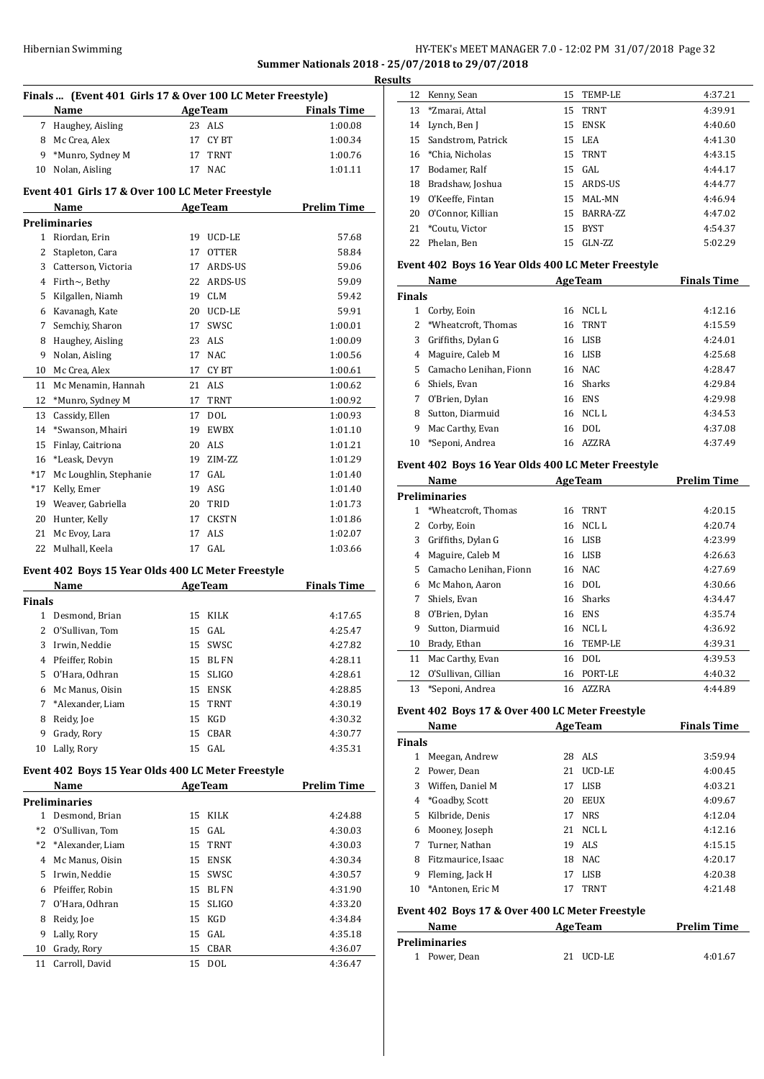## Hibernian Swimming **HY-TEK's MEET MANAGER 7.0 - 12:02 PM 31/07/2018** Page 32 **Summer Nationals 2018 - 25/07/2018 to 29/07/2018**

|                      |                                                                                                                                                                                                                                                                                                                                                                                                                                                                                                                                                                         |                                                                                              | <b>Finals Time</b>                                                                                                                                                                                                                                                                                                                                                                                                                                                                                                                                                                                                                                                                                                                                                                                           |
|----------------------|-------------------------------------------------------------------------------------------------------------------------------------------------------------------------------------------------------------------------------------------------------------------------------------------------------------------------------------------------------------------------------------------------------------------------------------------------------------------------------------------------------------------------------------------------------------------------|----------------------------------------------------------------------------------------------|--------------------------------------------------------------------------------------------------------------------------------------------------------------------------------------------------------------------------------------------------------------------------------------------------------------------------------------------------------------------------------------------------------------------------------------------------------------------------------------------------------------------------------------------------------------------------------------------------------------------------------------------------------------------------------------------------------------------------------------------------------------------------------------------------------------|
|                      |                                                                                                                                                                                                                                                                                                                                                                                                                                                                                                                                                                         |                                                                                              | 1:00.08                                                                                                                                                                                                                                                                                                                                                                                                                                                                                                                                                                                                                                                                                                                                                                                                      |
|                      |                                                                                                                                                                                                                                                                                                                                                                                                                                                                                                                                                                         |                                                                                              | 1:00.34                                                                                                                                                                                                                                                                                                                                                                                                                                                                                                                                                                                                                                                                                                                                                                                                      |
|                      |                                                                                                                                                                                                                                                                                                                                                                                                                                                                                                                                                                         |                                                                                              | 1:00.76                                                                                                                                                                                                                                                                                                                                                                                                                                                                                                                                                                                                                                                                                                                                                                                                      |
|                      |                                                                                                                                                                                                                                                                                                                                                                                                                                                                                                                                                                         |                                                                                              | 1:01.11                                                                                                                                                                                                                                                                                                                                                                                                                                                                                                                                                                                                                                                                                                                                                                                                      |
|                      |                                                                                                                                                                                                                                                                                                                                                                                                                                                                                                                                                                         |                                                                                              |                                                                                                                                                                                                                                                                                                                                                                                                                                                                                                                                                                                                                                                                                                                                                                                                              |
| Name                 |                                                                                                                                                                                                                                                                                                                                                                                                                                                                                                                                                                         |                                                                                              | <b>Prelim Time</b>                                                                                                                                                                                                                                                                                                                                                                                                                                                                                                                                                                                                                                                                                                                                                                                           |
| Preliminaries        |                                                                                                                                                                                                                                                                                                                                                                                                                                                                                                                                                                         |                                                                                              |                                                                                                                                                                                                                                                                                                                                                                                                                                                                                                                                                                                                                                                                                                                                                                                                              |
| Riordan, Erin        |                                                                                                                                                                                                                                                                                                                                                                                                                                                                                                                                                                         |                                                                                              | 57.68                                                                                                                                                                                                                                                                                                                                                                                                                                                                                                                                                                                                                                                                                                                                                                                                        |
|                      |                                                                                                                                                                                                                                                                                                                                                                                                                                                                                                                                                                         | <b>OTTER</b>                                                                                 | 58.84                                                                                                                                                                                                                                                                                                                                                                                                                                                                                                                                                                                                                                                                                                                                                                                                        |
|                      |                                                                                                                                                                                                                                                                                                                                                                                                                                                                                                                                                                         |                                                                                              | 59.06                                                                                                                                                                                                                                                                                                                                                                                                                                                                                                                                                                                                                                                                                                                                                                                                        |
| 4 Firth~, Bethy      |                                                                                                                                                                                                                                                                                                                                                                                                                                                                                                                                                                         |                                                                                              | 59.09                                                                                                                                                                                                                                                                                                                                                                                                                                                                                                                                                                                                                                                                                                                                                                                                        |
|                      |                                                                                                                                                                                                                                                                                                                                                                                                                                                                                                                                                                         |                                                                                              | 59.42                                                                                                                                                                                                                                                                                                                                                                                                                                                                                                                                                                                                                                                                                                                                                                                                        |
|                      |                                                                                                                                                                                                                                                                                                                                                                                                                                                                                                                                                                         |                                                                                              | 59.91                                                                                                                                                                                                                                                                                                                                                                                                                                                                                                                                                                                                                                                                                                                                                                                                        |
| Semchiy, Sharon      |                                                                                                                                                                                                                                                                                                                                                                                                                                                                                                                                                                         | SWSC                                                                                         | 1:00.01                                                                                                                                                                                                                                                                                                                                                                                                                                                                                                                                                                                                                                                                                                                                                                                                      |
|                      |                                                                                                                                                                                                                                                                                                                                                                                                                                                                                                                                                                         |                                                                                              | 1:00.09                                                                                                                                                                                                                                                                                                                                                                                                                                                                                                                                                                                                                                                                                                                                                                                                      |
|                      |                                                                                                                                                                                                                                                                                                                                                                                                                                                                                                                                                                         | NAC                                                                                          | 1:00.56                                                                                                                                                                                                                                                                                                                                                                                                                                                                                                                                                                                                                                                                                                                                                                                                      |
| Mc Crea, Alex        |                                                                                                                                                                                                                                                                                                                                                                                                                                                                                                                                                                         |                                                                                              | 1:00.61                                                                                                                                                                                                                                                                                                                                                                                                                                                                                                                                                                                                                                                                                                                                                                                                      |
| Mc Menamin, Hannah   |                                                                                                                                                                                                                                                                                                                                                                                                                                                                                                                                                                         |                                                                                              | 1:00.62                                                                                                                                                                                                                                                                                                                                                                                                                                                                                                                                                                                                                                                                                                                                                                                                      |
| *Munro, Sydney M     |                                                                                                                                                                                                                                                                                                                                                                                                                                                                                                                                                                         |                                                                                              | 1:00.92                                                                                                                                                                                                                                                                                                                                                                                                                                                                                                                                                                                                                                                                                                                                                                                                      |
| Cassidy, Ellen       |                                                                                                                                                                                                                                                                                                                                                                                                                                                                                                                                                                         | <b>DOL</b>                                                                                   | 1:00.93                                                                                                                                                                                                                                                                                                                                                                                                                                                                                                                                                                                                                                                                                                                                                                                                      |
| *Swanson, Mhairi     |                                                                                                                                                                                                                                                                                                                                                                                                                                                                                                                                                                         |                                                                                              | 1:01.10                                                                                                                                                                                                                                                                                                                                                                                                                                                                                                                                                                                                                                                                                                                                                                                                      |
| Finlay, Caitriona    |                                                                                                                                                                                                                                                                                                                                                                                                                                                                                                                                                                         |                                                                                              | 1:01.21                                                                                                                                                                                                                                                                                                                                                                                                                                                                                                                                                                                                                                                                                                                                                                                                      |
| *Leask, Devyn        |                                                                                                                                                                                                                                                                                                                                                                                                                                                                                                                                                                         |                                                                                              | 1:01.29                                                                                                                                                                                                                                                                                                                                                                                                                                                                                                                                                                                                                                                                                                                                                                                                      |
|                      |                                                                                                                                                                                                                                                                                                                                                                                                                                                                                                                                                                         | GAL                                                                                          | 1:01.40                                                                                                                                                                                                                                                                                                                                                                                                                                                                                                                                                                                                                                                                                                                                                                                                      |
| Kelly, Emer          |                                                                                                                                                                                                                                                                                                                                                                                                                                                                                                                                                                         |                                                                                              | 1:01.40                                                                                                                                                                                                                                                                                                                                                                                                                                                                                                                                                                                                                                                                                                                                                                                                      |
| Weaver, Gabriella    |                                                                                                                                                                                                                                                                                                                                                                                                                                                                                                                                                                         |                                                                                              | 1:01.73                                                                                                                                                                                                                                                                                                                                                                                                                                                                                                                                                                                                                                                                                                                                                                                                      |
| Hunter, Kelly        |                                                                                                                                                                                                                                                                                                                                                                                                                                                                                                                                                                         |                                                                                              | 1:01.86                                                                                                                                                                                                                                                                                                                                                                                                                                                                                                                                                                                                                                                                                                                                                                                                      |
| Mc Evoy, Lara        |                                                                                                                                                                                                                                                                                                                                                                                                                                                                                                                                                                         | <b>ALS</b>                                                                                   | 1:02.07                                                                                                                                                                                                                                                                                                                                                                                                                                                                                                                                                                                                                                                                                                                                                                                                      |
| Mulhall, Keela       |                                                                                                                                                                                                                                                                                                                                                                                                                                                                                                                                                                         |                                                                                              | 1:03.66                                                                                                                                                                                                                                                                                                                                                                                                                                                                                                                                                                                                                                                                                                                                                                                                      |
|                      |                                                                                                                                                                                                                                                                                                                                                                                                                                                                                                                                                                         |                                                                                              |                                                                                                                                                                                                                                                                                                                                                                                                                                                                                                                                                                                                                                                                                                                                                                                                              |
| Name                 |                                                                                                                                                                                                                                                                                                                                                                                                                                                                                                                                                                         |                                                                                              | <b>Finals Time</b>                                                                                                                                                                                                                                                                                                                                                                                                                                                                                                                                                                                                                                                                                                                                                                                           |
| <b>Finals</b>        |                                                                                                                                                                                                                                                                                                                                                                                                                                                                                                                                                                         |                                                                                              |                                                                                                                                                                                                                                                                                                                                                                                                                                                                                                                                                                                                                                                                                                                                                                                                              |
|                      |                                                                                                                                                                                                                                                                                                                                                                                                                                                                                                                                                                         |                                                                                              | 4:17.65                                                                                                                                                                                                                                                                                                                                                                                                                                                                                                                                                                                                                                                                                                                                                                                                      |
|                      |                                                                                                                                                                                                                                                                                                                                                                                                                                                                                                                                                                         |                                                                                              | 4:25.47                                                                                                                                                                                                                                                                                                                                                                                                                                                                                                                                                                                                                                                                                                                                                                                                      |
|                      |                                                                                                                                                                                                                                                                                                                                                                                                                                                                                                                                                                         |                                                                                              | 4:27.82                                                                                                                                                                                                                                                                                                                                                                                                                                                                                                                                                                                                                                                                                                                                                                                                      |
|                      |                                                                                                                                                                                                                                                                                                                                                                                                                                                                                                                                                                         |                                                                                              | 4:28.11                                                                                                                                                                                                                                                                                                                                                                                                                                                                                                                                                                                                                                                                                                                                                                                                      |
|                      |                                                                                                                                                                                                                                                                                                                                                                                                                                                                                                                                                                         |                                                                                              | 4:28.61                                                                                                                                                                                                                                                                                                                                                                                                                                                                                                                                                                                                                                                                                                                                                                                                      |
|                      |                                                                                                                                                                                                                                                                                                                                                                                                                                                                                                                                                                         |                                                                                              | 4:28.85                                                                                                                                                                                                                                                                                                                                                                                                                                                                                                                                                                                                                                                                                                                                                                                                      |
|                      |                                                                                                                                                                                                                                                                                                                                                                                                                                                                                                                                                                         |                                                                                              | 4:30.19                                                                                                                                                                                                                                                                                                                                                                                                                                                                                                                                                                                                                                                                                                                                                                                                      |
|                      |                                                                                                                                                                                                                                                                                                                                                                                                                                                                                                                                                                         |                                                                                              | 4:30.32                                                                                                                                                                                                                                                                                                                                                                                                                                                                                                                                                                                                                                                                                                                                                                                                      |
|                      |                                                                                                                                                                                                                                                                                                                                                                                                                                                                                                                                                                         |                                                                                              | 4:30.77<br>4:35.31                                                                                                                                                                                                                                                                                                                                                                                                                                                                                                                                                                                                                                                                                                                                                                                           |
|                      |                                                                                                                                                                                                                                                                                                                                                                                                                                                                                                                                                                         |                                                                                              |                                                                                                                                                                                                                                                                                                                                                                                                                                                                                                                                                                                                                                                                                                                                                                                                              |
|                      |                                                                                                                                                                                                                                                                                                                                                                                                                                                                                                                                                                         |                                                                                              | <b>Prelim Time</b>                                                                                                                                                                                                                                                                                                                                                                                                                                                                                                                                                                                                                                                                                                                                                                                           |
| <b>Preliminaries</b> |                                                                                                                                                                                                                                                                                                                                                                                                                                                                                                                                                                         |                                                                                              |                                                                                                                                                                                                                                                                                                                                                                                                                                                                                                                                                                                                                                                                                                                                                                                                              |
| $1 \quad$            | 15                                                                                                                                                                                                                                                                                                                                                                                                                                                                                                                                                                      |                                                                                              | 4:24.88                                                                                                                                                                                                                                                                                                                                                                                                                                                                                                                                                                                                                                                                                                                                                                                                      |
|                      |                                                                                                                                                                                                                                                                                                                                                                                                                                                                                                                                                                         |                                                                                              | 4:30.03                                                                                                                                                                                                                                                                                                                                                                                                                                                                                                                                                                                                                                                                                                                                                                                                      |
|                      |                                                                                                                                                                                                                                                                                                                                                                                                                                                                                                                                                                         |                                                                                              | 4:30.03                                                                                                                                                                                                                                                                                                                                                                                                                                                                                                                                                                                                                                                                                                                                                                                                      |
|                      |                                                                                                                                                                                                                                                                                                                                                                                                                                                                                                                                                                         |                                                                                              | 4:30.34                                                                                                                                                                                                                                                                                                                                                                                                                                                                                                                                                                                                                                                                                                                                                                                                      |
|                      |                                                                                                                                                                                                                                                                                                                                                                                                                                                                                                                                                                         |                                                                                              | 4:30.57                                                                                                                                                                                                                                                                                                                                                                                                                                                                                                                                                                                                                                                                                                                                                                                                      |
|                      |                                                                                                                                                                                                                                                                                                                                                                                                                                                                                                                                                                         |                                                                                              | 4:31.90                                                                                                                                                                                                                                                                                                                                                                                                                                                                                                                                                                                                                                                                                                                                                                                                      |
|                      |                                                                                                                                                                                                                                                                                                                                                                                                                                                                                                                                                                         |                                                                                              | 4:33.20                                                                                                                                                                                                                                                                                                                                                                                                                                                                                                                                                                                                                                                                                                                                                                                                      |
| Reidy, Joe           | 15                                                                                                                                                                                                                                                                                                                                                                                                                                                                                                                                                                      | KGD                                                                                          | 4:34.84                                                                                                                                                                                                                                                                                                                                                                                                                                                                                                                                                                                                                                                                                                                                                                                                      |
|                      | Name<br>7 Haughey, Aisling<br>8 Mc Crea, Alex<br>*Munro, Sydney M<br>Nolan, Aisling<br>10<br>Stapleton, Cara<br>Catterson, Victoria<br>Kilgallen, Niamh<br>6 Kavanagh, Kate<br>Haughey, Aisling<br>Nolan, Aisling<br>Mc Loughlin, Stephanie<br>1 Desmond, Brian<br>O'Sullivan, Tom<br>Irwin, Neddie<br>Pfeiffer, Robin<br>O'Hara, Odhran<br>Mc Manus, Oisin<br>7 *Alexander, Liam<br>Reidy, Joe<br>Grady, Rory<br>Lally, Rory<br>Name<br>Desmond, Brian<br>O'Sullivan, Tom<br>*Alexander, Liam<br>Mc Manus, Oisin<br>Irwin, Neddie<br>Pfeiffer, Robin<br>O'Hara, Odhran | 15<br>15<br>15<br>15<br>15<br>15<br>15<br>15<br>15<br>15<br>15<br>15<br>15<br>15<br>15<br>15 | Finals  (Event 401 Girls 17 & Over 100 LC Meter Freestyle)<br><b>AgeTeam</b><br>23 ALS<br>CY BT<br>17<br>TRNT<br>17<br><b>NAC</b><br>17<br>Event 401 Girls 17 & Over 100 LC Meter Freestyle<br><b>AgeTeam</b><br>19 UCD-LE<br>17<br>17 ARDS-US<br>22 ARDS-US<br>19 CLM<br>20 UCD-LE<br>17<br>23 ALS<br>17<br>17 CYBT<br>21 ALS<br>17 TRNT<br>17<br>19 EWBX<br>20 ALS<br>19 ZIM-ZZ<br>17<br>19 ASG<br>20 TRID<br>17 CKSTN<br>17<br>17 GAL<br>Event 402 Boys 15 Year Olds 400 LC Meter Freestyle<br><b>AgeTeam</b><br>KILK<br>GAL<br>SWSC<br>BL FN<br><b>SLIGO</b><br>ENSK<br>TRNT<br>KGD<br>CBAR<br>GAL<br>Event 402 Boys 15 Year Olds 400 LC Meter Freestyle<br><b>AgeTeam</b><br>KILK<br>GAL<br><b>TRNT</b><br><b>ENSK</b><br>SWSC<br>$\mathop{\rm BL}\nolimits$ $\mathop{\rm FN}\nolimits$<br><b>SLIGO</b> |

 Lally, Rory 15 GAL 4:35.18 Grady, Rory 15 CBAR 4:36.07 Carroll, David 15 DOL 4:36.47

| tesults |                       |     |             |         |  |
|---------|-----------------------|-----|-------------|---------|--|
|         | 12 Kenny, Sean        |     | 15 TEMP-LE  | 4:37.21 |  |
|         | 13 *Zmarai, Attal     |     | 15 TRNT     | 4:39.91 |  |
|         | 14 Lynch, Ben J       |     | 15 ENSK     | 4:40.60 |  |
|         | 15 Sandstrom, Patrick |     | 15 LEA      | 4:41.30 |  |
|         | 16 *Chia. Nicholas    |     | 15 TRNT     | 4:43.15 |  |
| 17      | Bodamer, Ralf         |     | $15$ GAL    | 4:44.17 |  |
| 18      | Bradshaw, Joshua      |     | 15 ARDS-US  | 4:44.77 |  |
| 19      | O'Keeffe, Fintan      |     | 15 MAL-MN   | 4:46.94 |  |
| 20      | O'Connor, Killian     |     | 15 BARRA-ZZ | 4:47.02 |  |
| 21      | *Coutu, Victor        | 15  | BYST        | 4:54.37 |  |
| 22      | Phelan, Ben           | 15. | $GLN-ZZ$    | 5:02.29 |  |

#### **Event 402 Boys 16 Year Olds 400 LC Meter Freestyle**

 $\overline{a}$ 

| Name          |                        |    | <b>AgeTeam</b> | <b>Finals Time</b> |  |
|---------------|------------------------|----|----------------|--------------------|--|
| <b>Finals</b> |                        |    |                |                    |  |
| 1             | Corby, Eoin            |    | 16 NCLL        | 4:12.16            |  |
| 2             | *Wheatcroft. Thomas    |    | 16 TRNT        | 4:15.59            |  |
| 3             | Griffiths, Dylan G     |    | 16 LISB        | 4:24.01            |  |
| 4             | Maguire, Caleb M       |    | 16 LISB        | 4:25.68            |  |
| 5.            | Camacho Lenihan, Fionn |    | 16 NAC         | 4:28.47            |  |
| 6             | Shiels. Evan           |    | 16 Sharks      | 4:29.84            |  |
| 7             | O'Brien, Dylan         |    | 16 ENS         | 4:29.98            |  |
| 8             | Sutton, Diarmuid       | 16 | NCL L          | 4:34.53            |  |
| 9             | Mac Carthy, Evan       | 16 | DOL.           | 4:37.08            |  |
| 10            | *Seponi, Andrea        | 16 | AZZRA          | 4:37.49            |  |

## **Event 402 Boys 16 Year Olds 400 LC Meter Freestyle**

|    | Name                   | <b>AgeTeam</b> |             | <b>Prelim Time</b> |
|----|------------------------|----------------|-------------|--------------------|
|    | Preliminaries          |                |             |                    |
| 1  | *Wheatcroft, Thomas    | 16             | <b>TRNT</b> | 4:20.15            |
| 2  | Corby, Eoin            | 16             | NCL L       | 4:20.74            |
| 3  | Griffiths, Dylan G     | 16             | LISB        | 4:23.99            |
| 4  | Maguire, Caleb M       |                | 16 LISB     | 4:26.63            |
| 5  | Camacho Lenihan, Fionn | 16             | NAC         | 4:27.69            |
| 6  | Mc Mahon, Aaron        |                | 16 DOL      | 4:30.66            |
| 7  | Shiels, Evan           | 16             | Sharks      | 4:34.47            |
| 8  | O'Brien, Dylan         | 16             | ENS         | 4:35.74            |
| 9  | Sutton, Diarmuid       | 16             | NCL L       | 4:36.92            |
| 10 | Brady, Ethan           | 16             | TEMP-LE     | 4:39.31            |
| 11 | Mac Carthy, Evan       | 16             | DOL         | 4:39.53            |
| 12 | O'Sullivan, Cillian    | 16             | PORT-LE     | 4:40.32            |
| 13 | *Seponi, Andrea        | 16             | AZZRA       | 4:44.89            |

#### **Event 402 Boys 17 & Over 400 LC Meter Freestyle**

|                                                  | Name               |     | <b>AgeTeam</b> | <b>Finals Time</b> |  |  |
|--------------------------------------------------|--------------------|-----|----------------|--------------------|--|--|
| <b>Finals</b>                                    |                    |     |                |                    |  |  |
|                                                  | Meegan, Andrew     | 28  | ALS            | 3:59.94            |  |  |
| 2                                                | Power, Dean        | 21  | UCD-LE         | 4:00.45            |  |  |
| 3                                                | Wiffen, Daniel M   | 17  | LISB           | 4:03.21            |  |  |
|                                                  | 4 *Goadby, Scott   | 20  | <b>EEUX</b>    | 4:09.67            |  |  |
| 5.                                               | Kilbride, Denis    | 17  | <b>NRS</b>     | 4:12.04            |  |  |
| 6                                                | Mooney, Joseph     |     | $21$ NCLL      | 4:12.16            |  |  |
| 7                                                | Turner, Nathan     | 19. | ALS            | 4:15.15            |  |  |
| 8                                                | Fitzmaurice, Isaac |     | 18 NAC         | 4:20.17            |  |  |
| 9                                                | Fleming, Jack H    | 17  | LISB           | 4:20.38            |  |  |
| 10                                               | *Antonen, Eric M   | 17  | <b>TRNT</b>    | 4:21.48            |  |  |
| Evant 402, Pove 17.8, Over 400 LC Meter Erective |                    |     |                |                    |  |  |

## **Event 402 Boys 17 & Over 400 LC Meter Freestyle Name Age Team Prelim Time**

| <b>Preliminaries</b> |           |         |  |  |
|----------------------|-----------|---------|--|--|
| 1 Power, Dean        | 21 UCD-LE | 4:01.67 |  |  |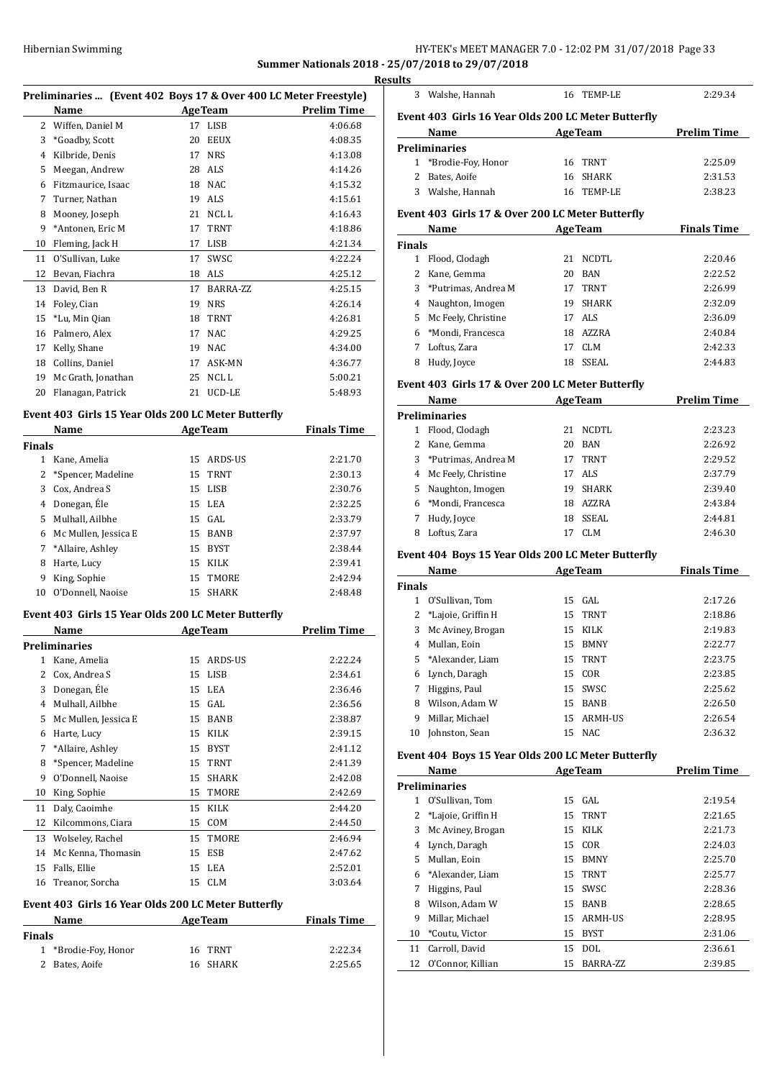## Hibernian Swimming HY-TEK's MEET MANAGER 7.0 - 12:02 PM 31/07/2018 Page 33

## **Summer Nationals 2018 - 25/07/2018 to 29/07/2018**

|    | Preliminaries  (Event 402 Boys 17 & Over 400 LC Meter Freestyle) |    |                 |                    |  |
|----|------------------------------------------------------------------|----|-----------------|--------------------|--|
|    | Name                                                             |    | <b>AgeTeam</b>  | <b>Prelim Time</b> |  |
| 2  | Wiffen, Daniel M                                                 | 17 | LISB            | 4:06.68            |  |
| 3  | *Goadby, Scott                                                   | 20 | <b>EEUX</b>     | 4:08.35            |  |
| 4  | Kilbride, Denis                                                  | 17 | <b>NRS</b>      | 4:13.08            |  |
| 5  | Meegan, Andrew                                                   | 28 | ALS             | 4:14.26            |  |
| 6  | Fitzmaurice, Isaac                                               | 18 | NAC.            | 4:15.32            |  |
| 7  | Turner, Nathan                                                   | 19 | ALS <sub></sub> | 4:15.61            |  |
| 8  | Mooney, Joseph                                                   | 21 | NCL L           | 4:16.43            |  |
| 9  | *Antonen, Eric M                                                 | 17 | <b>TRNT</b>     | 4:18.86            |  |
| 10 | Fleming, Jack H                                                  | 17 | LISB            | 4:21.34            |  |
| 11 | O'Sullivan, Luke                                                 | 17 | <b>SWSC</b>     | 4:22.24            |  |
| 12 | Bevan, Fiachra                                                   | 18 | ALS             | 4:25.12            |  |
| 13 | David, Ben R                                                     | 17 | BARRA-ZZ        | 4:25.15            |  |
| 14 | Foley, Cian                                                      | 19 | <b>NRS</b>      | 4:26.14            |  |
| 15 | *Lu, Min Qian                                                    | 18 | <b>TRNT</b>     | 4:26.81            |  |
| 16 | Palmero, Alex                                                    | 17 | NAC.            | 4:29.25            |  |
| 17 | Kelly, Shane                                                     | 19 | <b>NAC</b>      | 4:34.00            |  |
| 18 | Collins, Daniel                                                  | 17 | ASK-MN          | 4:36.77            |  |
| 19 | Mc Grath, Jonathan                                               | 25 | NCL L           | 5:00.21            |  |
| 20 | Flanagan, Patrick                                                | 21 | UCD-LE          | 5:48.93            |  |

### **Event 403 Girls 15 Year Olds 200 LC Meter Butterfly**

|               | Name                 |    | <b>AgeTeam</b> | <b>Finals Time</b> |  |
|---------------|----------------------|----|----------------|--------------------|--|
| <b>Finals</b> |                      |    |                |                    |  |
| 1             | Kane, Amelia         | 15 | ARDS-US        | 2:21.70            |  |
|               | 2 *Spencer, Madeline |    | 15 TRNT        | 2:30.13            |  |
| 3             | Cox, Andrea S        |    | 15 LISB        | 2:30.76            |  |
| 4             | Donegan, Éle         |    | 15 LEA         | 2:32.25            |  |
| 5.            | Mulhall, Ailbhe      |    | 15 GAL         | 2:33.79            |  |
| 6             | Mc Mullen, Jessica E | 15 | <b>BANB</b>    | 2:37.97            |  |
|               | 7 *Allaire, Ashley   | 15 | <b>BYST</b>    | 2:38.44            |  |
| 8             | Harte, Lucy          | 15 | KILK           | 2:39.41            |  |
| 9             | King, Sophie         | 15 | TMORE          | 2:42.94            |  |
| 10            | O'Donnell, Naoise    | 15 | <b>SHARK</b>   | 2:48.48            |  |
|               |                      |    |                |                    |  |

### **Event 403 Girls 15 Year Olds 200 LC Meter Butterfly**

| Name |                      |    | <b>AgeTeam</b> | Prelim Time |  |
|------|----------------------|----|----------------|-------------|--|
|      | <b>Preliminaries</b> |    |                |             |  |
| 1    | Kane, Amelia         | 15 | ARDS-US        | 2:22.24     |  |
| 2    | Cox, Andrea S        | 15 | <b>LISB</b>    | 2:34.61     |  |
| 3    | Donegan, Éle         | 15 | LEA            | 2:36.46     |  |
| 4    | Mulhall, Ailbhe      | 15 | GAL            | 2:36.56     |  |
| 5    | Mc Mullen, Jessica E | 15 | <b>BANB</b>    | 2:38.87     |  |
| 6    | Harte, Lucy          | 15 | <b>KILK</b>    | 2:39.15     |  |
| 7    | *Allaire, Ashley     | 15 | <b>BYST</b>    | 2:41.12     |  |
| 8    | *Spencer, Madeline   | 15 | <b>TRNT</b>    | 2:41.39     |  |
| 9    | O'Donnell, Naoise    | 15 | <b>SHARK</b>   | 2:42.08     |  |
| 10   | King, Sophie         | 15 | <b>TMORE</b>   | 2:42.69     |  |
| 11   | Daly, Caoimhe        | 15 | <b>KILK</b>    | 2:44.20     |  |
| 12   | Kilcommons, Ciara    | 15 | COM            | 2:44.50     |  |
| 13   | Wolseley, Rachel     | 15 | TMORE          | 2:46.94     |  |
| 14   | Mc Kenna, Thomasin   | 15 | <b>ESB</b>     | 2:47.62     |  |
| 15   | Falls, Ellie         | 15 | LEA            | 2:52.01     |  |
| 16   | Treanor, Sorcha      | 15 | <b>CLM</b>     | 3:03.64     |  |

#### **Event 403 Girls 16 Year Olds 200 LC Meter Butterfly**

| <b>Name</b> |                      | <b>AgeTeam</b> | <b>Finals Time</b> |
|-------------|----------------------|----------------|--------------------|
| Finals      |                      |                |                    |
|             | 1 *Brodie-Foy, Honor | 16 TRNT        | 2:22.34            |
|             | 2 Bates, Aoife       | 16 SHARK       | 2:25.65            |

| <b>Results</b> |                  |            |         |
|----------------|------------------|------------|---------|
|                | 3 Walshe, Hannah | 16 TEMP-LE | 2:29.34 |

## **Event 403 Girls 16 Year Olds 200 LC Meter Butterfly**

| Name |                      | <b>AgeTeam</b> |            | <b>Prelim Time</b> |
|------|----------------------|----------------|------------|--------------------|
|      | Preliminaries        |                |            |                    |
|      | 1 *Brodie-Foy, Honor |                | 16 TRNT    | 2:25.09            |
|      | 2 Bates, Aoife       |                | 16 SHARK   | 2:31.53            |
| 3.   | Walshe, Hannah       |                | 16 TEMP-LE | 2:38.23            |

### **Event 403 Girls 17 & Over 200 LC Meter Butterfly**

| Name          |                       |     | <b>AgeTeam</b> | <b>Finals Time</b> |  |
|---------------|-----------------------|-----|----------------|--------------------|--|
| <b>Finals</b> |                       |     |                |                    |  |
| 1             | Flood, Clodagh        | 21  | NCDTL          | 2:20.46            |  |
|               | Kane, Gemma           | 20  | BAN            | 2:22.52            |  |
|               | 3 *Putrimas, Andrea M | 17  | <b>TRNT</b>    | 2:26.99            |  |
| 4             | Naughton, Imogen      | 19. | <b>SHARK</b>   | 2:32.09            |  |
|               | 5 Mc Feely, Christine |     | 17 ALS         | 2:36.09            |  |
|               | 6 *Mondi, Francesca   | 18  | AZZRA          | 2:40.84            |  |
|               | Loftus, Zara          | 17  | CLM            | 2:42.33            |  |
| 8             | Hudy, Joyce           | 18  | <b>SSEAL</b>   | 2:44.83            |  |

#### **Event 403 Girls 17 & Over 200 LC Meter Butterfly**

| Name |                       |    | <b>AgeTeam</b> | <b>Prelim Time</b> |  |
|------|-----------------------|----|----------------|--------------------|--|
|      | <b>Preliminaries</b>  |    |                |                    |  |
| 1    | Flood, Clodagh        | 21 | NCDTL          | 2:23.23            |  |
|      | 2 Kane, Gemma         | 20 | BAN            | 2:26.92            |  |
|      | 3 *Putrimas, Andrea M | 17 | <b>TRNT</b>    | 2:29.52            |  |
|      | 4 Mc Feely, Christine | 17 | ALS            | 2:37.79            |  |
| 5.   | Naughton, Imogen      | 19 | <b>SHARK</b>   | 2:39.40            |  |
|      | 6 *Mondi, Francesca   | 18 | AZZRA          | 2:43.84            |  |
|      | Hudy, Joyce           | 18 | SSEAL          | 2:44.81            |  |
| 8    | Loftus, Zara          |    | CLM            | 2:46.30            |  |

### **Event 404 Boys 15 Year Olds 200 LC Meter Butterfly**

| Name          |                    |    | <b>AgeTeam</b> | <b>Finals Time</b> |  |
|---------------|--------------------|----|----------------|--------------------|--|
| <b>Finals</b> |                    |    |                |                    |  |
| 1             | O'Sullivan, Tom    |    | $15$ GAL       | 2:17.26            |  |
|               | *Lajoie, Griffin H |    | 15 TRNT        | 2:18.86            |  |
| 3             | Mc Aviney, Brogan  |    | 15 KILK        | 2:19.83            |  |
| 4             | Mullan, Eoin       | 15 | <b>BMNY</b>    | 2:22.77            |  |
|               | 5 *Alexander, Liam |    | 15 TRNT        | 2:23.75            |  |
|               | 6 Lynch, Daragh    |    | 15 COR         | 2:23.85            |  |
| 7             | Higgins, Paul      |    | 15 SWSC        | 2:25.62            |  |
| 8             | Wilson. Adam W     | 15 | <b>BANB</b>    | 2:26.50            |  |
| 9             | Millar, Michael    | 15 | ARMH-US        | 2:26.54            |  |
| 10            | Johnston, Sean     |    | 15 NAC         | 2:36.32            |  |

#### **Event 404 Boys 15 Year Olds 200 LC Meter Butterfly**

|    | Name                 | <b>AgeTeam</b> |             | <b>Prelim Time</b> |
|----|----------------------|----------------|-------------|--------------------|
|    | <b>Preliminaries</b> |                |             |                    |
| 1  | O'Sullivan, Tom      |                | $15$ GAL    | 2:19.54            |
| 2  | *Lajoie, Griffin H   |                | 15 TRNT     | 2:21.65            |
| 3  | Mc Aviney, Brogan    | 15             | KILK        | 2:21.73            |
| 4  | Lynch, Daragh        | 15             | COR         | 2:24.03            |
| 5. | Mullan, Eoin         | 15             | <b>BMNY</b> | 2:25.70            |
| 6  | *Alexander, Liam     | 15             | <b>TRNT</b> | 2:25.77            |
| 7  | Higgins, Paul        | 15             | SWSC        | 2:28.36            |
| 8  | Wilson, Adam W       | 15             | <b>BANB</b> | 2:28.65            |
| 9  | Millar, Michael      | 15             | ARMH-US     | 2:28.95            |
| 10 | *Coutu, Victor       | 15             | <b>BYST</b> | 2:31.06            |
| 11 | Carroll, David       | 15             | DOL         | 2:36.61            |
| 12 | O'Connor, Killian    | 15             | BARRA-ZZ    | 2:39.85            |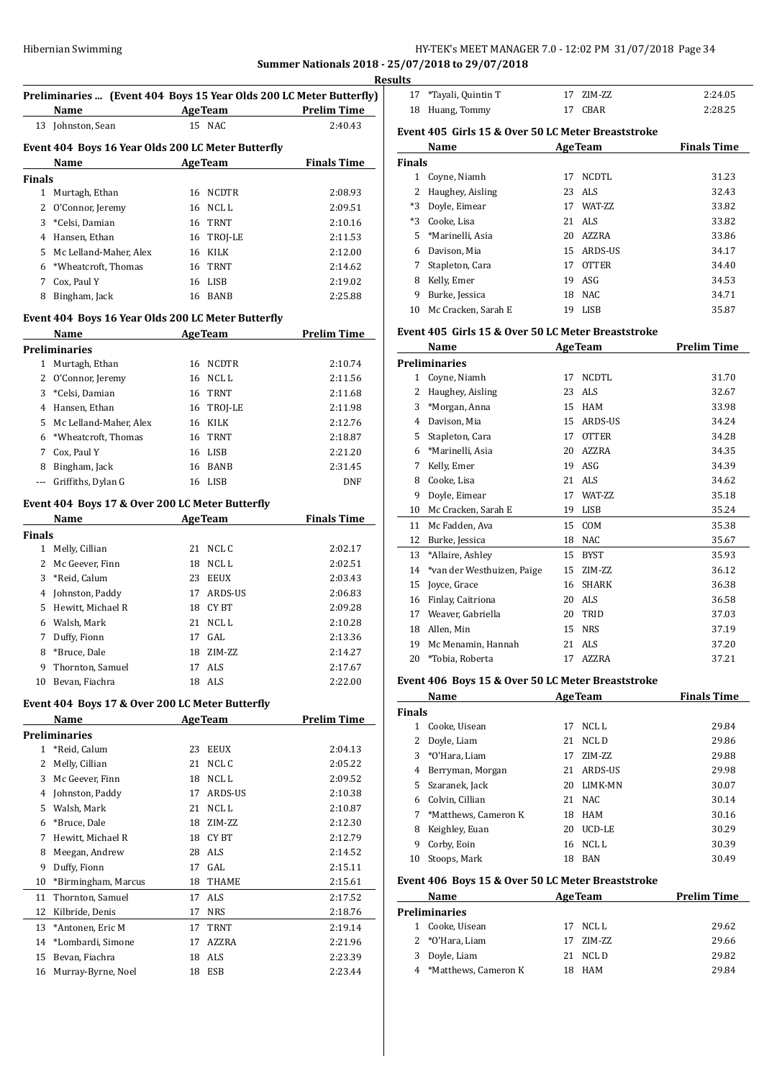## Hibernian Swimming **HY-TEK's MEET MANAGER 7.0 - 12:02 PM 31/07/2018** Page 34

**Summer Nationals 2018 - 25/07/2018 to 29/07/2018**

|               | Name                                                  | <b>Example 2 Age Team</b> Prelim Time              | Preliminaries  (Event 404 Boys 15 Year Olds 200 LC Meter Butterfly) |
|---------------|-------------------------------------------------------|----------------------------------------------------|---------------------------------------------------------------------|
|               | 13 Johnston, Sean                                     | 15 NAC                                             | 2:40.43                                                             |
|               |                                                       | Event 404 Boys 16 Year Olds 200 LC Meter Butterfly |                                                                     |
|               | Name<br><u> 1990 - Jan Barbara Barat, prima posta</u> | AgeTeam Finals Time                                |                                                                     |
| <b>Finals</b> |                                                       |                                                    |                                                                     |
|               | 1 Murtagh, Ethan                                      | 16 NCDTR                                           | 2:08.93                                                             |
|               | 2 O'Connor, Jeremy                                    | 16 NCLL                                            | 2:09.51                                                             |
|               | 3 *Celsi, Damian                                      | 16 TRNT                                            | 2:10.16                                                             |
|               | 4 Hansen, Ethan                                       | 16 TROJ-LE                                         | 2:11.53                                                             |
|               | 5 Mc Lelland-Maher, Alex                              | 16 KILK                                            | 2:12.00                                                             |
|               | 6 *Wheatcroft, Thomas                                 | 16 TRNT                                            | 2:14.62                                                             |
|               | 7 Cox, Paul Y                                         | 16 LISB                                            | 2:19.02                                                             |
|               | 8 Bingham, Jack                                       | 16 BANB                                            | 2:25.88                                                             |
|               |                                                       | Event 404 Boys 16 Year Olds 200 LC Meter Butterfly |                                                                     |
|               | Name                                                  | <b>AgeTeam</b>                                     | <b>Prelim Time</b>                                                  |
|               | <b>Preliminaries</b>                                  |                                                    |                                                                     |
|               | 1 Murtagh, Ethan                                      | 16 NCDTR                                           | 2:10.74                                                             |
|               | 2 O'Connor, Jeremy                                    | 16 NCL L                                           | 2:11.56                                                             |
|               | 3 *Celsi, Damian                                      | 16 TRNT                                            | 2:11.68                                                             |
|               | 4 Hansen, Ethan                                       | 16 TROJ-LE                                         | 2:11.98                                                             |
|               | 5 Mc Lelland-Maher, Alex                              | 16 KILK                                            | 2:12.76                                                             |
|               | 6 *Wheatcroft, Thomas                                 | 16 TRNT                                            | 2:18.87                                                             |
|               | 7 Cox, Paul Y                                         | 16 LISB                                            | 2:21.20                                                             |
|               | 8 Bingham, Jack                                       | 16 BANB                                            | 2:31.45                                                             |
|               | --- Griffiths, Dylan G                                | 16 LISB                                            | <b>DNF</b>                                                          |
|               | Event 404 Boys 17 & Over 200 LC Meter Butterfly       |                                                    |                                                                     |
|               |                                                       | Name AgeTeam                                       | <b>Finals Time</b>                                                  |
| <b>Finals</b> |                                                       |                                                    |                                                                     |
|               | 1 Melly, Cillian                                      | 21 NCLC                                            | 2:02.17                                                             |
|               | 2 Mc Geever, Finn                                     | 18 NCL L                                           | 2:02.51                                                             |
|               | 3 *Reid, Calum                                        | 23 EEUX                                            | 2:03.43                                                             |
|               | 4 Johnston, Paddy                                     | 17 ARDS-US                                         | 2:06.83                                                             |
|               | 5 Hewitt, Michael R                                   | 18 CYBT                                            | 2:09.28                                                             |
|               | 6 Walsh, Mark                                         | 21 NCLL                                            | 2:10.28                                                             |
|               | 7 Duffy, Fionn                                        | 17 GAL                                             | 2:13.36                                                             |
| 8             | *Bruce, Dale                                          | ZIM-ZZ<br>18                                       | 2:14.27                                                             |
| 9             | Thornton, Samuel                                      | ALS<br>17                                          | 2:17.67                                                             |
| 10            | Bevan, Fiachra                                        | 18 ALS                                             | 2:22.00                                                             |
|               | Event 404 Boys 17 & Over 200 LC Meter Butterfly       |                                                    |                                                                     |
|               | Name                                                  | <b>AgeTeam</b>                                     | <b>Prelim Time</b>                                                  |
|               | <b>Preliminaries</b><br>*Reid, Calum                  | 23<br>EEUX                                         | 2:04.13                                                             |
|               |                                                       |                                                    | 2:05.22                                                             |
| $\mathbf{1}$  |                                                       |                                                    |                                                                     |
| 2             | Melly, Cillian                                        | 21<br>NCL C                                        |                                                                     |
| 3             | Mc Geever, Finn                                       | 18 NCL L                                           | 2:09.52                                                             |
| 4             | Johnston, Paddy                                       | 17 ARDS-US                                         | 2:10.38                                                             |
| 5             | Walsh, Mark                                           | 21 NCLL                                            | 2:10.87                                                             |
| 6             | *Bruce, Dale                                          | 18 ZIM-ZZ                                          | 2:12.30                                                             |
| 7             | Hewitt, Michael R                                     | 18 CY BT                                           | 2:12.79                                                             |
| 8             | Meegan, Andrew                                        | 28 ALS                                             | 2:14.52                                                             |
| 9             | Duffy, Fionn                                          | GAL<br>17                                          | 2:15.11                                                             |
| 10            | *Birmingham, Marcus                                   | THAME<br>18                                        | 2:15.61                                                             |
| 11            | Thornton, Samuel                                      | 17 ALS                                             | 2:17.52                                                             |
| 12            | Kilbride, Denis                                       | 17<br>NRS                                          | 2:18.76                                                             |
| 13            | *Antonen, Eric M                                      | 17<br>TRNT                                         | 2:19.14                                                             |
| 14            | *Lombardi, Simone                                     | AZZRA<br>17                                        | 2:21.96                                                             |
| 15<br>16      | Bevan, Fiachra<br>Murray-Byrne, Noel                  | 18 ALS<br>ESB<br>18                                | 2:23.39<br>2:23.44                                                  |

| ults          |                                                    |    |                 |                    |
|---------------|----------------------------------------------------|----|-----------------|--------------------|
| 17            | *Tayali, Quintin T                                 | 17 | ZIM-ZZ          | 2:24.05            |
| 18            | Huang, Tommy                                       | 17 | <b>CBAR</b>     | 2:28.25            |
|               | Event 405 Girls 15 & Over 50 LC Meter Breaststroke |    |                 |                    |
|               | Name                                               |    | <b>AgeTeam</b>  | <b>Finals Time</b> |
| <b>Finals</b> |                                                    |    |                 |                    |
| 1             | Coyne, Niamh                                       | 17 | NCDTL           | 31.23              |
| 2             | Haughey, Aisling                                   | 23 | ALS             | 32.43              |
| $*3$          | Doyle, Eimear                                      | 17 | <b>WAT-7.7.</b> | 33.82              |
| *3            | Cooke, Lisa                                        | 21 | ALS <sub></sub> | 33.82              |
| 5             | *Marinelli, Asia                                   | 20 | AZZRA           | 33.86              |
| 6             | Davison, Mia                                       | 15 | ARDS-US         | 34.17              |
| 7             | Stapleton, Cara                                    | 17 | <b>OTTER</b>    | 34.40              |
| 8             | Kelly, Emer                                        | 19 | ASG             | 34.53              |
| 9             | Burke, Jessica                                     | 18 | NAC.            | 34.71              |
| 10            | Mc Cracken, Sarah E                                | 19 | LISB            | 35.87              |
|               | Event 405 Girls 15 & Over 50 LC Meter Breaststroke |    |                 |                    |
|               | Name                                               |    | <b>AgeTeam</b>  | <b>Prelim Time</b> |
|               | <b>Preliminaries</b>                               |    |                 |                    |

|    | 'reliminaries              |    |              |       |
|----|----------------------------|----|--------------|-------|
| 1  | Coyne, Niamh               | 17 | <b>NCDTL</b> | 31.70 |
| 2  | Haughey, Aisling           | 23 | ALS.         | 32.67 |
| 3  | *Morgan, Anna              | 15 | <b>HAM</b>   | 33.98 |
| 4  | Davison, Mia               | 15 | ARDS-US      | 34.24 |
| 5  | Stapleton, Cara            | 17 | <b>OTTER</b> | 34.28 |
| 6  | *Marinelli, Asia           | 20 | AZZRA        | 34.35 |
| 7  | Kelly, Emer                | 19 | ASG          | 34.39 |
| 8  | Cooke, Lisa                | 21 | <b>ALS</b>   | 34.62 |
| 9  | Doyle, Eimear              | 17 | WAT-ZZ       | 35.18 |
| 10 | Mc Cracken, Sarah E        | 19 | LISB         | 35.24 |
| 11 | Mc Fadden, Ava             | 15 | COM          | 35.38 |
| 12 | Burke, Jessica             | 18 | <b>NAC</b>   | 35.67 |
| 13 | *Allaire, Ashley           | 15 | <b>BYST</b>  | 35.93 |
| 14 | *van der Westhuizen, Paige | 15 | ZIM-ZZ       | 36.12 |
| 15 | Joyce, Grace               | 16 | <b>SHARK</b> | 36.38 |
| 16 | Finlay, Caitriona          | 20 | <b>ALS</b>   | 36.58 |
| 17 | Weaver, Gabriella          | 20 | TRID         | 37.03 |
| 18 | Allen, Min                 | 15 | <b>NRS</b>   | 37.19 |
| 19 | Mc Menamin, Hannah         | 21 | <b>ALS</b>   | 37.20 |
| 20 | *Tobia, Roberta            | 17 | <b>AZZRA</b> | 37.21 |
|    |                            |    |              |       |

## **Event 406 Boys 15 & Over 50 LC Meter Breaststroke**

|               | Name                 | <b>AgeTeam</b> |                | <b>Finals Time</b> |
|---------------|----------------------|----------------|----------------|--------------------|
| <b>Finals</b> |                      |                |                |                    |
| 1             | Cooke. Uisean        | 17             | NCL L          | 29.84              |
|               | Doyle, Liam          | 21             | NCL D          | 29.86              |
|               | 3 *O'Hara, Liam      | 17             | ZIM-ZZ         | 29.88              |
| 4             | Berryman, Morgan     | 21             | <b>ARDS-US</b> | 29.98              |
| 5.            | Szaranek, Jack       | 20             | LIMK-MN        | 30.07              |
| 6             | Colvin, Cillian      | 21             | NAC.           | 30.14              |
| 7             | *Matthews, Cameron K | 18             | HAM            | 30.16              |
| 8             | Keighley, Euan       | 20             | UCD-LE         | 30.29              |
| 9             | Corby, Eoin          | 16             | NCL L          | 30.39              |
| 10            | Stoops, Mark         | 18             | <b>BAN</b>     | 30.49              |

## **Event 406 Boys 15 & Over 50 LC Meter Breaststroke**

| Name |                        | <b>AgeTeam</b> |           | <b>Prelim Time</b> |
|------|------------------------|----------------|-----------|--------------------|
|      | <b>Preliminaries</b>   |                |           |                    |
|      | 1 Cooke, Uisean        |                | 17 NCLL   | 29.62              |
|      | 2 *O'Hara, Liam        |                | 17 ZIM-ZZ | 29.66              |
|      | 3 Doyle, Liam          |                | 21 NCLD   | 29.82              |
|      | 4 *Matthews, Cameron K |                | 18 HAM    | 29.84              |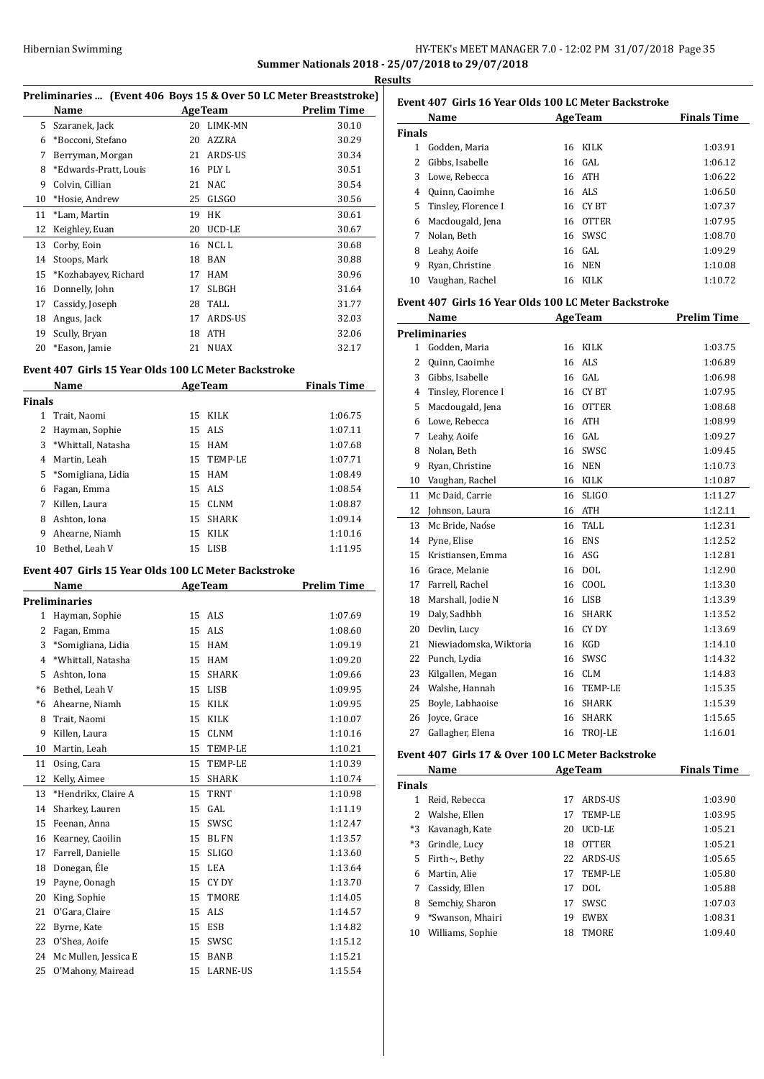## HY-TEK's MEET MANAGER 7.0 - 12:02 PM 31/07/2018 Page 35 **Summer Nationals 2018 - 25/07/2018 to 29/07/2018**

**Results**

| Preliminaries  (Event 406 Boys 15 & Over 50 LC Meter Breaststroke) |  |  |  |  |
|--------------------------------------------------------------------|--|--|--|--|
|--------------------------------------------------------------------|--|--|--|--|

|    | Name                  |    | <b>AgeTeam</b> | <b>Prelim Time</b> |
|----|-----------------------|----|----------------|--------------------|
| 5. | Szaranek, Jack        | 20 | LIMK-MN        | 30.10              |
| 6  | *Bocconi, Stefano     | 20 | AZZRA          | 30.29              |
| 7  | Berryman, Morgan      | 21 | ARDS-US        | 30.34              |
| 8  | *Edwards-Pratt, Louis | 16 | PLY L          | 30.51              |
| 9  | Colvin, Cillian       | 21 | <b>NAC</b>     | 30.54              |
| 10 | *Hosie, Andrew        | 25 | GLSGO          | 30.56              |
| 11 | *Lam, Martin          | 19 | HK             | 30.61              |
| 12 | Keighley, Euan        | 20 | UCD-LE         | 30.67              |
| 13 | Corby, Eoin           | 16 | NCL L          | 30.68              |
| 14 | Stoops, Mark          | 18 | <b>BAN</b>     | 30.88              |
| 15 | *Kozhabayev, Richard  | 17 | <b>HAM</b>     | 30.96              |
| 16 | Donnelly, John        | 17 | <b>SLBGH</b>   | 31.64              |
| 17 | Cassidy, Joseph       | 28 | TALL           | 31.77              |
| 18 | Angus, Jack           | 17 | ARDS-US        | 32.03              |
| 19 | Scully, Bryan         | 18 | <b>ATH</b>     | 32.06              |
| 20 | *Eason, Jamie         | 21 | <b>NUAX</b>    | 32.17              |

#### **Event 407 Girls 15 Year Olds 100 LC Meter Backstroke**

|               | Name<br><b>AgeTeam</b> |    |             | <b>Finals Time</b> |  |
|---------------|------------------------|----|-------------|--------------------|--|
| <b>Finals</b> |                        |    |             |                    |  |
| 1             | Trait, Naomi           | 15 | <b>KILK</b> | 1:06.75            |  |
| 2             | Hayman, Sophie         |    | 15 ALS      | 1:07.11            |  |
| 3             | *Whittall, Natasha     |    | 15 HAM      | 1:07.68            |  |
| 4             | Martin, Leah           | 15 | TEMP-LE     | 1:07.71            |  |
| 5             | *Somigliana, Lidia     |    | 15 HAM      | 1:08.49            |  |
| 6             | Fagan, Emma            |    | 15 ALS      | 1:08.54            |  |
| 7             | Killen, Laura          | 15 | <b>CLNM</b> | 1:08.87            |  |
| 8             | Ashton, Iona           | 15 | SHARK       | 1:09.14            |  |
| 9             | Ahearne, Niamh         | 15 | KILK        | 1:10.16            |  |
| 10            | Bethel, Leah V         | 15 | LISB        | 1:11.95            |  |

#### **Event 407 Girls 15 Year Olds 100 LC Meter Backstroke**

|      | Name                 |    | <b>AgeTeam</b>  | <b>Prelim Time</b> |
|------|----------------------|----|-----------------|--------------------|
|      | Preliminaries        |    |                 |                    |
| 1    | Hayman, Sophie       | 15 | ALS             | 1:07.69            |
| 2    | Fagan, Emma          | 15 | ALS <sub></sub> | 1:08.60            |
| 3    | *Somigliana, Lidia   | 15 | <b>HAM</b>      | 1:09.19            |
| 4    | *Whittall, Natasha   | 15 | <b>HAM</b>      | 1:09.20            |
| 5    | Ashton, Iona         | 15 | <b>SHARK</b>    | 1:09.66            |
| *6   | Bethel, Leah V       | 15 | LISB            | 1:09.95            |
| $*6$ | Ahearne, Niamh       | 15 | KILK            | 1:09.95            |
| 8    | Trait, Naomi         | 15 | <b>KILK</b>     | 1:10.07            |
| 9    | Killen, Laura        | 15 | <b>CLNM</b>     | 1:10.16            |
| 10   | Martin, Leah         | 15 | <b>TEMP-LE</b>  | 1:10.21            |
| 11   | Osing, Cara          | 15 | <b>TEMP-LE</b>  | 1:10.39            |
| 12   | Kelly, Aimee         | 15 | <b>SHARK</b>    | 1:10.74            |
| 13   | *Hendrikx, Claire A  | 15 | <b>TRNT</b>     | 1:10.98            |
| 14   | Sharkey, Lauren      | 15 | GAL             | 1:11.19            |
| 15   | Feenan, Anna         | 15 | SWSC            | 1:12.47            |
| 16   | Kearney, Caoilin     | 15 | <b>BLFN</b>     | 1:13.57            |
| 17   | Farrell, Danielle    | 15 | <b>SLIGO</b>    | 1:13.60            |
| 18   | Donegan, Éle         | 15 | <b>LEA</b>      | 1:13.64            |
| 19   | Payne, Oonagh        | 15 | CY DY           | 1:13.70            |
| 20   | King, Sophie         | 15 | <b>TMORE</b>    | 1:14.05            |
| 21   | O'Gara, Claire       | 15 | <b>ALS</b>      | 1:14.57            |
| 22   | Byrne, Kate          | 15 | <b>ESB</b>      | 1:14.82            |
| 23   | O'Shea, Aoife        | 15 | SWSC            | 1:15.12            |
| 24   | Mc Mullen, Jessica E | 15 | <b>BANB</b>     | 1:15.21            |
| 25   | O'Mahony, Mairead    | 15 | <b>LARNE-US</b> | 1:15.54            |

| Event 407 Girls 16 Year Olds 100 LC Meter Backstroke |                        |     |              |                    |  |
|------------------------------------------------------|------------------------|-----|--------------|--------------------|--|
|                                                      | Name<br><b>AgeTeam</b> |     |              | <b>Finals Time</b> |  |
| <b>Finals</b>                                        |                        |     |              |                    |  |
| 1.                                                   | Godden, Maria          | 16  | KILK         | 1:03.91            |  |
|                                                      | Gibbs, Isabelle        |     | 16 GAL       | 1:06.12            |  |
| 3                                                    | Lowe, Rebecca          |     | 16 ATH       | 1:06.22            |  |
| 4                                                    | Quinn, Caoimhe         |     | 16 ALS       | 1:06.50            |  |
| 5.                                                   | Tinsley, Florence I    |     | 16 CY BT     | 1:07.37            |  |
| 6                                                    | Macdougald, Jena       | 16  | <b>OTTER</b> | 1:07.95            |  |
| 7                                                    | Nolan, Beth            | 16. | <b>SWSC</b>  | 1:08.70            |  |
| 8                                                    | Leahy, Aoife           | 16  | GAL          | 1:09.29            |  |
| 9                                                    | Ryan, Christine        | 16  | <b>NEN</b>   | 1:10.08            |  |
| 10                                                   | Vaughan, Rachel        | 16  | KILK         | 1:10.72            |  |

#### **Event 407 Girls 16 Year Olds 100 LC Meter Backstroke**

|    | Name                   |    | <b>AgeTeam</b> | <b>Prelim Time</b> |
|----|------------------------|----|----------------|--------------------|
|    | <b>Preliminaries</b>   |    |                |                    |
| 1  | Godden, Maria          | 16 | KILK           | 1:03.75            |
| 2  | Quinn, Caoimhe         | 16 | <b>ALS</b>     | 1:06.89            |
| 3  | Gibbs, Isabelle        | 16 | GAL            | 1:06.98            |
| 4  | Tinsley, Florence I    | 16 | <b>CYBT</b>    | 1:07.95            |
| 5  | Macdougald, Jena       | 16 | <b>OTTER</b>   | 1:08.68            |
| 6  | Lowe, Rebecca          | 16 | <b>ATH</b>     | 1:08.99            |
| 7  | Leahy, Aoife           | 16 | GAL.           | 1:09.27            |
| 8  | Nolan, Beth            | 16 | SWSC           | 1:09.45            |
| 9  | Ryan, Christine        | 16 | <b>NEN</b>     | 1:10.73            |
| 10 | Vaughan, Rachel        | 16 | <b>KILK</b>    | 1:10.87            |
| 11 | Mc Daid, Carrie        | 16 | <b>SLIGO</b>   | 1:11.27            |
| 12 | Johnson, Laura         | 16 | <b>ATH</b>     | 1:12.11            |
| 13 | Mc Bride, Naóse        | 16 | TALL.          | 1:12.31            |
| 14 | Pyne, Elise            | 16 | <b>ENS</b>     | 1:12.52            |
| 15 | Kristiansen. Emma      | 16 | ASG            | 1:12.81            |
| 16 | Grace, Melanie         | 16 | <b>DOL</b>     | 1:12.90            |
| 17 | Farrell, Rachel        | 16 | COOL           | 1:13.30            |
| 18 | Marshall, Jodie N      | 16 | <b>LISB</b>    | 1:13.39            |
| 19 | Daly, Sadhbh           | 16 | <b>SHARK</b>   | 1:13.52            |
| 20 | Devlin, Lucy           | 16 | CY DY          | 1:13.69            |
| 21 | Niewiadomska, Wiktoria | 16 | <b>KGD</b>     | 1:14.10            |
| 22 | Punch, Lydia           | 16 | SWSC           | 1:14.32            |
| 23 | Kilgallen, Megan       | 16 | <b>CLM</b>     | 1:14.83            |
| 24 | Walshe, Hannah         | 16 | <b>TEMP-LE</b> | 1:15.35            |
| 25 | Boyle, Labhaoise       | 16 | <b>SHARK</b>   | 1:15.39            |
| 26 | Joyce, Grace           | 16 | <b>SHARK</b>   | 1:15.65            |
| 27 | Gallagher, Elena       | 16 | TROJ-LE        | 1:16.01            |

#### **Event 407 Girls 17 & Over 100 LC Meter Backstroke**

|               | Name<br><b>AgeTeam</b> |    |              | <b>Finals Time</b> |
|---------------|------------------------|----|--------------|--------------------|
| <b>Finals</b> |                        |    |              |                    |
|               | Reid, Rebecca          | 17 | ARDS-US      | 1:03.90            |
|               | Walshe, Ellen          | 17 | TEMP-LE      | 1:03.95            |
| *3            | Kavanagh, Kate         | 20 | UCD-LE       | 1:05.21            |
| $*3$          | Grindle, Lucy          | 18 | <b>OTTER</b> | 1:05.21            |
| 5.            | Firth $\sim$ , Bethy   | 22 | ARDS-US      | 1:05.65            |
| 6             | Martin, Alie           | 17 | TEMP-LE      | 1:05.80            |
| 7             | Cassidy, Ellen         | 17 | DOL.         | 1:05.88            |
| 8             | Semchiy, Sharon        | 17 | SWSC.        | 1:07.03            |
| 9             | *Swanson, Mhairi       | 19 | <b>EWBX</b>  | 1:08.31            |
| 10            | Williams, Sophie       | 18 | <b>TMORE</b> | 1:09.40            |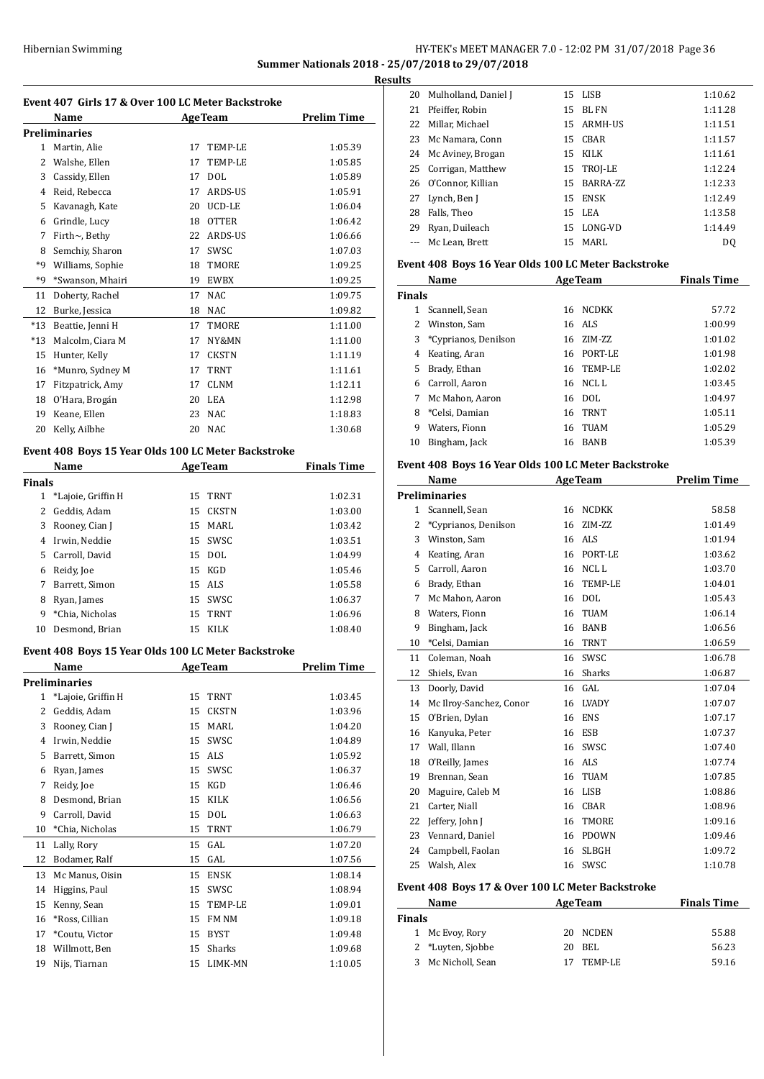## HY-TEK's MEET MANAGER 7.0 - 12:02 PM 31/07/2018 Page 36 **Summer Nationals 2018 - 25/07/2018 to 29/07/2018**

**Results**

| Event 407 Girls 17 & Over 100 LC Meter Backstroke |                                                     |    |                |                    |  |
|---------------------------------------------------|-----------------------------------------------------|----|----------------|--------------------|--|
|                                                   | Name                                                |    | <b>AgeTeam</b> | <b>Prelim Time</b> |  |
|                                                   | <b>Preliminaries</b>                                |    |                |                    |  |
|                                                   | 1 Martin, Alie                                      | 17 | TEMP-LE        | 1:05.39            |  |
|                                                   | 2 Walshe, Ellen                                     | 17 | TEMP-LE        | 1:05.85            |  |
|                                                   | 3 Cassidy, Ellen                                    | 17 | <b>DOL</b>     | 1:05.89            |  |
|                                                   | 4 Reid, Rebecca                                     |    | 17 ARDS-US     | 1:05.91            |  |
|                                                   | 5 Kavanagh, Kate                                    |    | 20 UCD-LE      | 1:06.04            |  |
|                                                   | 6 Grindle, Lucy                                     |    | 18 OTTER       | 1:06.42            |  |
|                                                   | 7 Firth~, Bethy                                     |    | 22 ARDS-US     | 1:06.66            |  |
|                                                   | 8 Semchiy, Sharon                                   | 17 | SWSC           | 1:07.03            |  |
| *9                                                | Williams, Sophie                                    | 18 | TMORE          | 1:09.25            |  |
| *9                                                | *Swanson, Mhairi                                    |    | 19 EWBX        | 1:09.25            |  |
| 11                                                | Doherty, Rachel                                     | 17 | NAC            | 1:09.75            |  |
| 12                                                | Burke, Jessica                                      |    | 18 NAC         | 1:09.82            |  |
| $*13$                                             | Beattie, Jenni H                                    | 17 | TMORE          | 1:11.00            |  |
| $*13$                                             | Malcolm, Ciara M                                    | 17 | NY&MN          | 1:11.00            |  |
| 15                                                | Hunter, Kelly                                       | 17 | <b>CKSTN</b>   | 1:11.19            |  |
|                                                   | 16 *Munro, Sydney M                                 | 17 | TRNT           | 1:11.61            |  |
| 17                                                | Fitzpatrick, Amy                                    | 17 | <b>CLNM</b>    | 1:12.11            |  |
|                                                   | 18 O'Hara, Brogán                                   |    | 20 LEA         | 1:12.98            |  |
|                                                   | 19 Keane, Ellen                                     | 23 | NAC            | 1:18.83            |  |
| 20                                                | Kelly, Ailbhe                                       | 20 | NAC            | 1:30.68            |  |
|                                                   |                                                     |    |                |                    |  |
|                                                   | Event 408 Boys 15 Year Olds 100 LC Meter Backstroke |    |                |                    |  |
|                                                   | Name                                                |    | <b>AgeTeam</b> | <b>Finals Time</b> |  |
| <b>Finals</b>                                     | 1 *Lajoie, Griffin H                                | 15 | TRNT           | 1:02.31            |  |
|                                                   |                                                     |    | 15 CKSTN       | 1:03.00            |  |
|                                                   | 2 Geddis, Adam<br>3 Rooney, Cian J                  |    | 15 MARL        | 1:03.42            |  |
|                                                   |                                                     | 15 |                |                    |  |
|                                                   | 4 Irwin, Neddie                                     |    | SWSC           | 1:03.51            |  |
| 5                                                 | Carroll, David                                      |    | 15 DOL         | 1:04.99            |  |
|                                                   | 6 Reidy, Joe                                        |    | 15 KGD         | 1:05.46            |  |
| 7                                                 | Barrett, Simon                                      |    | 15 ALS         | 1:05.58            |  |
| 8                                                 | Ryan, James                                         |    | 15 SWSC        | 1:06.37            |  |
| 9.                                                | *Chia, Nicholas                                     |    | 15 TRNT        | 1:06.96            |  |
| 10                                                | Desmond, Brian                                      | 15 | KILK           | 1:08.40            |  |
|                                                   | Event 408 Boys 15 Year Olds 100 LC Meter Backstroke |    |                |                    |  |
|                                                   | <u>Name</u>                                         |    | AgeTeam        | <u>Prelim Time</u> |  |
|                                                   | <b>Preliminaries</b>                                |    |                |                    |  |
| $\mathbf{1}$                                      | *Lajoie, Griffin H                                  | 15 | TRNT           | 1:03.45            |  |
| 2                                                 | Geddis, Adam                                        | 15 | <b>CKSTN</b>   | 1:03.96            |  |
| 3                                                 | Rooney, Cian J                                      | 15 | MARL           | 1:04.20            |  |
| 4                                                 | Irwin, Neddie                                       | 15 | SWSC           | 1:04.89            |  |
| 5                                                 | Barrett, Simon                                      | 15 | ALS            | 1:05.92            |  |
| 6                                                 | Ryan, James                                         | 15 | SWSC           | 1:06.37            |  |
| 7                                                 | Reidy, Joe                                          | 15 | KGD            | 1:06.46            |  |
| 8                                                 | Desmond, Brian                                      | 15 | KILK           | 1:06.56            |  |
| 9                                                 | Carroll, David                                      | 15 | <b>DOL</b>     | 1:06.63            |  |
| 10                                                | *Chia, Nicholas                                     | 15 | TRNT           | 1:06.79            |  |
| 11                                                | Lally, Rory                                         | 15 | GAL            | 1:07.20            |  |
| 12                                                | Bodamer, Ralf                                       | 15 | GAL            | 1:07.56            |  |
| 13                                                | Mc Manus, Oisin                                     | 15 | ENSK           | 1:08.14            |  |
| 14                                                | Higgins, Paul                                       | 15 | SWSC           | 1:08.94            |  |
| 15                                                | Kenny, Sean                                         | 15 | TEMP-LE        | 1:09.01            |  |
| 16                                                | *Ross, Cillian                                      | 15 | FM NM          | 1:09.18            |  |
| 17                                                | *Coutu, Victor                                      | 15 | <b>BYST</b>    | 1:09.48            |  |
| 18                                                | Willmott, Ben                                       | 15 | Sharks         | 1:09.68            |  |
| 19                                                | Nijs, Tiarnan                                       | 15 | LIMK-MN        | 1:10.05            |  |
|                                                   |                                                     |    |                |                    |  |

| ιэ |                         |    |            |         |
|----|-------------------------|----|------------|---------|
|    | 20 Mulholland, Daniel J |    | 15 LISB    | 1:10.62 |
| 21 | Pfeiffer, Robin         | 15 | BL FN      | 1:11.28 |
| 22 | Millar. Michael         |    | 15 ARMH-US | 1:11.51 |
|    | 23 Mc Namara, Conn      |    | 15 CBAR    | 1:11.57 |
|    | 24 Mc Aviney, Brogan    | 15 | KILK       | 1:11.61 |
|    | 25 Corrigan, Matthew    |    | 15 TROJ-LE | 1:12.24 |
|    | 26 O'Connor, Killian    | 15 | BARRA-ZZ   | 1:12.33 |
| 27 | Lynch, Ben J            | 15 | ENSK       | 1:12.49 |
| 28 | Falls, Theo             |    | 15 LEA     | 1:13.58 |
| 29 | Ryan, Duileach          | 15 | LONG-VD    | 1:14.49 |
|    | --- Mc Lean, Brett      | 15 | MARL       | DO      |

### **Event 408 Boys 16 Year Olds 100 LC Meter Backstroke**

|               | Name<br><b>AgeTeam</b> |    |              | <b>Finals Time</b> |
|---------------|------------------------|----|--------------|--------------------|
| <b>Finals</b> |                        |    |              |                    |
|               | Scannell, Sean         | 16 | <b>NCDKK</b> | 57.72              |
|               | Winston, Sam           |    | 16 ALS       | 1:00.99            |
| 3             | *Cyprianos, Denilson   | 16 | ZIM-ZZ       | 1:01.02            |
| 4             | Keating, Aran          | 16 | PORT-LE      | 1:01.98            |
| 5.            | Brady, Ethan           |    | 16 TEMP-LE   | 1:02.02            |
| 6             | Carroll, Aaron         | 16 | NCL L        | 1:03.45            |
| 7             | Mc Mahon, Aaron        | 16 | DOL.         | 1:04.97            |
| 8             | *Celsi, Damian         | 16 | <b>TRNT</b>  | 1:05.11            |
| 9             | Waters. Fionn          | 16 | <b>TUAM</b>  | 1:05.29            |
| 10            | Bingham, Jack          | 16 | <b>BANB</b>  | 1:05.39            |

## **Event 408 Boys 16 Year Olds 100 LC Meter Backstroke**

|              | Name                    | <b>AgeTeam</b>         | <b>Prelim Time</b> |
|--------------|-------------------------|------------------------|--------------------|
|              | <b>Preliminaries</b>    |                        |                    |
| $\mathbf{1}$ | Scannell, Sean          | <b>NCDKK</b><br>16     | 58.58              |
| 2            | *Cyprianos, Denilson    | ZIM-ZZ<br>16           | 1:01.49            |
| 3            | Winston, Sam            | ALS <sub></sub><br>16  | 1:01.94            |
| 4            | Keating, Aran           | 16<br>PORT-LE          | 1:03.62            |
| 5            | Carroll, Aaron          | NCL <sub>L</sub><br>16 | 1:03.70            |
| 6            | Brady, Ethan            | <b>TEMP-LE</b><br>16   | 1:04.01            |
| 7            | Mc Mahon, Aaron         | <b>DOL</b><br>16       | 1:05.43            |
| 8            | Waters, Fionn           | <b>TUAM</b><br>16      | 1:06.14            |
| 9            | Bingham, Jack           | <b>BANB</b><br>16      | 1:06.56            |
| 10           | *Celsi, Damian          | <b>TRNT</b><br>16      | 1:06.59            |
| 11           | Coleman, Noah           | SWSC<br>16             | 1:06.78            |
| 12           | Shiels, Evan            | <b>Sharks</b><br>16    | 1:06.87            |
| 13           | Doorly, David           | GAL.<br>16             | 1:07.04            |
| 14           | Mc Ilroy-Sanchez, Conor | <b>LVADY</b><br>16     | 1:07.07            |
| 15           | O'Brien, Dylan          | <b>ENS</b><br>16       | 1:07.17            |
| 16           | Kanyuka, Peter          | <b>ESB</b><br>16       | 1:07.37            |
| 17           | Wall, Illann            | SWSC<br>16             | 1:07.40            |
| 18           | O'Reilly, James         | 16<br><b>ALS</b>       | 1:07.74            |
| 19           | Brennan, Sean           | <b>TUAM</b><br>16      | 1:07.85            |
| 20           | Maguire, Caleb M        | <b>LISB</b><br>16      | 1:08.86            |
| 21           | Carter, Niall           | CBAR<br>16             | 1:08.96            |
| 22           | Jeffery, John J         | TMORE<br>16            | 1:09.16            |
| 23           | Vennard, Daniel         | <b>PDOWN</b><br>16     | 1:09.46            |
| 24           | Campbell, Faolan        | <b>SLBGH</b><br>16     | 1:09.72            |
| 25           | Walsh, Alex             | 16<br>SWSC             | 1:10.78            |

### **Event 408 Boys 17 & Over 100 LC Meter Backstroke**

| Name                   | <b>AgeTeam</b> | <b>Finals Time</b> |
|------------------------|----------------|--------------------|
| <b>Finals</b>          |                |                    |
| 1 Mc Evoy, Rory        | NCDEN<br>20    | 55.88              |
| 2 *Luyten, Siobbe      | BEL<br>20.     | 56.23              |
| Mc Nicholl, Sean<br>3. | TEMP-LE        | 59.16              |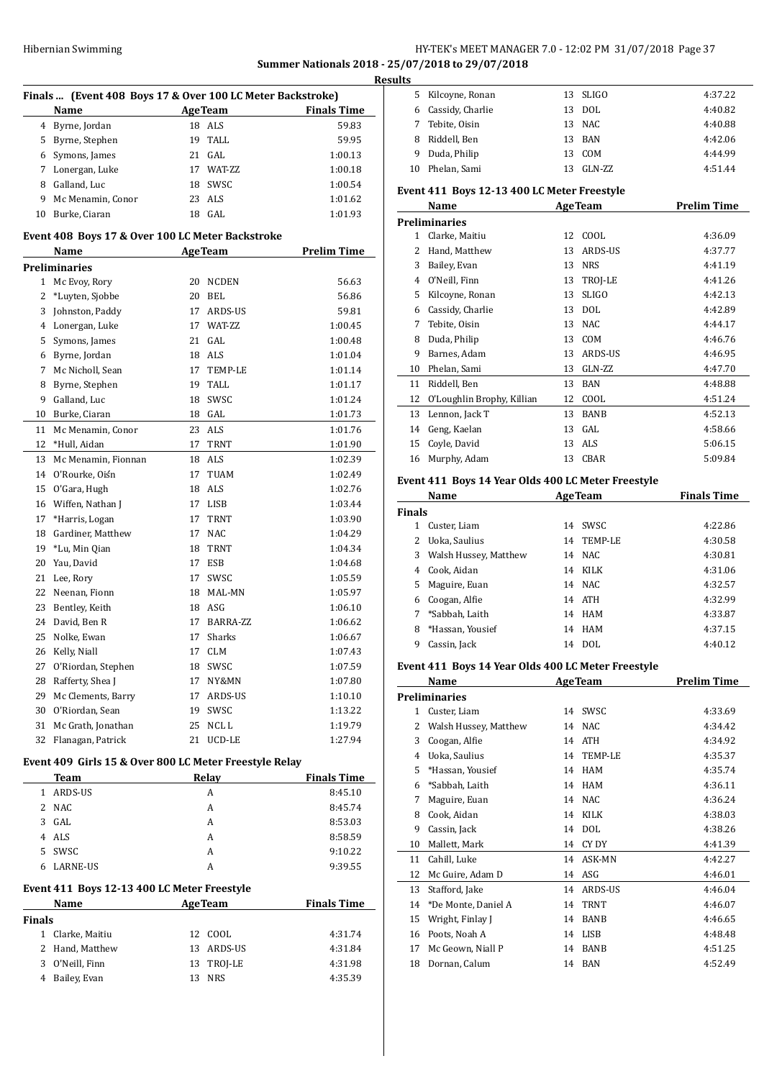## HY-TEK's MEET MANAGER 7.0 - 12:02 PM 31/07/2018 Page 37 **Summer Nationals 2018 - 25/07/2018 to 29/07/2018**

|                | Finals  (Event 408 Boys 17 & Over 100 LC Meter Backstroke)<br>Name |    | Age Team       | <b>Finals Time</b> |
|----------------|--------------------------------------------------------------------|----|----------------|--------------------|
|                | 4 Byrne, Jordan                                                    |    | 18 ALS         | 59.83              |
|                | 5 Byrne, Stephen                                                   |    | 19 TALL        | 59.95              |
|                | 6 Symons, James                                                    |    | 21 GAL         | 1:00.13            |
| 7              | Lonergan, Luke                                                     |    | 17 WAT-ZZ      | 1:00.18            |
|                | 8 Galland, Luc                                                     |    | 18 SWSC        | 1:00.54            |
|                | 9 Mc Menamin, Conor                                                |    | 23 ALS         | 1:01.62            |
|                | 10 Burke, Ciaran                                                   |    | $18$ GAL       | 1:01.93            |
|                |                                                                    |    |                |                    |
|                | Event 408 Boys 17 & Over 100 LC Meter Backstroke<br>Name           |    | <b>AgeTeam</b> | <b>Prelim Time</b> |
|                | <b>Preliminaries</b>                                               |    |                |                    |
|                | 1 Mc Evoy, Rory                                                    |    | 20 NCDEN       | 56.63              |
| $\overline{2}$ | *Luyten, Sjobbe                                                    |    | 20 BEL         | 56.86              |
| 3              | Johnston, Paddy                                                    |    | 17 ARDS-US     | 59.81              |
|                | 4 Lonergan, Luke                                                   |    | 17 WAT-ZZ      | 1:00.45            |
|                | 5 Symons, James                                                    |    | 21 GAL         | 1:00.48            |
|                | 6 Byrne, Jordan                                                    |    | 18 ALS         | 1:01.04            |
| 7              | Mc Nicholl, Sean                                                   |    | 17 TEMP-LE     | 1:01.14            |
| 8              | Byrne, Stephen                                                     |    | 19 TALL        | 1:01.17            |
| 9              | Galland, Luc                                                       |    | 18 SWSC        | 1:01.24            |
|                | 10 Burke, Ciaran                                                   |    | 18 GAL         | 1:01.73            |
|                | 11 Mc Menamin, Conor                                               |    | 23 ALS         | 1:01.76            |
| 12             | *Hull, Aidan                                                       |    | 17 TRNT        | 1:01.90            |
| 13             | Mc Menamin, Fionnan                                                |    | 18 ALS         | 1:02.39            |
| 14             | O'Rourke, Oiśn                                                     |    | 17 TUAM        | 1:02.49            |
| 15             | O'Gara, Hugh                                                       |    | 18 ALS         | 1:02.76            |
|                | 16 Wiffen, Nathan J                                                |    | 17 LISB        | 1:03.44            |
| 17             | *Harris, Logan                                                     |    | 17 TRNT        | 1:03.90            |
| 18             | Gardiner, Matthew                                                  |    | 17 NAC         | 1:04.29            |
| 19             | *Lu, Min Qian                                                      |    | 18 TRNT        | 1:04.34            |
| 20             | Yau, David                                                         |    | 17 ESB         | 1:04.68            |
|                | 21 Lee, Rory                                                       | 17 | SWSC           | 1:05.59            |
|                | 22 Neenan, Fionn                                                   |    | 18 MAL-MN      | 1:05.97            |
|                | 23 Bentley, Keith                                                  |    | 18 ASG         | 1:06.10            |
|                | 24 David, Ben R                                                    | 17 | BARRA-ZZ       | 1:06.62            |
|                | 25 Nolke, Ewan                                                     |    | 17 Sharks      | 1:06.67            |
|                | 26 Kelly, Niall                                                    | 17 | <b>CLM</b>     | 1:07.43            |
| 27             | O'Riordan, Stephen                                                 | 18 | SWSC           | 1:07.59            |
| 28             | Rafferty, Shea J                                                   |    | 17 NY&MN       | 1:07.80            |
| 29             | Mc Clements, Barry                                                 |    | 17 ARDS-US     | 1:10.10            |
|                | 30 O'Riordan, Sean                                                 |    | 19 SWSC        | 1:13.22            |
|                | 31 Mc Grath, Jonathan                                              |    | 25 NCL L       | 1:19.79            |
|                | 32 Flanagan, Patrick                                               |    | 21 UCD-LE      | 1:27.94            |
|                | Event 409 Girls 15 & Over 800 LC Meter Freestyle Relay             |    |                |                    |
|                | <b>Team</b>                                                        |    | <b>Relay</b>   | <b>Finals Time</b> |
|                | 1 ARDS-US                                                          |    | A              | 8:45.10            |
|                | 2 NAC                                                              |    | A              | 8:45.74            |
|                | 3 GAL                                                              |    | A              | 8:53.03            |
|                | 4 ALS                                                              |    | A              | 8:58.59            |
|                | 5 SWSC                                                             |    | A              | 9:10.22            |
| 6              | LARNE-US                                                           |    | А              | 9:39.55            |
|                |                                                                    |    |                |                    |
|                | Event 411 Boys 12-13 400 LC Meter Freestyle<br>Name                |    | <b>AgeTeam</b> | <b>Finals Time</b> |
| <b>Finals</b>  |                                                                    |    |                |                    |
|                | 1 Clarke, Maitiu                                                   |    | 12 COOL        | 4:31.74            |
| $\overline{2}$ | Hand, Matthew                                                      |    | 13 ARDS-US     | 4:31.84            |
| 3              | O'Neill, Finn                                                      |    | 13 TROJ-LE     | 4:31.98            |
|                |                                                                    |    |                |                    |

Bailey, Evan 13 NRS 4:35.39

| เ๖ |                  |    |          |         |
|----|------------------|----|----------|---------|
| 5. | Kilcoyne, Ronan  |    | 13 SLIGO | 4:37.22 |
| 6. | Cassidy, Charlie | 13 | DOL      | 4:40.82 |
|    | 7 Tebite, Oisin  |    | 13 NAC   | 4:40.88 |
| 8  | Riddell, Ben     | 13 | BAN      | 4:42.06 |
| 9  | Duda, Philip     | 13 | COM      | 4:44.99 |
| 10 | Phelan. Sami     | 13 | $GLN-ZZ$ | 4:51.44 |
|    |                  |    |          |         |

#### **Event 411 Boys 12-13 400 LC Meter Freestyle**

|               | Name                       |    | <b>AgeTeam</b> | <b>Prelim Time</b> |
|---------------|----------------------------|----|----------------|--------------------|
|               | <b>Preliminaries</b>       |    |                |                    |
| 1             | Clarke, Maitiu             | 12 | COOL           | 4:36.09            |
| $\mathcal{L}$ | Hand, Matthew              | 13 | <b>ARDS-US</b> | 4:37.77            |
| 3             | Bailey, Evan               | 13 | <b>NRS</b>     | 4:41.19            |
| 4             | O'Neill, Finn              | 13 | TROJ-LE        | 4:41.26            |
| 5             | Kilcoyne, Ronan            | 13 | <b>SLIGO</b>   | 4:42.13            |
| 6             | Cassidy, Charlie           | 13 | <b>DOL</b>     | 4:42.89            |
| 7             | Tebite, Oisin              | 13 | <b>NAC</b>     | 4:44.17            |
| 8             | Duda, Philip               | 13 | COM            | 4:46.76            |
| 9             | Barnes, Adam               | 13 | ARDS-US        | 4:46.95            |
| 10            | Phelan, Sami               | 13 | GLN-ZZ         | 4:47.70            |
| 11            | Riddell, Ben               | 13 | BAN            | 4:48.88            |
| 12            | O'Loughlin Brophy, Killian | 12 | COOL           | 4:51.24            |
| 13            | Lennon, Jack T             | 13 | <b>BANB</b>    | 4:52.13            |
| 14            | Geng, Kaelan               | 13 | GAL            | 4:58.66            |
| 15            | Coyle, David               | 13 | ALS            | 5:06.15            |
| 16            | Murphy, Adam               | 13 | CBAR           | 5:09.84            |
|               |                            |    |                |                    |

## **Event 411 Boys 14 Year Olds 400 LC Meter Freestyle**

|               | Name                  |    | <b>AgeTeam</b> | <b>Finals Time</b> |
|---------------|-----------------------|----|----------------|--------------------|
| <b>Finals</b> |                       |    |                |                    |
|               | Custer, Liam          | 14 | SWSC.          | 4:22.86            |
|               | Uoka, Saulius         | 14 | TEMP-LE        | 4:30.58            |
| 3             | Walsh Hussey, Matthew |    | 14 NAC         | 4:30.81            |
| 4             | Cook, Aidan           | 14 | KILK           | 4:31.06            |
| 5.            | Maguire, Euan         |    | 14 NAC         | 4:32.57            |
| 6             | Coogan, Alfie         |    | 14 ATH         | 4:32.99            |
|               | *Sabbah, Laith        | 14 | HAM            | 4:33.87            |
| 8             | *Hassan, Yousief      | 14 | HAM            | 4:37.15            |
| 9             | Cassin, Jack          | 14 | DOL            | 4:40.12            |

#### **Event 411 Boys 14 Year Olds 400 LC Meter Freestyle**

|    | Name                  | $1.1041$ $0.440$ $100$ $0.01$ $0.000$ $1.000$<br><b>AgeTeam</b> | <b>Prelim Time</b> |
|----|-----------------------|-----------------------------------------------------------------|--------------------|
|    | <b>Preliminaries</b>  |                                                                 |                    |
| 1  | Custer, Liam          | SWSC<br>14                                                      | 4:33.69            |
| 2  | Walsh Hussey, Matthew | <b>NAC</b><br>14                                                | 4:34.42            |
| 3  | Coogan, Alfie         | <b>ATH</b><br>14                                                | 4:34.92            |
| 4  | Uoka, Saulius         | <b>TEMP-LE</b><br>14                                            | 4:35.37            |
| 5. | *Hassan, Yousief      | <b>HAM</b><br>14                                                | 4:35.74            |
| 6  | *Sabbah, Laith        | <b>HAM</b><br>14                                                | 4:36.11            |
| 7  | Maguire, Euan         | <b>NAC</b><br>14                                                | 4:36.24            |
| 8  | Cook, Aidan           | KILK<br>14                                                      | 4:38.03            |
| 9  | Cassin, Jack          | <b>DOL</b><br>14                                                | 4:38.26            |
| 10 | Mallett, Mark         | CY DY<br>14                                                     | 4:41.39            |
| 11 | Cahill, Luke          | ASK-MN<br>14                                                    | 4:42.27            |
| 12 | Mc Guire, Adam D      | ASG<br>14                                                       | 4:46.01            |
| 13 | Stafford, Jake        | ARDS-US<br>14                                                   | 4:46.04            |
| 14 | *De Monte, Daniel A   | <b>TRNT</b><br>14                                               | 4:46.07            |
| 15 | Wright, Finlay J      | <b>BANB</b><br>14                                               | 4:46.65            |
| 16 | Poots, Noah A         | LISB<br>14                                                      | 4:48.48            |
| 17 | Mc Geown, Niall P     | <b>BANB</b><br>14                                               | 4:51.25            |
| 18 | Dornan, Calum         | <b>BAN</b><br>14                                                | 4:52.49            |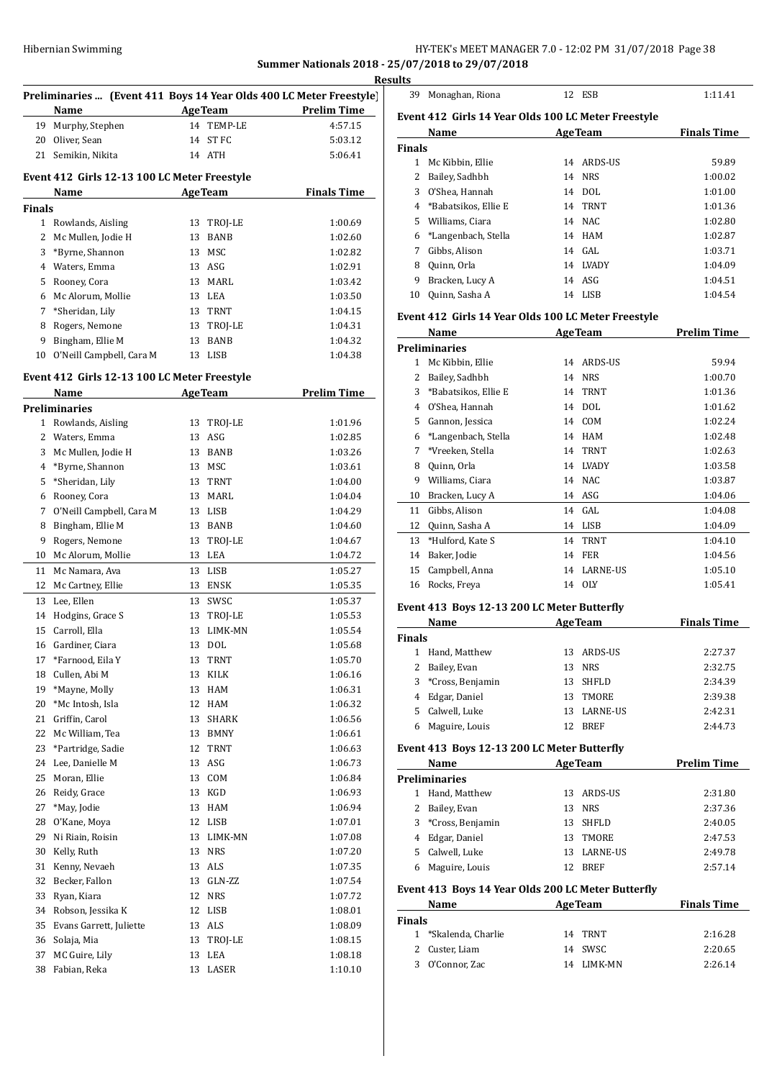## HY-TEK's MEET MANAGER 7.0 - 12:02 PM 31/07/2018 Page 38 **Summer Nationals 2018 - 25/07/2018 to 29/07/2018**

<u>esult</u>

 $\overline{a}$ 

|               |                                              |    |                | R                                                                   |
|---------------|----------------------------------------------|----|----------------|---------------------------------------------------------------------|
|               |                                              |    |                | Preliminaries  (Event 411 Boys 14 Year Olds 400 LC Meter Freestyle) |
|               | Name                                         |    | <b>AgeTeam</b> | <b>Prelim Time</b>                                                  |
|               | 19 Murphy, Stephen                           |    | 14 TEMP-LE     | 4:57.15                                                             |
|               | 20 Oliver, Sean                              |    | 14 ST FC       | 5:03.12                                                             |
|               | 21 Semikin, Nikita                           |    | 14 ATH         | 5:06.41                                                             |
|               | Event 412 Girls 12-13 100 LC Meter Freestyle |    |                |                                                                     |
|               | Name                                         |    | <b>AgeTeam</b> | <b>Finals Time</b>                                                  |
| <b>Finals</b> |                                              |    |                |                                                                     |
|               | 1 Rowlands, Aisling                          |    | 13 TROJ-LE     | 1:00.69                                                             |
|               | 2 Mc Mullen, Jodie H                         |    | 13 BANB        | 1:02.60                                                             |
|               | 3 *Byrne, Shannon                            |    | 13 MSC         | 1:02.82                                                             |
|               | 4 Waters, Emma                               |    | 13 ASG         | 1:02.91                                                             |
|               | 5 Rooney, Cora                               |    | 13 MARL        | 1:03.42                                                             |
|               | 6 Mc Alorum, Mollie                          |    | 13 LEA         | 1:03.50                                                             |
|               | 7 *Sheridan, Lily                            |    | 13 TRNT        | 1:04.15                                                             |
|               | 8 Rogers, Nemone                             |    | 13 TROJ-LE     | 1:04.31                                                             |
|               | 9 Bingham, Ellie M                           |    | 13 BANB        | 1:04.32                                                             |
| 10            | O'Neill Campbell, Cara M                     |    | 13 LISB        | 1:04.38                                                             |
|               |                                              |    |                |                                                                     |
|               | Event 412 Girls 12-13 100 LC Meter Freestyle |    |                |                                                                     |
|               | Name                                         |    | <b>AgeTeam</b> | <b>Prelim Time</b>                                                  |
|               | <b>Preliminaries</b>                         |    |                |                                                                     |
|               | 1 Rowlands, Aisling                          |    | 13 TROJ-LE     | 1:01.96                                                             |
|               | 2 Waters, Emma                               |    | 13 ASG         | 1:02.85                                                             |
|               | 3 Mc Mullen, Jodie H                         |    | 13 BANB        | 1:03.26                                                             |
|               | 4 *Byrne, Shannon                            |    | 13 MSC         | 1:03.61                                                             |
|               | 5 *Sheridan, Lily                            |    | 13 TRNT        | 1:04.00                                                             |
|               | 6 Rooney, Cora                               |    | 13 MARL        | 1:04.04                                                             |
| 7             | O'Neill Campbell, Cara M                     |    | 13 LISB        | 1:04.29                                                             |
|               | 8 Bingham, Ellie M                           |    | 13 BANB        | 1:04.60                                                             |
| 9             | Rogers, Nemone                               |    | 13 TROJ-LE     | 1:04.67                                                             |
|               | 10 Mc Alorum, Mollie                         |    | 13 LEA         | 1:04.72                                                             |
| 11            | Mc Namara, Ava                               |    | 13 LISB        | 1:05.27                                                             |
|               | 12 Mc Cartney, Ellie                         |    | 13 ENSK        | 1:05.35                                                             |
|               | 13 Lee, Ellen                                |    | 13 SWSC        | 1:05.37                                                             |
|               | 14 Hodgins, Grace S                          |    | 13 TROJ-LE     | 1:05.53                                                             |
|               | 15 Carroll, Ella                             | 13 | LIMK-MN        | 1:05.54                                                             |
| 16            | Gardiner, Ciara                              | 13 | DOL            | 1:05.68                                                             |
| 17            | *Farnood, Eila Y                             | 13 | TRNT           | 1:05.70                                                             |
| 18            | Cullen, Abi M                                | 13 | KILK           | 1:06.16                                                             |
| 19            | *Mayne, Molly                                | 13 | HAM            | 1:06.31                                                             |
| 20            | *Mc Intosh, Isla                             | 12 | HAM            | 1:06.32                                                             |
| 21            | Griffin, Carol                               | 13 | <b>SHARK</b>   | 1:06.56                                                             |
| 22            | Mc William, Tea                              | 13 | BMNY           | 1:06.61                                                             |
| 23            | *Partridge, Sadie                            | 12 | TRNT           | 1:06.63                                                             |
| 24            | Lee, Danielle M                              | 13 | ASG            | 1:06.73                                                             |
| 25            | Moran, Ellie                                 | 13 | COM            | 1:06.84                                                             |
| 26            | Reidy, Grace                                 | 13 | KGD            | 1:06.93                                                             |
| 27            | *May, Jodie                                  | 13 | HAM            | 1:06.94                                                             |
| 28            | O'Kane, Moya                                 | 12 | LISB           | 1:07.01                                                             |
| 29            | Ni Riain, Roisin                             | 13 | LIMK-MN        | 1:07.08                                                             |
| 30            | Kelly, Ruth                                  | 13 | <b>NRS</b>     | 1:07.20                                                             |
| 31            | Kenny, Nevaeh                                | 13 | ALS            | 1:07.35                                                             |
| 32            | Becker, Fallon                               | 13 | GLN-ZZ         | 1:07.54                                                             |
| 33            | Ryan, Kiara                                  | 12 | <b>NRS</b>     | 1:07.72                                                             |
| 34            | Robson, Jessika K                            | 12 | LISB           | 1:08.01                                                             |
| 35            | Evans Garrett, Juliette                      | 13 | ALS            | 1:08.09                                                             |
| 36            | Solaja, Mia                                  | 13 | TROJ-LE        | 1:08.15                                                             |
| 37            | MC Guire, Lily                               | 13 | LEA            | 1:08.18                                                             |
| 38            | Fabian, Reka                                 | 13 | LASER          | 1:10.10                                                             |
|               |                                              |    |                |                                                                     |

| ults          |                                                     |    |                |                    |
|---------------|-----------------------------------------------------|----|----------------|--------------------|
| 39            | Monaghan, Riona                                     |    | 12 ESB         | 1:11.41            |
|               | Event 412 Girls 14 Year Olds 100 LC Meter Freestyle |    |                |                    |
|               | Name                                                |    | <b>AgeTeam</b> | <b>Finals Time</b> |
| <b>Finals</b> |                                                     |    |                |                    |
| $\mathbf{1}$  | Mc Kibbin, Ellie                                    |    | 14 ARDS-US     | 59.89              |
| 2             | Bailey, Sadhbh                                      | 14 | <b>NRS</b>     | 1:00.02            |
| 3             | O'Shea, Hannah                                      | 14 | DOL            | 1:01.00            |
| 4             | *Babatsikos, Ellie E                                | 14 | TRNT           | 1:01.36            |
| 5             | Williams, Ciara                                     | 14 | NAC            | 1:02.80            |
| 6             | *Langenbach, Stella                                 | 14 | HAM            | 1:02.87            |
| 7             | Gibbs, Alison                                       | 14 | GAL            | 1:03.71            |
| 8             | Quinn, Orla                                         | 14 | <b>LVADY</b>   | 1:04.09            |
| 9             | Bracken, Lucy A                                     | 14 | ASG            | 1:04.51            |
| 10            | Quinn, Sasha A                                      |    | 14 LISB        | 1:04.54            |
|               | Event 412 Girls 14 Year Olds 100 LC Meter Freestyle |    |                |                    |
|               | Name                                                |    | <b>AgeTeam</b> | <b>Prelim Time</b> |
|               | <b>Preliminaries</b>                                |    |                |                    |
| 1             | Mc Kibbin, Ellie                                    | 14 | ARDS-US        | 59.94              |
| 2             | Bailey, Sadhbh                                      | 14 | <b>NRS</b>     | 1:00.70            |
| 3             | *Babatsikos, Ellie E                                | 14 | <b>TRNT</b>    | 1:01.36            |
| 4             | O'Shea, Hannah                                      | 14 | <b>DOL</b>     | 1:01.62            |
| 5             | Gannon, Jessica                                     | 14 | COM            | 1:02.24            |
| 6             | *Langenbach, Stella                                 | 14 | HAM            | 1:02.48            |
| 7             | *Vreeken, Stella                                    | 14 | <b>TRNT</b>    | 1:02.63            |
| 8             | Quinn, Orla                                         | 14 | <b>LVADY</b>   | 1:03.58            |
| 9             | Williams, Ciara                                     | 14 | <b>NAC</b>     | 1:03.87            |
| 10            | Bracken, Lucy A                                     |    | 14 ASG         | 1:04.06            |
| 11            | Gibbs, Alison                                       |    | 14 GAL         | 1:04.08            |
|               |                                                     |    |                |                    |

| 12 Quinn, Sasha A   | 14 LISB     | 1:04.09 |
|---------------------|-------------|---------|
| 13 *Hulford, Kate S | 14 TRNT     | 1:04.10 |
| 14 Baker, Jodie     | 14 FER      | 1:04.56 |
| 15 Campbell, Anna   | 14 LARNE-US | 1:05.10 |
| 16 Rocks, Freya     | 14 OLY      | 1:05.41 |
|                     |             |         |

## **Event 413 Boys 12-13 200 LC Meter Butterfly**

| Name          |                    |    | <b>AgeTeam</b> | <b>Finals Time</b> |  |
|---------------|--------------------|----|----------------|--------------------|--|
| <b>Finals</b> |                    |    |                |                    |  |
|               | Hand, Matthew      |    | 13 ARDS-US     | 2:27.37            |  |
|               | 2 Bailey, Evan     | 13 | NRS            | 2:32.75            |  |
|               | 3 *Cross, Benjamin |    | 13 SHFLD       | 2:34.39            |  |
|               | 4 Edgar, Daniel    | 13 | TMORE          | 2:39.38            |  |
| 5.            | Calwell, Luke      |    | 13 LARNE-US    | 2:42.31            |  |
|               | Maguire, Louis     |    | <b>BREF</b>    | 2:44.73            |  |

### **Event 413 Boys 12-13 200 LC Meter Butterfly**

| Name |                      | <b>AgeTeam</b> |              | <b>Prelim Time</b> |  |
|------|----------------------|----------------|--------------|--------------------|--|
|      | <b>Preliminaries</b> |                |              |                    |  |
|      | Hand, Matthew        |                | 13 ARDS-US   | 2:31.80            |  |
|      | Bailey, Evan         | 13             | <b>NRS</b>   | 2:37.36            |  |
| 3    | *Cross, Benjamin     | 13             | <b>SHFLD</b> | 2:40.05            |  |
| 4    | Edgar, Daniel        | 13             | TMORE        | 2:47.53            |  |
| 5.   | Calwell, Luke        | 13             | LARNE-US     | 2:49.78            |  |
| 6    | Maguire, Louis       | 12             | <b>BREF</b>  | 2:57.14            |  |

## **Event 413 Boys 14 Year Olds 200 LC Meter Butterfly**

| Name   |                      | <b>AgeTeam</b> |         | <b>Finals Time</b> |  |
|--------|----------------------|----------------|---------|--------------------|--|
| Finals |                      |                |         |                    |  |
|        | 1 *Skalenda, Charlie |                | 14 TRNT | 2:16.28            |  |
|        | 2 Custer, Liam       |                | 14 SWSC | 2:20.65            |  |
|        | 3 O'Connor, Zac      | 14             | LIMK-MN | 2:26.14            |  |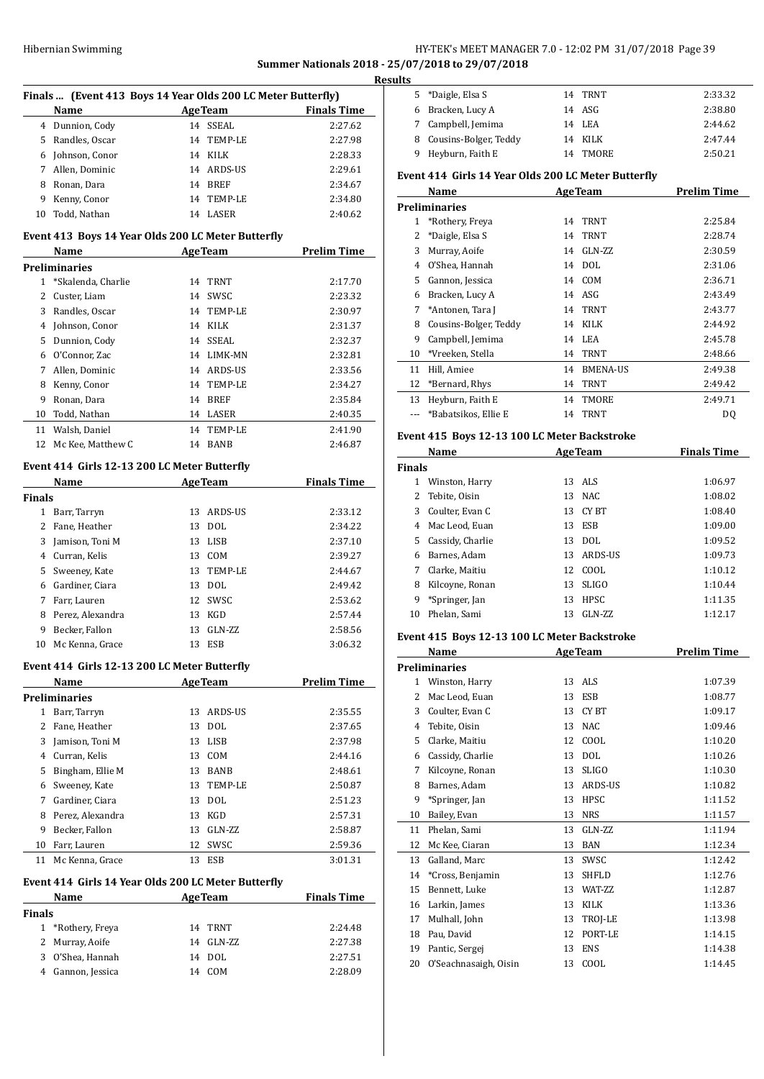## HY-TEK's MEET MANAGER 7.0 - 12:02 PM 31/07/2018 Page 39 **Summer Nationals 2018 - 25/07/2018 to 29/07/2018**

|                |                                                    | Finals  (Event 413 Boys 14 Year Olds 200 LC Meter Butterfly) |                                                                |
|----------------|----------------------------------------------------|--------------------------------------------------------------|----------------------------------------------------------------|
|                | Name                                               | <b>AgeTeam</b>                                               | <b>Finals Time</b>                                             |
|                | 4 Dunnion, Cody                                    | 14 SSEAL                                                     | 2:27.62                                                        |
| 5              | Randles, Oscar                                     | TEMP-LE<br>14                                                | 2:27.98                                                        |
|                | 6 Johnson, Conor                                   | 14 KILK                                                      | 2:28.33                                                        |
| 7              | Allen, Dominic                                     | 14 ARDS-US                                                   | 2:29.61                                                        |
| 8              | Ronan, Dara                                        | 14 BREF                                                      | 2:34.67                                                        |
| 9              | Kenny, Conor                                       | TEMP-LE<br>14                                                | 2:34.80                                                        |
| 10             | Todd, Nathan                                       | 14 LASER                                                     | 2:40.62                                                        |
|                | Event 413 Boys 14 Year Olds 200 LC Meter Butterfly |                                                              |                                                                |
|                | Name                                               | <b>AgeTeam</b>                                               | <b>Prelim Time</b>                                             |
|                | Preliminaries                                      |                                                              |                                                                |
| $\mathbf{1}$   | *Skalenda, Charlie                                 | 14 TRNT                                                      | 2:17.70                                                        |
|                | 2 Custer, Liam                                     | 14 SWSC                                                      | 2:23.32                                                        |
| 3              | Randles, Oscar                                     | 14 TEMP-LE                                                   | 2:30.97                                                        |
| 4              | Johnson, Conor                                     | 14 KILK                                                      | 2:31.37                                                        |
| 5              | Dunnion, Cody                                      | 14 SSEAL                                                     | 2:32.37                                                        |
| 6              | O'Connor, Zac                                      | 14 LIMK-MN                                                   | 2:32.81                                                        |
| 7              | Allen, Dominic                                     | 14 ARDS-US                                                   | 2:33.56                                                        |
| 8              | Kenny, Conor                                       | 14 TEMP-LE                                                   | 2:34.27                                                        |
| 9              | Ronan, Dara                                        | 14 BREF                                                      | 2:35.84                                                        |
| 10             | Todd, Nathan                                       | 14 LASER                                                     | 2:40.35                                                        |
| 11             | Walsh, Daniel                                      | 14<br>TEMP-LE                                                | 2:41.90                                                        |
| 12             | Mc Kee, Matthew C                                  | 14<br>BANB                                                   | 2:46.87                                                        |
|                |                                                    |                                                              |                                                                |
|                | Event 414 Girls 12-13 200 LC Meter Butterfly       |                                                              |                                                                |
|                |                                                    |                                                              |                                                                |
|                | Name                                               | AgeTeam                                                      |                                                                |
|                |                                                    |                                                              |                                                                |
|                | 1 Barr, Tarryn                                     | 13 ARDS-US                                                   |                                                                |
| $\overline{2}$ | Fane, Heather                                      | 13<br><b>DOL</b>                                             | 2:34.22                                                        |
| 3              | Jamison, Toni M                                    | LISB<br>13                                                   |                                                                |
|                | 4 Curran, Kelis                                    | COM<br>13                                                    | 2:33.12<br>2:37.10<br>2:39.27                                  |
| 5              | Sweeney, Kate                                      | 13 TEMP-LE                                                   | 2:44.67                                                        |
| 6              | Gardiner, Ciara                                    | 13 DOL                                                       |                                                                |
| 7              | Farr, Lauren                                       | 12<br>SWSC                                                   | 2:49.42<br>2:53.62                                             |
| 8              | Perez, Alexandra                                   | 13<br>KGD                                                    | 2:57.44                                                        |
| 9              | Becker, Fallon                                     | 13 GLN-ZZ                                                    | 2:58.56                                                        |
|                | 10 Mc Kenna, Grace                                 | 13 ESB                                                       | 3:06.32                                                        |
|                | Event 414 Girls 12-13 200 LC Meter Butterfly       |                                                              | <b>Finals Time</b>                                             |
|                | Name                                               | <b>AgeTeam</b>                                               | <b>Prelim Time</b>                                             |
|                | <b>Preliminaries</b>                               |                                                              |                                                                |
|                | 1 Barr, Tarryn                                     | 13<br>ARDS-US                                                |                                                                |
|                | 2 Fane, Heather                                    | 13<br><b>DOL</b>                                             |                                                                |
| 3              | Jamison, Toni M                                    | 13 LISB                                                      | 2:35.55<br>2:37.65<br>2:37.98                                  |
|                | 4 Curran, Kelis                                    | 13 COM                                                       | 2:44.16                                                        |
| 5              | Bingham, Ellie M                                   | 13 BANB                                                      |                                                                |
| 6              | Sweeney, Kate                                      | 13 TEMP-LE                                                   |                                                                |
| 7              | Gardiner, Ciara                                    | 13 DOL                                                       |                                                                |
| 8              | Perez, Alexandra                                   | 13 KGD                                                       |                                                                |
| Finals<br>9    | Becker, Fallon                                     | 13 GLN-ZZ                                                    |                                                                |
| 10             | Farr, Lauren                                       | 12 SWSC                                                      | 2:48.61<br>2:50.87<br>2:51.23<br>2:57.31<br>2:58.87<br>2:59.36 |

| Name              | <b>AgeTeam</b> | <b>Finals Time</b> |
|-------------------|----------------|--------------------|
| Finals            |                |                    |
| 1 *Rothery, Freya | 14 TRNT        | 2:24.48            |
| 2 Murray, Aoife   | 14 GLN-ZZ      | 2:27.38            |
| 3 O'Shea, Hannah  | 14 DOL         | 2:27.51            |
| 4 Gannon, Jessica | 14 COM         | 2:28.09            |

| Results |                         |          |         |
|---------|-------------------------|----------|---------|
| 5.      | *Daigle, Elsa S         | 14 TRNT  | 2:33.32 |
|         | 6 Bracken, Lucy A       | 14 ASG   | 2:38.80 |
|         | 7 Campbell, Jemima      | 14 LEA   | 2:44.62 |
|         | 8 Cousins-Bolger, Teddy | 14 KILK  | 2:47.44 |
|         | Heyburn, Faith E        | 14 TMORE | 2:50.21 |
|         |                         |          |         |

## **Event 414 Girls 14 Year Olds 200 LC Meter Butterfly**

| Name |                       | <b>AgeTeam</b> |                 | <b>Prelim Time</b> |
|------|-----------------------|----------------|-----------------|--------------------|
|      | <b>Preliminaries</b>  |                |                 |                    |
| 1    | *Rothery, Freya       | 14             | <b>TRNT</b>     | 2:25.84            |
| 2    | *Daigle, Elsa S       | 14             | <b>TRNT</b>     | 2:28.74            |
| 3    | Murray, Aoife         | 14             | GLN-ZZ          | 2:30.59            |
| 4    | O'Shea, Hannah        | 14             | DOL.            | 2:31.06            |
| 5.   | Gannon, Jessica       | 14             | COM             | 2:36.71            |
| 6    | Bracken, Lucy A       | 14             | ASG             | 2:43.49            |
| 7    | *Antonen, Tara J      | 14             | <b>TRNT</b>     | 2:43.77            |
| 8    | Cousins-Bolger, Teddy | 14             | KILK            | 2:44.92            |
| 9    | Campbell, Jemima      | 14             | LEA             | 2:45.78            |
| 10   | *Vreeken, Stella      | 14             | <b>TRNT</b>     | 2:48.66            |
| 11   | Hill, Amiee           | 14             | <b>BMENA-US</b> | 2:49.38            |
| 12   | *Bernard, Rhys        | 14             | <b>TRNT</b>     | 2:49.42            |
| 13   | Heyburn, Faith E      | 14             | <b>TMORE</b>    | 2:49.71            |
|      | *Babatsikos, Ellie E  | 14             | TRNT            | DO                 |

## **Event 415 Boys 12-13 100 LC Meter Backstroke**

| Name          |                  | <b>AgeTeam</b> |              | <b>Finals Time</b> |
|---------------|------------------|----------------|--------------|--------------------|
| <b>Finals</b> |                  |                |              |                    |
|               | Winston, Harry   | 13             | ALS          | 1:06.97            |
| 2             | Tebite, Oisin    |                | 13 NAC       | 1:08.02            |
| 3             | Coulter, Evan C  | 13             | CY BT        | 1:08.40            |
| 4             | Mac Leod, Euan   | 13             | <b>ESB</b>   | 1:09.00            |
| 5.            | Cassidy, Charlie | 13             | DOL.         | 1:09.52            |
| 6             | Barnes, Adam     | 13             | ARDS-US      | 1:09.73            |
| 7             | Clarke, Maitiu   | 12             | COOL         | 1:10.12            |
| 8             | Kilcoyne, Ronan  | 13             | <b>SLIGO</b> | 1:10.44            |
| 9             | *Springer, Jan   | 13             | <b>HPSC</b>  | 1:11.35            |
| 10            | Phelan, Sami     | 13             | GLN-ZZ       | 1:12.17            |

### **Event 415 Boys 12-13 100 LC Meter Backstroke**

|    | Name                  |    | <b>AgeTeam</b>  | <b>Prelim Time</b> |
|----|-----------------------|----|-----------------|--------------------|
|    | <b>Preliminaries</b>  |    |                 |                    |
| 1  | Winston, Harry        | 13 | ALS             | 1:07.39            |
| 2  | Mac Leod, Euan        | 13 | <b>ESB</b>      | 1:08.77            |
| 3  | Coulter, Evan C       | 13 | CY BT           | 1:09.17            |
| 4  | Tebite, Oisin         | 13 | <b>NAC</b>      | 1:09.46            |
| 5  | Clarke, Maitiu        | 12 | COOL            | 1:10.20            |
| 6  | Cassidy, Charlie      | 13 | <b>DOL</b>      | 1:10.26            |
| 7  | Kilcoyne, Ronan       | 13 | <b>SLIGO</b>    | 1:10.30            |
| 8  | Barnes, Adam          | 13 | <b>ARDS-US</b>  | 1:10.82            |
| 9  | *Springer, Jan        | 13 | <b>HPSC</b>     | 1:11.52            |
| 10 | Bailey, Evan          | 13 | <b>NRS</b>      | 1:11.57            |
| 11 | Phelan, Sami          | 13 | GLN-ZZ          | 1:11.94            |
| 12 | Mc Kee, Ciaran        | 13 | <b>BAN</b>      | 1:12.34            |
| 13 | Galland, Marc         | 13 | SWSC            | 1:12.42            |
| 14 | *Cross, Benjamin      | 13 | <b>SHFLD</b>    | 1:12.76            |
| 15 | Bennett, Luke         | 13 | <b>WAT-7.7.</b> | 1:12.87            |
| 16 | Larkin, James         | 13 | <b>KILK</b>     | 1:13.36            |
| 17 | Mulhall, John         | 13 | TROJ-LE         | 1:13.98            |
| 18 | Pau, David            | 12 | PORT-LE         | 1:14.15            |
| 19 | Pantic, Sergej        | 13 | <b>ENS</b>      | 1:14.38            |
| 20 | O'Seachnasaigh, Oisin | 13 | COOL            | 1:14.45            |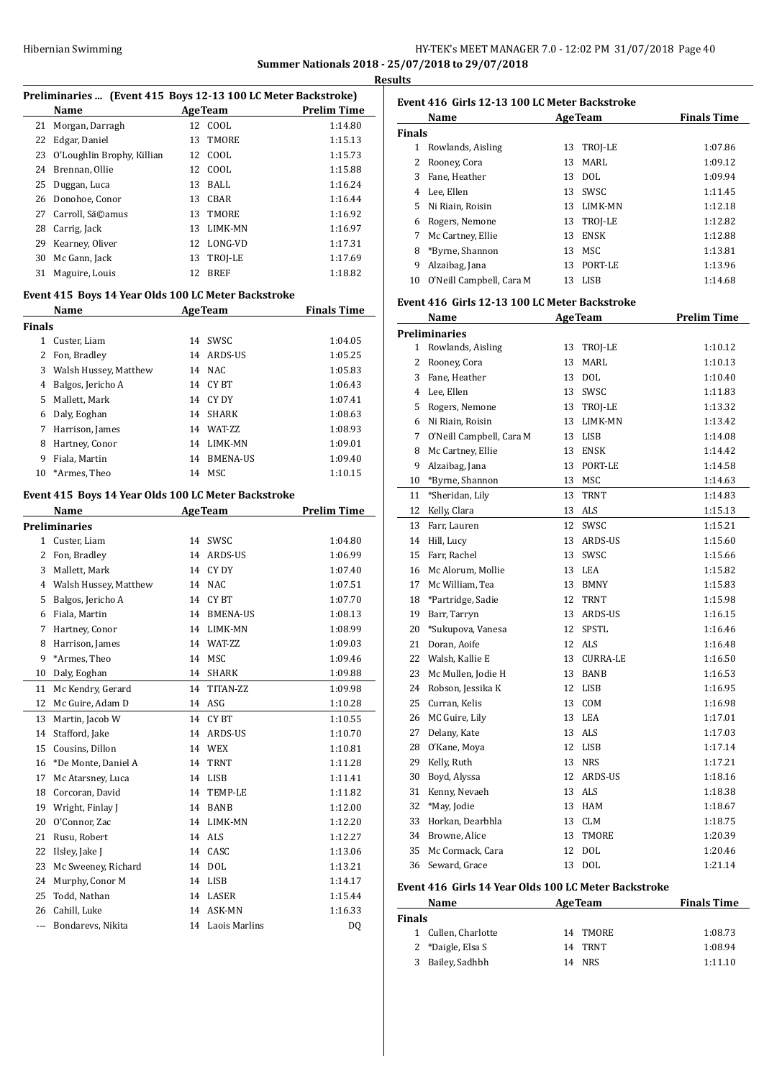## HY-TEK's MEET MANAGER 7.0 - 12:02 PM 31/07/2018 Page 40 **Summer Nationals 2018 - 25/07/2018 to 29/07/2018**

**Results**

|        | Preliminaries  (Event 415 Boys 12-13 100 LC Meter Backstroke) |    |                  |                    |
|--------|---------------------------------------------------------------|----|------------------|--------------------|
|        | Name<br><b>AgeTeam</b>                                        |    |                  | <b>Prelim Time</b> |
| 21     | Morgan, Darragh                                               | 12 | COOL             | 1:14.80            |
| 22     | Edgar, Daniel                                                 | 13 | TMORE            | 1:15.13            |
| 23     | O'Loughlin Brophy, Killian                                    | 12 | COOL             | 1:15.73            |
| 24     | Brennan, Ollie                                                |    | 12 COOL          | 1:15.88            |
| 25     | Duggan, Luca                                                  |    | 13 BALL          | 1:16.24            |
| 26     | Donohoe, Conor                                                |    | 13 CBAR          | 1:16.44            |
| 27     | Carroll, Sã©amus                                              |    | 13 TMORE         | 1:16.92            |
| 28     | Carrig, Jack                                                  |    | 13 LIMK-MN       | 1:16.97            |
| 29     | Kearney, Oliver                                               |    | 12 LONG-VD       | 1:17.31            |
| 30     | Mc Gann, Jack                                                 |    | 13 TROJ-LE       | 1:17.69            |
| 31     | Maguire, Louis                                                | 12 | <b>BREF</b>      | 1:18.82            |
|        | Event 415 Boys 14 Year Olds 100 LC Meter Backstroke           |    |                  |                    |
|        | Name                                                          |    | AgeTeam          | <b>Finals Time</b> |
| Finals |                                                               |    |                  |                    |
| 1      | Custer, Liam                                                  |    | 14 SWSC          | 1:04.05            |
| 2      | Fon, Bradley                                                  |    | 14 ARDS-US       | 1:05.25            |
| 3      | Walsh Hussey, Matthew                                         |    | 14 NAC           | 1:05.83            |
| 4      |                                                               |    | 14 CYBT          | 1:06.43            |
| 5      | Balgos, Jericho A<br>Mallett, Mark                            |    | 14 CY DY         | 1:07.41            |
|        |                                                               |    |                  |                    |
| 6      | Daly, Eoghan                                                  |    | 14 SHARK         | 1:08.63            |
| 7      | Harrison, James                                               |    | 14 WAT-ZZ        | 1:08.93            |
| 8      | Hartney, Conor                                                |    | 14 LIMK-MN       | 1:09.01            |
| 9      | Fiala, Martin                                                 |    | 14 BMENA-US      | 1:09.40            |
| 10     | *Armes, Theo                                                  | 14 | MSC              | 1:10.15            |
|        | Event 415 Boys 14 Year Olds 100 LC Meter Backstroke           |    |                  |                    |
|        | Name                                                          |    | AgeTeam          | <b>Prelim Time</b> |
|        | Preliminaries                                                 |    |                  |                    |
| 1      | Custer, Liam                                                  |    | 14 SWSC          | 1:04.80            |
| 2      | Fon, Bradley                                                  |    | 14 ARDS-US       | 1:06.99            |
| 3      | Mallett, Mark                                                 |    | 14 CY DY         | 1:07.40            |
| 4      | Walsh Hussey, Matthew                                         |    | 14 NAC           | 1:07.51            |
| 5      | Balgos, Jericho A                                             |    | 14 CYBT          | 1:07.70            |
| 6      | Fiala, Martin                                                 |    | 14 BMENA-US      | 1:08.13            |
| 7      | Hartney, Conor                                                |    | 14 LIMK-MN       | 1:08.99            |
| 8      | Harrison, James                                               |    | 14 WAT-ZZ        | 1:09.03            |
| 9      | *Armes, Theo                                                  |    | 14 MSC           | 1:09.46            |
|        |                                                               |    |                  |                    |
| 10     | Daly, Eoghan                                                  |    | 14 SHARK         | 1:09.88            |
| 11     | Mc Kendry, Gerard                                             | 14 | TITAN-ZZ         | 1:09.98            |
| 12     | Mc Guire, Adam D                                              |    | 14 ASG           | 1:10.28            |
| 13     | Martin, Jacob W                                               | 14 | CY BT            | 1:10.55            |
| 14     | Stafford, Jake                                                | 14 | ARDS-US          | 1:10.70            |
| 15     | Cousins, Dillon                                               | 14 | <b>WEX</b>       | 1:10.81            |
| 16     | *De Monte, Daniel A                                           | 14 | <b>TRNT</b>      | 1:11.28            |
| 17     | Mc Atarsney, Luca                                             | 14 | LISB             | 1:11.41            |
| 18     | Corcoran, David                                               | 14 | TEMP-LE          | 1:11.82            |
| 19     | Wright, Finlay J                                              | 14 | BANB             | 1:12.00            |
| 20     | O'Connor, Zac                                                 | 14 | LIMK-MN          | 1:12.20            |
| 21     | Rusu, Robert                                                  | 14 | ALS              | 1:12.27            |
| 22     | Ilsley, Jake J                                                | 14 | CASC             | 1:13.06            |
| 23     | Mc Sweeney, Richard                                           | 14 | DOL              | 1:13.21            |
| 24     | Murphy, Conor M                                               | 14 | LISB             | 1:14.17            |
| 25     | Todd, Nathan                                                  |    | 14 LASER         | 1:15.44            |
| 26     | Cahill, Luke                                                  | 14 | ASK-MN           | 1:16.33            |
| ---    | Bondarevs, Nikita                                             |    | 14 Laois Marlins | DQ                 |
|        |                                                               |    |                  |                    |

|               | Name                     |     | <b>AgeTeam</b> | <b>Finals Time</b> |
|---------------|--------------------------|-----|----------------|--------------------|
| <b>Finals</b> |                          |     |                |                    |
| 1             | Rowlands, Aisling        | 13  | TROJ-LE        | 1:07.86            |
|               | Rooney, Cora             | 13. | MARI.          | 1:09.12            |
| 3             | Fane, Heather            | 13  | DOL.           | 1:09.94            |
| 4             | Lee, Ellen               | 13  | SWSC.          | 1:11.45            |
| 5             | Ni Riain, Roisin         | 13. | <b>LIMK-MN</b> | 1:12.18            |
| 6             | Rogers, Nemone           | 13  | TROI-LE        | 1:12.82            |
| 7             | Mc Cartney, Ellie        | 13  | <b>ENSK</b>    | 1:12.88            |
| 8             | *Byrne, Shannon          | 13  | MSC            | 1:13.81            |
| 9             | Alzaibag, Jana           | 13  | PORT-LE        | 1:13.96            |
| 10            | O'Neill Campbell, Cara M | 13. | LISB           | 1:14.68            |

#### **Event 416 Girls 12-13 100 LC Meter Backstroke**

|                | Name                     |    | <b>AgeTeam</b>  | <b>Prelim Time</b> |
|----------------|--------------------------|----|-----------------|--------------------|
|                | <b>Preliminaries</b>     |    |                 |                    |
| $\mathbf{1}$   | Rowlands, Aisling        | 13 | TROJ-LE         | 1:10.12            |
| $\overline{c}$ | Rooney, Cora             | 13 | <b>MARL</b>     | 1:10.13            |
|                | 3 Fane, Heather          | 13 | <b>DOL</b>      | 1:10.40            |
|                | 4 Lee, Ellen             | 13 | SWSC            | 1:11.83            |
| 5              | Rogers, Nemone           | 13 | TROJ-LE         | 1:13.32            |
| 6              | Ni Riain, Roisin         | 13 | LIMK-MN         | 1:13.42            |
| 7              | O'Neill Campbell, Cara M | 13 | <b>LISB</b>     | 1:14.08            |
| 8              | Mc Cartney, Ellie        | 13 | <b>ENSK</b>     | 1:14.42            |
| 9              | Alzaibag, Jana           | 13 | PORT-LE         | 1:14.58            |
| 10             | *Byrne, Shannon          | 13 | MSC             | 1:14.63            |
| 11             | *Sheridan, Lily          | 13 | <b>TRNT</b>     | 1:14.83            |
| 12             | Kelly, Clara             | 13 | ALS             | 1:15.13            |
| 13             | Farr, Lauren             | 12 | SWSC            | 1:15.21            |
|                | 14 Hill, Lucy            | 13 | ARDS-US         | 1:15.60            |
| 15             | Farr, Rachel             | 13 | SWSC            | 1:15.66            |
|                | 16 Mc Alorum, Mollie     | 13 | LEA             | 1:15.82            |
|                | 17 Mc William, Tea       | 13 | <b>BMNY</b>     | 1:15.83            |
| 18             | *Partridge, Sadie        | 12 | <b>TRNT</b>     | 1:15.98            |
| 19             | Barr, Tarryn             | 13 | <b>ARDS-US</b>  | 1:16.15            |
| 20             | *Sukupova, Vanesa        | 12 | <b>SPSTL</b>    | 1:16.46            |
| 21             | Doran, Aoife             |    | 12 ALS          | 1:16.48            |
| 22             | Walsh, Kallie E          | 13 | <b>CURRA-LE</b> | 1:16.50            |
| 23             | Mc Mullen, Jodie H       | 13 | <b>BANB</b>     | 1:16.53            |
| 24             | Robson, Jessika K        | 12 | <b>LISB</b>     | 1:16.95            |
| 25             | Curran, Kelis            | 13 | COM             | 1:16.98            |
| 26             | MC Guire, Lily           | 13 | <b>LEA</b>      | 1:17.01            |
| 27             | Delany, Kate             | 13 | <b>ALS</b>      | 1:17.03            |
| 28             | O'Kane, Moya             | 12 | <b>LISB</b>     | 1:17.14            |
| 29             | Kelly, Ruth              | 13 | <b>NRS</b>      | 1:17.21            |
| 30             | Boyd, Alyssa             | 12 | <b>ARDS-US</b>  | 1:18.16            |
| 31             | Kenny, Nevaeh            | 13 | ALS             | 1:18.38            |
| 32             | *May, Jodie              | 13 | HAM             | 1:18.67            |
| 33             | Horkan, Dearbhla         | 13 | <b>CLM</b>      | 1:18.75            |
| 34             | Browne, Alice            | 13 | TMORE           | 1:20.39            |
| 35             | Mc Cormack, Cara         | 12 | <b>DOL</b>      | 1:20.46            |
| 36             | Seward, Grace            | 13 | <b>DOL</b>      | 1:21.14            |

#### **Event 416 Girls 14 Year Olds 100 LC Meter Backstroke**

| Name                | <b>AgeTeam</b> | <b>Finals Time</b> |
|---------------------|----------------|--------------------|
| <b>Finals</b>       |                |                    |
| 1 Cullen. Charlotte | 14 TMORE       | 1:08.73            |
| 2 *Daigle, Elsa S   | 14 TRNT        | 1:08.94            |
| Bailey, Sadhbh<br>3 | 14 NRS         | 1:11.10            |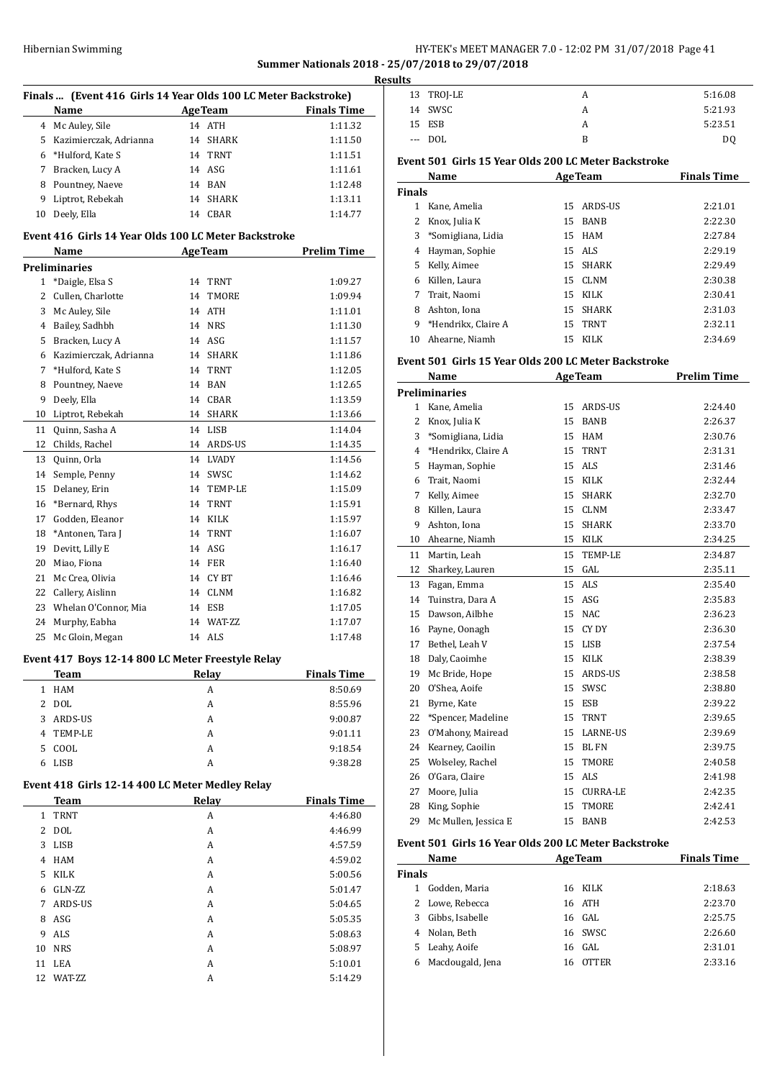## Hibernian Swimming **HY-TEK's MEET MANAGER 7.0 - 12:02 PM 31/07/2018** Page 41 **Summer Nationals 2018 - 25/07/2018 to 29/07/2018**

| <b>AgeTeam</b><br><b>Finals Time</b><br><b>Name</b><br>4 Mc Auley, Sile<br>14 ATH<br>1:11.32<br>5<br>Kazimierczak. Adrianna<br>14 SHARK<br>1:11.50<br>6<br>*Hulford, Kate S<br>14 TRNT<br>1:11.51<br>14 ASG<br>7<br>Bracken, Lucy A<br>1:11.61<br>Pountney, Naeve<br>14 BAN<br>1:12.48<br>8<br>9<br>Liptrot, Rebekah<br>14<br><b>SHARK</b><br>1:13.11<br>Deely, Ella<br>10<br>14 CBAR<br>1:14.77<br>Event 416 Girls 14 Year Olds 100 LC Meter Backstroke<br><b>Prelim Time</b><br><b>AgeTeam</b><br>Name<br>Preliminaries<br>*Daigle, Elsa S<br>1<br>14<br><b>TRNT</b><br>1:09.27<br>$\overline{2}$<br>Cullen, Charlotte<br>14<br>TMORE<br>1:09.94<br>3<br>Mc Auley, Sile<br>14<br>ATH<br>1:11.01<br>Bailey, Sadhbh<br>4<br>14 NRS<br>1:11.30<br>5<br>Bracken, Lucy A<br>14 ASG<br>1:11.57<br>Kazimierczak, Adrianna<br>6<br>14 SHARK<br>1:11.86<br>7<br>*Hulford, Kate S<br>14 TRNT<br>1:12.05<br>8<br>Pountney, Naeve<br>14 BAN<br>1:12.65<br>Deely, Ella<br>9<br>14 CBAR<br>1:13.59<br>10<br>Liptrot, Rebekah<br>14 SHARK<br>1:13.66<br>Quinn, Sasha A<br>14<br>11<br>LISB<br>1:14.04<br>12<br>Childs, Rachel<br>14 ARDS-US<br>1:14.35<br>Quinn, Orla<br>14<br><b>LVADY</b><br>1:14.56<br>13<br>14<br>Semple, Penny<br>14<br>SWSC<br>1:14.62<br>Delaney, Erin<br>15<br>14<br>TEMP-LE<br>1:15.09<br>*Bernard, Rhys<br>16<br>14<br>TRNT<br>1:15.91<br>17<br>Godden, Eleanor<br>14 KILK<br>1:15.97<br>18<br>*Antonen, Tara J<br>14<br><b>TRNT</b><br>1:16.07<br>Devitt, Lilly E<br>ASG<br>19<br>14<br>1:16.17<br>20<br>Miao, Fiona<br>14 FER<br>1:16.40<br>21<br>Mc Crea, Olivia<br>14 CYBT<br>1:16.46<br>22<br>Callery, Aislinn<br>14 CLNM<br>1:16.82<br>Whelan O'Connor, Mia<br>23<br>14 ESB<br>1:17.05<br>24<br>Murphy, Eabha<br>14 WAT-ZZ<br>1:17.07<br>25<br>14 ALS<br>1:17.48<br>Mc Gloin, Megan | Finals  (Event 416 Girls 14 Year Olds 100 LC Meter Backstroke) |  |  |  |
|--------------------------------------------------------------------------------------------------------------------------------------------------------------------------------------------------------------------------------------------------------------------------------------------------------------------------------------------------------------------------------------------------------------------------------------------------------------------------------------------------------------------------------------------------------------------------------------------------------------------------------------------------------------------------------------------------------------------------------------------------------------------------------------------------------------------------------------------------------------------------------------------------------------------------------------------------------------------------------------------------------------------------------------------------------------------------------------------------------------------------------------------------------------------------------------------------------------------------------------------------------------------------------------------------------------------------------------------------------------------------------------------------------------------------------------------------------------------------------------------------------------------------------------------------------------------------------------------------------------------------------------------------------------------------------------------------------------------------------------------------------------------------------------------------------|----------------------------------------------------------------|--|--|--|
|                                                                                                                                                                                                                                                                                                                                                                                                                                                                                                                                                                                                                                                                                                                                                                                                                                                                                                                                                                                                                                                                                                                                                                                                                                                                                                                                                                                                                                                                                                                                                                                                                                                                                                                                                                                                        |                                                                |  |  |  |
|                                                                                                                                                                                                                                                                                                                                                                                                                                                                                                                                                                                                                                                                                                                                                                                                                                                                                                                                                                                                                                                                                                                                                                                                                                                                                                                                                                                                                                                                                                                                                                                                                                                                                                                                                                                                        |                                                                |  |  |  |
|                                                                                                                                                                                                                                                                                                                                                                                                                                                                                                                                                                                                                                                                                                                                                                                                                                                                                                                                                                                                                                                                                                                                                                                                                                                                                                                                                                                                                                                                                                                                                                                                                                                                                                                                                                                                        |                                                                |  |  |  |
|                                                                                                                                                                                                                                                                                                                                                                                                                                                                                                                                                                                                                                                                                                                                                                                                                                                                                                                                                                                                                                                                                                                                                                                                                                                                                                                                                                                                                                                                                                                                                                                                                                                                                                                                                                                                        |                                                                |  |  |  |
|                                                                                                                                                                                                                                                                                                                                                                                                                                                                                                                                                                                                                                                                                                                                                                                                                                                                                                                                                                                                                                                                                                                                                                                                                                                                                                                                                                                                                                                                                                                                                                                                                                                                                                                                                                                                        |                                                                |  |  |  |
|                                                                                                                                                                                                                                                                                                                                                                                                                                                                                                                                                                                                                                                                                                                                                                                                                                                                                                                                                                                                                                                                                                                                                                                                                                                                                                                                                                                                                                                                                                                                                                                                                                                                                                                                                                                                        |                                                                |  |  |  |
|                                                                                                                                                                                                                                                                                                                                                                                                                                                                                                                                                                                                                                                                                                                                                                                                                                                                                                                                                                                                                                                                                                                                                                                                                                                                                                                                                                                                                                                                                                                                                                                                                                                                                                                                                                                                        |                                                                |  |  |  |
|                                                                                                                                                                                                                                                                                                                                                                                                                                                                                                                                                                                                                                                                                                                                                                                                                                                                                                                                                                                                                                                                                                                                                                                                                                                                                                                                                                                                                                                                                                                                                                                                                                                                                                                                                                                                        |                                                                |  |  |  |
|                                                                                                                                                                                                                                                                                                                                                                                                                                                                                                                                                                                                                                                                                                                                                                                                                                                                                                                                                                                                                                                                                                                                                                                                                                                                                                                                                                                                                                                                                                                                                                                                                                                                                                                                                                                                        |                                                                |  |  |  |
|                                                                                                                                                                                                                                                                                                                                                                                                                                                                                                                                                                                                                                                                                                                                                                                                                                                                                                                                                                                                                                                                                                                                                                                                                                                                                                                                                                                                                                                                                                                                                                                                                                                                                                                                                                                                        |                                                                |  |  |  |
|                                                                                                                                                                                                                                                                                                                                                                                                                                                                                                                                                                                                                                                                                                                                                                                                                                                                                                                                                                                                                                                                                                                                                                                                                                                                                                                                                                                                                                                                                                                                                                                                                                                                                                                                                                                                        |                                                                |  |  |  |
|                                                                                                                                                                                                                                                                                                                                                                                                                                                                                                                                                                                                                                                                                                                                                                                                                                                                                                                                                                                                                                                                                                                                                                                                                                                                                                                                                                                                                                                                                                                                                                                                                                                                                                                                                                                                        |                                                                |  |  |  |
|                                                                                                                                                                                                                                                                                                                                                                                                                                                                                                                                                                                                                                                                                                                                                                                                                                                                                                                                                                                                                                                                                                                                                                                                                                                                                                                                                                                                                                                                                                                                                                                                                                                                                                                                                                                                        |                                                                |  |  |  |
|                                                                                                                                                                                                                                                                                                                                                                                                                                                                                                                                                                                                                                                                                                                                                                                                                                                                                                                                                                                                                                                                                                                                                                                                                                                                                                                                                                                                                                                                                                                                                                                                                                                                                                                                                                                                        |                                                                |  |  |  |
|                                                                                                                                                                                                                                                                                                                                                                                                                                                                                                                                                                                                                                                                                                                                                                                                                                                                                                                                                                                                                                                                                                                                                                                                                                                                                                                                                                                                                                                                                                                                                                                                                                                                                                                                                                                                        |                                                                |  |  |  |
|                                                                                                                                                                                                                                                                                                                                                                                                                                                                                                                                                                                                                                                                                                                                                                                                                                                                                                                                                                                                                                                                                                                                                                                                                                                                                                                                                                                                                                                                                                                                                                                                                                                                                                                                                                                                        |                                                                |  |  |  |
|                                                                                                                                                                                                                                                                                                                                                                                                                                                                                                                                                                                                                                                                                                                                                                                                                                                                                                                                                                                                                                                                                                                                                                                                                                                                                                                                                                                                                                                                                                                                                                                                                                                                                                                                                                                                        |                                                                |  |  |  |
|                                                                                                                                                                                                                                                                                                                                                                                                                                                                                                                                                                                                                                                                                                                                                                                                                                                                                                                                                                                                                                                                                                                                                                                                                                                                                                                                                                                                                                                                                                                                                                                                                                                                                                                                                                                                        |                                                                |  |  |  |
|                                                                                                                                                                                                                                                                                                                                                                                                                                                                                                                                                                                                                                                                                                                                                                                                                                                                                                                                                                                                                                                                                                                                                                                                                                                                                                                                                                                                                                                                                                                                                                                                                                                                                                                                                                                                        |                                                                |  |  |  |
|                                                                                                                                                                                                                                                                                                                                                                                                                                                                                                                                                                                                                                                                                                                                                                                                                                                                                                                                                                                                                                                                                                                                                                                                                                                                                                                                                                                                                                                                                                                                                                                                                                                                                                                                                                                                        |                                                                |  |  |  |
|                                                                                                                                                                                                                                                                                                                                                                                                                                                                                                                                                                                                                                                                                                                                                                                                                                                                                                                                                                                                                                                                                                                                                                                                                                                                                                                                                                                                                                                                                                                                                                                                                                                                                                                                                                                                        |                                                                |  |  |  |
|                                                                                                                                                                                                                                                                                                                                                                                                                                                                                                                                                                                                                                                                                                                                                                                                                                                                                                                                                                                                                                                                                                                                                                                                                                                                                                                                                                                                                                                                                                                                                                                                                                                                                                                                                                                                        |                                                                |  |  |  |
|                                                                                                                                                                                                                                                                                                                                                                                                                                                                                                                                                                                                                                                                                                                                                                                                                                                                                                                                                                                                                                                                                                                                                                                                                                                                                                                                                                                                                                                                                                                                                                                                                                                                                                                                                                                                        |                                                                |  |  |  |
|                                                                                                                                                                                                                                                                                                                                                                                                                                                                                                                                                                                                                                                                                                                                                                                                                                                                                                                                                                                                                                                                                                                                                                                                                                                                                                                                                                                                                                                                                                                                                                                                                                                                                                                                                                                                        |                                                                |  |  |  |
|                                                                                                                                                                                                                                                                                                                                                                                                                                                                                                                                                                                                                                                                                                                                                                                                                                                                                                                                                                                                                                                                                                                                                                                                                                                                                                                                                                                                                                                                                                                                                                                                                                                                                                                                                                                                        |                                                                |  |  |  |
|                                                                                                                                                                                                                                                                                                                                                                                                                                                                                                                                                                                                                                                                                                                                                                                                                                                                                                                                                                                                                                                                                                                                                                                                                                                                                                                                                                                                                                                                                                                                                                                                                                                                                                                                                                                                        |                                                                |  |  |  |
|                                                                                                                                                                                                                                                                                                                                                                                                                                                                                                                                                                                                                                                                                                                                                                                                                                                                                                                                                                                                                                                                                                                                                                                                                                                                                                                                                                                                                                                                                                                                                                                                                                                                                                                                                                                                        |                                                                |  |  |  |
|                                                                                                                                                                                                                                                                                                                                                                                                                                                                                                                                                                                                                                                                                                                                                                                                                                                                                                                                                                                                                                                                                                                                                                                                                                                                                                                                                                                                                                                                                                                                                                                                                                                                                                                                                                                                        |                                                                |  |  |  |
|                                                                                                                                                                                                                                                                                                                                                                                                                                                                                                                                                                                                                                                                                                                                                                                                                                                                                                                                                                                                                                                                                                                                                                                                                                                                                                                                                                                                                                                                                                                                                                                                                                                                                                                                                                                                        |                                                                |  |  |  |
|                                                                                                                                                                                                                                                                                                                                                                                                                                                                                                                                                                                                                                                                                                                                                                                                                                                                                                                                                                                                                                                                                                                                                                                                                                                                                                                                                                                                                                                                                                                                                                                                                                                                                                                                                                                                        |                                                                |  |  |  |
|                                                                                                                                                                                                                                                                                                                                                                                                                                                                                                                                                                                                                                                                                                                                                                                                                                                                                                                                                                                                                                                                                                                                                                                                                                                                                                                                                                                                                                                                                                                                                                                                                                                                                                                                                                                                        |                                                                |  |  |  |
|                                                                                                                                                                                                                                                                                                                                                                                                                                                                                                                                                                                                                                                                                                                                                                                                                                                                                                                                                                                                                                                                                                                                                                                                                                                                                                                                                                                                                                                                                                                                                                                                                                                                                                                                                                                                        |                                                                |  |  |  |
|                                                                                                                                                                                                                                                                                                                                                                                                                                                                                                                                                                                                                                                                                                                                                                                                                                                                                                                                                                                                                                                                                                                                                                                                                                                                                                                                                                                                                                                                                                                                                                                                                                                                                                                                                                                                        |                                                                |  |  |  |
|                                                                                                                                                                                                                                                                                                                                                                                                                                                                                                                                                                                                                                                                                                                                                                                                                                                                                                                                                                                                                                                                                                                                                                                                                                                                                                                                                                                                                                                                                                                                                                                                                                                                                                                                                                                                        |                                                                |  |  |  |
|                                                                                                                                                                                                                                                                                                                                                                                                                                                                                                                                                                                                                                                                                                                                                                                                                                                                                                                                                                                                                                                                                                                                                                                                                                                                                                                                                                                                                                                                                                                                                                                                                                                                                                                                                                                                        |                                                                |  |  |  |
|                                                                                                                                                                                                                                                                                                                                                                                                                                                                                                                                                                                                                                                                                                                                                                                                                                                                                                                                                                                                                                                                                                                                                                                                                                                                                                                                                                                                                                                                                                                                                                                                                                                                                                                                                                                                        |                                                                |  |  |  |

## **Event 417 Boys 12-14 800 LC Meter Freestyle Relay**

|    | Team        | Relay | <b>Finals Time</b> |
|----|-------------|-------|--------------------|
| 1. | HAM         | А     | 8:50.69            |
|    | 2 DOL       | А     | 8:55.96            |
| 3  | ARDS-US     | А     | 9:00.87            |
| 4  | TEMP-LE     | А     | 9:01.11            |
| 5. | COOL        | А     | 9:18.54            |
|    | <b>LISB</b> | А     | 9:38.28            |

## **Event 418 Girls 12-14 400 LC Meter Medley Relay**

|    | <b>Team</b> | Relay | <b>Finals Time</b> |
|----|-------------|-------|--------------------|
| 1. | <b>TRNT</b> | A     | 4:46.80            |
| 2  | <b>DOL</b>  | A     | 4:46.99            |
| 3  | <b>LISB</b> | A     | 4:57.59            |
| 4  | <b>HAM</b>  | A     | 4:59.02            |
| 5. | <b>KILK</b> | A     | 5:00.56            |
| 6  | GLN-ZZ      | A     | 5:01.47            |
| 7  | ARDS-US     | A     | 5:04.65            |
| 8  | ASG         | A     | 5:05.35            |
| 9  | ALS         | A     | 5:08.63            |
| 10 | <b>NRS</b>  | A     | 5:08.97            |
| 11 | LEA         | A     | 5:10.01            |
| 12 | WAT-ZZ      | A     | 5:14.29            |

|    | <b>Results</b> |            |   |                |
|----|----------------|------------|---|----------------|
|    |                | 13 TROJ-LE |   | 5:16.08        |
| L, |                | 14 SWSC    |   | 5:21.93        |
|    |                | 15 ESB     |   | 5:23.51        |
|    |                | $---$ DOL  | В | D <sub>0</sub> |
|    |                |            |   |                |

## **Event 501 Girls 15 Year Olds 200 LC Meter Backstroke**

|               | Name                |    | <b>AgeTeam</b> | <b>Finals Time</b> |
|---------------|---------------------|----|----------------|--------------------|
| <b>Finals</b> |                     |    |                |                    |
|               | Kane, Amelia        |    | 15 ARDS-US     | 2:21.01            |
| 2             | Knox, Julia K       |    | 15 BANB        | 2:22.30            |
| 3             | *Somigliana, Lidia  |    | 15 HAM         | 2:27.84            |
| 4             | Hayman, Sophie      |    | 15 ALS         | 2:29.19            |
| 5.            | Kelly, Aimee        |    | 15 SHARK       | 2:29.49            |
| 6             | Killen, Laura       | 15 | CLNM           | 2:30.38            |
| 7             | Trait, Naomi        |    | 15 KILK        | 2:30.41            |
| 8             | Ashton, Iona        |    | 15 SHARK       | 2:31.03            |
| 9             | *Hendrikx, Claire A |    | 15 TRNT        | 2:32.11            |
| 10            | Ahearne, Niamh      | 15 | <b>KILK</b>    | 2:34.69            |

## **Event 501 Girls 15 Year Olds 200 LC Meter Backstroke**

 $\overline{a}$ 

 $\overline{a}$ 

|                | Name                 |    | <b>AgeTeam</b>  | <b>Prelim Time</b> |
|----------------|----------------------|----|-----------------|--------------------|
|                | <b>Preliminaries</b> |    |                 |                    |
| 1              | Kane, Amelia         | 15 | <b>ARDS-US</b>  | 2:24.40            |
| $\overline{2}$ | Knox, Julia K        | 15 | <b>BANB</b>     | 2:26.37            |
| 3              | *Somigliana, Lidia   | 15 | <b>HAM</b>      | 2:30.76            |
| 4              | *Hendrikx, Claire A  | 15 | <b>TRNT</b>     | 2:31.31            |
| 5              | Hayman, Sophie       | 15 | <b>ALS</b>      | 2:31.46            |
| 6              | Trait, Naomi         | 15 | <b>KILK</b>     | 2:32.44            |
| 7              | Kelly, Aimee         | 15 | <b>SHARK</b>    | 2:32.70            |
| 8              | Killen, Laura        | 15 | <b>CLNM</b>     | 2:33.47            |
| 9              | Ashton, Iona         | 15 | <b>SHARK</b>    | 2:33.70            |
| 10             | Ahearne, Niamh       | 15 | KILK            | 2:34.25            |
| 11             | Martin, Leah         | 15 | <b>TEMP-LE</b>  | 2:34.87            |
| 12             | Sharkey, Lauren      | 15 | GAL             | 2:35.11            |
| 13             | Fagan, Emma          | 15 | <b>ALS</b>      | 2:35.40            |
| 14             | Tuinstra. Dara A     | 15 | ASG             | 2:35.83            |
| 15             | Dawson, Ailbhe       | 15 | <b>NAC</b>      | 2:36.23            |
| 16             | Payne, Oonagh        | 15 | CY DY           | 2:36.30            |
| 17             | Bethel, Leah V       | 15 | <b>LISB</b>     | 2:37.54            |
| 18             | Daly, Caoimhe        | 15 | <b>KILK</b>     | 2:38.39            |
| 19             | Mc Bride, Hope       | 15 | ARDS-US         | 2:38.58            |
| 20             | O'Shea. Aoife        | 15 | SWSC            | 2:38.80            |
| 21             | Byrne, Kate          | 15 | ESB             | 2:39.22            |
| 22             | *Spencer, Madeline   | 15 | <b>TRNT</b>     | 2:39.65            |
| 23             | O'Mahony, Mairead    | 15 | <b>LARNE-US</b> | 2:39.69            |
| 24             | Kearney, Caoilin     | 15 | <b>BLFN</b>     | 2:39.75            |
| 25             | Wolseley, Rachel     | 15 | <b>TMORE</b>    | 2:40.58            |
| 26             | O'Gara, Claire       | 15 | <b>ALS</b>      | 2:41.98            |
| 27             | Moore, Julia         | 15 | <b>CURRA-LE</b> | 2:42.35            |
| 28             | King, Sophie         | 15 | <b>TMORE</b>    | 2:42.41            |
| 29             | Mc Mullen, Jessica E | 15 | <b>BANB</b>     | 2:42.53            |

## **Event 501 Girls 16 Year Olds 200 LC Meter Backstroke**

|        | Name             |     | <b>AgeTeam</b> | <b>Finals Time</b> |
|--------|------------------|-----|----------------|--------------------|
| Finals |                  |     |                |                    |
|        | Godden, Maria    |     | 16 KILK        | 2:18.63            |
|        | 2 Lowe, Rebecca  |     | 16 ATH         | 2:23.70            |
| 3      | Gibbs, Isabelle  |     | 16 GAL         | 2:25.75            |
| 4      | Nolan, Beth      |     | 16 SWSC        | 2:26.60            |
| 5.     | Leahy, Aoife     |     | 16 GAL         | 2:31.01            |
| 6      | Macdougald, Jena | 16. | <b>OTTER</b>   | 2:33.16            |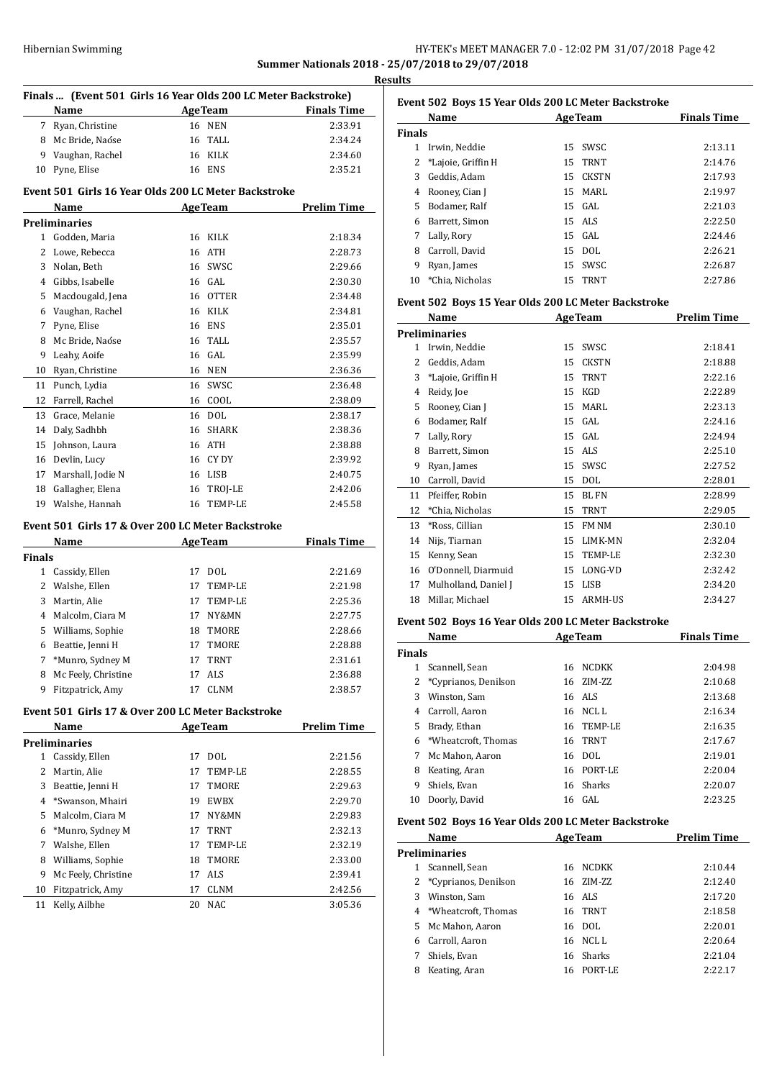## Hibernian Swimming **HY-TEK's MEET MANAGER 7.0 - 12:02 PM 31/07/2018** Page 42 **Summer Nationals 2018 - 25/07/2018 to 29/07/2018**

|               | Finals  (Event 501 Girls 16 Year Olds 200 LC Meter Backstroke) |    |                |                    |
|---------------|----------------------------------------------------------------|----|----------------|--------------------|
|               | Name                                                           |    | AgeTeam        | <b>Finals Time</b> |
|               | 7 Ryan, Christine                                              |    | 16 NEN         | 2:33.91            |
|               | 8 Mc Bride, Naóse                                              |    | 16 TALL        | 2:34.24            |
|               | 9 Vaughan, Rachel                                              |    | 16 KILK        | 2:34.60            |
| 10            | Pyne, Elise                                                    |    | 16 ENS         | 2:35.21            |
|               | Event 501 Girls 16 Year Olds 200 LC Meter Backstroke           |    |                |                    |
|               | Name                                                           |    | <u>AgeTeam</u> | <b>Prelim Time</b> |
|               | Preliminaries                                                  |    |                |                    |
|               | 1 Godden, Maria                                                |    | 16 KILK        | 2:18.34            |
|               | 2 Lowe, Rebecca                                                |    | 16 ATH         | 2:28.73            |
|               | 3 Nolan, Beth                                                  |    | 16 SWSC        | 2:29.66            |
|               | 4 Gibbs, Isabelle                                              |    | 16 GAL         | 2:30.30            |
|               | 5 Macdougald, Jena                                             |    | 16 OTTER       | 2:34.48            |
|               | 6 Vaughan, Rachel                                              |    | 16 KILK        | 2:34.81            |
| 7             | Pyne, Elise                                                    |    | 16 ENS         | 2:35.01            |
| 8             | Mc Bride, Naóse                                                |    | 16 TALL        | 2:35.57            |
| 9             | Leahy, Aoife                                                   |    | 16 GAL         | 2:35.99            |
| 10            | Ryan, Christine                                                |    | <b>16 NEN</b>  | 2:36.36            |
|               | 11 Punch, Lydia                                                |    | 16 SWSC        | 2:36.48            |
|               | 12 Farrell, Rachel                                             |    | 16 COOL        | 2:38.09            |
| 13            | Grace, Melanie                                                 |    | 16 DOL         | 2:38.17            |
|               | 14 Daly, Sadhbh                                                |    | 16 SHARK       | 2:38.36            |
| 15            | Johnson, Laura                                                 |    | 16 ATH         | 2:38.88            |
|               | 16 Devlin, Lucy                                                |    | 16 CY DY       | 2:39.92            |
| 17            | Marshall, Jodie N                                              |    | 16 LISB        | 2:40.75            |
|               | 18 Gallagher, Elena                                            |    | 16 TROJ-LE     | 2:42.06            |
|               | 19 Walshe, Hannah                                              |    | 16 TEMP-LE     | 2:45.58            |
|               | Event 501 Girls 17 & Over 200 LC Meter Backstroke              |    |                |                    |
|               | Name                                                           |    | <b>AgeTeam</b> | <b>Finals Time</b> |
| <b>Finals</b> |                                                                |    |                |                    |
|               | 1 Cassidy, Ellen                                               |    | 17 DOL         | 2:21.69            |
|               | 2 Walshe, Ellen                                                |    | 17 TEMP-LE     | 2:21.98            |
| 3             | Martin, Alie                                                   |    | 17 TEMP-LE     | 2:25.36            |
|               | 4 Malcolm, Ciara M                                             |    | 17 NY&MN       | 2:27.75            |
|               | 5 Williams, Sophie                                             |    | 18 TMORE       | 2:28.66            |
|               | 6 Beattie, Jenni H                                             |    | 17 TMORE       | 2:28.88            |
| 7             | *Munro, Sydney M                                               |    | 17 TRNT        | 2:31.61            |
| 8             | Mc Feely, Christine                                            | 17 | ALS            | 2:36.88            |
| 9             | Fitzpatrick, Amy                                               | 17 | <b>CLNM</b>    | 2:38.57            |
|               | Event 501 Girls 17 & Over 200 LC Meter Backstroke              |    |                |                    |
|               | Name                                                           |    | <b>AgeTeam</b> | <u>Prelim Time</u> |
|               | Preliminaries                                                  |    |                |                    |
|               | 1 Cassidy, Ellen                                               |    | 17 DOL         | 2:21.56            |
| $\mathbf{2}$  | Martin, Alie                                                   | 17 | TEMP-LE        | 2:28.55            |
| 3             | Beattie, Jenni H                                               | 17 | TMORE          | 2:29.63            |
| 4             | *Swanson, Mhairi                                               | 19 | <b>EWBX</b>    | 2:29.70            |
| 5.            | Malcolm, Ciara M                                               | 17 | NY&MN          | 2:29.83            |
| 6             | *Munro, Sydney M                                               | 17 | TRNT           | 2:32.13            |
| 7             | Walshe, Ellen                                                  |    | 17 TEMP-LE     | 2:32.19            |

 Fitzpatrick, Amy 17 CLNM 2:42.56 Kelly, Ailbhe 20 NAC 3:05.36

 Williams, Sophie 18 TMORE 2:33.00 Mc Feely, Christine 17 ALS 2:39.41

| Event 502 Boys 15 Year Olds 200 LC Meter Backstroke |                    |    |                |                    |  |  |
|-----------------------------------------------------|--------------------|----|----------------|--------------------|--|--|
|                                                     | Name               |    | <b>AgeTeam</b> | <b>Finals Time</b> |  |  |
| Finals                                              |                    |    |                |                    |  |  |
| 1                                                   | Irwin, Neddie      |    | 15 SWSC        | 2:13.11            |  |  |
| 2                                                   | *Lajoie, Griffin H |    | 15 TRNT        | 2:14.76            |  |  |
| 3                                                   | Geddis, Adam       |    | 15 CKSTN       | 2:17.93            |  |  |
| 4                                                   | Rooney, Cian J     | 15 | MARL           | 2:19.97            |  |  |
| 5                                                   | Bodamer, Ralf      |    | $15$ GAL       | 2:21.03            |  |  |
| 6                                                   | Barrett, Simon     |    | 15 ALS         | 2:22.50            |  |  |
| 7                                                   | Lally, Rory        |    | $15$ GAL       | 2:24.46            |  |  |
| 8                                                   | Carroll, David     |    | 15 DOL         | 2:26.21            |  |  |
| 9                                                   | Ryan, James        |    | 15 SWSC        | 2:26.87            |  |  |
| 10                                                  | *Chia. Nicholas    |    | 15 TRNT        | 2:27.86            |  |  |

#### **Event 502 Boys 15 Year Olds 200 LC Meter Backstroke**

|    | Name                 | <b>AgeTeam</b> |                | <b>Prelim Time</b> |
|----|----------------------|----------------|----------------|--------------------|
|    | <b>Preliminaries</b> |                |                |                    |
| 1. | Irwin, Neddie        | 15             | SWSC           | 2:18.41            |
| 2  | Geddis, Adam         | 15             | <b>CKSTN</b>   | 2:18.88            |
| 3  | *Lajoie, Griffin H   | 15             | <b>TRNT</b>    | 2:22.16            |
| 4  | Reidy, Joe           | 15             | KGD            | 2:22.89            |
| 5  | Rooney, Cian J       | 15             | MARL           | 2:23.13            |
| 6  | Bodamer, Ralf        | 15             | GAL            | 2:24.16            |
| 7  | Lally, Rory          | 15             | GAL.           | 2:24.94            |
| 8  | Barrett, Simon       | 15             | ALS            | 2:25.10            |
| 9  | Ryan, James          | 15             | SWSC           | 2:27.52            |
| 10 | Carroll, David       | 15             | DOL            | 2:28.01            |
| 11 | Pfeiffer, Robin      | 15             | BL FN          | 2:28.99            |
| 12 | *Chia, Nicholas      | 15             | <b>TRNT</b>    | 2:29.05            |
| 13 | *Ross, Cillian       | 15             | FM NM          | 2:30.10            |
| 14 | Nijs, Tiarnan        | 15             | LIMK-MN        | 2:32.04            |
| 15 | Kenny, Sean          | 15             | TEMP-LE        | 2:32.30            |
| 16 | O'Donnell, Diarmuid  | 15             | LONG-VD        | 2:32.42            |
| 17 | Mulholland, Daniel J | 15             | <b>LISB</b>    | 2:34.20            |
| 18 | Millar, Michael      | 15             | <b>ARMH-US</b> | 2:34.27            |

### **Event 502 Boys 16 Year Olds 200 LC Meter Backstroke**

|               | Name                   |    | <b>AgeTeam</b> | <b>Finals Time</b> |
|---------------|------------------------|----|----------------|--------------------|
| <b>Finals</b> |                        |    |                |                    |
|               | Scannell, Sean         | 16 | <b>NCDKK</b>   | 2:04.98            |
|               | 2 *Cyprianos, Denilson | 16 | ZIM-ZZ         | 2:10.68            |
| 3             | Winston, Sam           |    | 16 ALS         | 2:13.68            |
| 4             | Carroll, Aaron         |    | 16 NCLL        | 2:16.34            |
| 5.            | Brady, Ethan           |    | 16 TEMP-LE     | 2:16.35            |
| 6.            | *Wheatcroft, Thomas    |    | 16 TRNT        | 2:17.67            |
| 7             | Mc Mahon, Aaron        | 16 | DOL.           | 2:19.01            |
| 8             | Keating, Aran          | 16 | PORT-LE        | 2:20.04            |
| 9             | Shiels, Evan           |    | 16 Sharks      | 2:20.07            |
| 10            | Doorly, David          |    | 16 GAL         | 2:23.25            |

#### **Event 502 Boys 16 Year Olds 200 LC Meter Backstroke**

|   | Name                  |     | <b>AgeTeam</b> | <b>Prelim Time</b> |
|---|-----------------------|-----|----------------|--------------------|
|   | Preliminaries         |     |                |                    |
| 1 | Scannell, Sean        | 16  | NCDKK          | 2:10.44            |
|   | *Cyprianos, Denilson  |     | 16 ZIM-ZZ      | 2:12.40            |
| 3 | Winston, Sam          |     | 16 ALS         | 2:17.20            |
|   | 4 *Wheatcroft, Thomas |     | 16 TRNT        | 2:18.58            |
|   | 5 Mc Mahon, Aaron     |     | 16 DOL         | 2:20.01            |
| 6 | Carroll, Aaron        |     | 16 NCLL        | 2:20.64            |
|   | Shiels, Evan          |     | 16 Sharks      | 2:21.04            |
| 8 | Keating, Aran         | 16. | PORT-LE        | 2:22.17            |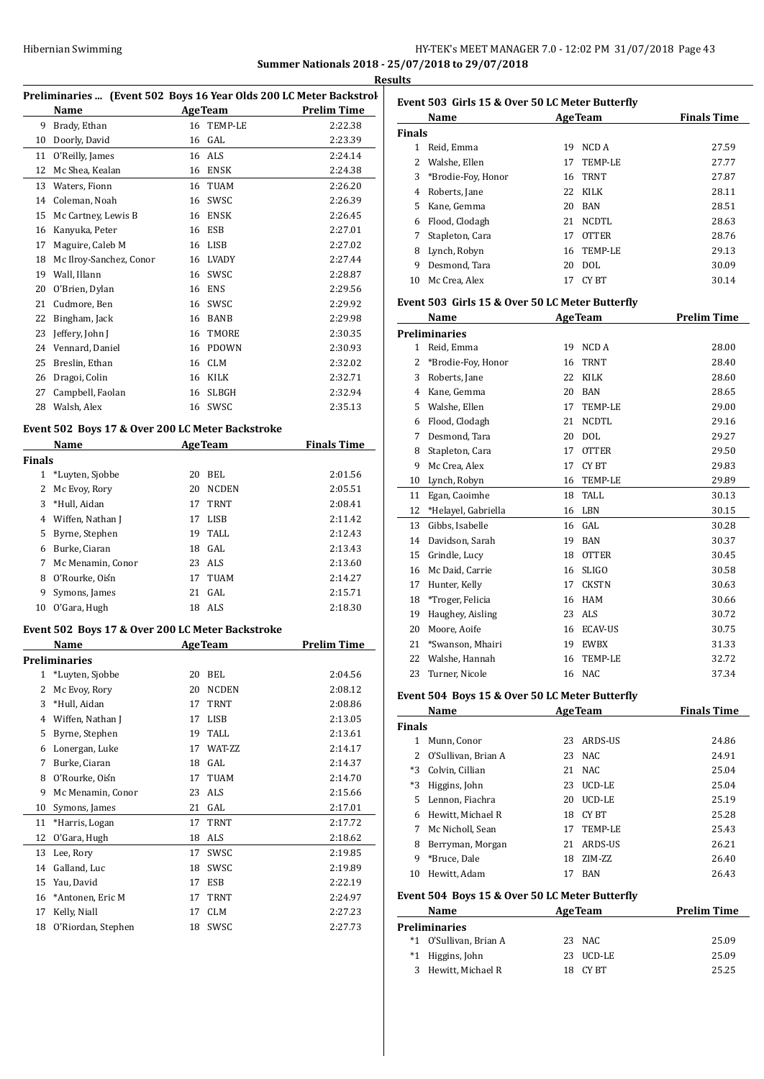## HY-TEK's MEET MANAGER 7.0 - 12:02 PM 31/07/2018 Page 43 **Summer Nationals 2018 - 25/07/2018 to 29/07/2018**

|               | Preliminaries  (Event 502 Boys 16 Year Olds 200 LC Meter Backstrol                                              |    |                    |                    |
|---------------|-----------------------------------------------------------------------------------------------------------------|----|--------------------|--------------------|
|               | Name                                                                                                            |    | <b>AgeTeam</b>     | <b>Prelim Time</b> |
|               | 9 Brady, Ethan                                                                                                  |    | 16 TEMP-LE         | 2:22.38            |
|               | 10 Doorly, David                                                                                                |    | 16 GAL             | 2:23.39            |
|               | 11 O'Reilly, James                                                                                              |    | 16 ALS             | 2:24.14            |
|               | 12 Mc Shea, Kealan                                                                                              |    | 16 ENSK            | 2:24.38            |
|               | 13 Waters, Fionn                                                                                                |    | 16 TUAM            | 2:26.20            |
|               | 14 Coleman, Noah                                                                                                |    | 16 SWSC            | 2:26.39            |
|               | 15 Mc Cartney, Lewis B                                                                                          |    | 16 ENSK            | 2:26.45            |
|               | 16 Kanyuka, Peter                                                                                               |    | 16 ESB             | 2:27.01            |
|               | 17 Maguire, Caleb M                                                                                             |    | 16 LISB            | 2:27.02            |
|               | 18 Mc Ilroy-Sanchez, Conor                                                                                      |    | 16 LVADY           | 2:27.44            |
|               | 19 Wall, Illann                                                                                                 |    | 16 SWSC            | 2:28.87            |
|               | 20 O'Brien, Dylan                                                                                               |    | 16 ENS             | 2:29.56            |
|               | 21 Cudmore, Ben                                                                                                 |    | 16 SWSC            | 2:29.92            |
|               | 22 Bingham, Jack                                                                                                |    | 16 BANB            | 2:29.98            |
|               | 23 Jeffery, John J                                                                                              |    | 16 TMORE           | 2:30.35            |
|               | 24 Vennard, Daniel                                                                                              |    | 16 PDOWN           | 2:30.93            |
|               | 25 Breslin, Ethan                                                                                               |    | 16 CLM             | 2:32.02            |
|               | 26 Dragoi, Colin                                                                                                |    | 16 KILK            | 2:32.71            |
|               | 27 Campbell, Faolan                                                                                             |    | 16 SLBGH           | 2:32.94            |
|               | 28 Walsh, Alex                                                                                                  |    | 16 SWSC            | 2:35.13            |
|               |                                                                                                                 |    |                    |                    |
|               | Event 502 Boys 17 & Over 200 LC Meter Backstroke                                                                |    |                    | <b>Finals Time</b> |
| <b>Finals</b> | Name and the state of the state of the state of the state of the state of the state of the state of the state o |    | <b>AgeTeam</b>     |                    |
|               | 1 *Luyten, Sjobbe                                                                                               |    | 20 BEL             | 2:01.56            |
|               | 2 Mc Evoy, Rory                                                                                                 |    | 20 NCDEN           | 2:05.51            |
|               | 3 *Hull, Aidan                                                                                                  |    | 17 TRNT            | 2:08.41            |
|               | 4 Wiffen, Nathan J                                                                                              |    | 17 LISB            | 2:11.42            |
|               | 5 Byrne, Stephen                                                                                                |    | 19 TALL            | 2:12.43            |
|               | 6 Burke, Ciaran                                                                                                 |    | 18 GAL             | 2:13.43            |
|               | 7 Mc Menamin, Conor                                                                                             |    | 23 ALS             | 2:13.60            |
|               | 8 O'Rourke, Oiśn                                                                                                |    | 17 TUAM            | 2:14.27            |
|               | 9 Symons, James                                                                                                 |    | 21 GAL             | 2:15.71            |
|               | 10 O'Gara, Hugh                                                                                                 |    | 18 ALS             | 2:18.30            |
|               |                                                                                                                 |    |                    |                    |
|               | Event 502 Boys 17 & Over 200 LC Meter Backstroke                                                                |    |                    |                    |
|               | Name                                                                                                            |    | <b>AgeTeam</b>     | <b>Prelim Time</b> |
|               | <b>Preliminaries</b>                                                                                            |    |                    |                    |
| 2             | 1 *Luyten, Sjobbe                                                                                               | 20 | 20 BEL             | 2:04.56<br>2:08.12 |
|               | Mc Evoy, Rory                                                                                                   |    | NCDEN              |                    |
|               | 3 *Hull, Aidan<br>4 Wiffen, Nathan J                                                                            | 17 | TRNT               | 2:08.86            |
|               | 5 Byrne, Stephen                                                                                                |    | 17 LISB<br>19 TALL | 2:13.05<br>2:13.61 |
|               | 6 Lonergan, Luke                                                                                                | 17 | WAT-ZZ             | 2:14.17            |
|               | 7 Burke, Ciaran                                                                                                 |    | 18 GAL             | 2:14.37            |
|               | 8 O'Rourke, Oiśn                                                                                                |    |                    |                    |
|               |                                                                                                                 |    | 17 TUAM            | 2:14.70            |
|               | 9 Mc Menamin, Conor                                                                                             |    | 23 ALS             | 2:15.66            |
|               | 10 Symons, James                                                                                                |    | 21 GAL             | 2:17.01            |
| 11            | *Harris, Logan                                                                                                  |    | 17 TRNT            | 2:17.72            |
| 12            | O'Gara, Hugh                                                                                                    |    | 18 ALS             | 2:18.62            |
|               | Lee, Rory                                                                                                       | 17 | SWSC               | 2:19.85            |
| 13            | Galland, Luc                                                                                                    |    | 18 SWSC            | 2:19.89            |
| 14            |                                                                                                                 |    |                    |                    |
| 15            | Yau, David                                                                                                      |    | 17 ESB             | 2:22.19            |
|               | 16 *Antonen, Eric M                                                                                             | 17 | TRNT               | 2:24.97            |
| 17<br>18      | Kelly, Niall<br>O'Riordan, Stephen                                                                              | 17 | CLM<br>18 SWSC     | 2:27.23<br>2:27.73 |

|        | Name                                             |    | <b>AgeTeam</b> | <b>Finals Time</b> |
|--------|--------------------------------------------------|----|----------------|--------------------|
| Finals |                                                  |    |                |                    |
| 1      | Reid, Emma                                       | 19 | NCD A          | 27.59              |
| 2      | Walshe, Ellen                                    | 17 | TEMP-LE        | 27.77              |
| 3      | *Brodie-Foy, Honor                               | 16 | <b>TRNT</b>    | 27.87              |
| 4      | Roberts, Jane                                    | 22 | KILK           | 28.11              |
| 5      | Kane, Gemma                                      | 20 | <b>BAN</b>     | 28.51              |
| 6      | Flood, Clodagh                                   | 21 | <b>NCDTL</b>   | 28.63              |
| 7      | Stapleton, Cara                                  | 17 | <b>OTTER</b>   | 28.76              |
| 8      | Lynch, Robyn                                     | 16 | TEMP-LE        | 29.13              |
| 9      | Desmond, Tara                                    | 20 | <b>DOL</b>     | 30.09              |
| 10     | Mc Crea, Alex                                    | 17 | CY BT          | 30.14              |
|        | Event 503  Girls 15 & Over 50 LC Meter Butterfly |    |                |                    |
|        | Name                                             |    | <b>AgeTeam</b> | <b>Prelim Time</b> |

|                | Name                |    | <b>AgeTeam</b> | <b>Prelim Time</b> |
|----------------|---------------------|----|----------------|--------------------|
|                | Preliminaries       |    |                |                    |
| 1              | Reid, Emma          | 19 | NCD A          | 28.00              |
| 2              | *Brodie-Foy, Honor  | 16 | <b>TRNT</b>    | 28.40              |
| 3              | Roberts, Jane       | 22 | <b>KILK</b>    | 28.60              |
| $\overline{4}$ | Kane, Gemma         | 20 | <b>BAN</b>     | 28.65              |
| 5              | Walshe, Ellen       | 17 | TEMP-LE        | 29.00              |
| 6              | Flood, Clodagh      | 21 | <b>NCDTL</b>   | 29.16              |
| 7              | Desmond, Tara       | 20 | <b>DOL</b>     | 29.27              |
| 8              | Stapleton, Cara     | 17 | <b>OTTER</b>   | 29.50              |
| 9              | Mc Crea, Alex       | 17 | CY BT          | 29.83              |
| 10             | Lynch, Robyn        | 16 | TEMP-LE        | 29.89              |
| 11             | Egan, Caoimhe       | 18 | TALL.          | 30.13              |
| 12             | *Helayel, Gabriella | 16 | LBN            | 30.15              |
| 13             | Gibbs, Isabelle     | 16 | GAL            | 30.28              |
| 14             | Davidson, Sarah     | 19 | <b>BAN</b>     | 30.37              |
| 15             | Grindle, Lucy       | 18 | <b>OTTER</b>   | 30.45              |
| 16             | Mc Daid, Carrie     | 16 | <b>SLIGO</b>   | 30.58              |
| 17             | Hunter, Kelly       | 17 | <b>CKSTN</b>   | 30.63              |
| 18             | *Troger, Felicia    | 16 | <b>HAM</b>     | 30.66              |
| 19             | Haughey, Aisling    | 23 | ALS            | 30.72              |
| 20             | Moore, Aoife        | 16 | <b>ECAV-US</b> | 30.75              |
| 21             | *Swanson, Mhairi    | 19 | <b>EWBX</b>    | 31.33              |
| 22             | Walshe, Hannah      | 16 | <b>TEMP-LE</b> | 32.72              |
| 23             | Turner, Nicole      | 16 | <b>NAC</b>     | 37.34              |
|                |                     |    |                |                    |

## **Event 504 Boys 15 & Over 50 LC Meter Butterfly**

| Name   |                       |    | <b>AgeTeam</b> | <b>Finals Time</b> |  |
|--------|-----------------------|----|----------------|--------------------|--|
| Finals |                       |    |                |                    |  |
| 1      | Munn, Conor           | 23 | ARDS-US        | 24.86              |  |
|        | 2 O'Sullivan, Brian A | 23 | NAC.           | 24.91              |  |
| $*3$   | Colvin, Cillian       | 21 | NAC.           | 25.04              |  |
| *3     | Higgins, John         | 23 | UCD-LE         | 25.04              |  |
| 5.     | Lennon, Fiachra       | 20 | <b>UCD-LE</b>  | 25.19              |  |
| 6      | Hewitt, Michael R     | 18 | CY BT          | 25.28              |  |
| 7      | Mc Nicholl, Sean      | 17 | TEMP-LE        | 25.43              |  |
| 8      | Berryman, Morgan      | 21 | ARDS-US        | 26.21              |  |
| 9      | *Bruce, Dale          | 18 | ZIM-ZZ         | 26.40              |  |
| 10     | Hewitt, Adam          | 17 | <b>BAN</b>     | 26.43              |  |

## **Event 504 Boys 15 & Over 50 LC Meter Butterfly**

| Name |                        | <b>AgeTeam</b> |           | <b>Prelim Time</b> |  |
|------|------------------------|----------------|-----------|--------------------|--|
|      | Preliminaries          |                |           |                    |  |
|      | *1 O'Sullivan, Brian A |                | 23 NAC    | 25.09              |  |
|      | *1 Higgins, John       |                | 23 UCD-LE | 25.09              |  |
|      | 3 Hewitt, Michael R    |                | CY BT     | 25.25              |  |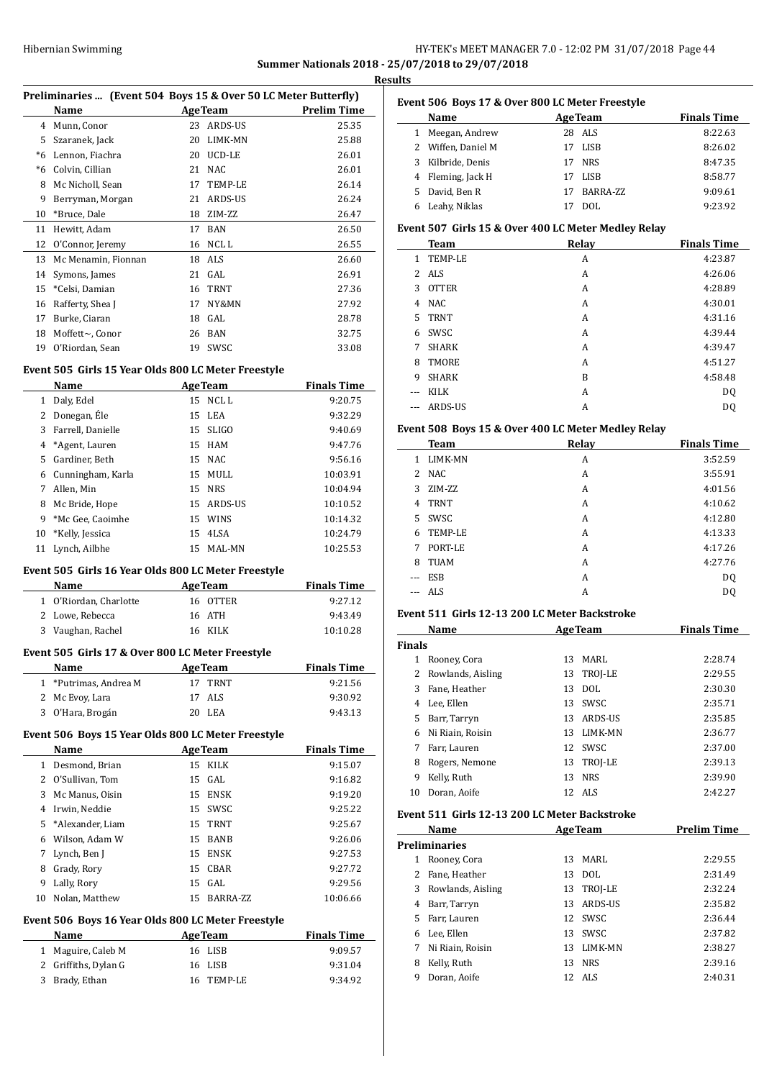## HY-TEK's MEET MANAGER 7.0 - 12:02 PM 31/07/2018 Page 44 **Summer Nationals 2018 - 25/07/2018 to 29/07/2018**

<u>**a**lts \_\_\_\_\_\_\_\_\_</u>

|              | Preliminaries  (Event 504 Boys 15 & Over 50 LC Meter Butterfly) |                |                   |                    |
|--------------|-----------------------------------------------------------------|----------------|-------------------|--------------------|
|              | Name                                                            | <b>AgeTeam</b> |                   | <b>Prelim Time</b> |
|              | 4 Munn, Conor                                                   |                | 23 ARDS-US        | 25.35              |
|              | 5 Szaranek, Jack                                                |                | 20 LIMK-MN        | 25.88              |
|              | *6 Lennon, Fiachra                                              |                | 20 UCD-LE         | 26.01              |
|              | *6 Colvin, Cillian                                              |                | 21 NAC            | 26.01              |
|              | 8 Mc Nicholl, Sean                                              |                | 17 TEMP-LE        | 26.14              |
|              | 9 Berryman, Morgan                                              |                | 21 ARDS-US        | 26.24              |
|              | 10 *Bruce, Dale                                                 |                | 18 ZIM-ZZ         | 26.47              |
|              | 11 Hewitt, Adam                                                 |                | 17 BAN            | 26.50              |
|              | 12 O'Connor, Jeremy                                             |                | 16 NCL L          | 26.55              |
|              | 13 Mc Menamin, Fionnan                                          |                | 18 ALS            | 26.60              |
|              | 14 Symons, James                                                |                | 21 GAL            | 26.91              |
|              | 15 *Celsi, Damian                                               |                | 16 TRNT           | 27.36              |
|              | 16 Rafferty, Shea J                                             |                | 17 NY&MN          | 27.92              |
|              | 17 Burke, Ciaran                                                |                | $18$ GAL          | 28.78              |
|              | 18 Moffett~, Conor<br>19 O'Riordan, Sean                        |                | 26 BAN<br>19 SWSC | 32.75<br>33.08     |
|              | Name                                                            |                | <b>AgeTeam</b>    | <b>Finals Time</b> |
|              |                                                                 |                |                   |                    |
|              | 1 Daly, Edel                                                    |                | 15 NCL L          | 9:20.75            |
|              | 2 Donegan, Ele                                                  |                | 15 LEA            | 9:32.29            |
|              | 3 Farrell, Danielle                                             |                | 15 SLIGO          | 9:40.69            |
|              | 4 *Agent, Lauren                                                |                | 15 HAM            | 9:47.76            |
|              | 5 Gardiner, Beth                                                |                | 15 NAC            | 9:56.16            |
|              | 6 Cunningham, Karla                                             |                | 15 MULL           | 10:03.91           |
| 7            | Allen, Min                                                      |                | 15 NRS            | 10:04.94           |
|              | 8 Mc Bride, Hope                                                |                | 15 ARDS-US        | 10:10.52           |
|              | 9 *Mc Gee, Caoimhe                                              |                | 15 WINS           | 10:14.32           |
| 10           | *Kelly, Jessica                                                 |                | 15 4LSA           | 10:24.79           |
|              | 11 Lynch, Ailbhe                                                |                | 15 MAL-MN         | 10:25.53           |
|              | Event 505 Girls 16 Year Olds 800 LC Meter Freestyle             |                |                   |                    |
|              | <b>Name</b>                                                     | <b>AgeTeam</b> |                   | <b>Finals Time</b> |
|              | 1 O'Riordan, Charlotte                                          |                | 16 OTTER          | 9:27.12            |
|              | 2 Lowe, Rebecca                                                 | 16             | ATH               | 9:43.49            |
|              | 3 Vaughan, Rachel                                               |                | 16 KILK           | 10:10.28           |
|              | Event 505 Girls 17 & Over 800 LC Meter Freestyle                |                |                   |                    |
| $\mathbf{1}$ | Name                                                            | <b>AgeTeam</b> | 17 TRNT           | <b>Finals Time</b> |
| $\mathbf{2}$ | *Putrimas, Andrea M<br>Mc Evoy, Lara                            | 17             | ALS               | 9:21.56<br>9:30.92 |

## **Event 506 Boys 15 Year Olds 800 LC Meter Freestyle**

|    | Name               |    | <b>AgeTeam</b> | <b>Finals Time</b> |
|----|--------------------|----|----------------|--------------------|
| 1  | Desmond, Brian     |    | 15 KILK        | 9:15.07            |
| 2  | O'Sullivan, Tom    |    | 15 GAL         | 9:16.82            |
| 3  | Mc Manus, Oisin    | 15 | ENSK           | 9:19.20            |
| 4  | Irwin. Neddie      |    | 15 SWSC        | 9:25.22            |
|    | 5 *Alexander, Liam |    | 15 TRNT        | 9:25.67            |
| 6  | Wilson, Adam W     | 15 | <b>BANB</b>    | 9:26.06            |
| 7  | Lynch, Ben J       |    | 15 ENSK        | 9:27.53            |
| 8  | Grady, Rory        |    | 15 CBAR        | 9:27.72            |
| 9  | Lally, Rory        |    | $15$ GAL       | 9:29.56            |
| 10 | Nolan, Matthew     | 15 | BARRA-ZZ       | 10:06.66           |

## **Event 506 Boys 16 Year Olds 800 LC Meter Freestyle**

| <b>Name</b>          | <b>AgeTeam</b> | <b>Finals Time</b> |
|----------------------|----------------|--------------------|
| 1 Maguire, Caleb M   | 16 LISB        | 9:09.57            |
| 2 Griffiths, Dylan G | 16 LISB        | 9:31.04            |
| 3 Brady, Ethan       | 16 TEMP-LE     | 9:34.92            |

## **Event 506 Boys 17 & Over 800 LC Meter Freestyle**

|    | <b>Name</b>        | <b>AgeTeam</b>   | <b>Finals Time</b> |
|----|--------------------|------------------|--------------------|
|    | Meegan, Andrew     | 28 ALS           | 8:22.63            |
|    | 2 Wiffen, Daniel M | LISB<br>17       | 8:26.02            |
| 3  | Kilbride, Denis    | <b>NRS</b><br>17 | 8:47.35            |
|    | Fleming, Jack H    | LISB             | 8:58.77            |
| 5. | David, Ben R       | BARRA-ZZ<br>17   | 9:09.61            |
|    | Leahy, Niklas      | DOL.             | 9:23.92            |

## **Event 507 Girls 15 & Over 400 LC Meter Medley Relay**

|       | Team           | Relay | <b>Finals Time</b> |
|-------|----------------|-------|--------------------|
| 1.    | TEMP-LE        | A     | 4:23.87            |
|       | 2 ALS          | A     | 4:26.06            |
| 3     | <b>OTTER</b>   | A     | 4:28.89            |
| 4     | NAC.           | A     | 4:30.01            |
| 5     | <b>TRNT</b>    | A     | 4:31.16            |
| 6     | SWSC           | A     | 4:39.44            |
| 7     | <b>SHARK</b>   | A     | 4:39.47            |
| 8     | TMORE          | A     | 4:51.27            |
| 9     | <b>SHARK</b>   | B     | 4:58.48            |
| $---$ | <b>KILK</b>    | A     | DQ                 |
| $---$ | <b>ARDS-US</b> | A     | DQ                 |

### **Event 508 Boys 15 & Over 400 LC Meter Medley Relay**

|         | <b>Team</b> | Relay | <b>Finals Time</b> |
|---------|-------------|-------|--------------------|
| 1.      | LIMK-MN     | A     | 3:52.59            |
|         | 2 NAC       | A     | 3:55.91            |
| 3       | ZIM-ZZ      | А     | 4:01.56            |
| 4       | <b>TRNT</b> | A     | 4:10.62            |
| 5.      | SWSC        | А     | 4:12.80            |
| 6       | TEMP-LE     | A     | 4:13.33            |
| 7       | PORT-LE     | A     | 4:17.26            |
| 8       | <b>TUAM</b> | A     | 4:27.76            |
| $- - -$ | ESB         | А     | <b>DQ</b>          |
| $- - -$ | ALS         | А     | DQ                 |

#### **Event 511 Girls 12-13 200 LC Meter Backstroke**

|       | Name              |    | <b>AgeTeam</b> | <b>Finals Time</b> |
|-------|-------------------|----|----------------|--------------------|
| inals |                   |    |                |                    |
| 1     | Rooney, Cora      | 13 | MARI.          | 2:28.74            |
|       | Rowlands, Aisling |    | 13 TROJ-LE     | 2:29.55            |
| 3     | Fane, Heather     | 13 | DOL            | 2:30.30            |
| 4     | Lee, Ellen        | 13 | <b>SWSC</b>    | 2:35.71            |
| 5.    | Barr, Tarryn      | 13 | <b>ARDS-US</b> | 2:35.85            |
| 6     | Ni Riain, Roisin  | 13 | LIMK-MN        | 2:36.77            |
|       | Farr, Lauren      |    | 12 SWSC        | 2:37.00            |
| 8     | Rogers, Nemone    | 13 | TROJ-LE        | 2:39.13            |
| 9     | Kelly, Ruth       | 13 | <b>NRS</b>     | 2:39.90            |
| 10    | Doran, Aoife      |    | 12 ALS         | 2:42.27            |

### **Event 511 Girls 12-13 200 LC Meter Backstroke**

|    | Name              |    | <b>AgeTeam</b> | <b>Prelim Time</b> |
|----|-------------------|----|----------------|--------------------|
|    | Preliminaries     |    |                |                    |
| 1  | Rooney, Cora      | 13 | MARI.          | 2:29.55            |
| 2  | Fane, Heather     | 13 | DOL.           | 2:31.49            |
| 3  | Rowlands, Aisling | 13 | TROJ-LE        | 2:32.24            |
| 4  | Barr, Tarryn      | 13 | ARDS-US        | 2:35.82            |
| 5. | Farr, Lauren      | 12 | <b>SWSC</b>    | 2:36.44            |
| 6  | Lee, Ellen        | 13 | <b>SWSC</b>    | 2:37.82            |
|    | Ni Riain, Roisin  | 13 | LIMK-MN        | 2:38.27            |
| 8  | Kelly, Ruth       | 13 | <b>NRS</b>     | 2:39.16            |
| 9  | Doran. Aoife      | 12 | ALS            | 2:40.31            |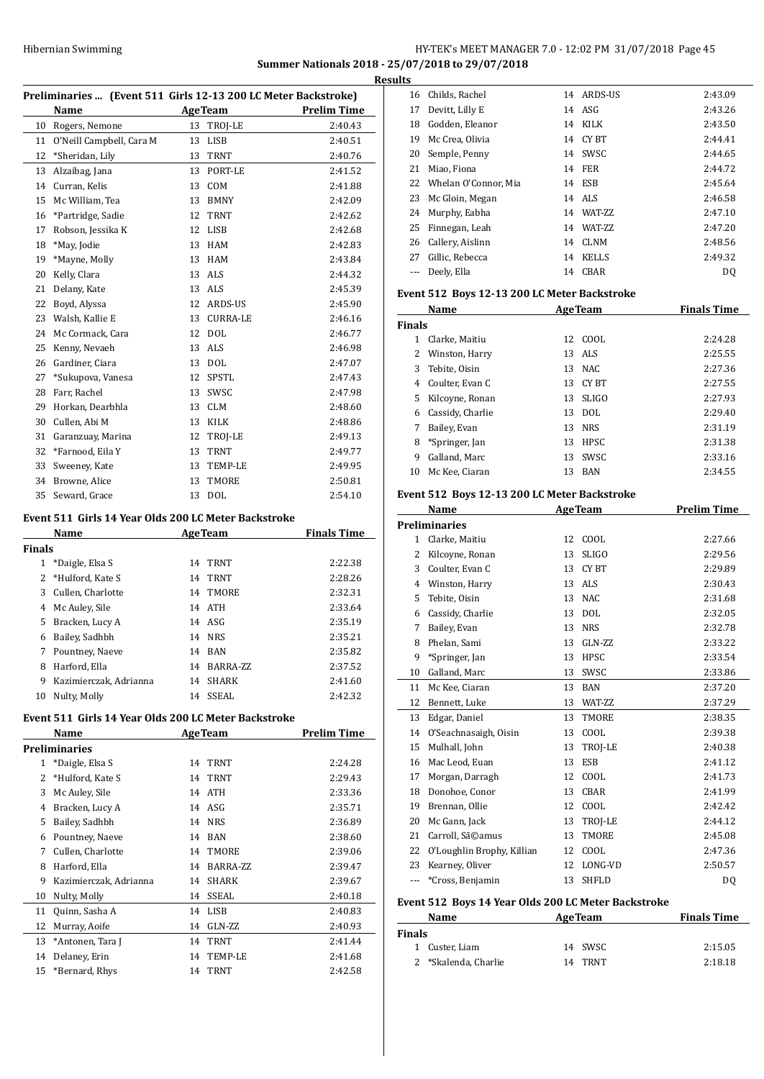## HY-TEK's MEET MANAGER 7.0 - 12:02 PM 31/07/2018 Page 45 **Summer Nationals 2018 - 25/07/2018 to 29/07/2018 Results**

|  | Preliminaries  (Event 511 Girls 12-13 200 LC Meter Backstroke) |  |
|--|----------------------------------------------------------------|--|
|  |                                                                |  |

|    | Preliminaries  [Event 511] GIFIS 12-13 200 LC Meter Backstroke] |    |                 |                    |  |
|----|-----------------------------------------------------------------|----|-----------------|--------------------|--|
|    | <b>Name</b>                                                     |    | <b>AgeTeam</b>  | <b>Prelim Time</b> |  |
| 10 | Rogers, Nemone                                                  | 13 | TROJ-LE         | 2:40.43            |  |
| 11 | O'Neill Campbell, Cara M                                        | 13 | <b>LISB</b>     | 2:40.51            |  |
| 12 | *Sheridan, Lily                                                 | 13 | <b>TRNT</b>     | 2:40.76            |  |
| 13 | Alzaibag, Jana                                                  | 13 | PORT-LE         | 2:41.52            |  |
| 14 | Curran, Kelis                                                   | 13 | COM             | 2:41.88            |  |
| 15 | Mc William, Tea                                                 | 13 | <b>BMNY</b>     | 2:42.09            |  |
| 16 | *Partridge, Sadie                                               | 12 | <b>TRNT</b>     | 2:42.62            |  |
| 17 | Robson, Jessika K                                               | 12 | <b>LISB</b>     | 2:42.68            |  |
| 18 | *May, Jodie                                                     | 13 | <b>HAM</b>      | 2:42.83            |  |
| 19 | *Mayne, Molly                                                   | 13 | <b>HAM</b>      | 2:43.84            |  |
| 20 | Kelly, Clara                                                    | 13 | <b>ALS</b>      | 2:44.32            |  |
| 21 | Delany, Kate                                                    | 13 | ALS             | 2:45.39            |  |
| 22 | Boyd, Alyssa                                                    | 12 | ARDS-US         | 2:45.90            |  |
| 23 | Walsh, Kallie E                                                 | 13 | <b>CURRA-LE</b> | 2:46.16            |  |
| 24 | Mc Cormack, Cara                                                | 12 | <b>DOL</b>      | 2:46.77            |  |
| 25 | Kenny, Nevaeh                                                   | 13 | <b>ALS</b>      | 2:46.98            |  |
| 26 | Gardiner, Ciara                                                 | 13 | <b>DOL</b>      | 2:47.07            |  |
| 27 | *Sukupova, Vanesa                                               | 12 | SPSTL           | 2:47.43            |  |
| 28 | Farr, Rachel                                                    | 13 | SWSC            | 2:47.98            |  |
| 29 | Horkan, Dearbhla                                                | 13 | <b>CLM</b>      | 2:48.60            |  |
| 30 | Cullen, Abi M                                                   | 13 | KILK            | 2:48.86            |  |
| 31 | Garanzuay, Marina                                               | 12 | TROJ-LE         | 2:49.13            |  |
| 32 | *Farnood, Eila Y                                                | 13 | <b>TRNT</b>     | 2:49.77            |  |
| 33 | Sweeney, Kate                                                   | 13 | TEMP-LE         | 2:49.95            |  |
| 34 | Browne, Alice                                                   | 13 | TMORE           | 2:50.81            |  |
| 35 | Seward, Grace                                                   | 13 | <b>DOL</b>      | 2:54.10            |  |

#### **Event 511 Girls 14 Year Olds 200 LC Meter Backstroke**

| Name          |                        |    | <b>AgeTeam</b> | <b>Finals Time</b> |
|---------------|------------------------|----|----------------|--------------------|
| <b>Finals</b> |                        |    |                |                    |
| 1             | *Daigle, Elsa S        | 14 | <b>TRNT</b>    | 2:22.38            |
|               | 2 *Hulford, Kate S     | 14 | <b>TRNT</b>    | 2:28.26            |
| 3             | Cullen. Charlotte      |    | 14 TMORE       | 2:32.31            |
| 4             | Mc Auley, Sile         | 14 | <b>ATH</b>     | 2:33.64            |
| 5.            | Bracken, Lucy A        |    | $14$ ASG       | 2:35.19            |
| 6             | Bailey, Sadhbh         |    | 14 NRS         | 2:35.21            |
| 7             | Pountney, Naeve        | 14 | <b>BAN</b>     | 2:35.82            |
| 8             | Harford, Ella          | 14 | BARRA-ZZ       | 2:37.52            |
| 9             | Kazimierczak, Adrianna | 14 | <b>SHARK</b>   | 2:41.60            |
| 10            | Nulty, Molly           | 14 | SSEAL          | 2:42.32            |

# **Event 511 Girls 14 Year Olds 200 LC Meter Backstroke**

|                          | Name                   |    | <b>AgeTeam</b> | Prelim Time |
|--------------------------|------------------------|----|----------------|-------------|
|                          | Preliminaries          |    |                |             |
| 1                        | *Daigle, Elsa S        | 14 | TRNT           | 2:24.28     |
| $\overline{\mathcal{L}}$ | *Hulford, Kate S       | 14 | TRNT           | 2:29.43     |
| 3                        | Mc Auley, Sile         | 14 | <b>ATH</b>     | 2:33.36     |
| 4                        | Bracken, Lucy A        |    | 14 ASG         | 2:35.71     |
| 5                        | Bailey, Sadhbh         | 14 | <b>NRS</b>     | 2:36.89     |
| 6                        | Pountney, Naeve        | 14 | <b>BAN</b>     | 2:38.60     |
| 7                        | Cullen, Charlotte      | 14 | TMORE          | 2:39.06     |
| 8                        | Harford, Ella          | 14 | BARRA-ZZ       | 2:39.47     |
| 9                        | Kazimierczak, Adrianna | 14 | <b>SHARK</b>   | 2:39.67     |
| 10                       | Nulty, Molly           | 14 | <b>SSEAL</b>   | 2:40.18     |
| 11                       | Quinn, Sasha A         | 14 | LISB           | 2:40.83     |
| 12                       | Murray, Aoife          | 14 | GLN-ZZ         | 2:40.93     |
| 13                       | *Antonen, Tara J       | 14 | <b>TRNT</b>    | 2:41.44     |
| 14                       | Delaney, Erin          | 14 | TEMP-LE        | 2:41.68     |
| 15                       | *Bernard, Rhys         | 14 | TRNT           | 2:42.58     |

|                | 16 Childs, Rachel       | 14 | ARDS-US      | 2:43.09 |
|----------------|-------------------------|----|--------------|---------|
| 17             | Devitt, Lilly E         | 14 | ASG          | 2:43.26 |
| 18             | Godden, Eleanor         |    | 14 KILK      | 2:43.50 |
| 19             | Mc Crea, Olivia         |    | 14 CYBT      | 2:44.41 |
| 20             | Semple, Penny           | 14 | SWSC         | 2:44.65 |
| 21             | Miao, Fiona             |    | 14 FER       | 2:44.72 |
|                | 22 Whelan O'Connor, Mia | 14 | ESB          | 2:45.64 |
|                | 23 Mc Gloin, Megan      |    | 14 ALS       | 2:46.58 |
|                | 24 Murphy, Eabha        | 14 | WAT-7.7.     | 2:47.10 |
| 25             | Finnegan, Leah          | 14 | WAT-ZZ       | 2:47.20 |
|                | 26 Callery, Aislinn     | 14 | CLNM         | 2:48.56 |
| 27             | Gillic, Rebecca         | 14 | <b>KELLS</b> | 2:49.32 |
| $\overline{a}$ | Deely, Ella             | 14 | CBAR         | DQ      |
|                | $\blacksquare$          |    |              |         |

#### **Event 512 Boys 12-13 200 LC Meter Backstroke**

| Name          |                  |    | <b>AgeTeam</b> | <b>Finals Time</b> |
|---------------|------------------|----|----------------|--------------------|
| <b>Finals</b> |                  |    |                |                    |
| 1.            | Clarke, Maitiu   | 12 | COOL           | 2:24.28            |
| 2             | Winston, Harry   |    | 13 ALS         | 2:25.55            |
| 3             | Tebite, Oisin    |    | 13 NAC         | 2:27.36            |
| 4             | Coulter, Evan C  | 13 | CY BT          | 2:27.55            |
| 5.            | Kilcoyne, Ronan  | 13 | SLIGO          | 2:27.93            |
| 6             | Cassidy, Charlie | 13 | DOL            | 2:29.40            |
|               | Bailey, Evan     |    | 13 NRS         | 2:31.19            |
| 8             | *Springer, Jan   | 13 | HPSC           | 2:31.38            |
| 9             | Galland, Marc    | 13 | SWSC           | 2:33.16            |
| 10            | Mc Kee, Ciaran   | 13 | BAN            | 2:34.55            |

### **Event 512 Boys 12-13 200 LC Meter Backstroke**

|              | Name                       | <b>AgeTeam</b> |              | <b>Prelim Time</b> |  |
|--------------|----------------------------|----------------|--------------|--------------------|--|
|              | <b>Preliminaries</b>       |                |              |                    |  |
| $\mathbf{1}$ | Clarke, Maitiu             | 12             | COOL         | 2:27.66            |  |
| 2            | Kilcoyne, Ronan            | 13             | <b>SLIGO</b> | 2:29.56            |  |
| 3            | Coulter, Evan C            | 13             | CY BT        | 2:29.89            |  |
| 4            | Winston, Harry             | 13             | <b>ALS</b>   | 2:30.43            |  |
| 5            | Tebite, Oisin              | 13             | <b>NAC</b>   | 2:31.68            |  |
| 6            | Cassidy, Charlie           | 13             | <b>DOL</b>   | 2:32.05            |  |
| 7            | Bailey, Evan               | 13             | <b>NRS</b>   | 2:32.78            |  |
| 8            | Phelan, Sami               | 13             | GLN-ZZ       | 2:33.22            |  |
| 9            | *Springer, Jan             | 13             | <b>HPSC</b>  | 2:33.54            |  |
| 10           | Galland, Marc              | 13             | SWSC         | 2:33.86            |  |
| 11           | Mc Kee, Ciaran             | 13             | <b>BAN</b>   | 2:37.20            |  |
| 12           | Bennett, Luke              | 13             | WAT-ZZ       | 2:37.29            |  |
| 13           | Edgar, Daniel              | 13             | <b>TMORE</b> | 2:38.35            |  |
| 14           | O'Seachnasaigh, Oisin      | 13             | COOL         | 2:39.38            |  |
| 15           | Mulhall, John              | 13             | TROJ-LE      | 2:40.38            |  |
| 16           | Mac Leod, Euan             | 13             | <b>ESB</b>   | 2:41.12            |  |
| 17           | Morgan, Darragh            | 12             | COOL         | 2:41.73            |  |
| 18           | Donohoe, Conor             | 13             | <b>CBAR</b>  | 2:41.99            |  |
| 19           | Brennan, Ollie             | 12             | COOL         | 2:42.42            |  |
| 20           | Mc Gann, Jack              | 13             | TROI-LE      | 2:44.12            |  |
| 21           | Carroll, Sã©amus           | 13             | TMORE        | 2:45.08            |  |
| 22           | O'Loughlin Brophy, Killian | 12             | COOL         | 2:47.36            |  |
| 23           | Kearney, Oliver            | 12             | LONG-VD      | 2:50.57            |  |
|              | *Cross, Benjamin           | 13             | <b>SHFLD</b> | DQ                 |  |
|              |                            |                |              |                    |  |

## **Event 512 Boys 14 Year Olds 200 LC Meter Backstroke**

| <b>Name</b>          | <b>AgeTeam</b> | <b>Finals Time</b> |
|----------------------|----------------|--------------------|
| Finals               |                |                    |
| 1 Custer, Liam       | 14 SWSC        | 2:15.05            |
| 2 *Skalenda, Charlie | TRNT<br>14     | 2:18.18            |